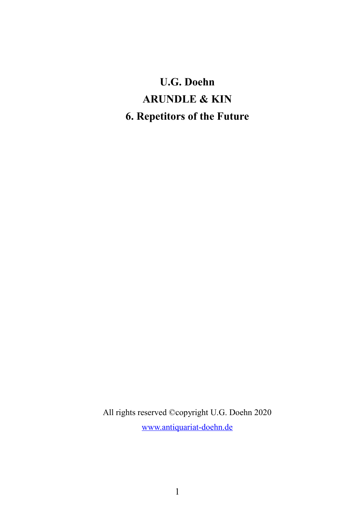# **U.G. Doehn ARUNDLE & KIN 6. Repetitors of the Future**

All rights reserved ©copyright U.G. Doehn 2020 [www.antiquariat-doehn.de](http://www.antiquariat-doehn.de/)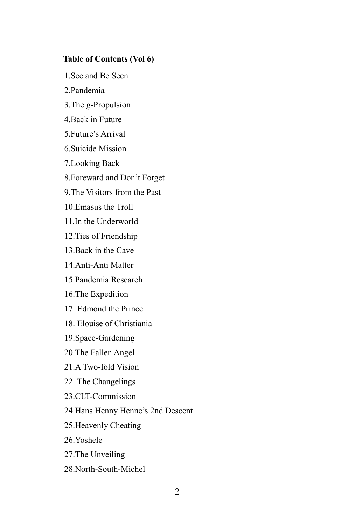## **Table of Contents (Vol 6)**

1.See and Be Seen

- 2.Pandemia
- 3.The g-Propulsion
- 4.Back in Future
- 5.Future's Arrival
- 6.Suicide Mission
- 7.Looking Back
- 8.Foreward and Don't Forget
- 9.The Visitors from the Past
- 10.Emasus the Troll
- 11.In the Underworld
- 12.Ties of Friendship
- 13.Back in the Cave
- 14.Anti-Anti Matter
- 15.Pandemia Research
- 16.The Expedition
- 17. Edmond the Prince
- 18. Elouise of Christiania
- 19.Space-Gardening
- 20.The Fallen Angel
- 21.A Two-fold Vision
- 22. The Changelings
- 23.CLT-Commission
- 24.Hans Henny Henne's 2nd Descent
- 25.Heavenly Cheating
- 26.Yoshele
- 27.The Unveiling
- 28.North-South-Michel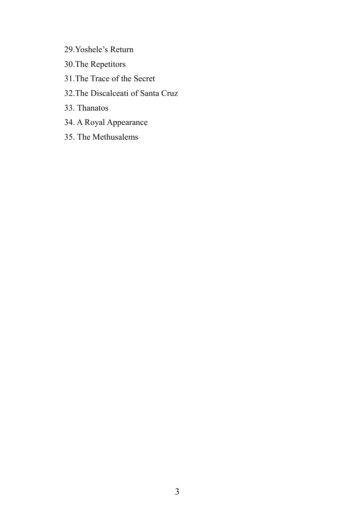- 29.Yoshele's Return
- 30.The Repetitors
- 31.The Trace of the Secret
- 32.The Discalceati of Santa Cruz
- 33. Thanatos
- 34. A Royal Appearance
- 35. The Methusalems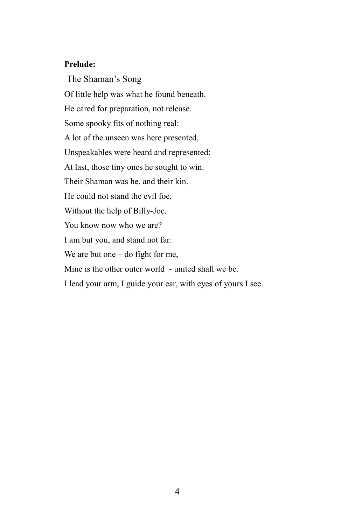## **Prelude:**

The Shaman's Song Of little help was what he found beneath. He cared for preparation, not release. Some spooky fits of nothing real: A lot of the unseen was here presented, Unspeakables were heard and represented: At last, those tiny ones he sought to win. Their Shaman was he, and their kin. He could not stand the evil foe, Without the help of Billy-Joe. You know now who we are? I am but you, and stand not far: We are but one – do fight for me, Mine is the other outer world - united shall we be. I lead your arm, I guide your ear, with eyes of yours I see.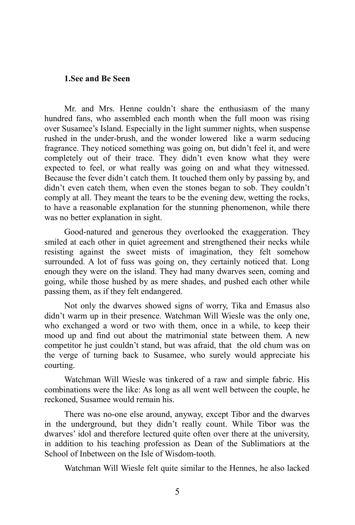#### **1.See and Be Seen**

Mr. and Mrs. Henne couldn't share the enthusiasm of the many hundred fans, who assembled each month when the full moon was rising over Susamee's Island. Especially in the light summer nights, when suspense rushed in the under-brush, and the wonder lowered like a warm seducing fragrance. They noticed something was going on, but didn't feel it, and were completely out of their trace. They didn't even know what they were expected to feel, or what really was going on and what they witnessed. Because the fever didn't catch them. It touched them only by passing by, and didn't even catch them, when even the stones began to sob. They couldn't comply at all. They meant the tears to be the evening dew, wetting the rocks, to have a reasonable explanation for the stunning phenomenon, while there was no better explanation in sight.

Good-natured and generous they overlooked the exaggeration. They smiled at each other in quiet agreement and strengthened their necks while resisting against the sweet mists of imagination, they felt somehow surrounded. A lot of fuss was going on, they certainly noticed that. Long enough they were on the island. They had many dwarves seen, coming and going, while those hushed by as mere shades, and pushed each other while passing them, as if they felt endangered.

Not only the dwarves showed signs of worry, Tika and Emasus also didn't warm up in their presence. Watchman Will Wiesle was the only one, who exchanged a word or two with them, once in a while, to keep their mood up and find out about the matrimonial state between them. A new competitor he just couldn't stand, but was afraid, that the old chum was on the verge of turning back to Susamee, who surely would appreciate his courting.

Watchman Will Wiesle was tinkered of a raw and simple fabric. His combinations were the like: As long as all went well between the couple, he reckoned, Susamee would remain his.

There was no-one else around, anyway, except Tibor and the dwarves in the underground, but they didn't really count. While Tibor was the dwarves' idol and therefore lectured quite often over there at the university, in addition to his teaching profession as Dean of the Sublimatiors at the School of Inbetween on the Isle of Wisdom-tooth.

Watchman Will Wiesle felt quite similar to the Hennes, he also lacked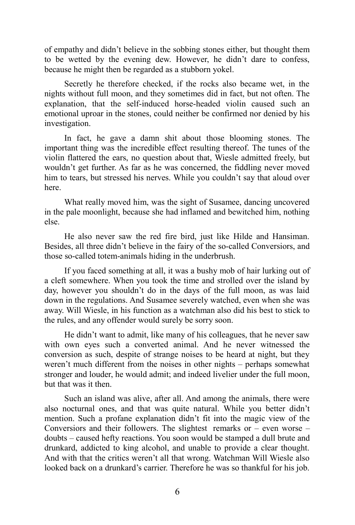of empathy and didn't believe in the sobbing stones either, but thought them to be wetted by the evening dew. However, he didn't dare to confess, because he might then be regarded as a stubborn yokel.

Secretly he therefore checked, if the rocks also became wet, in the nights without full moon, and they sometimes did in fact, but not often. The explanation, that the self-induced horse-headed violin caused such an emotional uproar in the stones, could neither be confirmed nor denied by his investigation.

In fact, he gave a damn shit about those blooming stones. The important thing was the incredible effect resulting thereof. The tunes of the violin flattered the ears, no question about that, Wiesle admitted freely, but wouldn't get further. As far as he was concerned, the fiddling never moved him to tears, but stressed his nerves. While you couldn't say that aloud over here.

What really moved him, was the sight of Susamee, dancing uncovered in the pale moonlight, because she had inflamed and bewitched him, nothing else.

He also never saw the red fire bird, just like Hilde and Hansiman. Besides, all three didn't believe in the fairy of the so-called Conversiors, and those so-called totem-animals hiding in the underbrush.

If you faced something at all, it was a bushy mob of hair lurking out of a cleft somewhere. When you took the time and strolled over the island by day, however you shouldn't do in the days of the full moon, as was laid down in the regulations. And Susamee severely watched, even when she was away. Will Wiesle, in his function as a watchman also did his best to stick to the rules, and any offender would surely be sorry soon.

He didn't want to admit, like many of his colleagues, that he never saw with own eyes such a converted animal. And he never witnessed the conversion as such, despite of strange noises to be heard at night, but they weren't much different from the noises in other nights – perhaps somewhat stronger and louder, he would admit; and indeed livelier under the full moon, but that was it then.

Such an island was alive, after all. And among the animals, there were also nocturnal ones, and that was quite natural. While you better didn't mention. Such a profane explanation didn't fit into the magic view of the Conversiors and their followers. The slightest remarks or  $-$  even worse  $$ doubts – caused hefty reactions. You soon would be stamped a dull brute and drunkard, addicted to king alcohol, and unable to provide a clear thought. And with that the critics weren't all that wrong. Watchman Will Wiesle also looked back on a drunkard's carrier. Therefore he was so thankful for his job.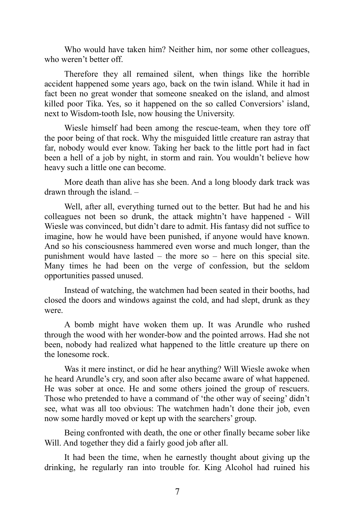Who would have taken him? Neither him, nor some other colleagues, who weren't better off.

Therefore they all remained silent, when things like the horrible accident happened some years ago, back on the twin island. While it had in fact been no great wonder that someone sneaked on the island, and almost killed poor Tika. Yes, so it happened on the so called Conversiors' island, next to Wisdom-tooth Isle, now housing the University.

Wiesle himself had been among the rescue-team, when they tore off the poor being of that rock. Why the misguided little creature ran astray that far, nobody would ever know. Taking her back to the little port had in fact been a hell of a job by night, in storm and rain. You wouldn't believe how heavy such a little one can become.

More death than alive has she been. And a long bloody dark track was drawn through the island. –

Well, after all, everything turned out to the better. But had he and his colleagues not been so drunk, the attack mightn't have happened - Will Wiesle was convinced, but didn't dare to admit. His fantasy did not suffice to imagine, how he would have been punished, if anyone would have known. And so his consciousness hammered even worse and much longer, than the punishment would have lasted – the more so – here on this special site. Many times he had been on the verge of confession, but the seldom opportunities passed unused.

Instead of watching, the watchmen had been seated in their booths, had closed the doors and windows against the cold, and had slept, drunk as they were.

A bomb might have woken them up. It was Arundle who rushed through the wood with her wonder-bow and the pointed arrows. Had she not been, nobody had realized what happened to the little creature up there on the lonesome rock.

Was it mere instinct, or did he hear anything? Will Wiesle awoke when he heard Arundle's cry, and soon after also became aware of what happened. He was sober at once. He and some others joined the group of rescuers. Those who pretended to have a command of 'the other way of seeing' didn't see, what was all too obvious: The watchmen hadn't done their job, even now some hardly moved or kept up with the searchers' group.

Being confronted with death, the one or other finally became sober like Will. And together they did a fairly good job after all.

It had been the time, when he earnestly thought about giving up the drinking, he regularly ran into trouble for. King Alcohol had ruined his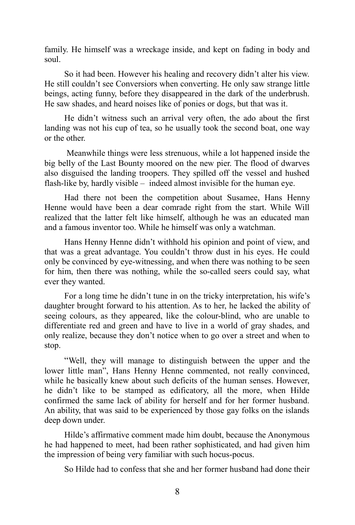family. He himself was a wreckage inside, and kept on fading in body and soul.

So it had been. However his healing and recovery didn't alter his view. He still couldn't see Conversiors when converting. He only saw strange little beings, acting funny, before they disappeared in the dark of the underbrush. He saw shades, and heard noises like of ponies or dogs, but that was it.

He didn't witness such an arrival very often, the ado about the first landing was not his cup of tea, so he usually took the second boat, one way or the other.

Meanwhile things were less strenuous, while a lot happened inside the big belly of the Last Bounty moored on the new pier. The flood of dwarves also disguised the landing troopers. They spilled off the vessel and hushed flash-like by, hardly visible – indeed almost invisible for the human eye.

Had there not been the competition about Susamee, Hans Henny Henne would have been a dear comrade right from the start. While Will realized that the latter felt like himself, although he was an educated man and a famous inventor too. While he himself was only a watchman.

Hans Henny Henne didn't withhold his opinion and point of view, and that was a great advantage. You couldn't throw dust in his eyes. He could only be convinced by eye-witnessing, and when there was nothing to be seen for him, then there was nothing, while the so-called seers could say, what ever they wanted.

For a long time he didn't tune in on the tricky interpretation, his wife's daughter brought forward to his attention. As to her, he lacked the ability of seeing colours, as they appeared, like the colour-blind, who are unable to differentiate red and green and have to live in a world of gray shades, and only realize, because they don't notice when to go over a street and when to stop.

"Well, they will manage to distinguish between the upper and the lower little man", Hans Henny Henne commented, not really convinced, while he basically knew about such deficits of the human senses. However, he didn't like to be stamped as edificatory, all the more, when Hilde confirmed the same lack of ability for herself and for her former husband. An ability, that was said to be experienced by those gay folks on the islands deep down under.

Hilde's affirmative comment made him doubt, because the Anonymous he had happened to meet, had been rather sophisticated, and had given him the impression of being very familiar with such hocus-pocus.

So Hilde had to confess that she and her former husband had done their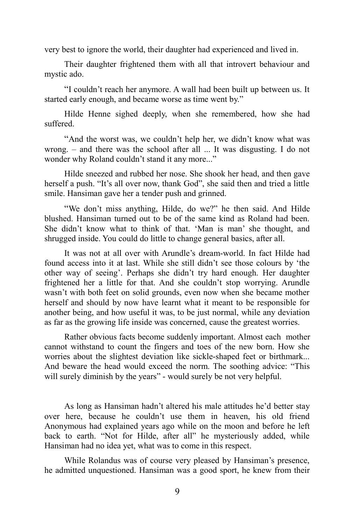very best to ignore the world, their daughter had experienced and lived in.

Their daughter frightened them with all that introvert behaviour and mystic ado.

"I couldn't reach her anymore. A wall had been built up between us. It started early enough, and became worse as time went by."

Hilde Henne sighed deeply, when she remembered, how she had suffered.

"And the worst was, we couldn't help her, we didn't know what was wrong. – and there was the school after all ... It was disgusting. I do not wonder why Roland couldn't stand it any more..."

Hilde sneezed and rubbed her nose. She shook her head, and then gave herself a push. "It's all over now, thank God", she said then and tried a little smile. Hansiman gave her a tender push and grinned.

"We don't miss anything, Hilde, do we?" he then said. And Hilde blushed. Hansiman turned out to be of the same kind as Roland had been. She didn't know what to think of that. 'Man is man' she thought, and shrugged inside. You could do little to change general basics, after all.

It was not at all over with Arundle's dream-world. In fact Hilde had found access into it at last. While she still didn't see those colours by 'the other way of seeing'. Perhaps she didn't try hard enough. Her daughter frightened her a little for that. And she couldn't stop worrying. Arundle wasn't with both feet on solid grounds, even now when she became mother herself and should by now have learnt what it meant to be responsible for another being, and how useful it was, to be just normal, while any deviation as far as the growing life inside was concerned, cause the greatest worries.

Rather obvious facts become suddenly important. Almost each mother cannot withstand to count the fingers and toes of the new born. How she worries about the slightest deviation like sickle-shaped feet or birthmark... And beware the head would exceed the norm. The soothing advice: "This will surely diminish by the years" - would surely be not very helpful.

As long as Hansiman hadn't altered his male attitudes he'd better stay over here, because he couldn't use them in heaven, his old friend Anonymous had explained years ago while on the moon and before he left back to earth. "Not for Hilde, after all" he mysteriously added, while Hansiman had no idea yet, what was to come in this respect.

While Rolandus was of course very pleased by Hansiman's presence, he admitted unquestioned. Hansiman was a good sport, he knew from their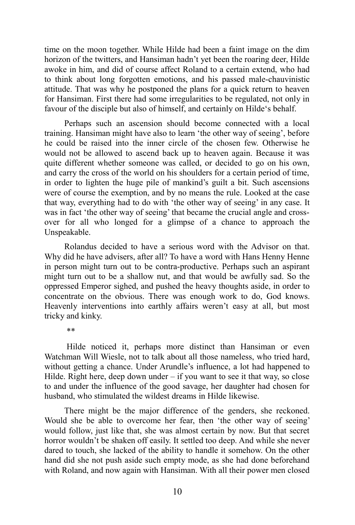time on the moon together. While Hilde had been a faint image on the dim horizon of the twitters, and Hansiman hadn't yet been the roaring deer, Hilde awoke in him, and did of course affect Roland to a certain extend, who had to think about long forgotten emotions, and his passed male-chauvinistic attitude. That was why he postponed the plans for a quick return to heaven for Hansiman. First there had some irregularities to be regulated, not only in favour of the disciple but also of himself, and certainly on Hilde's behalf.

Perhaps such an ascension should become connected with a local training. Hansiman might have also to learn 'the other way of seeing', before he could be raised into the inner circle of the chosen few. Otherwise he would not be allowed to ascend back up to heaven again. Because it was quite different whether someone was called, or decided to go on his own, and carry the cross of the world on his shoulders for a certain period of time, in order to lighten the huge pile of mankind's guilt a bit. Such ascensions were of course the exemption, and by no means the rule. Looked at the case that way, everything had to do with 'the other way of seeing' in any case. It was in fact 'the other way of seeing' that became the crucial angle and crossover for all who longed for a glimpse of a chance to approach the Unspeakable.

Rolandus decided to have a serious word with the Advisor on that. Why did he have advisers, after all? To have a word with Hans Henny Henne in person might turn out to be contra-productive. Perhaps such an aspirant might turn out to be a shallow nut, and that would be awfully sad. So the oppressed Emperor sighed, and pushed the heavy thoughts aside, in order to concentrate on the obvious. There was enough work to do, God knows. Heavenly interventions into earthly affairs weren't easy at all, but most tricky and kinky.

\*\*

Hilde noticed it, perhaps more distinct than Hansiman or even Watchman Will Wiesle, not to talk about all those nameless, who tried hard, without getting a chance. Under Arundle's influence, a lot had happened to Hilde. Right here, deep down under  $-$  if you want to see it that way, so close to and under the influence of the good savage, her daughter had chosen for husband, who stimulated the wildest dreams in Hilde likewise.

There might be the major difference of the genders, she reckoned. Would she be able to overcome her fear, then 'the other way of seeing' would follow, just like that, she was almost certain by now. But that secret horror wouldn't be shaken off easily. It settled too deep. And while she never dared to touch, she lacked of the ability to handle it somehow. On the other hand did she not push aside such empty mode, as she had done beforehand with Roland, and now again with Hansiman. With all their power men closed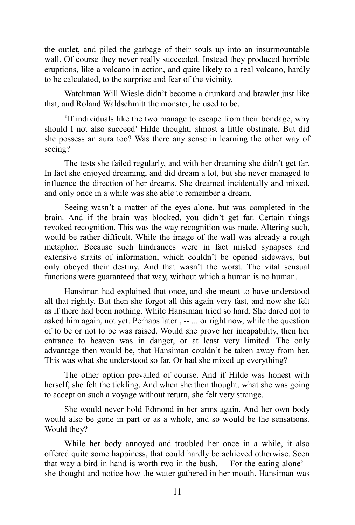the outlet, and piled the garbage of their souls up into an insurmountable wall. Of course they never really succeeded. Instead they produced horrible eruptions, like a volcano in action, and quite likely to a real volcano, hardly to be calculated, to the surprise and fear of the vicinity.

Watchman Will Wiesle didn't become a drunkard and brawler just like that, and Roland Waldschmitt the monster, he used to be.

'If individuals like the two manage to escape from their bondage, why should I not also succeed' Hilde thought, almost a little obstinate. But did she possess an aura too? Was there any sense in learning the other way of seeing?

The tests she failed regularly, and with her dreaming she didn't get far. In fact she enjoyed dreaming, and did dream a lot, but she never managed to influence the direction of her dreams. She dreamed incidentally and mixed, and only once in a while was she able to remember a dream.

Seeing wasn't a matter of the eyes alone, but was completed in the brain. And if the brain was blocked, you didn't get far. Certain things revoked recognition. This was the way recognition was made. Altering such, would be rather difficult. While the image of the wall was already a rough metaphor. Because such hindrances were in fact misled synapses and extensive straits of information, which couldn't be opened sideways, but only obeyed their destiny. And that wasn't the worst. The vital sensual functions were guaranteed that way, without which a human is no human.

Hansiman had explained that once, and she meant to have understood all that rightly. But then she forgot all this again very fast, and now she felt as if there had been nothing. While Hansiman tried so hard. She dared not to asked him again, not yet. Perhaps later , -- ... or right now, while the question of to be or not to be was raised. Would she prove her incapability, then her entrance to heaven was in danger, or at least very limited. The only advantage then would be, that Hansiman couldn't be taken away from her. This was what she understood so far. Or had she mixed up everything?

The other option prevailed of course. And if Hilde was honest with herself, she felt the tickling. And when she then thought, what she was going to accept on such a voyage without return, she felt very strange.

She would never hold Edmond in her arms again. And her own body would also be gone in part or as a whole, and so would be the sensations. Would they?

While her body annoyed and troubled her once in a while, it also offered quite some happiness, that could hardly be achieved otherwise. Seen that way a bird in hand is worth two in the bush.  $-$  For the eating alone'  $$ she thought and notice how the water gathered in her mouth. Hansiman was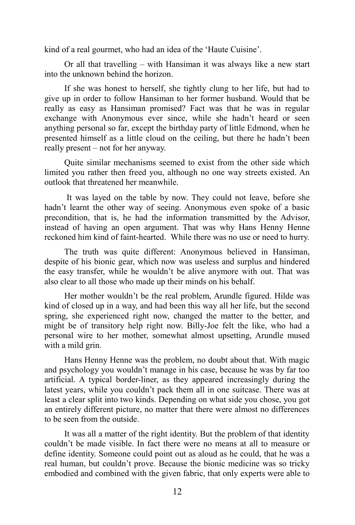kind of a real gourmet, who had an idea of the 'Haute Cuisine'.

Or all that travelling – with Hansiman it was always like a new start into the unknown behind the horizon.

If she was honest to herself, she tightly clung to her life, but had to give up in order to follow Hansiman to her former husband. Would that be really as easy as Hansiman promised? Fact was that he was in regular exchange with Anonymous ever since, while she hadn't heard or seen anything personal so far, except the birthday party of little Edmond, when he presented himself as a little cloud on the ceiling, but there he hadn't been really present – not for her anyway.

Quite similar mechanisms seemed to exist from the other side which limited you rather then freed you, although no one way streets existed. An outlook that threatened her meanwhile.

It was layed on the table by now. They could not leave, before she hadn't learnt the other way of seeing. Anonymous even spoke of a basic precondition, that is, he had the information transmitted by the Advisor, instead of having an open argument. That was why Hans Henny Henne reckoned him kind of faint-hearted. While there was no use or need to hurry.

The truth was quite different: Anonymous believed in Hansiman, despite of his bionic gear, which now was useless and surplus and hindered the easy transfer, while he wouldn't be alive anymore with out. That was also clear to all those who made up their minds on his behalf.

Her mother wouldn't be the real problem, Arundle figured. Hilde was kind of closed up in a way, and had been this way all her life, but the second spring, she experienced right now, changed the matter to the better, and might be of transitory help right now. Billy-Joe felt the like, who had a personal wire to her mother, somewhat almost upsetting, Arundle mused with a mild grin.

Hans Henny Henne was the problem, no doubt about that. With magic and psychology you wouldn't manage in his case, because he was by far too artificial. A typical border-liner, as they appeared increasingly during the latest years, while you couldn't pack them all in one suitcase. There was at least a clear split into two kinds. Depending on what side you chose, you got an entirely different picture, no matter that there were almost no differences to be seen from the outside.

It was all a matter of the right identity. But the problem of that identity couldn't be made visible. In fact there were no means at all to measure or define identity. Someone could point out as aloud as he could, that he was a real human, but couldn't prove. Because the bionic medicine was so tricky embodied and combined with the given fabric, that only experts were able to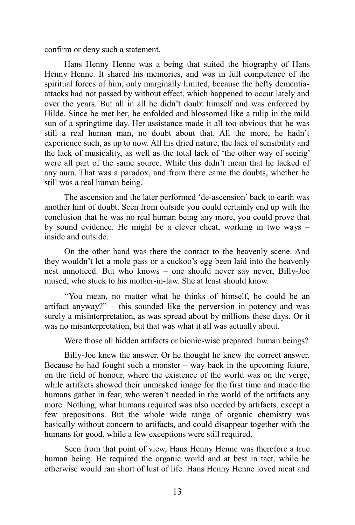confirm or deny such a statement.

Hans Henny Henne was a being that suited the biography of Hans Henny Henne. It shared his memories, and was in full competence of the spiritual forces of him, only marginally limited, because the hefty dementiaattacks had not passed by without effect, which happened to occur lately and over the years. But all in all he didn't doubt himself and was enforced by Hilde. Since he met her, he enfolded and blossomed like a tulip in the mild sun of a springtime day. Her assistance made it all too obvious that he was still a real human man, no doubt about that. All the more, he hadn't experience such, as up to now. All his dried nature, the lack of sensibility and the lack of musicality, as well as the total lack of 'the other way of seeing' were all part of the same source. While this didn't mean that he lacked of any aura. That was a paradox, and from there came the doubts, whether he still was a real human being.

The ascension and the later performed 'de-ascension' back to earth was another hint of doubt. Seen from outside you could certainly end up with the conclusion that he was no real human being any more, you could prove that by sound evidence. He might be a clever cheat, working in two ways – inside and outside.

On the other hand was there the contact to the heavenly scene. And they wouldn't let a mole pass or a cuckoo's egg been laid into the heavenly nest unnoticed. But who knows – one should never say never, Billy-Joe mused, who stuck to his mother-in-law. She at least should know.

"You mean, no matter what he thinks of himself, he could be an artifact anyway?" – this sounded like the perversion in potency and was surely a misinterpretation, as was spread about by millions these days. Or it was no misinterpretation, but that was what it all was actually about.

Were those all hidden artifacts or bionic-wise prepared human beings?

Billy-Joe knew the answer. Or he thought he knew the correct answer. Because he had fought such a monster – way back in the upcoming future, on the field of honour, where the existence of the world was on the verge, while artifacts showed their unmasked image for the first time and made the humans gather in fear, who weren't needed in the world of the artifacts any more. Nothing, what humans required was also needed by artifacts, except a few prepositions. But the whole wide range of organic chemistry was basically without concern to artifacts, and could disappear together with the humans for good, while a few exceptions were still required.

Seen from that point of view, Hans Henny Henne was therefore a true human being. He required the organic world and at best in tact, while he otherwise would ran short of lust of life. Hans Henny Henne loved meat and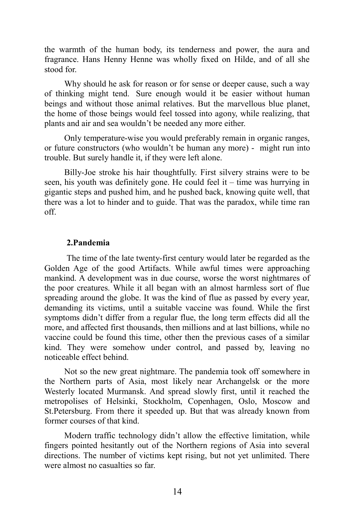the warmth of the human body, its tenderness and power, the aura and fragrance. Hans Henny Henne was wholly fixed on Hilde, and of all she stood for.

Why should he ask for reason or for sense or deeper cause, such a way of thinking might tend. Sure enough would it be easier without human beings and without those animal relatives. But the marvellous blue planet, the home of those beings would feel tossed into agony, while realizing, that plants and air and sea wouldn't be needed any more either.

Only temperature-wise you would preferably remain in organic ranges, or future constructors (who wouldn't be human any more) - might run into trouble. But surely handle it, if they were left alone.

Billy-Joe stroke his hair thoughtfully. First silvery strains were to be seen, his youth was definitely gone. He could feel it – time was hurrying in gigantic steps and pushed him, and he pushed back, knowing quite well, that there was a lot to hinder and to guide. That was the paradox, while time ran off.

### **2.Pandemia**

The time of the late twenty-first century would later be regarded as the Golden Age of the good Artifacts. While awful times were approaching mankind. A development was in due course, worse the worst nightmares of the poor creatures. While it all began with an almost harmless sort of flue spreading around the globe. It was the kind of flue as passed by every year, demanding its victims, until a suitable vaccine was found. While the first symptoms didn't differ from a regular flue, the long term effects did all the more, and affected first thousands, then millions and at last billions, while no vaccine could be found this time, other then the previous cases of a similar kind. They were somehow under control, and passed by, leaving no noticeable effect behind.

Not so the new great nightmare. The pandemia took off somewhere in the Northern parts of Asia, most likely near Archangelsk or the more Westerly located Murmansk. And spread slowly first, until it reached the metropolises of Helsinki, Stockholm, Copenhagen, Oslo, Moscow and St.Petersburg. From there it speeded up. But that was already known from former courses of that kind.

Modern traffic technology didn't allow the effective limitation, while fingers pointed hesitantly out of the Northern regions of Asia into several directions. The number of victims kept rising, but not yet unlimited. There were almost no casualties so far.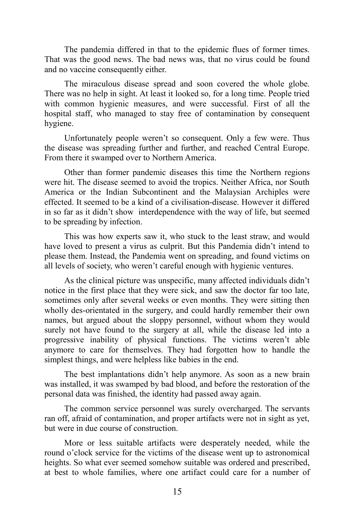The pandemia differed in that to the epidemic flues of former times. That was the good news. The bad news was, that no virus could be found and no vaccine consequently either.

The miraculous disease spread and soon covered the whole globe. There was no help in sight. At least it looked so, for a long time. People tried with common hygienic measures, and were successful. First of all the hospital staff, who managed to stay free of contamination by consequent hygiene.

Unfortunately people weren't so consequent. Only a few were. Thus the disease was spreading further and further, and reached Central Europe. From there it swamped over to Northern America.

Other than former pandemic diseases this time the Northern regions were hit. The disease seemed to avoid the tropics. Neither Africa, nor South America or the Indian Subcontinent and the Malaysian Archiples were effected. It seemed to be a kind of a civilisation-disease. However it differed in so far as it didn't show interdependence with the way of life, but seemed to be spreading by infection.

This was how experts saw it, who stuck to the least straw, and would have loved to present a virus as culprit. But this Pandemia didn't intend to please them. Instead, the Pandemia went on spreading, and found victims on all levels of society, who weren't careful enough with hygienic ventures.

As the clinical picture was unspecific, many affected individuals didn't notice in the first place that they were sick, and saw the doctor far too late, sometimes only after several weeks or even months. They were sitting then wholly des-orientated in the surgery, and could hardly remember their own names, but argued about the sloppy personnel, without whom they would surely not have found to the surgery at all, while the disease led into a progressive inability of physical functions. The victims weren't able anymore to care for themselves. They had forgotten how to handle the simplest things, and were helpless like babies in the end.

The best implantations didn't help anymore. As soon as a new brain was installed, it was swamped by bad blood, and before the restoration of the personal data was finished, the identity had passed away again.

The common service personnel was surely overcharged. The servants ran off, afraid of contamination, and proper artifacts were not in sight as yet, but were in due course of construction.

More or less suitable artifacts were desperately needed, while the round o'clock service for the victims of the disease went up to astronomical heights. So what ever seemed somehow suitable was ordered and prescribed, at best to whole families, where one artifact could care for a number of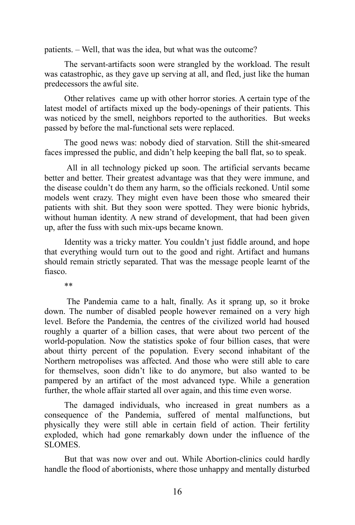patients. – Well, that was the idea, but what was the outcome?

The servant-artifacts soon were strangled by the workload. The result was catastrophic, as they gave up serving at all, and fled, just like the human predecessors the awful site.

Other relatives came up with other horror stories. A certain type of the latest model of artifacts mixed up the body-openings of their patients. This was noticed by the smell, neighbors reported to the authorities. But weeks passed by before the mal-functional sets were replaced.

The good news was: nobody died of starvation. Still the shit-smeared faces impressed the public, and didn't help keeping the ball flat, so to speak.

All in all technology picked up soon. The artificial servants became better and better. Their greatest advantage was that they were immune, and the disease couldn't do them any harm, so the officials reckoned. Until some models went crazy. They might even have been those who smeared their patients with shit. But they soon were spotted. They were bionic hybrids, without human identity. A new strand of development, that had been given up, after the fuss with such mix-ups became known.

Identity was a tricky matter. You couldn't just fiddle around, and hope that everything would turn out to the good and right. Artifact and humans should remain strictly separated. That was the message people learnt of the fiasco.

\*\*

The Pandemia came to a halt, finally. As it sprang up, so it broke down. The number of disabled people however remained on a very high level. Before the Pandemia, the centres of the civilized world had housed roughly a quarter of a billion cases, that were about two percent of the world-population. Now the statistics spoke of four billion cases, that were about thirty percent of the population. Every second inhabitant of the Northern metropolises was affected. And those who were still able to care for themselves, soon didn't like to do anymore, but also wanted to be pampered by an artifact of the most advanced type. While a generation further, the whole affair started all over again, and this time even worse.

The damaged individuals, who increased in great numbers as a consequence of the Pandemia, suffered of mental malfunctions, but physically they were still able in certain field of action. Their fertility exploded, which had gone remarkably down under the influence of the SLOMES.

But that was now over and out. While Abortion-clinics could hardly handle the flood of abortionists, where those unhappy and mentally disturbed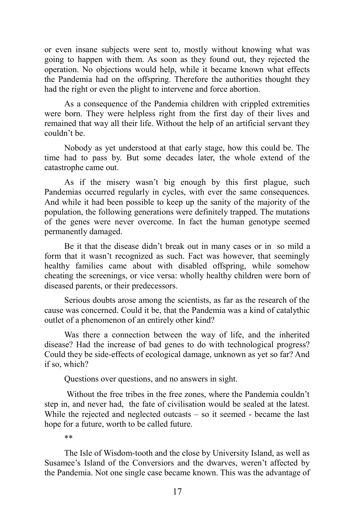or even insane subjects were sent to, mostly without knowing what was going to happen with them. As soon as they found out, they rejected the operation. No objections would help, while it became known what effects the Pandemia had on the offspring. Therefore the authorities thought they had the right or even the plight to intervene and force abortion.

As a consequence of the Pandemia children with crippled extremities were born. They were helpless right from the first day of their lives and remained that way all their life. Without the help of an artificial servant they couldn't be.

Nobody as yet understood at that early stage, how this could be. The time had to pass by. But some decades later, the whole extend of the catastrophe came out.

As if the misery wasn't big enough by this first plague, such Pandemias occurred regularly in cycles, with ever the same consequences. And while it had been possible to keep up the sanity of the majority of the population, the following generations were definitely trapped. The mutations of the genes were never overcome. In fact the human genotype seemed permanently damaged.

Be it that the disease didn't break out in many cases or in so mild a form that it wasn't recognized as such. Fact was however, that seemingly healthy families came about with disabled offspring, while somehow cheating the screenings, or vice versa: wholly healthy children were born of diseased parents, or their predecessors.

Serious doubts arose among the scientists, as far as the research of the cause was concerned. Could it be, that the Pandemia was a kind of catalythic outlet of a phenomenon of an entirely other kind?

Was there a connection between the way of life, and the inherited disease? Had the increase of bad genes to do with technological progress? Could they be side-effects of ecological damage, unknown as yet so far? And if so, which?

Questions over questions, and no answers in sight.

Without the free tribes in the free zones, where the Pandemia couldn't step in, and never had, the fate of civilisation would be sealed at the latest. While the rejected and neglected outcasts – so it seemed - became the last hope for a future, worth to be called future.

\*\*

The Isle of Wisdom-tooth and the close by University Island, as well as Susamee's Island of the Conversiors and the dwarves, weren't affected by the Pandemia. Not one single case became known. This was the advantage of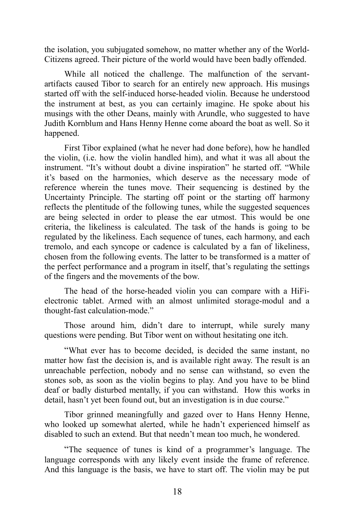the isolation, you subjugated somehow, no matter whether any of the World-Citizens agreed. Their picture of the world would have been badly offended.

While all noticed the challenge. The malfunction of the servantartifacts caused Tibor to search for an entirely new approach. His musings started off with the self-induced horse-headed violin. Because he understood the instrument at best, as you can certainly imagine. He spoke about his musings with the other Deans, mainly with Arundle, who suggested to have Judith Kornblum and Hans Henny Henne come aboard the boat as well. So it happened.

First Tibor explained (what he never had done before), how he handled the violin, (i.e. how the violin handled him), and what it was all about the instrument. "It's without doubt a divine inspiration" he started off. "While it's based on the harmonies, which deserve as the necessary mode of reference wherein the tunes move. Their sequencing is destined by the Uncertainty Principle. The starting off point or the starting off harmony reflects the plentitude of the following tunes, while the suggested sequences are being selected in order to please the ear utmost. This would be one criteria, the likeliness is calculated. The task of the hands is going to be regulated by the likeliness. Each sequence of tunes, each harmony, and each tremolo, and each syncope or cadence is calculated by a fan of likeliness, chosen from the following events. The latter to be transformed is a matter of the perfect performance and a program in itself, that's regulating the settings of the fingers and the movements of the bow.

The head of the horse-headed violin you can compare with a HiFielectronic tablet. Armed with an almost unlimited storage-modul and a thought-fast calculation-mode."

Those around him, didn't dare to interrupt, while surely many questions were pending. But Tibor went on without hesitating one itch.

"What ever has to become decided, is decided the same instant, no matter how fast the decision is, and is available right away. The result is an unreachable perfection, nobody and no sense can withstand, so even the stones sob, as soon as the violin begins to play. And you have to be blind deaf or badly disturbed mentally, if you can withstand. How this works in detail, hasn't yet been found out, but an investigation is in due course."

Tibor grinned meaningfully and gazed over to Hans Henny Henne, who looked up somewhat alerted, while he hadn't experienced himself as disabled to such an extend. But that needn't mean too much, he wondered.

"The sequence of tunes is kind of a programmer's language. The language corresponds with any likely event inside the frame of reference. And this language is the basis, we have to start off. The violin may be put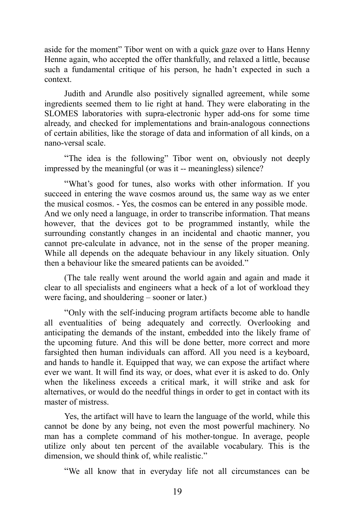aside for the moment" Tibor went on with a quick gaze over to Hans Henny Henne again, who accepted the offer thankfully, and relaxed a little, because such a fundamental critique of his person, he hadn't expected in such a context.

Judith and Arundle also positively signalled agreement, while some ingredients seemed them to lie right at hand. They were elaborating in the SLOMES laboratories with supra-electronic hyper add-ons for some time already, and checked for implementations and brain-analogous connections of certain abilities, like the storage of data and information of all kinds, on a nano-versal scale.

"The idea is the following" Tibor went on, obviously not deeply impressed by the meaningful (or was it -- meaningless) silence?

"What's good for tunes, also works with other information. If you succeed in entering the wave cosmos around us, the same way as we enter the musical cosmos. - Yes, the cosmos can be entered in any possible mode. And we only need a language, in order to transcribe information. That means however, that the devices got to be programmed instantly, while the surrounding constantly changes in an incidental and chaotic manner, you cannot pre-calculate in advance, not in the sense of the proper meaning. While all depends on the adequate behaviour in any likely situation. Only then a behaviour like the smeared patients can be avoided."

(The tale really went around the world again and again and made it clear to all specialists and engineers what a heck of a lot of workload they were facing, and shouldering – sooner or later.)

"Only with the self-inducing program artifacts become able to handle all eventualities of being adequately and correctly. Overlooking and anticipating the demands of the instant, embedded into the likely frame of the upcoming future. And this will be done better, more correct and more farsighted then human individuals can afford. All you need is a keyboard, and hands to handle it. Equipped that way, we can expose the artifact where ever we want. It will find its way, or does, what ever it is asked to do. Only when the likeliness exceeds a critical mark, it will strike and ask for alternatives, or would do the needful things in order to get in contact with its master of mistress.

Yes, the artifact will have to learn the language of the world, while this cannot be done by any being, not even the most powerful machinery. No man has a complete command of his mother-tongue. In average, people utilize only about ten percent of the available vocabulary. This is the dimension, we should think of, while realistic."

"We all know that in everyday life not all circumstances can be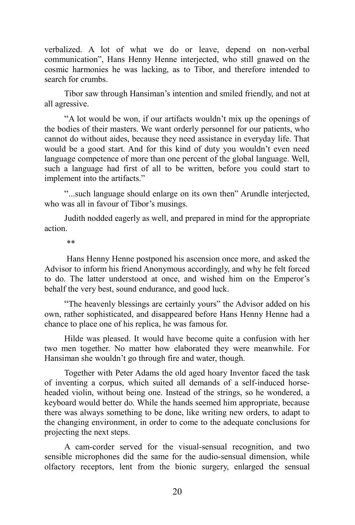verbalized. A lot of what we do or leave, depend on non-verbal communication", Hans Henny Henne interjected, who still gnawed on the cosmic harmonies he was lacking, as to Tibor, and therefore intended to search for crumbs.

Tibor saw through Hansiman's intention and smiled friendly, and not at all agressive.

"A lot would be won, if our artifacts wouldn't mix up the openings of the bodies of their masters. We want orderly personnel for our patients, who cannot do without aides, because they need assistance in everyday life. That would be a good start. And for this kind of duty you wouldn't even need language competence of more than one percent of the global language. Well, such a language had first of all to be written, before you could start to implement into the artifacts."

"...such language should enlarge on its own then" Arundle interjected, who was all in favour of Tibor's musings.

Judith nodded eagerly as well, and prepared in mind for the appropriate action.

\*\*

Hans Henny Henne postponed his ascension once more, and asked the Advisor to inform his friend Anonymous accordingly, and why he felt forced to do. The latter understood at once, and wished him on the Emperor's behalf the very best, sound endurance, and good luck.

"The heavenly blessings are certainly yours" the Advisor added on his own, rather sophisticated, and disappeared before Hans Henny Henne had a chance to place one of his replica, he was famous for.

Hilde was pleased. It would have become quite a confusion with her two men together. No matter how elaborated they were meanwhile. For Hansiman she wouldn't go through fire and water, though.

Together with Peter Adams the old aged hoary Inventor faced the task of inventing a corpus, which suited all demands of a self-induced horseheaded violin, without being one. Instead of the strings, so he wondered, a keyboard would better do. While the hands seemed him appropriate, because there was always something to be done, like writing new orders, to adapt to the changing environment, in order to come to the adequate conclusions for projecting the next steps.

A cam-corder served for the visual-sensual recognition, and two sensible microphones did the same for the audio-sensual dimension, while olfactory receptors, lent from the bionic surgery, enlarged the sensual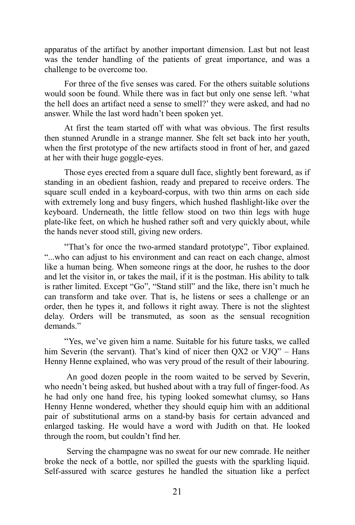apparatus of the artifact by another important dimension. Last but not least was the tender handling of the patients of great importance, and was a challenge to be overcome too.

For three of the five senses was cared. For the others suitable solutions would soon be found. While there was in fact but only one sense left. 'what the hell does an artifact need a sense to smell?' they were asked, and had no answer. While the last word hadn't been spoken yet.

At first the team started off with what was obvious. The first results then stunned Arundle in a strange manner. She felt set back into her youth, when the first prototype of the new artifacts stood in front of her, and gazed at her with their huge goggle-eyes.

Those eyes erected from a square dull face, slightly bent foreward, as if standing in an obedient fashion, ready and prepared to receive orders. The square scull ended in a keyboard-corpus, with two thin arms on each side with extremely long and busy fingers, which hushed flashlight-like over the keyboard. Underneath, the little fellow stood on two thin legs with huge plate-like feet, on which he hushed rather soft and very quickly about, while the hands never stood still, giving new orders.

"That's for once the two-armed standard prototype", Tibor explained. "...who can adjust to his environment and can react on each change, almost like a human being. When someone rings at the door, he rushes to the door and let the visitor in, or takes the mail, if it is the postman. His ability to talk is rather limited. Except "Go", "Stand still" and the like, there isn't much he can transform and take over. That is, he listens or sees a challenge or an order, then he types it, and follows it right away. There is not the slightest delay. Orders will be transmuted, as soon as the sensual recognition demands."

"Yes, we've given him a name. Suitable for his future tasks, we called him Severin (the servant). That's kind of nicer then OX2 or VJO" – Hans Henny Henne explained, who was very proud of the result of their labouring.

An good dozen people in the room waited to be served by Severin, who needn't being asked, but hushed about with a tray full of finger-food. As he had only one hand free, his typing looked somewhat clumsy, so Hans Henny Henne wondered, whether they should equip him with an additional pair of substitutional arms on a stand-by basis for certain advanced and enlarged tasking. He would have a word with Judith on that. He looked through the room, but couldn't find her.

Serving the champagne was no sweat for our new comrade. He neither broke the neck of a bottle, nor spilled the guests with the sparkling liquid. Self-assured with scarce gestures he handled the situation like a perfect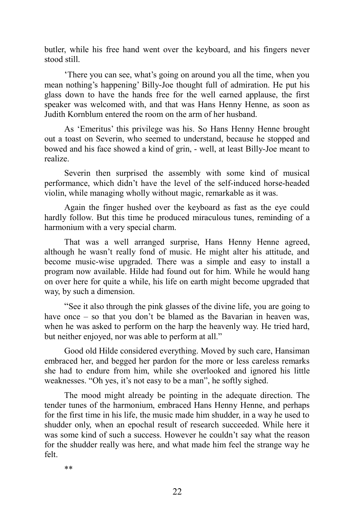butler, while his free hand went over the keyboard, and his fingers never stood still.

'There you can see, what's going on around you all the time, when you mean nothing's happening' Billy-Joe thought full of admiration. He put his glass down to have the hands free for the well earned applause, the first speaker was welcomed with, and that was Hans Henny Henne, as soon as Judith Kornblum entered the room on the arm of her husband.

As 'Emeritus' this privilege was his. So Hans Henny Henne brought out a toast on Severin, who seemed to understand, because he stopped and bowed and his face showed a kind of grin, - well, at least Billy-Joe meant to realize.

Severin then surprised the assembly with some kind of musical performance, which didn't have the level of the self-induced horse-headed violin, while managing wholly without magic, remarkable as it was.

Again the finger hushed over the keyboard as fast as the eye could hardly follow. But this time he produced miraculous tunes, reminding of a harmonium with a very special charm.

That was a well arranged surprise, Hans Henny Henne agreed, although he wasn't really fond of music. He might alter his attitude, and become music-wise upgraded. There was a simple and easy to install a program now available. Hilde had found out for him. While he would hang on over here for quite a while, his life on earth might become upgraded that way, by such a dimension.

"See it also through the pink glasses of the divine life, you are going to have once – so that you don't be blamed as the Bavarian in heaven was, when he was asked to perform on the harp the heavenly way. He tried hard, but neither enjoyed, nor was able to perform at all."

Good old Hilde considered everything. Moved by such care, Hansiman embraced her, and begged her pardon for the more or less careless remarks she had to endure from him, while she overlooked and ignored his little weaknesses. "Oh yes, it's not easy to be a man", he softly sighed.

The mood might already be pointing in the adequate direction. The tender tunes of the harmonium, embraced Hans Henny Henne, and perhaps for the first time in his life, the music made him shudder, in a way he used to shudder only, when an epochal result of research succeeded. While here it was some kind of such a success. However he couldn't say what the reason for the shudder really was here, and what made him feel the strange way he felt.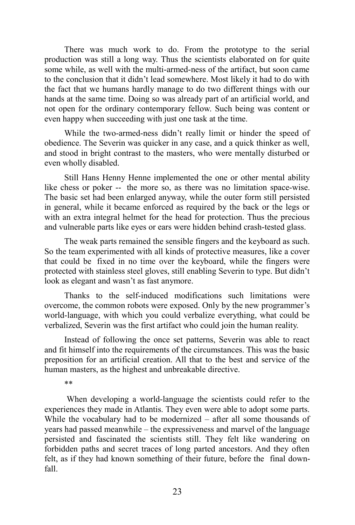There was much work to do. From the prototype to the serial production was still a long way. Thus the scientists elaborated on for quite some while, as well with the multi-armed-ness of the artifact, but soon came to the conclusion that it didn't lead somewhere. Most likely it had to do with the fact that we humans hardly manage to do two different things with our hands at the same time. Doing so was already part of an artificial world, and not open for the ordinary contemporary fellow. Such being was content or even happy when succeeding with just one task at the time.

While the two-armed-ness didn't really limit or hinder the speed of obedience. The Severin was quicker in any case, and a quick thinker as well, and stood in bright contrast to the masters, who were mentally disturbed or even wholly disabled.

Still Hans Henny Henne implemented the one or other mental ability like chess or poker -- the more so, as there was no limitation space-wise. The basic set had been enlarged anyway, while the outer form still persisted in general, while it became enforced as required by the back or the legs or with an extra integral helmet for the head for protection. Thus the precious and vulnerable parts like eyes or ears were hidden behind crash-tested glass.

The weak parts remained the sensible fingers and the keyboard as such. So the team experimented with all kinds of protective measures, like a cover that could be fixed in no time over the keyboard, while the fingers were protected with stainless steel gloves, still enabling Severin to type. But didn't look as elegant and wasn't as fast anymore.

Thanks to the self-induced modifications such limitations were overcome, the common robots were exposed. Only by the new programmer's world-language, with which you could verbalize everything, what could be verbalized, Severin was the first artifact who could join the human reality.

Instead of following the once set patterns, Severin was able to react and fit himself into the requirements of the circumstances. This was the basic preposition for an artificial creation. All that to the best and service of the human masters, as the highest and unbreakable directive.

\*\*

When developing a world-language the scientists could refer to the experiences they made in Atlantis. They even were able to adopt some parts. While the vocabulary had to be modernized – after all some thousands of years had passed meanwhile – the expressiveness and marvel of the language persisted and fascinated the scientists still. They felt like wandering on forbidden paths and secret traces of long parted ancestors. And they often felt, as if they had known something of their future, before the final downfall.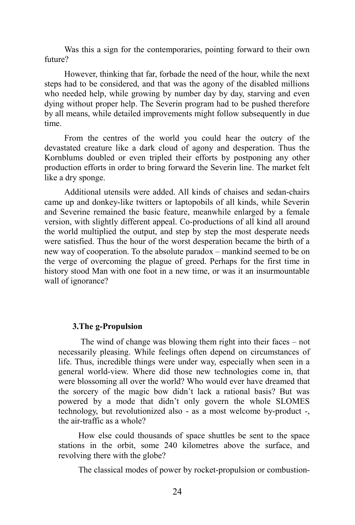Was this a sign for the contemporaries, pointing forward to their own future?

However, thinking that far, forbade the need of the hour, while the next steps had to be considered, and that was the agony of the disabled millions who needed help, while growing by number day by day, starving and even dying without proper help. The Severin program had to be pushed therefore by all means, while detailed improvements might follow subsequently in due time.

From the centres of the world you could hear the outcry of the devastated creature like a dark cloud of agony and desperation. Thus the Kornblums doubled or even tripled their efforts by postponing any other production efforts in order to bring forward the Severin line. The market felt like a dry sponge.

Additional utensils were added. All kinds of chaises and sedan-chairs came up and donkey-like twitters or laptopobils of all kinds, while Severin and Severine remained the basic feature, meanwhile enlarged by a female version, with slightly different appeal. Co-productions of all kind all around the world multiplied the output, and step by step the most desperate needs were satisfied. Thus the hour of the worst desperation became the birth of a new way of cooperation. To the absolute paradox – mankind seemed to be on the verge of overcoming the plague of greed. Perhaps for the first time in history stood Man with one foot in a new time, or was it an insurmountable wall of ignorance?

## **3.The g-Propulsion**

The wind of change was blowing them right into their faces – not necessarily pleasing. While feelings often depend on circumstances of life. Thus, incredible things were under way, especially when seen in a general world-view. Where did those new technologies come in, that were blossoming all over the world? Who would ever have dreamed that the sorcery of the magic bow didn't lack a rational basis? But was powered by a mode that didn't only govern the whole SLOMES technology, but revolutionized also - as a most welcome by-product -, the air-traffic as a whole?

How else could thousands of space shuttles be sent to the space stations in the orbit, some 240 kilometres above the surface, and revolving there with the globe?

The classical modes of power by rocket-propulsion or combustion-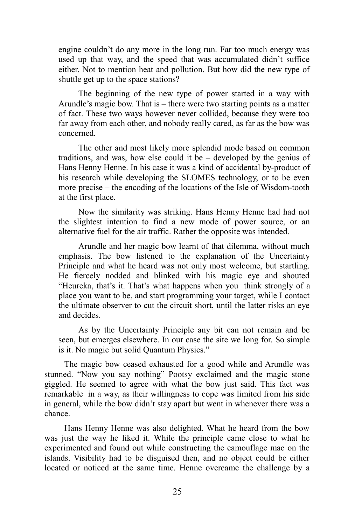engine couldn't do any more in the long run. Far too much energy was used up that way, and the speed that was accumulated didn't suffice either. Not to mention heat and pollution. But how did the new type of shuttle get up to the space stations?

The beginning of the new type of power started in a way with Arundle's magic bow. That is – there were two starting points as a matter of fact. These two ways however never collided, because they were too far away from each other, and nobody really cared, as far as the bow was concerned.

The other and most likely more splendid mode based on common traditions, and was, how else could it be – developed by the genius of Hans Henny Henne. In his case it was a kind of accidental by-product of his research while developing the SLOMES technology, or to be even more precise – the encoding of the locations of the Isle of Wisdom-tooth at the first place.

Now the similarity was striking. Hans Henny Henne had had not the slightest intention to find a new mode of power source, or an alternative fuel for the air traffic. Rather the opposite was intended.

Arundle and her magic bow learnt of that dilemma, without much emphasis. The bow listened to the explanation of the Uncertainty Principle and what he heard was not only most welcome, but startling. He fiercely nodded and blinked with his magic eye and shouted "Heureka, that's it. That's what happens when you think strongly of a place you want to be, and start programming your target, while I contact the ultimate observer to cut the circuit short, until the latter risks an eye and decides.

As by the Uncertainty Principle any bit can not remain and be seen, but emerges elsewhere. In our case the site we long for. So simple is it. No magic but solid Quantum Physics."

The magic bow ceased exhausted for a good while and Arundle was stunned. "Now you say nothing" Pootsy exclaimed and the magic stone giggled. He seemed to agree with what the bow just said. This fact was remarkable in a way, as their willingness to cope was limited from his side in general, while the bow didn't stay apart but went in whenever there was a chance.

Hans Henny Henne was also delighted. What he heard from the bow was just the way he liked it. While the principle came close to what he experimented and found out while constructing the camouflage mac on the islands. Visibility had to be disguised then, and no object could be either located or noticed at the same time. Henne overcame the challenge by a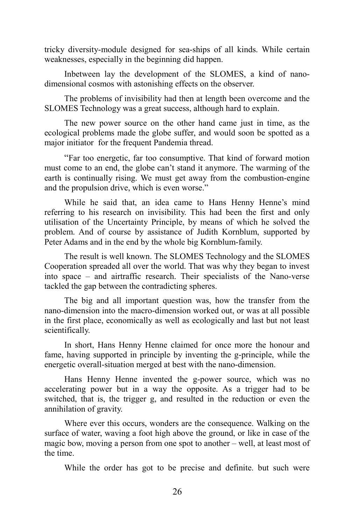tricky diversity-module designed for sea-ships of all kinds. While certain weaknesses, especially in the beginning did happen.

Inbetween lay the development of the SLOMES, a kind of nanodimensional cosmos with astonishing effects on the observer.

The problems of invisibility had then at length been overcome and the SLOMES Technology was a great success, although hard to explain.

The new power source on the other hand came just in time, as the ecological problems made the globe suffer, and would soon be spotted as a major initiator for the frequent Pandemia thread.

"Far too energetic, far too consumptive. That kind of forward motion must come to an end, the globe can't stand it anymore. The warming of the earth is continually rising. We must get away from the combustion-engine and the propulsion drive, which is even worse."

While he said that, an idea came to Hans Henny Henne's mind referring to his research on invisibility. This had been the first and only utilisation of the Uncertainty Principle, by means of which he solved the problem. And of course by assistance of Judith Kornblum, supported by Peter Adams and in the end by the whole big Kornblum-family.

The result is well known. The SLOMES Technology and the SLOMES Cooperation spreaded all over the world. That was why they began to invest into space – and airtraffic research. Their specialists of the Nano-verse tackled the gap between the contradicting spheres.

The big and all important question was, how the transfer from the nano-dimension into the macro-dimension worked out, or was at all possible in the first place, economically as well as ecologically and last but not least scientifically.

In short, Hans Henny Henne claimed for once more the honour and fame, having supported in principle by inventing the g-principle, while the energetic overall-situation merged at best with the nano-dimension.

Hans Henny Henne invented the g-power source, which was no accelerating power but in a way the opposite. As a trigger had to be switched, that is, the trigger g, and resulted in the reduction or even the annihilation of gravity.

Where ever this occurs, wonders are the consequence. Walking on the surface of water, waving a foot high above the ground, or like in case of the magic bow, moving a person from one spot to another – well, at least most of the time.

While the order has got to be precise and definite. but such were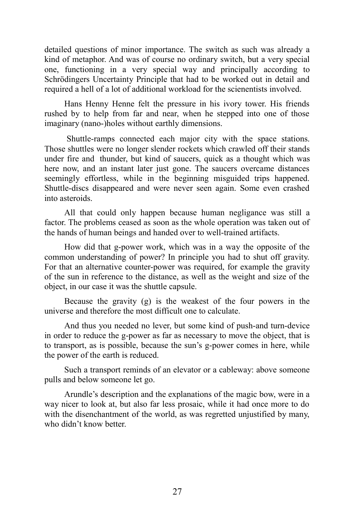detailed questions of minor importance. The switch as such was already a kind of metaphor. And was of course no ordinary switch, but a very special one, functioning in a very special way and principally according to Schrödingers Uncertainty Principle that had to be worked out in detail and required a hell of a lot of additional workload for the scienentists involved.

Hans Henny Henne felt the pressure in his ivory tower. His friends rushed by to help from far and near, when he stepped into one of those imaginary (nano-)holes without earthly dimensions.

Shuttle-ramps connected each major city with the space stations. Those shuttles were no longer slender rockets which crawled off their stands under fire and thunder, but kind of saucers, quick as a thought which was here now, and an instant later just gone. The saucers overcame distances seemingly effortless, while in the beginning misguided trips happened. Shuttle-discs disappeared and were never seen again. Some even crashed into asteroids.

All that could only happen because human negligance was still a factor. The problems ceased as soon as the whole operation was taken out of the hands of human beings and handed over to well-trained artifacts.

How did that g-power work, which was in a way the opposite of the common understanding of power? In principle you had to shut off gravity. For that an alternative counter-power was required, for example the gravity of the sun in reference to the distance, as well as the weight and size of the object, in our case it was the shuttle capsule.

Because the gravity (g) is the weakest of the four powers in the universe and therefore the most difficult one to calculate.

And thus you needed no lever, but some kind of push-and turn-device in order to reduce the g-power as far as necessary to move the object, that is to transport, as is possible, because the sun's g-power comes in here, while the power of the earth is reduced.

Such a transport reminds of an elevator or a cableway: above someone pulls and below someone let go.

Arundle's description and the explanations of the magic bow, were in a way nicer to look at, but also far less prosaic, while it had once more to do with the disenchantment of the world, as was regretted unjustified by many, who didn't know better.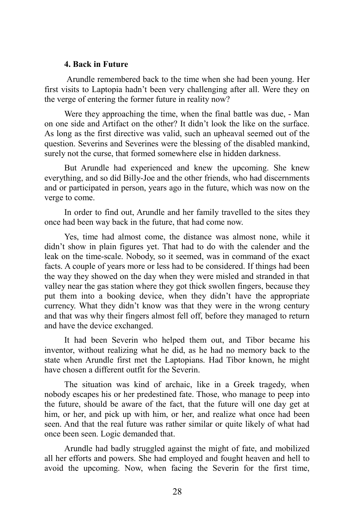#### **4. Back in Future**

Arundle remembered back to the time when she had been young. Her first visits to Laptopia hadn't been very challenging after all. Were they on the verge of entering the former future in reality now?

Were they approaching the time, when the final battle was due, - Man on one side and Artifact on the other? It didn't look the like on the surface. As long as the first directive was valid, such an upheaval seemed out of the question. Severins and Severines were the blessing of the disabled mankind, surely not the curse, that formed somewhere else in hidden darkness.

But Arundle had experienced and knew the upcoming. She knew everything, and so did Billy-Joe and the other friends, who had discernments and or participated in person, years ago in the future, which was now on the verge to come.

In order to find out, Arundle and her family travelled to the sites they once had been way back in the future, that had come now.

Yes, time had almost come, the distance was almost none, while it didn't show in plain figures yet. That had to do with the calender and the leak on the time-scale. Nobody, so it seemed, was in command of the exact facts. A couple of years more or less had to be considered. If things had been the way they showed on the day when they were misled and stranded in that valley near the gas station where they got thick swollen fingers, because they put them into a booking device, when they didn't have the appropriate currency. What they didn't know was that they were in the wrong century and that was why their fingers almost fell off, before they managed to return and have the device exchanged.

It had been Severin who helped them out, and Tibor became his inventor, without realizing what he did, as he had no memory back to the state when Arundle first met the Laptopians. Had Tibor known, he might have chosen a different outfit for the Severin.

The situation was kind of archaic, like in a Greek tragedy, when nobody escapes his or her predestined fate. Those, who manage to peep into the future, should be aware of the fact, that the future will one day get at him, or her, and pick up with him, or her, and realize what once had been seen. And that the real future was rather similar or quite likely of what had once been seen. Logic demanded that.

Arundle had badly struggled against the might of fate, and mobilized all her efforts and powers. She had employed and fought heaven and hell to avoid the upcoming. Now, when facing the Severin for the first time,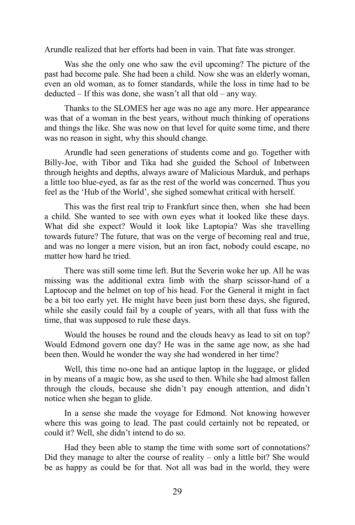Arundle realized that her efforts had been in vain. That fate was stronger.

Was she the only one who saw the evil upcoming? The picture of the past had become pale. She had been a child. Now she was an elderly woman, even an old woman, as to fomer standards, while the loss in time had to be deducted – If this was done, she wasn't all that old – any way.

Thanks to the SLOMES her age was no age any more. Her appearance was that of a woman in the best years, without much thinking of operations and things the like. She was now on that level for quite some time, and there was no reason in sight, why this should change.

Arundle had seen generations of students come and go. Together with Billy-Joe, with Tibor and Tika had she guided the School of Inbetween through heights and depths, always aware of Malicious Marduk, and perhaps a little too blue-eyed, as far as the rest of the world was concerned. Thus you feel as the 'Hub of the World', she sighed somewhat critical with herself.

This was the first real trip to Frankfurt since then, when she had been a child. She wanted to see with own eyes what it looked like these days. What did she expect? Would it look like Laptopia? Was she travelling towards future? The future, that was on the verge of becoming real and true, and was no longer a mere vision, but an iron fact, nobody could escape, no matter how hard he tried.

There was still some time left. But the Severin woke her up. All he was missing was the additional extra limb with the sharp scissor-hand of a Laptocop and the helmet on top of his head. For the General it might in fact be a bit too early yet. He might have been just born these days, she figured, while she easily could fail by a couple of years, with all that fuss with the time, that was supposed to rule these days.

Would the houses be round and the clouds heavy as lead to sit on top? Would Edmond govern one day? He was in the same age now, as she had been then. Would he wonder the way she had wondered in her time?

Well, this time no-one had an antique laptop in the luggage, or glided in by means of a magic bow, as she used to then. While she had almost fallen through the clouds, because she didn't pay enough attention, and didn't notice when she began to glide.

In a sense she made the voyage for Edmond. Not knowing however where this was going to lead. The past could certainly not be repeated, or could it? Well, she didn't intend to do so.

Had they been able to stamp the time with some sort of connotations? Did they manage to alter the course of reality – only a little bit? She would be as happy as could be for that. Not all was bad in the world, they were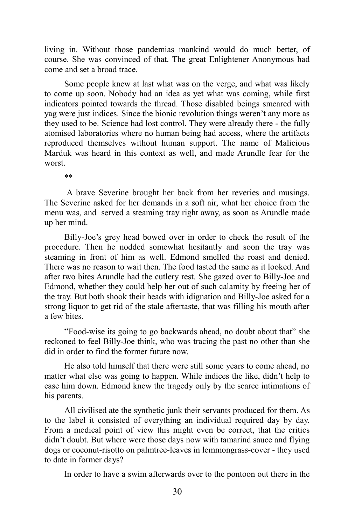living in. Without those pandemias mankind would do much better, of course. She was convinced of that. The great Enlightener Anonymous had come and set a broad trace.

Some people knew at last what was on the verge, and what was likely to come up soon. Nobody had an idea as yet what was coming, while first indicators pointed towards the thread. Those disabled beings smeared with yag were just indices. Since the bionic revolution things weren't any more as they used to be. Science had lost control. They were already there - the fully atomised laboratories where no human being had access, where the artifacts reproduced themselves without human support. The name of Malicious Marduk was heard in this context as well, and made Arundle fear for the worst.

\*\*

A brave Severine brought her back from her reveries and musings. The Severine asked for her demands in a soft air, what her choice from the menu was, and served a steaming tray right away, as soon as Arundle made up her mind.

Billy-Joe's grey head bowed over in order to check the result of the procedure. Then he nodded somewhat hesitantly and soon the tray was steaming in front of him as well. Edmond smelled the roast and denied. There was no reason to wait then. The food tasted the same as it looked. And after two bites Arundle had the cutlery rest. She gazed over to Billy-Joe and Edmond, whether they could help her out of such calamity by freeing her of the tray. But both shook their heads with idignation and Billy-Joe asked for a strong liquor to get rid of the stale aftertaste, that was filling his mouth after a few bites.

"Food-wise its going to go backwards ahead, no doubt about that" she reckoned to feel Billy-Joe think, who was tracing the past no other than she did in order to find the former future now.

He also told himself that there were still some years to come ahead, no matter what else was going to happen. While indices the like, didn't help to ease him down. Edmond knew the tragedy only by the scarce intimations of his parents.

All civilised ate the synthetic junk their servants produced for them. As to the label it consisted of everything an individual required day by day. From a medical point of view this might even be correct, that the critics didn't doubt. But where were those days now with tamarind sauce and flying dogs or coconut-risotto on palmtree-leaves in lemmongrass-cover - they used to date in former days?

In order to have a swim afterwards over to the pontoon out there in the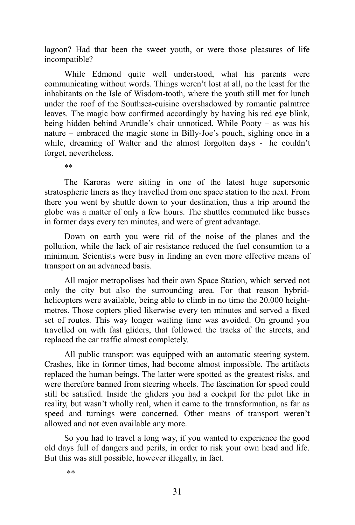lagoon? Had that been the sweet youth, or were those pleasures of life incompatible?

While Edmond quite well understood, what his parents were communicating without words. Things weren't lost at all, no the least for the inhabitants on the Isle of Wisdom-tooth, where the youth still met for lunch under the roof of the Southsea-cuisine overshadowed by romantic palmtree leaves. The magic bow confirmed accordingly by having his red eye blink, being hidden behind Arundle's chair unnoticed. While Pooty – as was his nature – embraced the magic stone in Billy-Joe's pouch, sighing once in a while, dreaming of Walter and the almost forgotten days - he couldn't forget, nevertheless.

\*\*

The Karoras were sitting in one of the latest huge supersonic stratospheric liners as they travelled from one space station to the next. From there you went by shuttle down to your destination, thus a trip around the globe was a matter of only a few hours. The shuttles commuted like busses in former days every ten minutes, and were of great advantage.

Down on earth you were rid of the noise of the planes and the pollution, while the lack of air resistance reduced the fuel consumtion to a minimum. Scientists were busy in finding an even more effective means of transport on an advanced basis.

All major metropolises had their own Space Station, which served not only the city but also the surrounding area. For that reason hybridhelicopters were available, being able to climb in no time the 20.000 heightmetres. Those copters plied likerwise every ten minutes and served a fixed set of routes. This way longer waiting time was avoided. On ground you travelled on with fast gliders, that followed the tracks of the streets, and replaced the car traffic almost completely.

All public transport was equipped with an automatic steering system. Crashes, like in former times, had become almost impossible. The artifacts replaced the human beings. The latter were spotted as the greatest risks, and were therefore banned from steering wheels. The fascination for speed could still be satisfied. Inside the gliders you had a cockpit for the pilot like in reality, but wasn't wholly real, when it came to the transformation, as far as speed and turnings were concerned. Other means of transport weren't allowed and not even available any more.

So you had to travel a long way, if you wanted to experience the good old days full of dangers and perils, in order to risk your own head and life. But this was still possible, however illegally, in fact.

\*\*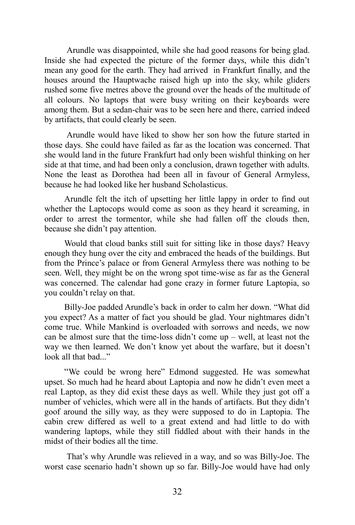Arundle was disappointed, while she had good reasons for being glad. Inside she had expected the picture of the former days, while this didn't mean any good for the earth. They had arrived in Frankfurt finally, and the houses around the Hauptwache raised high up into the sky, while gliders rushed some five metres above the ground over the heads of the multitude of all colours. No laptops that were busy writing on their keyboards were among them. But a sedan-chair was to be seen here and there, carried indeed by artifacts, that could clearly be seen.

Arundle would have liked to show her son how the future started in those days. She could have failed as far as the location was concerned. That she would land in the future Frankfurt had only been wishful thinking on her side at that time, and had been only a conclusion, drawn together with adults. None the least as Dorothea had been all in favour of General Armyless, because he had looked like her husband Scholasticus.

Arundle felt the itch of upsetting her little lappy in order to find out whether the Laptocops would come as soon as they heard it screaming, in order to arrest the tormentor, while she had fallen off the clouds then, because she didn't pay attention.

Would that cloud banks still suit for sitting like in those days? Heavy enough they hung over the city and embraced the heads of the buildings. But from the Prince's palace or from General Armyless there was nothing to be seen. Well, they might be on the wrong spot time-wise as far as the General was concerned. The calendar had gone crazy in former future Laptopia, so you couldn't relay on that.

Billy-Joe padded Arundle's back in order to calm her down. "What did you expect? As a matter of fact you should be glad. Your nightmares didn't come true. While Mankind is overloaded with sorrows and needs, we now can be almost sure that the time-loss didn't come up – well, at least not the way we then learned. We don't know yet about the warfare, but it doesn't look all that bad..."

"We could be wrong here" Edmond suggested. He was somewhat upset. So much had he heard about Laptopia and now he didn't even meet a real Laptop, as they did exist these days as well. While they just got off a number of vehicles, which were all in the hands of artifacts. But they didn't goof around the silly way, as they were supposed to do in Laptopia. The cabin crew differed as well to a great extend and had little to do with wandering laptops, while they still fiddled about with their hands in the midst of their bodies all the time.

That's why Arundle was relieved in a way, and so was Billy-Joe. The worst case scenario hadn't shown up so far. Billy-Joe would have had only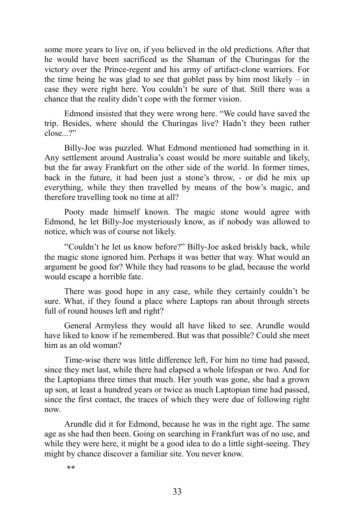some more years to live on, if you believed in the old predictions. After that he would have been sacrificed as the Shaman of the Churingas for the victory over the Prince-regent and his army of artifact-clone warriors. For the time being he was glad to see that goblet pass by him most likely – in case they were right here. You couldn't be sure of that. Still there was a chance that the reality didn't cope with the former vision.

Edmond insisted that they were wrong here. "We could have saved the trip. Besides, where should the Churingas live? Hadn't they been rather close...?"

Billy-Joe was puzzled. What Edmond mentioned had something in it. Any settlement around Australia's coast would be more suitable and likely, but the far away Frankfurt on the other side of the world. In former times, back in the future, it had been just a stone's throw, - or did he mix up everything, while they then travelled by means of the bow's magic, and therefore travelling took no time at all?

Pooty made himself known. The magic stone would agree with Edmond, he let Billy-Joe mysteriously know, as if nobody was allowed to notice, which was of course not likely.

"Couldn't he let us know before?" Billy-Joe asked briskly back, while the magic stone ignored him. Perhaps it was better that way. What would an argument be good for? While they had reasons to be glad, because the world would escape a horrible fate.

There was good hope in any case, while they certainly couldn't be sure. What, if they found a place where Laptops ran about through streets full of round houses left and right?

General Armyless they would all have liked to see. Arundle would have liked to know if he remembered. But was that possible? Could she meet him as an old woman?

Time-wise there was little difference left, For him no time had passed, since they met last, while there had elapsed a whole lifespan or two. And for the Laptopians three times that much. Her youth was gone, she had a grown up son, at least a hundred years or twice as much Laptopian time had passed, since the first contact, the traces of which they were due of following right now.

Arundle did it for Edmond, because he was in the right age. The same age as she had then been. Going on searching in Frankfurt was of no use, and while they were here, it might be a good idea to do a little sight-seeing. They might by chance discover a familiar site. You never know.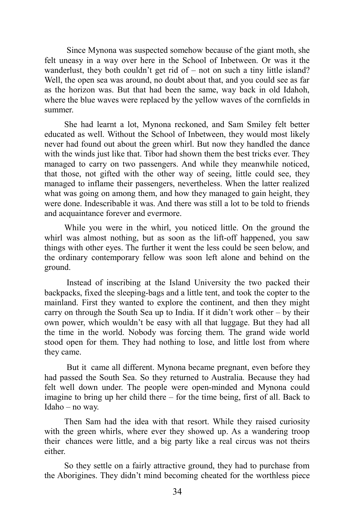Since Mynona was suspected somehow because of the giant moth, she felt uneasy in a way over here in the School of Inbetween. Or was it the wanderlust, they both couldn't get rid of – not on such a tiny little island? Well, the open sea was around, no doubt about that, and you could see as far as the horizon was. But that had been the same, way back in old Idahoh, where the blue waves were replaced by the yellow waves of the cornfields in summer.

She had learnt a lot, Mynona reckoned, and Sam Smiley felt better educated as well. Without the School of Inbetween, they would most likely never had found out about the green whirl. But now they handled the dance with the winds just like that. Tibor had shown them the best tricks ever. They managed to carry on two passengers. And while they meanwhile noticed, that those, not gifted with the other way of seeing, little could see, they managed to inflame their passengers, nevertheless. When the latter realized what was going on among them, and how they managed to gain height, they were done. Indescribable it was. And there was still a lot to be told to friends and acquaintance forever and evermore.

While you were in the whirl, you noticed little. On the ground the whirl was almost nothing, but as soon as the lift-off happened, you saw things with other eyes. The further it went the less could be seen below, and the ordinary contemporary fellow was soon left alone and behind on the ground.

Instead of inscribing at the Island University the two packed their backpacks, fixed the sleeping-bags and a little tent, and took the copter to the mainland. First they wanted to explore the continent, and then they might carry on through the South Sea up to India. If it didn't work other – by their own power, which wouldn't be easy with all that luggage. But they had all the time in the world. Nobody was forcing them. The grand wide world stood open for them. They had nothing to lose, and little lost from where they came.

But it came all different. Mynona became pregnant, even before they had passed the South Sea. So they returned to Australia. Because they had felt well down under. The people were open-minded and Mynona could imagine to bring up her child there – for the time being, first of all. Back to Idaho – no way.

Then Sam had the idea with that resort. While they raised curiosity with the green whirls, where ever they showed up. As a wandering troop their chances were little, and a big party like a real circus was not theirs either.

So they settle on a fairly attractive ground, they had to purchase from the Aborigines. They didn't mind becoming cheated for the worthless piece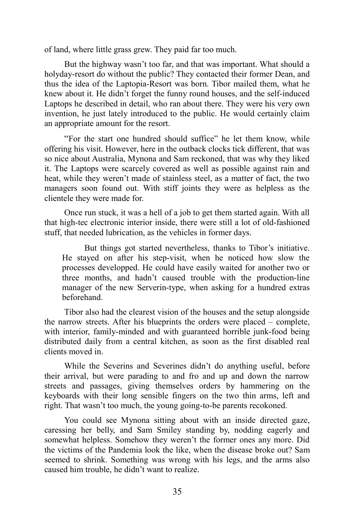of land, where little grass grew. They paid far too much.

But the highway wasn't too far, and that was important. What should a holyday-resort do without the public? They contacted their former Dean, and thus the idea of the Laptopia-Resort was born. Tibor mailed them, what he knew about it. He didn't forget the funny round houses, and the self-induced Laptops he described in detail, who ran about there. They were his very own invention, he just lately introduced to the public. He would certainly claim an appropriate amount for the resort.

"For the start one hundred should suffice" he let them know, while offering his visit. However, here in the outback clocks tick different, that was so nice about Australia, Mynona and Sam reckoned, that was why they liked it. The Laptops were scarcely covered as well as possible against rain and heat, while they weren't made of stainless steel, as a matter of fact, the two managers soon found out. With stiff joints they were as helpless as the clientele they were made for.

Once run stuck, it was a hell of a job to get them started again. With all that high-tec electronic interior inside, there were still a lot of old-fashioned stuff, that needed lubrication, as the vehicles in former days.

But things got started nevertheless, thanks to Tibor's initiative. He stayed on after his step-visit, when he noticed how slow the processes developped. He could have easily waited for another two or three months, and hadn't caused trouble with the production-line manager of the new Serverin-type, when asking for a hundred extras beforehand.

Tibor also had the clearest vision of the houses and the setup alongside the narrow streets. After his blueprints the orders were placed – complete, with interior, family-minded and with guaranteed horrible junk-food being distributed daily from a central kitchen, as soon as the first disabled real clients moved in.

While the Severins and Severines didn't do anything useful, before their arrival, but were parading to and fro and up and down the narrow streets and passages, giving themselves orders by hammering on the keyboards with their long sensible fingers on the two thin arms, left and right. That wasn't too much, the young going-to-be parents recokoned.

You could see Mynona sitting about with an inside directed gaze, caressing her belly, and Sam Smiley standing by, nodding eagerly and somewhat helpless. Somehow they weren't the former ones any more. Did the victims of the Pandemia look the like, when the disease broke out? Sam seemed to shrink. Something was wrong with his legs, and the arms also caused him trouble, he didn't want to realize.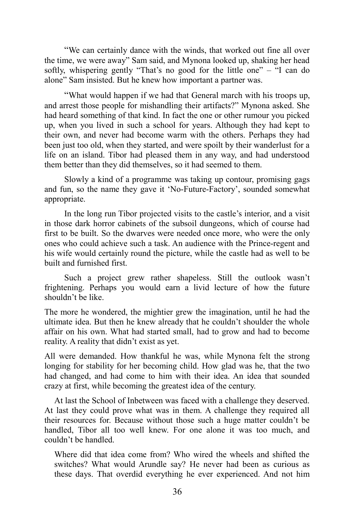"We can certainly dance with the winds, that worked out fine all over the time, we were away" Sam said, and Mynona looked up, shaking her head softly, whispering gently "That's no good for the little one" – "I can do alone" Sam insisted. But he knew how important a partner was.

"What would happen if we had that General march with his troops up, and arrest those people for mishandling their artifacts?" Mynona asked. She had heard something of that kind. In fact the one or other rumour you picked up, when you lived in such a school for years. Although they had kept to their own, and never had become warm with the others. Perhaps they had been just too old, when they started, and were spoilt by their wanderlust for a life on an island. Tibor had pleased them in any way, and had understood them better than they did themselves, so it had seemed to them.

Slowly a kind of a programme was taking up contour, promising gags and fun, so the name they gave it 'No-Future-Factory', sounded somewhat appropriate.

In the long run Tibor projected visits to the castle's interior, and a visit in those dark horror cabinets of the subsoil dungeons, which of course had first to be built. So the dwarves were needed once more, who were the only ones who could achieve such a task. An audience with the Prince-regent and his wife would certainly round the picture, while the castle had as well to be built and furnished first.

Such a project grew rather shapeless. Still the outlook wasn't frightening. Perhaps you would earn a livid lecture of how the future shouldn't be like.

The more he wondered, the mightier grew the imagination, until he had the ultimate idea. But then he knew already that he couldn't shoulder the whole affair on his own. What had started small, had to grow and had to become reality. A reality that didn't exist as yet.

All were demanded. How thankful he was, while Mynona felt the strong longing for stability for her becoming child. How glad was he, that the two had changed, and had come to him with their idea. An idea that sounded crazy at first, while becoming the greatest idea of the century.

At last the School of Inbetween was faced with a challenge they deserved. At last they could prove what was in them. A challenge they required all their resources for. Because without those such a huge matter couldn't be handled, Tibor all too well knew. For one alone it was too much, and couldn't be handled.

Where did that idea come from? Who wired the wheels and shifted the switches? What would Arundle say? He never had been as curious as these days. That overdid everything he ever experienced. And not him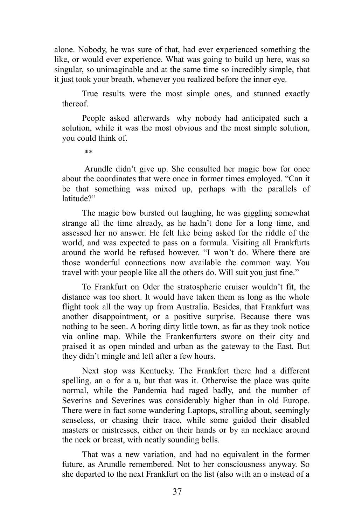alone. Nobody, he was sure of that, had ever experienced something the like, or would ever experience. What was going to build up here, was so singular, so unimaginable and at the same time so incredibly simple, that it just took your breath, whenever you realized before the inner eye.

True results were the most simple ones, and stunned exactly thereof.

People asked afterwards why nobody had anticipated such a solution, while it was the most obvious and the most simple solution, you could think of.

\*\*

Arundle didn't give up. She consulted her magic bow for once about the coordinates that were once in former times employed. "Can it be that something was mixed up, perhaps with the parallels of latitude?"

The magic bow bursted out laughing, he was giggling somewhat strange all the time already, as he hadn't done for a long time, and assessed her no answer. He felt like being asked for the riddle of the world, and was expected to pass on a formula. Visiting all Frankfurts around the world he refused however. "I won't do. Where there are those wonderful connections now available the common way. You travel with your people like all the others do. Will suit you just fine."

To Frankfurt on Oder the stratospheric cruiser wouldn't fit, the distance was too short. It would have taken them as long as the whole flight took all the way up from Australia. Besides, that Frankfurt was another disappointment, or a positive surprise. Because there was nothing to be seen. A boring dirty little town, as far as they took notice via online map. While the Frankenfurters swore on their city and praised it as open minded and urban as the gateway to the East. But they didn't mingle and left after a few hours.

Next stop was Kentucky. The Frankfort there had a different spelling, an o for a u, but that was it. Otherwise the place was quite normal, while the Pandemia had raged badly, and the number of Severins and Severines was considerably higher than in old Europe. There were in fact some wandering Laptops, strolling about, seemingly senseless, or chasing their trace, while some guided their disabled masters or mistresses, either on their hands or by an necklace around the neck or breast, with neatly sounding bells.

That was a new variation, and had no equivalent in the former future, as Arundle remembered. Not to her consciousness anyway. So she departed to the next Frankfurt on the list (also with an o instead of a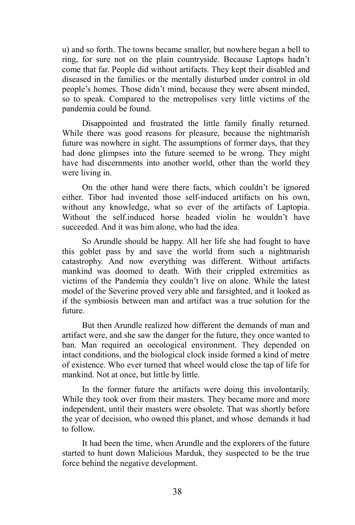u) and so forth. The towns became smaller, but nowhere began a bell to ring, for sure not on the plain countryside. Because Laptops hadn't come that far. People did without artifacts. They kept their disabled and diseased in the families or the mentally disturbed under control in old people's homes. Those didn't mind, because they were absent minded, so to speak. Compared to the metropolises very little victims of the pandemia could be found.

Disappointed and frustrated the little family finally returned. While there was good reasons for pleasure, because the nightmarish future was nowhere in sight. The assumptions of former days, that they had done glimpses into the future seemed to be wrong. They might have had discernments into another world, other than the world they were living in.

On the other hand were there facts, which couldn't be ignored either. Tibor had invented those self-induced artifacts on his own, without any knowledge, what so ever of the artifacts of Laptopia. Without the self.induced horse headed violin he wouldn't have succeeded. And it was him alone, who had the idea.

So Arundle should be happy. All her life she had fought to have this goblet pass by and save the world from such a nightmarish catastrophy. And now everything was different. Without artifacts mankind was doomed to death. With their crippled extremities as victims of the Pandemia they couldn't live on alone. While the latest model of the Severine proved very able and farsighted, and it looked as if the symbiosis between man and artifact was a true solution for the future.

But then Arundle realized how different the demands of man and artifact were, and she saw the danger for the future, they once wanted to ban. Man required an oecological environment. They depended on intact conditions, and the biological clock inside formed a kind of metre of existence. Who ever turned that wheel would close the tap of life for mankind. Not at once, but little by little.

In the former future the artifacts were doing this involontarily. While they took over from their masters. They became more and more independent, until their masters were obsolete. That was shortly before the year of decision, who owned this planet, and whose demands it had to follow.

It had been the time, when Arundle and the explorers of the future started to hunt down Malicious Marduk, they suspected to be the true force behind the negative development.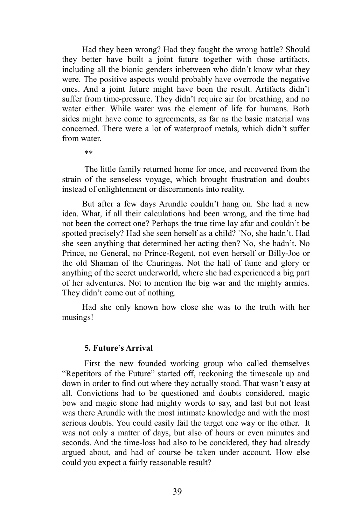Had they been wrong? Had they fought the wrong battle? Should they better have built a joint future together with those artifacts, including all the bionic genders inbetween who didn't know what they were. The positive aspects would probably have overrode the negative ones. And a joint future might have been the result. Artifacts didn't suffer from time-pressure. They didn't require air for breathing, and no water either. While water was the element of life for humans. Both sides might have come to agreements, as far as the basic material was concerned. There were a lot of waterproof metals, which didn't suffer from water.

\*\*

The little family returned home for once, and recovered from the strain of the senseless voyage, which brought frustration and doubts instead of enlightenment or discernments into reality.

But after a few days Arundle couldn't hang on. She had a new idea. What, if all their calculations had been wrong, and the time had not been the correct one? Perhaps the true time lay afar and couldn't be spotted precisely? Had she seen herself as a child? `No, she hadn't. Had she seen anything that determined her acting then? No, she hadn't. No Prince, no General, no Prince-Regent, not even herself or Billy-Joe or the old Shaman of the Churingas. Not the hall of fame and glory or anything of the secret underworld, where she had experienced a big part of her adventures. Not to mention the big war and the mighty armies. They didn't come out of nothing.

Had she only known how close she was to the truth with her musings!

#### **5. Future's Arrival**

First the new founded working group who called themselves "Repetitors of the Future" started off, reckoning the timescale up and down in order to find out where they actually stood. That wasn't easy at all. Convictions had to be questioned and doubts considered, magic bow and magic stone had mighty words to say, and last but not least was there Arundle with the most intimate knowledge and with the most serious doubts. You could easily fail the target one way or the other. It was not only a matter of days, but also of hours or even minutes and seconds. And the time-loss had also to be concidered, they had already argued about, and had of course be taken under account. How else could you expect a fairly reasonable result?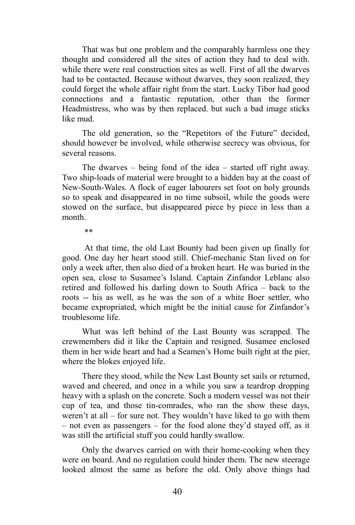That was but one problem and the comparably harmless one they thought and considered all the sites of action they had to deal with. while there were real construction sites as well. First of all the dwarves had to be contacted. Because without dwarves, they soon realized, they could forget the whole affair right from the start. Lucky Tibor had good connections and a fantastic reputation, other than the former Headmistress, who was by then replaced. but such a bad image sticks like mud.

The old generation, so the "Repetitors of the Future" decided, should however be involved, while otherwise secrecy was obvious, for several reasons.

The dwarves – being fond of the idea – started off right away. Two ship-loads of material were brought to a hidden bay at the coast of New-South-Wales. A flock of eager labourers set foot on holy grounds so to speak and disappeared in no time subsoil, while the goods were stowed on the surface, but disappeared piece by piece in less than a month.

\*\*

At that time, the old Last Bounty had been given up finally for good. One day her heart stood still. Chief-mechanic Stan lived on for only a week after, then also died of a broken heart. He was buried in the open sea, close to Susamee's Island. Captain Zinfandor Leblanc also retired and followed his darling down to South Africa – back to the roots -- his as well, as he was the son of a white Boer settler, who became expropriated, which might be the initial cause for Zinfandor's troublesome life.

What was left behind of the Last Bounty was scrapped. The crewmembers did it like the Captain and resigned. Susamee enclosed them in her wide heart and had a Seamen's Home built right at the pier, where the blokes enjoyed life.

There they stood, while the New Last Bounty set sails or returned, waved and cheered, and once in a while you saw a teardrop dropping heavy with a splash on the concrete. Such a modern vessel was not their cup of tea, and those tin-comrades, who ran the show these days, weren't at all – for sure not. They wouldn't have liked to go with them – not even as passengers – for the food alone they'd stayed off, as it was still the artificial stuff you could hardly swallow.

Only the dwarves carried on with their home-cooking when they were on board. And no regulation could hinder them. The new steerage looked almost the same as before the old. Only above things had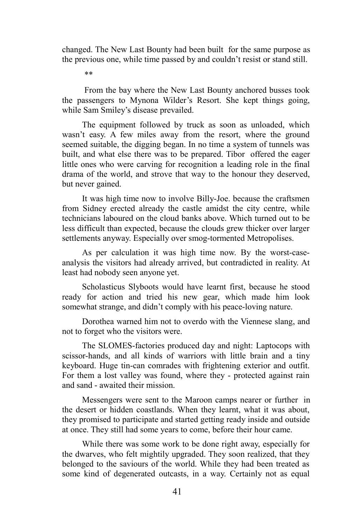changed. The New Last Bounty had been built for the same purpose as the previous one, while time passed by and couldn't resist or stand still.

\*\*

From the bay where the New Last Bounty anchored busses took the passengers to Mynona Wilder's Resort. She kept things going, while Sam Smiley's disease prevailed.

The equipment followed by truck as soon as unloaded, which wasn't easy. A few miles away from the resort, where the ground seemed suitable, the digging began. In no time a system of tunnels was built, and what else there was to be prepared. Tibor offered the eager little ones who were carving for recognition a leading role in the final drama of the world, and strove that way to the honour they deserved, but never gained.

It was high time now to involve Billy-Joe. because the craftsmen from Sidney erected already the castle amidst the city centre, while technicians laboured on the cloud banks above. Which turned out to be less difficult than expected, because the clouds grew thicker over larger settlements anyway. Especially over smog-tormented Metropolises.

As per calculation it was high time now. By the worst-caseanalysis the visitors had already arrived, but contradicted in reality. At least had nobody seen anyone yet.

Scholasticus Slyboots would have learnt first, because he stood ready for action and tried his new gear, which made him look somewhat strange, and didn't comply with his peace-loving nature.

Dorothea warned him not to overdo with the Viennese slang, and not to forget who the visitors were.

The SLOMES-factories produced day and night: Laptocops with scissor-hands, and all kinds of warriors with little brain and a tiny keyboard. Huge tin-can comrades with frightening exterior and outfit. For them a lost valley was found, where they - protected against rain and sand - awaited their mission.

Messengers were sent to the Maroon camps nearer or further in the desert or hidden coastlands. When they learnt, what it was about, they promised to participate and started getting ready inside and outside at once. They still had some years to come, before their hour came.

While there was some work to be done right away, especially for the dwarves, who felt mightily upgraded. They soon realized, that they belonged to the saviours of the world. While they had been treated as some kind of degenerated outcasts, in a way. Certainly not as equal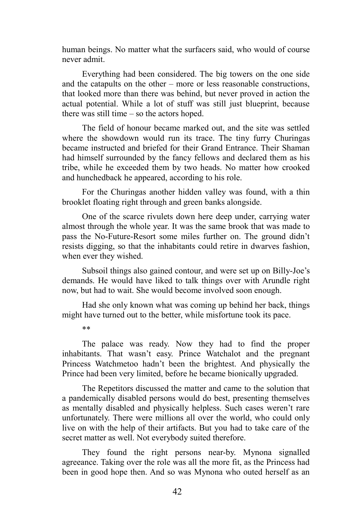human beings. No matter what the surfacers said, who would of course never admit.

Everything had been considered. The big towers on the one side and the catapults on the other – more or less reasonable constructions, that looked more than there was behind, but never proved in action the actual potential. While a lot of stuff was still just blueprint, because there was still time – so the actors hoped.

The field of honour became marked out, and the site was settled where the showdown would run its trace. The tiny furry Churingas became instructed and briefed for their Grand Entrance. Their Shaman had himself surrounded by the fancy fellows and declared them as his tribe, while he exceeded them by two heads. No matter how crooked and hunchedback he appeared, according to his role.

For the Churingas another hidden valley was found, with a thin brooklet floating right through and green banks alongside.

One of the scarce rivulets down here deep under, carrying water almost through the whole year. It was the same brook that was made to pass the No-Future-Resort some miles further on. The ground didn't resists digging, so that the inhabitants could retire in dwarves fashion, when ever they wished.

Subsoil things also gained contour, and were set up on Billy-Joe's demands. He would have liked to talk things over with Arundle right now, but had to wait. She would become involved soon enough.

Had she only known what was coming up behind her back, things might have turned out to the better, while misfortune took its pace.

\*\*

The palace was ready. Now they had to find the proper inhabitants. That wasn't easy. Prince Watchalot and the pregnant Princess Watchmetoo hadn't been the brightest. And physically the Prince had been very limited, before he became bionically upgraded.

The Repetitors discussed the matter and came to the solution that a pandemically disabled persons would do best, presenting themselves as mentally disabled and physically helpless. Such cases weren't rare unfortunately. There were millions all over the world, who could only live on with the help of their artifacts. But you had to take care of the secret matter as well. Not everybody suited therefore.

They found the right persons near-by. Mynona signalled agreeance. Taking over the role was all the more fit, as the Princess had been in good hope then. And so was Mynona who outed herself as an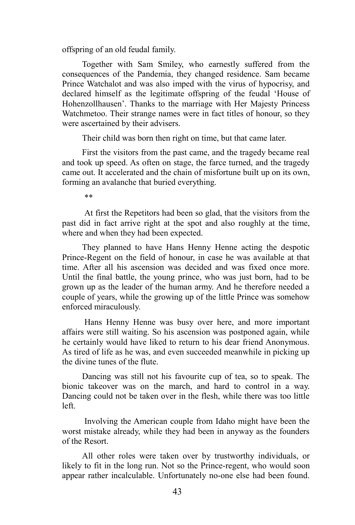offspring of an old feudal family.

Together with Sam Smiley, who earnestly suffered from the consequences of the Pandemia, they changed residence. Sam became Prince Watchalot and was also imped with the virus of hypocrisy, and declared himself as the legitimate offspring of the feudal 'House of Hohenzollhausen'. Thanks to the marriage with Her Majesty Princess Watchmetoo. Their strange names were in fact titles of honour, so they were ascertained by their advisers.

Their child was born then right on time, but that came later.

First the visitors from the past came, and the tragedy became real and took up speed. As often on stage, the farce turned, and the tragedy came out. It accelerated and the chain of misfortune built up on its own, forming an avalanche that buried everything.

\*\*

At first the Repetitors had been so glad, that the visitors from the past did in fact arrive right at the spot and also roughly at the time, where and when they had been expected.

They planned to have Hans Henny Henne acting the despotic Prince-Regent on the field of honour, in case he was available at that time. After all his ascension was decided and was fixed once more. Until the final battle, the young prince, who was just born, had to be grown up as the leader of the human army. And he therefore needed a couple of years, while the growing up of the little Prince was somehow enforced miraculously.

Hans Henny Henne was busy over here, and more important affairs were still waiting. So his ascension was postponed again, while he certainly would have liked to return to his dear friend Anonymous. As tired of life as he was, and even succeeded meanwhile in picking up the divine tunes of the flute.

Dancing was still not his favourite cup of tea, so to speak. The bionic takeover was on the march, and hard to control in a way. Dancing could not be taken over in the flesh, while there was too little left.

Involving the American couple from Idaho might have been the worst mistake already, while they had been in anyway as the founders of the Resort.

All other roles were taken over by trustworthy individuals, or likely to fit in the long run. Not so the Prince-regent, who would soon appear rather incalculable. Unfortunately no-one else had been found.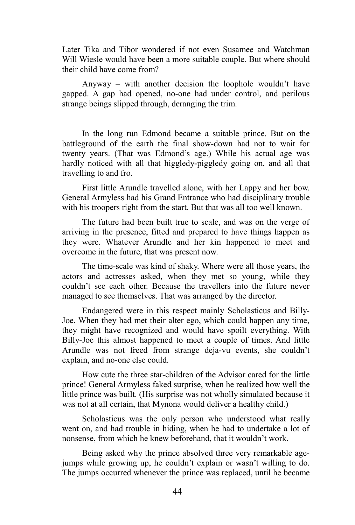Later Tika and Tibor wondered if not even Susamee and Watchman Will Wiesle would have been a more suitable couple. But where should their child have come from?

Anyway – with another decision the loophole wouldn't have gapped. A gap had opened, no-one had under control, and perilous strange beings slipped through, deranging the trim.

In the long run Edmond became a suitable prince. But on the battleground of the earth the final show-down had not to wait for twenty years. (That was Edmond's age.) While his actual age was hardly noticed with all that higgledy-piggledy going on, and all that travelling to and fro.

First little Arundle travelled alone, with her Lappy and her bow. General Armyless had his Grand Entrance who had disciplinary trouble with his troopers right from the start. But that was all too well known.

The future had been built true to scale, and was on the verge of arriving in the presence, fitted and prepared to have things happen as they were. Whatever Arundle and her kin happened to meet and overcome in the future, that was present now.

The time-scale was kind of shaky. Where were all those years, the actors and actresses asked, when they met so young, while they couldn't see each other. Because the travellers into the future never managed to see themselves. That was arranged by the director.

Endangered were in this respect mainly Scholasticus and Billy-Joe. When they had met their alter ego, which could happen any time, they might have recognized and would have spoilt everything. With Billy-Joe this almost happened to meet a couple of times. And little Arundle was not freed from strange deja-vu events, she couldn't explain, and no-one else could.

How cute the three star-children of the Advisor cared for the little prince! General Armyless faked surprise, when he realized how well the little prince was built. (His surprise was not wholly simulated because it was not at all certain, that Mynona would deliver a healthy child.)

Scholasticus was the only person who understood what really went on, and had trouble in hiding, when he had to undertake a lot of nonsense, from which he knew beforehand, that it wouldn't work.

Being asked why the prince absolved three very remarkable agejumps while growing up, he couldn't explain or wasn't willing to do. The jumps occurred whenever the prince was replaced, until he became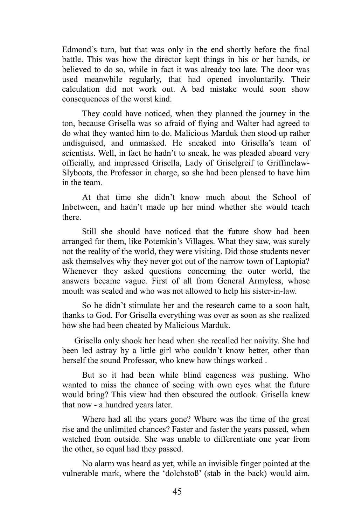Edmond's turn, but that was only in the end shortly before the final battle. This was how the director kept things in his or her hands, or believed to do so, while in fact it was already too late. The door was used meanwhile regularly, that had opened involuntarily. Their calculation did not work out. A bad mistake would soon show consequences of the worst kind.

They could have noticed, when they planned the journey in the ton, because Grisella was so afraid of flying and Walter had agreed to do what they wanted him to do. Malicious Marduk then stood up rather undisguised, and unmasked. He sneaked into Grisella's team of scientists. Well, in fact he hadn't to sneak, he was pleaded aboard very officially, and impressed Grisella, Lady of Griselgreif to Griffinclaw-Slyboots, the Professor in charge, so she had been pleased to have him in the team.

At that time she didn't know much about the School of Inbetween, and hadn't made up her mind whether she would teach there.

Still she should have noticed that the future show had been arranged for them, like Potemkin's Villages. What they saw, was surely not the reality of the world, they were visiting. Did those students never ask themselves why they never got out of the narrow town of Laptopia? Whenever they asked questions concerning the outer world, the answers became vague. First of all from General Armyless, whose mouth was sealed and who was not allowed to help his sister-in-law.

So he didn't stimulate her and the research came to a soon halt, thanks to God. For Grisella everything was over as soon as she realized how she had been cheated by Malicious Marduk.

Grisella only shook her head when she recalled her naivity. She had been led astray by a little girl who couldn't know better, other than herself the sound Professor, who knew how things worked .

But so it had been while blind eageness was pushing. Who wanted to miss the chance of seeing with own eyes what the future would bring? This view had then obscured the outlook. Grisella knew that now - a hundred years later.

Where had all the years gone? Where was the time of the great rise and the unlimited chances? Faster and faster the years passed, when watched from outside. She was unable to differentiate one year from the other, so equal had they passed.

No alarm was heard as yet, while an invisible finger pointed at the vulnerable mark, where the 'dolchstoß' (stab in the back) would aim.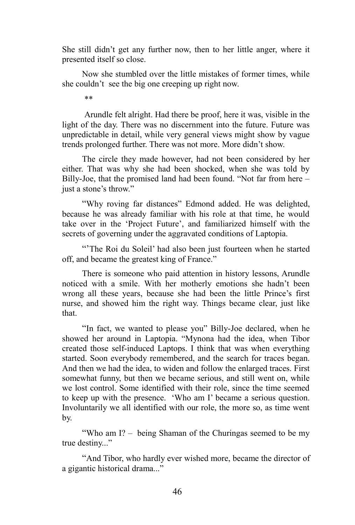She still didn't get any further now, then to her little anger, where it presented itself so close.

Now she stumbled over the little mistakes of former times, while she couldn't see the big one creeping up right now.

\*\*

Arundle felt alright. Had there be proof, here it was, visible in the light of the day. There was no discernment into the future. Future was unpredictable in detail, while very general views might show by vague trends prolonged further. There was not more. More didn't show.

The circle they made however, had not been considered by her either. That was why she had been shocked, when she was told by Billy-Joe, that the promised land had been found. "Not far from here – just a stone's throw."

"Why roving far distances" Edmond added. He was delighted, because he was already familiar with his role at that time, he would take over in the 'Project Future', and familiarized himself with the secrets of governing under the aggravated conditions of Laptopia.

"The Roi du Soleil' had also been just fourteen when he started off, and became the greatest king of France."

There is someone who paid attention in history lessons, Arundle noticed with a smile. With her motherly emotions she hadn't been wrong all these years, because she had been the little Prince's first nurse, and showed him the right way. Things became clear, just like that.

"In fact, we wanted to please you" Billy-Joe declared, when he showed her around in Laptopia. "Mynona had the idea, when Tibor created those self-induced Laptops. I think that was when everything started. Soon everybody remembered, and the search for traces began. And then we had the idea, to widen and follow the enlarged traces. First somewhat funny, but then we became serious, and still went on, while we lost control. Some identified with their role, since the time seemed to keep up with the presence. 'Who am I' became a serious question. Involuntarily we all identified with our role, the more so, as time went by.

"Who am I? – being Shaman of the Churingas seemed to be my true destiny..."

"And Tibor, who hardly ever wished more, became the director of a gigantic historical drama..."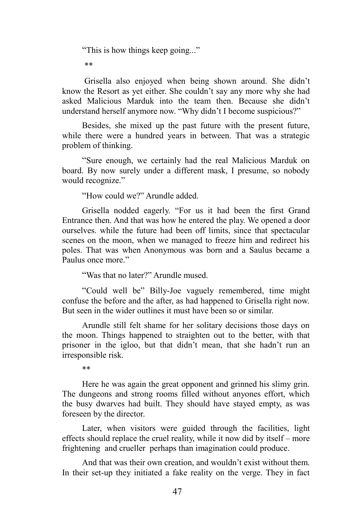"This is how things keep going..."

\*\*

Grisella also enjoyed when being shown around. She didn't know the Resort as yet either. She couldn't say any more why she had asked Malicious Marduk into the team then. Because she didn't understand herself anymore now. "Why didn't I become suspicious?"

Besides, she mixed up the past future with the present future, while there were a hundred years in between. That was a strategic problem of thinking.

"Sure enough, we certainly had the real Malicious Marduk on board. By now surely under a different mask, I presume, so nobody would recognize."

"How could we?" Arundle added.

Grisella nodded eagerly. "For us it had been the first Grand Entrance then. And that was how he entered the play. We opened a door ourselves. while the future had been off limits, since that spectacular scenes on the moon, when we managed to freeze him and redirect his poles. That was when Anonymous was born and a Saulus became a Paulus once more."

"Was that no later?" Arundle mused.

"Could well be" Billy-Joe vaguely remembered, time might confuse the before and the after, as had happened to Grisella right now. But seen in the wider outlines it must have been so or similar.

Arundle still felt shame for her solitary decisions those days on the moon. Things happened to straighten out to the better, with that prisoner in the igloo, but that didn't mean, that she hadn't run an irresponsible risk.

\*\*

Here he was again the great opponent and grinned his slimy grin. The dungeons and strong rooms filled without anyones effort, which the busy dwarves had built. They should have stayed empty, as was foreseen by the director.

Later, when visitors were guided through the facilities, light effects should replace the cruel reality, while it now did by itself – more frightening and crueller perhaps than imagination could produce.

And that was their own creation, and wouldn't exist without them. In their set-up they initiated a fake reality on the verge. They in fact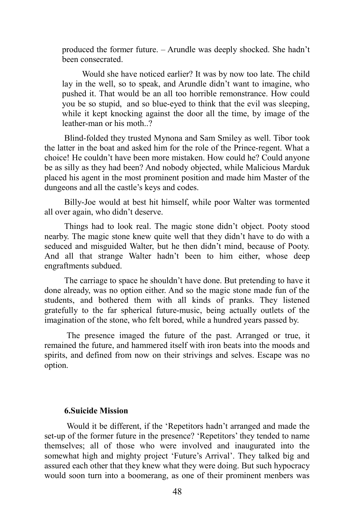produced the former future. – Arundle was deeply shocked. She hadn't been consecrated.

Would she have noticed earlier? It was by now too late. The child lay in the well, so to speak, and Arundle didn't want to imagine, who pushed it. That would be an all too horrible remonstrance. How could you be so stupid, and so blue-eyed to think that the evil was sleeping, while it kept knocking against the door all the time, by image of the leather-man or his moth..?

Blind-folded they trusted Mynona and Sam Smiley as well. Tibor took the latter in the boat and asked him for the role of the Prince-regent. What a choice! He couldn't have been more mistaken. How could he? Could anyone be as silly as they had been? And nobody objected, while Malicious Marduk placed his agent in the most prominent position and made him Master of the dungeons and all the castle's keys and codes.

Billy-Joe would at best hit himself, while poor Walter was tormented all over again, who didn't deserve.

Things had to look real. The magic stone didn't object. Pooty stood nearby. The magic stone knew quite well that they didn't have to do with a seduced and misguided Walter, but he then didn't mind, because of Pooty. And all that strange Walter hadn't been to him either, whose deep engraftments subdued.

The carriage to space he shouldn't have done. But pretending to have it done already, was no option either. And so the magic stone made fun of the students, and bothered them with all kinds of pranks. They listened gratefully to the far spherical future-music, being actually outlets of the imagination of the stone, who felt bored, while a hundred years passed by.

The presence imaged the future of the past. Arranged or true, it remained the future, and hammered itself with iron beats into the moods and spirits, and defined from now on their strivings and selves. Escape was no option.

### **6.Suicide Mission**

Would it be different, if the 'Repetitors hadn't arranged and made the set-up of the former future in the presence? 'Repetitors' they tended to name themselves; all of those who were involved and inaugurated into the somewhat high and mighty project 'Future's Arrival'. They talked big and assured each other that they knew what they were doing. But such hypocracy would soon turn into a boomerang, as one of their prominent menbers was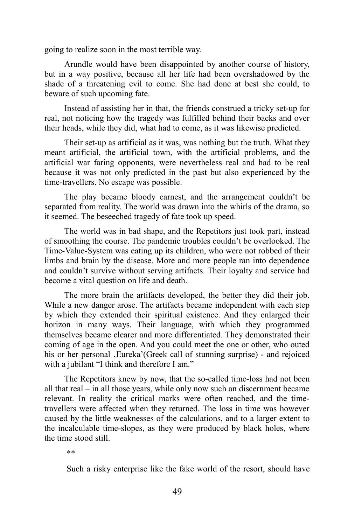going to realize soon in the most terrible way.

Arundle would have been disappointed by another course of history, but in a way positive, because all her life had been overshadowed by the shade of a threatening evil to come. She had done at best she could, to beware of such upcoming fate.

Instead of assisting her in that, the friends construed a tricky set-up for real, not noticing how the tragedy was fulfilled behind their backs and over their heads, while they did, what had to come, as it was likewise predicted.

Their set-up as artificial as it was, was nothing but the truth. What they meant artificial, the artificial town, with the artificial problems, and the artificial war faring opponents, were nevertheless real and had to be real because it was not only predicted in the past but also experienced by the time-travellers. No escape was possible.

The play became bloody earnest, and the arrangement couldn't be separated from reality. The world was drawn into the whirls of the drama, so it seemed. The beseeched tragedy of fate took up speed.

The world was in bad shape, and the Repetitors just took part, instead of smoothing the course. The pandemic troubles couldn't be overlooked. The Time-Value-System was eating up its children, who were not robbed of their limbs and brain by the disease. More and more people ran into dependence and couldn't survive without serving artifacts. Their loyalty and service had become a vital question on life and death.

The more brain the artifacts developed, the better they did their job. While a new danger arose. The artifacts became independent with each step by which they extended their spiritual existence. And they enlarged their horizon in many ways. Their language, with which they programmed themselves became clearer and more differentiated. They demonstrated their coming of age in the open. And you could meet the one or other, who outed his or her personal , Eureka' (Greek call of stunning surprise) - and rejoiced with a jubilant "I think and therefore I am."

The Repetitors knew by now, that the so-called time-loss had not been all that real – in all those years, while only now such an discernment became relevant. In reality the critical marks were often reached, and the timetravellers were affected when they returned. The loss in time was however caused by the little weaknesses of the calculations, and to a larger extent to the incalculable time-slopes, as they were produced by black holes, where the time stood still.

\*\*

Such a risky enterprise like the fake world of the resort, should have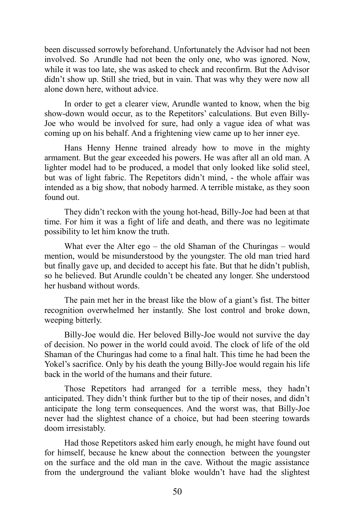been discussed sorrowly beforehand. Unfortunately the Advisor had not been involved. So Arundle had not been the only one, who was ignored. Now, while it was too late, she was asked to check and reconfirm. But the Advisor didn't show up. Still she tried, but in vain. That was why they were now all alone down here, without advice.

In order to get a clearer view, Arundle wanted to know, when the big show-down would occur, as to the Repetitors' calculations. But even Billy-Joe who would be involved for sure, had only a vague idea of what was coming up on his behalf. And a frightening view came up to her inner eye.

Hans Henny Henne trained already how to move in the mighty armament. But the gear exceeded his powers. He was after all an old man. A lighter model had to be produced, a model that only looked like solid steel, but was of light fabric. The Repetitors didn't mind, - the whole affair was intended as a big show, that nobody harmed. A terrible mistake, as they soon found out.

They didn't reckon with the young hot-head, Billy-Joe had been at that time. For him it was a fight of life and death, and there was no legitimate possibility to let him know the truth.

What ever the Alter ego – the old Shaman of the Churingas – would mention, would be misunderstood by the youngster. The old man tried hard but finally gave up, and decided to accept his fate. But that he didn't publish, so he believed. But Arundle couldn't be cheated any longer. She understood her husband without words.

The pain met her in the breast like the blow of a giant's fist. The bitter recognition overwhelmed her instantly. She lost control and broke down, weeping bitterly.

Billy-Joe would die. Her beloved Billy-Joe would not survive the day of decision. No power in the world could avoid. The clock of life of the old Shaman of the Churingas had come to a final halt. This time he had been the Yokel's sacrifice. Only by his death the young Billy-Joe would regain his life back in the world of the humans and their future.

Those Repetitors had arranged for a terrible mess, they hadn't anticipated. They didn't think further but to the tip of their noses, and didn't anticipate the long term consequences. And the worst was, that Billy-Joe never had the slightest chance of a choice, but had been steering towards doom irresistably.

Had those Repetitors asked him early enough, he might have found out for himself, because he knew about the connection between the youngster on the surface and the old man in the cave. Without the magic assistance from the underground the valiant bloke wouldn't have had the slightest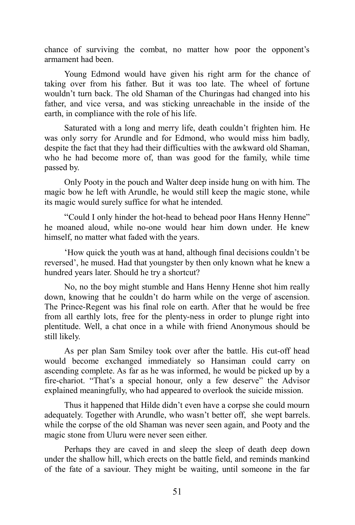chance of surviving the combat, no matter how poor the opponent's armament had been.

Young Edmond would have given his right arm for the chance of taking over from his father. But it was too late. The wheel of fortune wouldn't turn back. The old Shaman of the Churingas had changed into his father, and vice versa, and was sticking unreachable in the inside of the earth, in compliance with the role of his life.

Saturated with a long and merry life, death couldn't frighten him. He was only sorry for Arundle and for Edmond, who would miss him badly, despite the fact that they had their difficulties with the awkward old Shaman, who he had become more of, than was good for the family, while time passed by.

Only Pooty in the pouch and Walter deep inside hung on with him. The magic bow he left with Arundle, he would still keep the magic stone, while its magic would surely suffice for what he intended.

"Could I only hinder the hot-head to behead poor Hans Henny Henne" he moaned aloud, while no-one would hear him down under. He knew himself, no matter what faded with the years.

'How quick the youth was at hand, although final decisions couldn't be reversed', he mused. Had that youngster by then only known what he knew a hundred years later. Should he try a shortcut?

No, no the boy might stumble and Hans Henny Henne shot him really down, knowing that he couldn't do harm while on the verge of ascension. The Prince-Regent was his final role on earth. After that he would be free from all earthly lots, free for the plenty-ness in order to plunge right into plentitude. Well, a chat once in a while with friend Anonymous should be still likely.

As per plan Sam Smiley took over after the battle. His cut-off head would become exchanged immediately so Hansiman could carry on ascending complete. As far as he was informed, he would be picked up by a fire-chariot. "That's a special honour, only a few deserve" the Advisor explained meaningfully, who had appeared to overlook the suicide mission.

Thus it happened that Hilde didn't even have a corpse she could mourn adequately. Together with Arundle, who wasn't better off, she wept barrels. while the corpse of the old Shaman was never seen again, and Pooty and the magic stone from Uluru were never seen either.

Perhaps they are caved in and sleep the sleep of death deep down under the shallow hill, which erects on the battle field, and reminds mankind of the fate of a saviour. They might be waiting, until someone in the far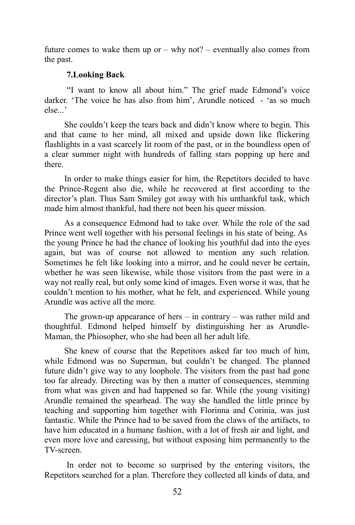future comes to wake them up or  $-$  why not?  $-$  eventually also comes from the past.

## **7.Looking Back**

"I want to know all about him." The grief made Edmond's voice darker. 'The voice he has also from him', Arundle noticed - 'as so much else...'

She couldn't keep the tears back and didn't know where to begin. This and that came to her mind, all mixed and upside down like flickering flashlights in a vast scarcely lit room of the past, or in the boundless open of a clear summer night with hundreds of falling stars popping up here and there.

In order to make things easier for him, the Repetitors decided to have the Prince-Regent also die, while he recovered at first according to the director's plan. Thus Sam Smiley got away with his unthankful task, which made him almost thankful, had there not been his queer mission.

As a consequence Edmond had to take over. While the role of the sad Prince went well together with his personal feelings in his state of being. As the young Prince he had the chance of looking his youthful dad into the eyes again, but was of course not allowed to mention any such relation. Sometimes he felt like looking into a mirror, and he could never be certain, whether he was seen likewise, while those visitors from the past were in a way not really real, but only some kind of images. Even worse it was, that he couldn't mention to his mother, what he felt, and experienced. While young Arundle was active all the more.

The grown-up appearance of hers  $-$  in contrary  $-$  was rather mild and thoughtful. Edmond helped himself by distinguishing her as Arundle-Maman, the Phiosopher, who she had been all her adult life.

She knew of course that the Repetitors asked far too much of him, while Edmond was no Superman, but couldn't be changed. The planned future didn't give way to any loophole. The visitors from the past had gone too far already. Directing was by then a matter of consequences, stemming from what was given and had happened so far. While (the young visiting) Arundle remained the spearhead. The way she handled the little prince by teaching and supporting him together with Florinna and Corinia, was just fantastic. While the Prince had to be saved from the claws of the artifacts, to have him educated in a humane fashion, with a lot of fresh air and light, and even more love and caressing, but without exposing him permanently to the TV-screen.

In order not to become so surprised by the entering visitors, the Repetitors searched for a plan. Therefore they collected all kinds of data, and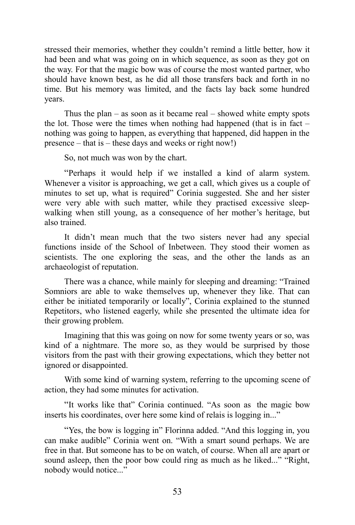stressed their memories, whether they couldn't remind a little better, how it had been and what was going on in which sequence, as soon as they got on the way. For that the magic bow was of course the most wanted partner, who should have known best, as he did all those transfers back and forth in no time. But his memory was limited, and the facts lay back some hundred years.

Thus the plan – as soon as it became real – showed white empty spots the lot. Those were the times when nothing had happened (that is in fact – nothing was going to happen, as everything that happened, did happen in the presence – that is – these days and weeks or right now!)

So, not much was won by the chart.

"Perhaps it would help if we installed a kind of alarm system. Whenever a visitor is approaching, we get a call, which gives us a couple of minutes to set up, what is required" Corinia suggested. She and her sister were very able with such matter, while they practised excessive sleepwalking when still young, as a consequence of her mother's heritage, but also trained.

It didn't mean much that the two sisters never had any special functions inside of the School of Inbetween. They stood their women as scientists. The one exploring the seas, and the other the lands as an archaeologist of reputation.

There was a chance, while mainly for sleeping and dreaming: "Trained Somniors are able to wake themselves up, whenever they like. That can either be initiated temporarily or locally", Corinia explained to the stunned Repetitors, who listened eagerly, while she presented the ultimate idea for their growing problem.

Imagining that this was going on now for some twenty years or so, was kind of a nightmare. The more so, as they would be surprised by those visitors from the past with their growing expectations, which they better not ignored or disappointed.

With some kind of warning system, referring to the upcoming scene of action, they had some minutes for activation.

"It works like that" Corinia continued. "As soon as the magic bow inserts his coordinates, over here some kind of relais is logging in..."

"Yes, the bow is logging in" Florinna added. "And this logging in, you can make audible" Corinia went on. "With a smart sound perhaps. We are free in that. But someone has to be on watch, of course. When all are apart or sound asleep, then the poor bow could ring as much as he liked..." "Right, nobody would notice..."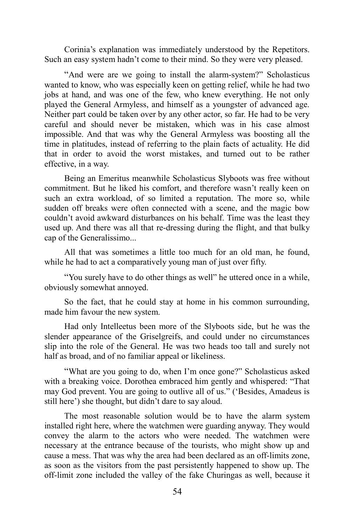Corinia's explanation was immediately understood by the Repetitors. Such an easy system hadn't come to their mind. So they were very pleased.

"And were are we going to install the alarm-system?" Scholasticus wanted to know, who was especially keen on getting relief, while he had two jobs at hand, and was one of the few, who knew everything. He not only played the General Armyless, and himself as a youngster of advanced age. Neither part could be taken over by any other actor, so far. He had to be very careful and should never be mistaken, which was in his case almost impossible. And that was why the General Armyless was boosting all the time in platitudes, instead of referring to the plain facts of actuality. He did that in order to avoid the worst mistakes, and turned out to be rather effective, in a way.

Being an Emeritus meanwhile Scholasticus Slyboots was free without commitment. But he liked his comfort, and therefore wasn't really keen on such an extra workload, of so limited a reputation. The more so, while sudden off breaks were often connected with a scene, and the magic bow couldn't avoid awkward disturbances on his behalf. Time was the least they used up. And there was all that re-dressing during the flight, and that bulky cap of the Generalissimo...

All that was sometimes a little too much for an old man, he found, while he had to act a comparatively young man of just over fifty.

"You surely have to do other things as well" he uttered once in a while, obviously somewhat annoyed.

So the fact, that he could stay at home in his common surrounding, made him favour the new system.

Had only Intelleetus been more of the Slyboots side, but he was the slender appearance of the Griselgreifs, and could under no circumstances slip into the role of the General. He was two heads too tall and surely not half as broad, and of no familiar appeal or likeliness.

"What are you going to do, when I'm once gone?" Scholasticus asked with a breaking voice. Dorothea embraced him gently and whispered: "That may God prevent. You are going to outlive all of us." ('Besides, Amadeus is still here') she thought, but didn't dare to say aloud.

The most reasonable solution would be to have the alarm system installed right here, where the watchmen were guarding anyway. They would convey the alarm to the actors who were needed. The watchmen were necessary at the entrance because of the tourists, who might show up and cause a mess. That was why the area had been declared as an off-limits zone, as soon as the visitors from the past persistently happened to show up. The off-limit zone included the valley of the fake Churingas as well, because it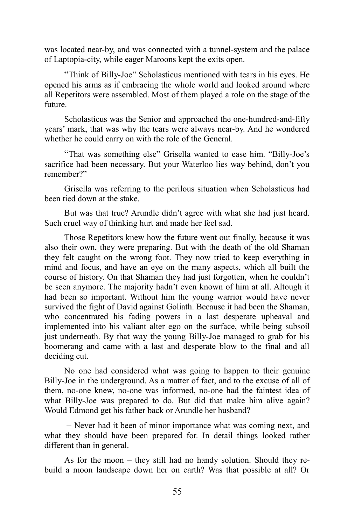was located near-by, and was connected with a tunnel-system and the palace of Laptopia-city, while eager Maroons kept the exits open.

"Think of Billy-Joe" Scholasticus mentioned with tears in his eyes. He opened his arms as if embracing the whole world and looked around where all Repetitors were assembled. Most of them played a role on the stage of the future.

Scholasticus was the Senior and approached the one-hundred-and-fifty years' mark, that was why the tears were always near-by. And he wondered whether he could carry on with the role of the General.

"That was something else" Grisella wanted to ease him. "Billy-Joe's sacrifice had been necessary. But your Waterloo lies way behind, don't you remember?"

Grisella was referring to the perilous situation when Scholasticus had been tied down at the stake.

But was that true? Arundle didn't agree with what she had just heard. Such cruel way of thinking hurt and made her feel sad.

Those Repetitors knew how the future went out finally, because it was also their own, they were preparing. But with the death of the old Shaman they felt caught on the wrong foot. They now tried to keep everything in mind and focus, and have an eye on the many aspects, which all built the course of history. On that Shaman they had just forgotten, when he couldn't be seen anymore. The majority hadn't even known of him at all. Altough it had been so important. Without him the young warrior would have never survived the fight of David against Goliath. Because it had been the Shaman, who concentrated his fading powers in a last desperate upheaval and implemented into his valiant alter ego on the surface, while being subsoil just underneath. By that way the young Billy-Joe managed to grab for his boomerang and came with a last and desperate blow to the final and all deciding cut.

No one had considered what was going to happen to their genuine Billy-Joe in the underground. As a matter of fact, and to the excuse of all of them, no-one knew, no-one was informed, no-one had the faintest idea of what Billy-Joe was prepared to do. But did that make him alive again? Would Edmond get his father back or Arundle her husband?

– Never had it been of minor importance what was coming next, and what they should have been prepared for. In detail things looked rather different than in general.

As for the moon – they still had no handy solution. Should they rebuild a moon landscape down her on earth? Was that possible at all? Or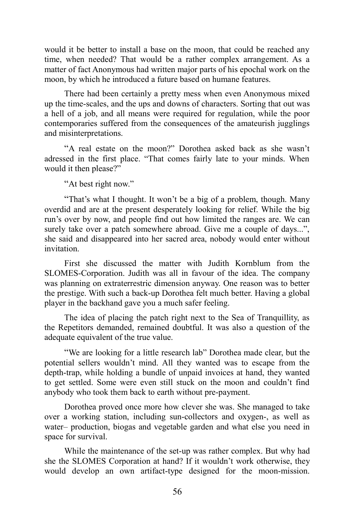would it be better to install a base on the moon, that could be reached any time, when needed? That would be a rather complex arrangement. As a matter of fact Anonymous had written major parts of his epochal work on the moon, by which he introduced a future based on humane features.

There had been certainly a pretty mess when even Anonymous mixed up the time-scales, and the ups and downs of characters. Sorting that out was a hell of a job, and all means were required for regulation, while the poor contemporaries suffered from the consequences of the amateurish jugglings and misinterpretations.

"A real estate on the moon?" Dorothea asked back as she wasn't adressed in the first place. "That comes fairly late to your minds. When would it then please?"

"At best right now."

"That's what I thought. It won't be a big of a problem, though. Many overdid and are at the present desperately looking for relíef. While the big run's over by now, and people find out how limited the ranges are. We can surely take over a patch somewhere abroad. Give me a couple of days...", she said and disappeared into her sacred area, nobody would enter without invitation.

First she discussed the matter with Judith Kornblum from the SLOMES-Corporation. Judith was all in favour of the idea. The company was planning on extraterrestric dimension anyway. One reason was to better the prestige. With such a back-up Dorothea felt much better. Having a global player in the backhand gave you a much safer feeling.

The idea of placing the patch right next to the Sea of Tranquillity, as the Repetitors demanded, remained doubtful. It was also a question of the adequate equivalent of the true value.

"We are looking for a little research lab" Dorothea made clear, but the potential sellers wouldn't mind. All they wanted was to escape from the depth-trap, while holding a bundle of unpaid invoices at hand, they wanted to get settled. Some were even still stuck on the moon and couldn't find anybody who took them back to earth without pre-payment.

Dorothea proved once more how clever she was. She managed to take over a working station, including sun-collectors and oxygen-, as well as water– production, biogas and vegetable garden and what else you need in space for survival.

While the maintenance of the set-up was rather complex. But why had she the SLOMES Corporation at hand? If it wouldn't work otherwise, they would develop an own artifact-type designed for the moon-mission.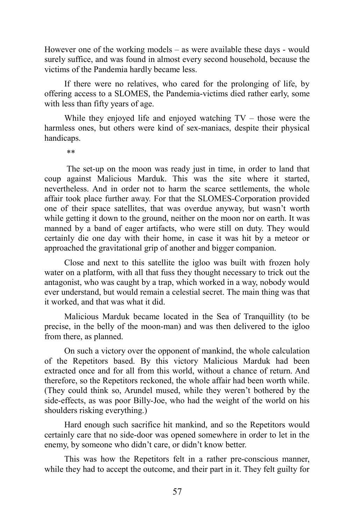However one of the working models – as were available these days - would surely suffice, and was found in almost every second household, because the victims of the Pandemia hardly became less.

If there were no relatives, who cared for the prolonging of life, by offering access to a SLOMES, the Pandemia-victims died rather early, some with less than fifty years of age.

While they enjoyed life and enjoyed watching TV – those were the harmless ones, but others were kind of sex-maniacs, despite their physical handicaps.

\*\*

The set-up on the moon was ready just in time, in order to land that coup against Malicious Marduk. This was the site where it started, nevertheless. And in order not to harm the scarce settlements, the whole affair took place further away. For that the SLOMES-Corporation provided one of their space satellites, that was overdue anyway, but wasn't worth while getting it down to the ground, neither on the moon nor on earth. It was manned by a band of eager artifacts, who were still on duty. They would certainly die one day with their home, in case it was hit by a meteor or approached the gravitational grip of another and bigger companion.

Close and next to this satellite the igloo was built with frozen holy water on a platform, with all that fuss they thought necessary to trick out the antagonist, who was caught by a trap, which worked in a way, nobody would ever understand, but would remain a celestial secret. The main thing was that it worked, and that was what it did.

Malicious Marduk became located in the Sea of Tranquillity (to be precise, in the belly of the moon-man) and was then delivered to the igloo from there, as planned.

On such a victory over the opponent of mankind, the whole calculation of the Repetitors based. By this victory Malicious Marduk had been extracted once and for all from this world, without a chance of return. And therefore, so the Repetitors reckoned, the whole affair had been worth while. (They could think so, Arundel mused, while they weren't bothered by the side-effects, as was poor Billy-Joe, who had the weight of the world on his shoulders risking everything.)

Hard enough such sacrifice hit mankind, and so the Repetitors would certainly care that no side-door was opened somewhere in order to let in the enemy, by someone who didn't care, or didn't know better.

This was how the Repetitors felt in a rather pre-conscious manner, while they had to accept the outcome, and their part in it. They felt guilty for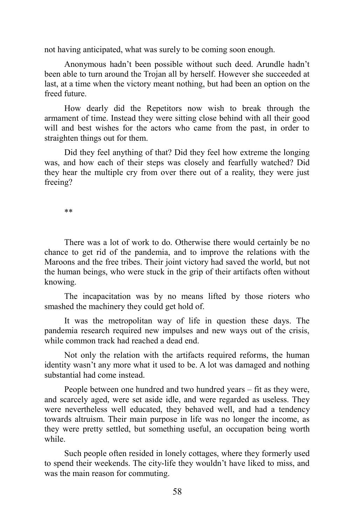not having anticipated, what was surely to be coming soon enough.

Anonymous hadn't been possible without such deed. Arundle hadn't been able to turn around the Trojan all by herself. However she succeeded at last, at a time when the victory meant nothing, but had been an option on the freed future.

How dearly did the Repetitors now wish to break through the armament of time. Instead they were sitting close behind with all their good will and best wishes for the actors who came from the past, in order to straighten things out for them.

Did they feel anything of that? Did they feel how extreme the longing was, and how each of their steps was closely and fearfully watched? Did they hear the multiple cry from over there out of a reality, they were just freeing?

\*\*

There was a lot of work to do. Otherwise there would certainly be no chance to get rid of the pandemia, and to improve the relations with the Maroons and the free tribes. Their joint victory had saved the world, but not the human beings, who were stuck in the grip of their artifacts often without knowing.

The incapacitation was by no means lifted by those rioters who smashed the machinery they could get hold of.

It was the metropolitan way of life in question these days. The pandemia research required new impulses and new ways out of the crisis, while common track had reached a dead end.

Not only the relation with the artifacts required reforms, the human identity wasn't any more what it used to be. A lot was damaged and nothing substantial had come instead.

People between one hundred and two hundred years – fit as they were, and scarcely aged, were set aside idle, and were regarded as useless. They were nevertheless well educated, they behaved well, and had a tendency towards altruism. Their main purpose in life was no longer the income, as they were pretty settled, but something useful, an occupation being worth while.

Such people often resided in lonely cottages, where they formerly used to spend their weekends. The city-life they wouldn't have liked to miss, and was the main reason for commuting.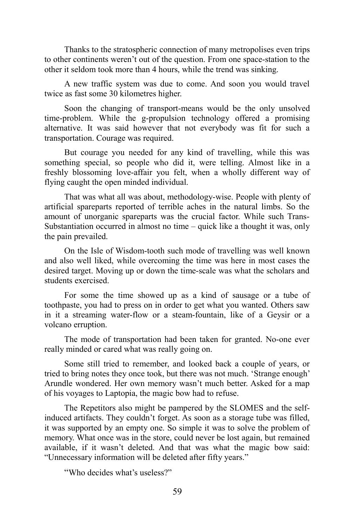Thanks to the stratospheric connection of many metropolises even trips to other continents weren't out of the question. From one space-station to the other it seldom took more than 4 hours, while the trend was sinking.

A new traffic system was due to come. And soon you would travel twice as fast some 30 kilometres higher.

Soon the changing of transport-means would be the only unsolved time-problem. While the g-propulsion technology offered a promising alternative. It was said however that not everybody was fit for such a transportation. Courage was required.

But courage you needed for any kind of travelling, while this was something special, so people who did it, were telling. Almost like in a freshly blossoming love-affair you felt, when a wholly different way of flying caught the open minded individual.

That was what all was about, methodology-wise. People with plenty of artificial spareparts reported of terrible aches in the natural limbs. So the amount of unorganic spareparts was the crucial factor. While such Trans-Substantiation occurred in almost no time – quick like a thought it was, only the pain prevailed.

On the Isle of Wisdom-tooth such mode of travelling was well known and also well liked, while overcoming the time was here in most cases the desired target. Moving up or down the time-scale was what the scholars and students exercised.

For some the time showed up as a kind of sausage or a tube of toothpaste, you had to press on in order to get what you wanted. Others saw in it a streaming water-flow or a steam-fountain, like of a Geysir or a volcano erruption.

The mode of transportation had been taken for granted. No-one ever really minded or cared what was really going on.

Some still tried to remember, and looked back a couple of years, or tried to bring notes they once took, but there was not much. 'Strange enough' Arundle wondered. Her own memory wasn't much better. Asked for a map of his voyages to Laptopia, the magic bow had to refuse.

The Repetitors also might be pampered by the SLOMES and the selfinduced artifacts. They couldn't forget. As soon as a storage tube was filled, it was supported by an empty one. So simple it was to solve the problem of memory. What once was in the store, could never be lost again, but remained available, if it wasn't deleted. And that was what the magic bow said: "Unnecessary information will be deleted after fifty years."

"Who decides what's useless?"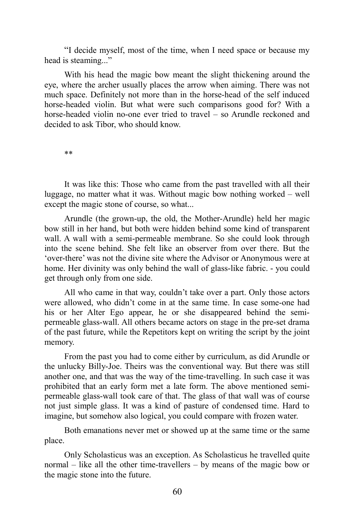"I decide myself, most of the time, when I need space or because my head is steaming..."

With his head the magic bow meant the slight thickening around the eye, where the archer usually places the arrow when aiming. There was not much space. Definitely not more than in the horse-head of the self induced horse-headed violin. But what were such comparisons good for? With a horse-headed violin no-one ever tried to travel – so Arundle reckoned and decided to ask Tibor, who should know.

\*\*

It was like this: Those who came from the past travelled with all their luggage, no matter what it was. Without magic bow nothing worked – well except the magic stone of course, so what...

Arundle (the grown-up, the old, the Mother-Arundle) held her magic bow still in her hand, but both were hidden behind some kind of transparent wall. A wall with a semi-permeable membrane. So she could look through into the scene behind. She felt like an observer from over there. But the 'over-there' was not the divine site where the Advisor or Anonymous were at home. Her divinity was only behind the wall of glass-like fabric. - you could get through only from one side.

All who came in that way, couldn't take over a part. Only those actors were allowed, who didn't come in at the same time. In case some-one had his or her Alter Ego appear, he or she disappeared behind the semipermeable glass-wall. All others became actors on stage in the pre-set drama of the past future, while the Repetitors kept on writing the script by the joint memory.

From the past you had to come either by curriculum, as did Arundle or the unlucky Billy-Joe. Theirs was the conventional way. But there was still another one, and that was the way of the time-travelling. In such case it was prohibited that an early form met a late form. The above mentioned semipermeable glass-wall took care of that. The glass of that wall was of course not just simple glass. It was a kind of pasture of condensed time. Hard to imagine, but somehow also logical, you could compare with frozen water.

Both emanations never met or showed up at the same time or the same place.

Only Scholasticus was an exception. As Scholasticus he travelled quite normal – like all the other time-travellers – by means of the magic bow or the magic stone into the future.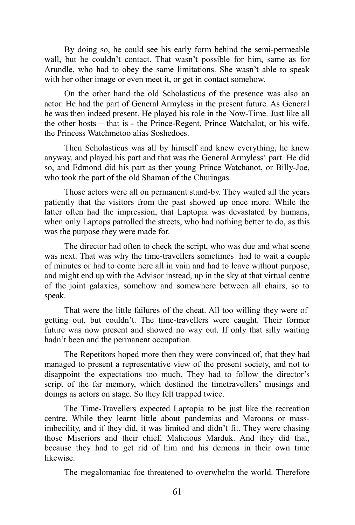By doing so, he could see his early form behind the semi-permeable wall, but he couldn't contact. That wasn't possible for him, same as for Arundle, who had to obey the same limitations. She wasn't able to speak with her other image or even meet it, or get in contact somehow.

On the other hand the old Scholasticus of the presence was also an actor. He had the part of General Armyless in the present future. As General he was then indeed present. He played his role in the Now-Time. Just like all the other hosts – that is - the Prince-Regent, Prince Watchalot, or his wife, the Princess Watchmetoo alias Soshedoes.

Then Scholasticus was all by himself and knew everything, he knew anyway, and played his part and that was the General Armyless' part. He did so, and Edmond did his part as ther young Prince Watchanot, or Billy-Joe, who took the part of the old Shaman of the Churingas.

Those actors were all on permanent stand-by. They waited all the years patiently that the visitors from the past showed up once more. While the latter often had the impression, that Laptopia was devastated by humans, when only Laptops patrolled the streets, who had nothing better to do, as this was the purpose they were made for.

The director had often to check the script, who was due and what scene was next. That was why the time-travellers sometimes had to wait a couple of minutes or had to come here all in vain and had to leave without purpose, and might end up with the Advisor instead, up in the sky at that virtual centre of the joint galaxies, somehow and somewhere between all chairs, so to speak.

That were the little failures of the cheat. All too willing they were of getting out, but couldn't. The time-travellers were caught. Their former future was now present and showed no way out. If only that silly waiting hadn't been and the permanent occupation.

The Repetitors hoped more then they were convinced of, that they had managed to present a representative view of the present society, and not to disappoint the expectations too much. They had to follow the director's script of the far memory, which destined the timetravellers' musings and doings as actors on stage. So they felt trapped twice.

The Time-Travellers expected Laptopia to be just like the recreation centre. While they learnt little about pandemias and Maroons or massimbecility, and if they did, it was limited and didn't fit. They were chasing those Miseriors and their chief, Malicious Marduk. And they did that, because they had to get rid of him and his demons in their own time likewise.

The megalomaniac foe threatened to overwhelm the world. Therefore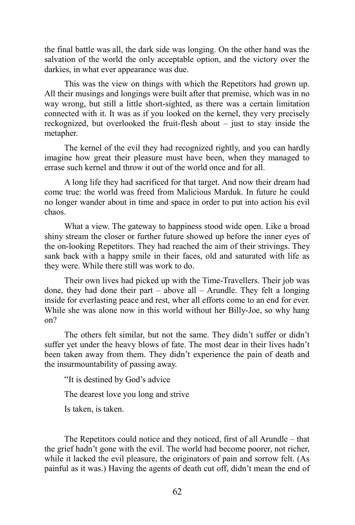the final battle was all, the dark side was longing. On the other hand was the salvation of the world the only acceptable option, and the victory over the darkies, in what ever appearance was due.

This was the view on things with which the Repetitors had grown up. All their musings and longings were built after that premise, which was in no way wrong, but still a little short-sighted, as there was a certain limitation connected with it. It was as if you looked on the kernel, they very precisely reckognized, but overlooked the fruit-flesh about – just to stay inside the metapher.

The kernel of the evil they had recognized rightly, and you can hardly imagine how great their pleasure must have been, when they managed to errase such kernel and throw it out of the world once and for all.

A long life they had sacrificed for that target. And now their dream had come true: the world was freed from Malicious Marduk. In future he could no longer wander about in time and space in order to put into action his evil chaos.

What a view. The gateway to happiness stood wide open. Like a broad shiny stream the closer or further future showed up before the inner eyes of the on-looking Repetitors. They had reached the aim of their strivings. They sank back with a happy smile in their faces, old and saturated with life as they were. While there still was work to do.

Their own lives had picked up with the Time-Travellers. Their job was done, they had done their part – above all – Arundle. They felt a longing inside for everlasting peace and rest, wher all efforts come to an end for ever. While she was alone now in this world without her Billy-Joe, so why hang on?

The others felt similar, but not the same. They didn't suffer or didn't suffer yet under the heavy blows of fate. The most dear in their lives hadn't been taken away from them. They didn't experience the pain of death and the insurmountability of passing away.

"It is destined by God's advice

The dearest love you long and strive

Is taken, is taken.

The Repetitors could notice and they noticed, first of all Arundle – that the grief hadn't gone with the evil. The world had become poorer, not richer, while it lacked the evil pleasure, the originators of pain and sorrow felt. (As painful as it was.) Having the agents of death cut off, didn't mean the end of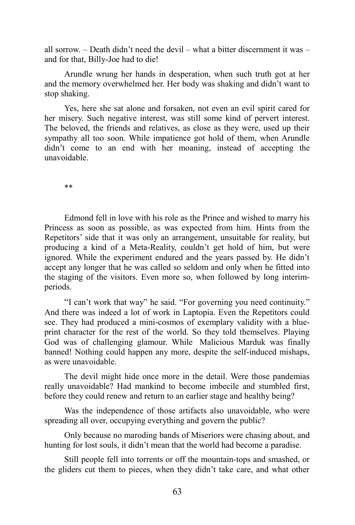all sorrow. – Death didn't need the devil – what a bitter discernment it was – and for that, Billy-Joe had to die!

Arundle wrung her hands in desperation, when such truth got at her and the memory overwhelmed her. Her body was shaking and didn't want to stop shaking.

Yes, here she sat alone and forsaken, not even an evil spirit cared for her misery. Such negative interest, was still some kind of pervert interest. The beloved, the friends and relatives, as close as they were, used up their sympathy all too soon. While impatience got hold of them, when Arundle didn't come to an end with her moaning, instead of accepting the unavoidable.

\*\*

Edmond fell in love with his role as the Prince and wished to marry his Princess as soon as possible, as was expected from him. Hints from the Repetitors' side that it was only an arrangement, unsuitable for reality, but producing a kind of a Meta-Reality, couldn't get hold of him, but were ignored. While the experiment endured and the years passed by. He didn't accept any longer that he was called so seldom and only when he fitted into the staging of the visitors. Even more so, when followed by long interimperiods.

"I can't work that way" he said. "For governing you need continuity." And there was indeed a lot of work in Laptopia. Even the Repetitors could see. They had produced a mini-cosmos of exemplary validity with a blueprint character for the rest of the world. So they told themselves. Playing God was of challenging glamour. While Malicious Marduk was finally banned! Nothing could happen any more, despite the self-induced mishaps, as were unavoidable.

The devil might hide once more in the detail. Were those pandemias really unavoidable? Had mankind to become imbecile and stumbled first, before they could renew and return to an earlier stage and healthy being?

Was the independence of those artifacts also unavoidable, who were spreading all over, occupying everything and govern the public?

Only because no maroding bands of Miseriors were chasing about, and hunting for lost souls, it didn't mean that the world had become a paradise.

Still people fell into torrents or off the mountain-tops and smashed, or the gliders cut them to pieces, when they didn't take care, and what other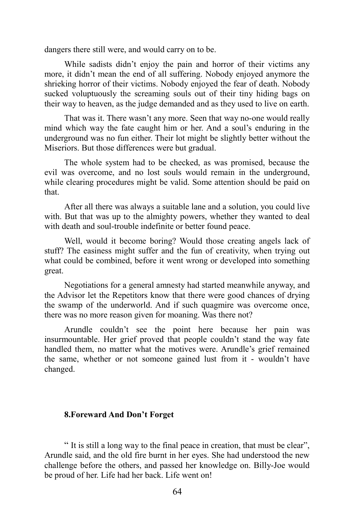dangers there still were, and would carry on to be.

While sadists didn't enjoy the pain and horror of their victims any more, it didn't mean the end of all suffering. Nobody enjoyed anymore the shrieking horror of their victims. Nobody enjoyed the fear of death. Nobody sucked voluptuously the screaming souls out of their tiny hiding bags on their way to heaven, as the judge demanded and as they used to live on earth.

That was it. There wasn't any more. Seen that way no-one would really mind which way the fate caught him or her. And a soul's enduring in the underground was no fun either. Their lot might be slightly better without the Miseriors. But those differences were but gradual.

The whole system had to be checked, as was promised, because the evil was overcome, and no lost souls would remain in the underground, while clearing procedures might be valid. Some attention should be paid on that.

After all there was always a suitable lane and a solution, you could live with. But that was up to the almighty powers, whether they wanted to deal with death and soul-trouble indefinite or better found peace.

Well, would it become boring? Would those creating angels lack of stuff? The easiness might suffer and the fun of creativity, when trying out what could be combined, before it went wrong or developed into something great.

Negotiations for a general amnesty had started meanwhile anyway, and the Advisor let the Repetitors know that there were good chances of drying the swamp of the underworld. And if such quagmire was overcome once, there was no more reason given for moaning. Was there not?

Arundle couldn't see the point here because her pain was insurmountable. Her grief proved that people couldn't stand the way fate handled them, no matter what the motives were. Arundle's grief remained the same, whether or not someone gained lust from it - wouldn't have changed.

### **8.Foreward And Don't Forget**

" It is still a long way to the final peace in creation, that must be clear", Arundle said, and the old fire burnt in her eyes. She had understood the new challenge before the others, and passed her knowledge on. Billy-Joe would be proud of her. Life had her back. Life went on!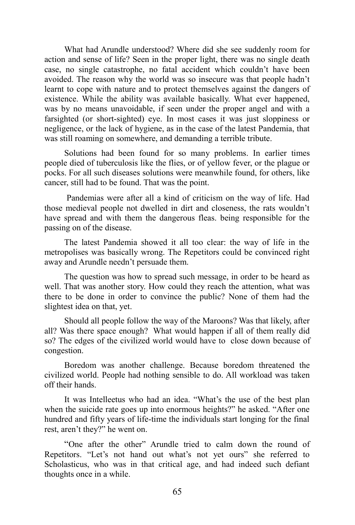What had Arundle understood? Where did she see suddenly room for action and sense of life? Seen in the proper light, there was no single death case, no single catastrophe, no fatal accident which couldn't have been avoided. The reason why the world was so insecure was that people hadn't learnt to cope with nature and to protect themselves against the dangers of existence. While the ability was available basically. What ever happened, was by no means unavoidable, if seen under the proper angel and with a farsighted (or short-sighted) eye. In most cases it was just sloppiness or negligence, or the lack of hygiene, as in the case of the latest Pandemia, that was still roaming on somewhere, and demanding a terrible tribute.

Solutions had been found for so many problems. In earlier times people died of tuberculosis like the flies, or of yellow fever, or the plague or pocks. For all such diseases solutions were meanwhile found, for others, like cancer, still had to be found. That was the point.

Pandemias were after all a kind of criticism on the way of life. Had those medieval people not dwelled in dirt and closeness, the rats wouldn't have spread and with them the dangerous fleas. being responsible for the passing on of the disease.

The latest Pandemia showed it all too clear: the way of life in the metropolises was basically wrong. The Repetitors could be convinced right away and Arundle needn't persuade them.

The question was how to spread such message, in order to be heard as well. That was another story. How could they reach the attention, what was there to be done in order to convince the public? None of them had the slightest idea on that, yet.

Should all people follow the way of the Maroons? Was that likely, after all? Was there space enough? What would happen if all of them really did so? The edges of the civilized world would have to close down because of congestion.

Boredom was another challenge. Because boredom threatened the civilized world. People had nothing sensible to do. All workload was taken off their hands.

It was Intelleetus who had an idea. "What's the use of the best plan when the suicide rate goes up into enormous heights?" he asked. "After one hundred and fifty years of life-time the individuals start longing for the final rest, aren't they?" he went on.

"One after the other" Arundle tried to calm down the round of Repetitors. "Let's not hand out what's not yet ours" she referred to Scholasticus, who was in that critical age, and had indeed such defiant thoughts once in a while.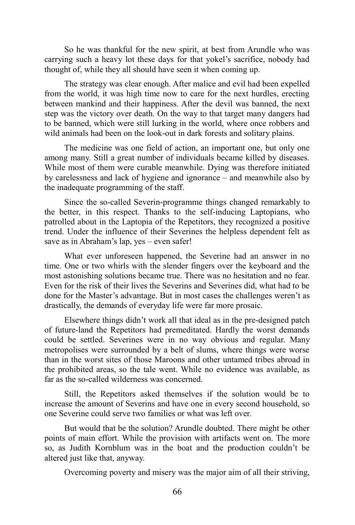So he was thankful for the new spirit, at best from Arundle who was carrying such a heavy lot these days for that yokel's sacrifice, nobody had thought of, while they all should have seen it when coming up.

The strategy was clear enough. After malice and evil had been expelled from the world, it was high time now to care for the next hurdles, erecting between mankind and their happiness. After the devil was banned, the next step was the victory over death. On the way to that target many dangers had to be banned, which were still lurking in the world, where once robbers and wild animals had been on the look-out in dark forests and solitary plains.

The medicine was one field of action, an important one, but only one among many. Still a great number of individuals became killed by diseases. While most of them were curable meanwhile. Dying was therefore initiated by carelessness and lack of hygiene and ignorance – and meanwhile also by the inadequate programming of the staff.

Since the so-called Severin-programme things changed remarkably to the better, in this respect. Thanks to the self-inducing Laptopians, who patrolled about in the Laptopia of the Repetitors, they recognized a positive trend. Under the influence of their Severines the helpless dependent felt as save as in Abraham's lap, yes – even safer!

What ever unforeseen happened, the Severine had an answer in no time. One or two whirls with the slender fingers over the keyboard and the most astonishing solutions became true. There was no hesitation and no fear. Even for the risk of their lives the Severins and Severines did, what had to be done for the Master's advantage. But in most cases the challenges weren't as drastically, the demands of everyday life were far more prosaic.

Elsewhere things didn't work all that ideal as in the pre-designed patch of future-land the Repetitors had premeditated. Hardly the worst demands could be settled. Severines were in no way obvious and regular. Many metropolises were surrounded by a belt of slums, where things were worse than in the worst sites of those Maroons and other untamed tribes abroad in the prohibited areas, so the tale went. While no evidence was available, as far as the so-called wilderness was concerned.

Still, the Repetitors asked themselves if the solution would be to increase the amount of Severins and have one in every second household, so one Severine could serve two families or what was left over.

But would that be the solution? Arundle doubted. There might be other points of main effort. While the provision with artifacts went on. The more so, as Judith Kornblum was in the boat and the production couldn't be altered just like that, anyway.

Overcoming poverty and misery was the major aim of all their striving,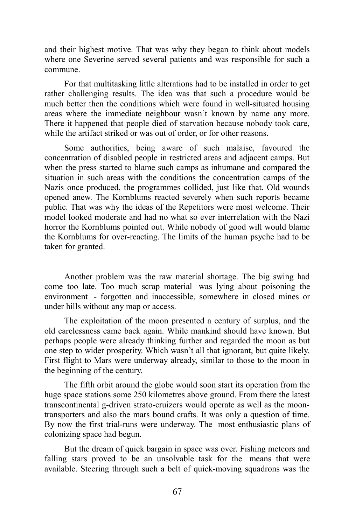and their highest motive. That was why they began to think about models where one Severine served several patients and was responsible for such a commune.

For that multitasking little alterations had to be installed in order to get rather challenging results. The idea was that such a procedure would be much better then the conditions which were found in well-situated housing areas where the immediate neighbour wasn't known by name any more. There it happened that people died of starvation because nobody took care, while the artifact striked or was out of order, or for other reasons.

Some authorities, being aware of such malaise, favoured the concentration of disabled people in restricted areas and adjacent camps. But when the press started to blame such camps as inhumane and compared the situation in such areas with the conditions the concentration camps of the Nazis once produced, the programmes collided, just like that. Old wounds opened anew. The Kornblums reacted severely when such reports became public. That was why the ideas of the Repetitors were most welcome. Their model looked moderate and had no what so ever interrelation with the Nazi horror the Kornblums pointed out. While nobody of good will would blame the Kornblums for over-reacting. The limits of the human psyche had to be taken for granted.

Another problem was the raw material shortage. The big swing had come too late. Too much scrap material was lying about poisoning the environment - forgotten and inaccessible, somewhere in closed mines or under hills without any map or access.

The exploitation of the moon presented a century of surplus, and the old carelessness came back again. While mankind should have known. But perhaps people were already thinking further and regarded the moon as but one step to wider prosperity. Which wasn't all that ignorant, but quite likely. First flight to Mars were underway already, similar to those to the moon in the beginning of the century.

The fifth orbit around the globe would soon start its operation from the huge space stations some 250 kilometres above ground. From there the latest transcontinental g-driven strato-cruizers would operate as well as the moontransporters and also the mars bound crafts. It was only a question of time. By now the first trial-runs were underway. The most enthusiastic plans of colonizing space had begun.

But the dream of quick bargain in space was over. Fishing meteors and falling stars proved to be an unsolvable task for the means that were available. Steering through such a belt of quick-moving squadrons was the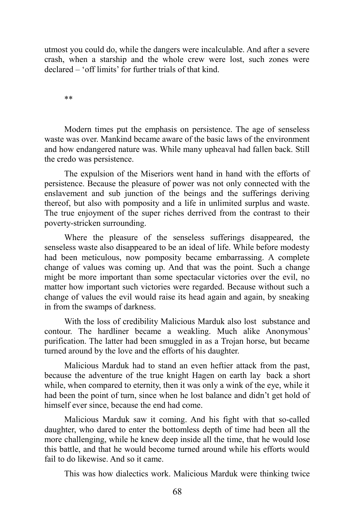utmost you could do, while the dangers were incalculable. And after a severe crash, when a starship and the whole crew were lost, such zones were declared – 'off limits' for further trials of that kind.

\*\*

Modern times put the emphasis on persistence. The age of senseless waste was over. Mankind became aware of the basic laws of the environment and how endangered nature was. While many upheaval had fallen back. Still the credo was persistence.

The expulsion of the Miseriors went hand in hand with the efforts of persistence. Because the pleasure of power was not only connected with the enslavement and sub junction of the beings and the sufferings deriving thereof, but also with pomposity and a life in unlimited surplus and waste. The true enjoyment of the super riches derrived from the contrast to their poverty-stricken surrounding.

Where the pleasure of the senseless sufferings disappeared, the senseless waste also disappeared to be an ideal of life. While before modesty had been meticulous, now pomposity became embarrassing. A complete change of values was coming up. And that was the point. Such a change might be more important than some spectacular victories over the evil, no matter how important such victories were regarded. Because without such a change of values the evil would raise its head again and again, by sneaking in from the swamps of darkness.

With the loss of credibility Malicious Marduk also lost substance and contour. The hardliner became a weakling. Much alike Anonymous' purification. The latter had been smuggled in as a Trojan horse, but became turned around by the love and the efforts of his daughter.

Malicious Marduk had to stand an even heftier attack from the past, because the adventure of the true knight Hagen on earth lay back a short while, when compared to eternity, then it was only a wink of the eye, while it had been the point of turn, since when he lost balance and didn't get hold of himself ever since, because the end had come.

Malicious Marduk saw it coming. And his fight with that so-called daughter, who dared to enter the bottomless depth of time had been all the more challenging, while he knew deep inside all the time, that he would lose this battle, and that he would become turned around while his efforts would fail to do likewise. And so it came.

This was how dialectics work. Malicious Marduk were thinking twice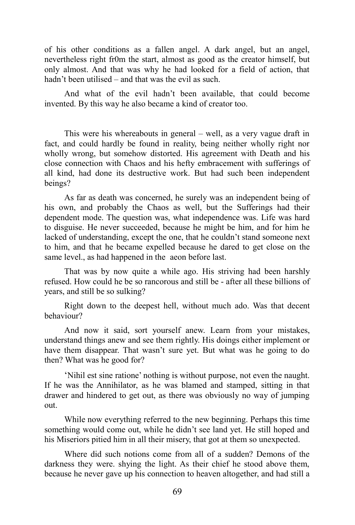of his other conditions as a fallen angel. A dark angel, but an angel, nevertheless right fr0m the start, almost as good as the creator himself, but only almost. And that was why he had looked for a field of action, that hadn't been utilised – and that was the evil as such.

And what of the evil hadn't been available, that could become invented. By this way he also became a kind of creator too.

This were his whereabouts in general – well, as a very vague draft in fact, and could hardly be found in reality, being neither wholly right nor wholly wrong, but somehow distorted. His agreement with Death and his close connection with Chaos and his hefty embracement with sufferings of all kind, had done its destructive work. But had such been independent beings?

As far as death was concerned, he surely was an independent being of his own, and probably the Chaos as well, but the Sufferings had their dependent mode. The question was, what independence was. Life was hard to disguise. He never succeeded, because he might be him, and for him he lacked of understanding, except the one, that he couldn't stand someone next to him, and that he became expelled because he dared to get close on the same level., as had happened in the aeon before last.

That was by now quite a while ago. His striving had been harshly refused. How could he be so rancorous and still be - after all these billions of years, and still be so sulking?

Right down to the deepest hell, without much ado. Was that decent behaviour?

And now it said, sort yourself anew. Learn from your mistakes, understand things anew and see them rightly. His doings either implement or have them disappear. That wasn't sure yet. But what was he going to do then? What was he good for?

'Nihil est sine ratione' nothing is without purpose, not even the naught. If he was the Annihilator, as he was blamed and stamped, sitting in that drawer and hindered to get out, as there was obviously no way of jumping out.

While now everything referred to the new beginning. Perhaps this time something would come out, while he didn't see land yet. He still hoped and his Miseriors pitied him in all their misery, that got at them so unexpected.

Where did such notions come from all of a sudden? Demons of the darkness they were. shying the light. As their chief he stood above them, because he never gave up his connection to heaven altogether, and had still a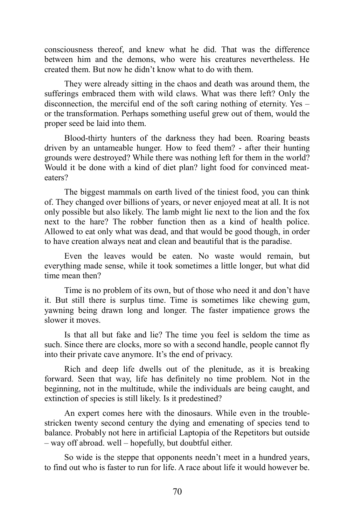consciousness thereof, and knew what he did. That was the difference between him and the demons, who were his creatures nevertheless. He created them. But now he didn't know what to do with them.

They were already sitting in the chaos and death was around them, the sufferings embraced them with wild claws. What was there left? Only the disconnection, the merciful end of the soft caring nothing of eternity. Yes – or the transformation. Perhaps something useful grew out of them, would the proper seed be laid into them.

Blood-thirty hunters of the darkness they had been. Roaring beasts driven by an untameable hunger. How to feed them? - after their hunting grounds were destroyed? While there was nothing left for them in the world? Would it be done with a kind of diet plan? light food for convinced meateaters?

The biggest mammals on earth lived of the tiniest food, you can think of. They changed over billions of years, or never enjoyed meat at all. It is not only possible but also likely. The lamb might lie next to the lion and the fox next to the hare? The robber function then as a kind of health police. Allowed to eat only what was dead, and that would be good though, in order to have creation always neat and clean and beautiful that is the paradise.

Even the leaves would be eaten. No waste would remain, but everything made sense, while it took sometimes a little longer, but what did time mean then?

Time is no problem of its own, but of those who need it and don't have it. But still there is surplus time. Time is sometimes like chewing gum, yawning being drawn long and longer. The faster impatience grows the slower it moves.

Is that all but fake and lie? The time you feel is seldom the time as such. Since there are clocks, more so with a second handle, people cannot fly into their private cave anymore. It's the end of privacy.

Rich and deep life dwells out of the plenitude, as it is breaking forward. Seen that way, life has definitely no time problem. Not in the beginning, not in the multitude, while the individuals are being caught, and extinction of species is still likely. Is it predestined?

An expert comes here with the dinosaurs. While even in the troublestricken twenty second century the dying and emenating of species tend to balance. Probably not here in artificial Laptopia of the Repetitors but outside – way off abroad. well – hopefully, but doubtful either.

So wide is the steppe that opponents needn't meet in a hundred years, to find out who is faster to run for life. A race about life it would however be.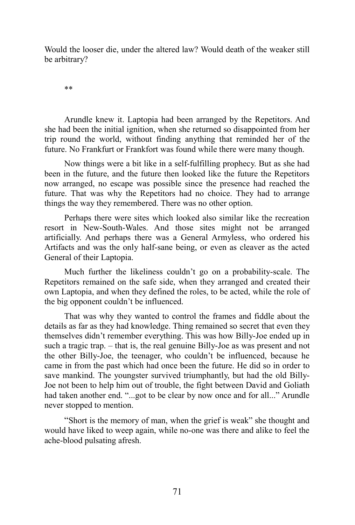Would the looser die, under the altered law? Would death of the weaker still be arbitrary?

\*\*

Arundle knew it. Laptopia had been arranged by the Repetitors. And she had been the initial ignition, when she returned so disappointed from her trip round the world, without finding anything that reminded her of the future. No Frankfurt or Frankfort was found while there were many though.

Now things were a bit like in a self-fulfilling prophecy. But as she had been in the future, and the future then looked like the future the Repetitors now arranged, no escape was possible since the presence had reached the future. That was why the Repetitors had no choice. They had to arrange things the way they remembered. There was no other option.

Perhaps there were sites which looked also similar like the recreation resort in New-South-Wales. And those sites might not be arranged artificially. And perhaps there was a General Armyless, who ordered his Artifacts and was the only half-sane being, or even as cleaver as the acted General of their Laptopia.

Much further the likeliness couldn't go on a probability-scale. The Repetitors remained on the safe side, when they arranged and created their own Laptopia, and when they defined the roles, to be acted, while the role of the big opponent couldn't be influenced.

That was why they wanted to control the frames and fiddle about the details as far as they had knowledge. Thing remained so secret that even they themselves didn't remember everything. This was how Billy-Joe ended up in such a tragic trap. – that is, the real genuine Billy-Joe as was present and not the other Billy-Joe, the teenager, who couldn't be influenced, because he came in from the past which had once been the future. He did so in order to save mankind. The youngster survived triumphantly, but had the old Billy-Joe not been to help him out of trouble, the fight between David and Goliath had taken another end. "...got to be clear by now once and for all..." Arundle never stopped to mention.

"Short is the memory of man, when the grief is weak" she thought and would have liked to weep again, while no-one was there and alike to feel the ache-blood pulsating afresh.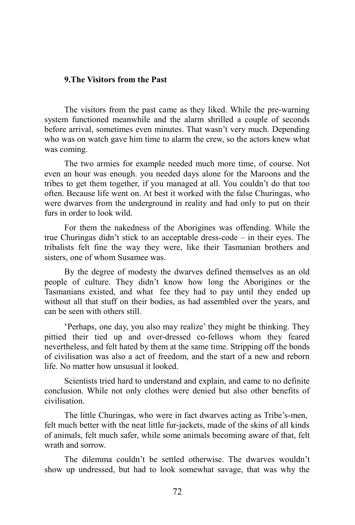# **9.The Visitors from the Past**

The visitors from the past came as they liked. While the pre-warning system functioned meanwhile and the alarm shrilled a couple of seconds before arrival, sometimes even minutes. That wasn't very much. Depending who was on watch gave him time to alarm the crew, so the actors knew what was coming.

The two armies for example needed much more time, of course. Not even an hour was enough. you needed days alone for the Maroons and the tribes to get them together, if you managed at all. You couldn't do that too often. Because life went on. At best it worked with the false Churingas, who were dwarves from the underground in reality and had only to put on their furs in order to look wild.

For them the nakedness of the Aborigines was offending. While the true Churingas didn't stick to an acceptable dress-code – in their eyes. The tribalists felt fine the way they were, like their Tasmanian brothers and sisters, one of whom Susamee was.

By the degree of modesty the dwarves defined themselves as an old people of culture. They didn't know how long the Aborigines or the Tasmanians existed, and what fee they had to pay until they ended up without all that stuff on their bodies, as had assembled over the years, and can be seen with others still.

'Perhaps, one day, you also may realize' they might be thinking. They pittied their tied up and over-dressed co-fellows whom they feared nevertheless, and felt hated by them at the same time. Stripping off the bonds of civilisation was also a act of freedom, and the start of a new and reborn life. No matter how unsusual it looked.

Scientists tried hard to understand and explain, and came to no definite conclusion. While not only clothes were denied but also other benefits of civilisation.

The little Churingas, who were in fact dwarves acting as Tribe's-men, felt much better with the neat little fur-jackets, made of the skins of all kinds of animals, felt much safer, while some animals becoming aware of that, felt wrath and sorrow.

The dilemma couldn't be settled otherwise. The dwarves wouldn't show up undressed, but had to look somewhat savage, that was why the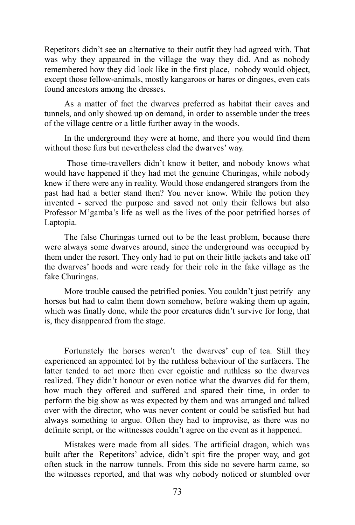Repetitors didn't see an alternative to their outfit they had agreed with. That was why they appeared in the village the way they did. And as nobody remembered how they did look like in the first place, nobody would object, except those fellow-animals, mostly kangaroos or hares or dingoes, even cats found ancestors among the dresses.

As a matter of fact the dwarves preferred as habitat their caves and tunnels, and only showed up on demand, in order to assemble under the trees of the village centre or a little further away in the woods.

In the underground they were at home, and there you would find them without those furs but nevertheless clad the dwarves' way.

Those time-travellers didn't know it better, and nobody knows what would have happened if they had met the genuine Churingas, while nobody knew if there were any in reality. Would those endangered strangers from the past had had a better stand then? You never know. While the potion they invented - served the purpose and saved not only their fellows but also Professor M'gamba's life as well as the lives of the poor petrified horses of Laptopia.

The false Churingas turned out to be the least problem, because there were always some dwarves around, since the underground was occupied by them under the resort. They only had to put on their little jackets and take off the dwarves' hoods and were ready for their role in the fake village as the fake Churingas.

More trouble caused the petrified ponies. You couldn't just petrify any horses but had to calm them down somehow, before waking them up again, which was finally done, while the poor creatures didn't survive for long, that is, they disappeared from the stage.

Fortunately the horses weren't the dwarves' cup of tea. Still they experienced an appointed lot by the ruthless behaviour of the surfacers. The latter tended to act more then ever egoistic and ruthless so the dwarves realized. They didn't honour or even notice what the dwarves did for them, how much they offered and suffered and spared their time, in order to perform the big show as was expected by them and was arranged and talked over with the director, who was never content or could be satisfied but had always something to argue. Often they had to improvise, as there was no definite script, or the wittnesses couldn't agree on the event as it happened.

Mistakes were made from all sides. The artificial dragon, which was built after the Repetitors' advice, didn't spit fire the proper way, and got often stuck in the narrow tunnels. From this side no severe harm came, so the witnesses reported, and that was why nobody noticed or stumbled over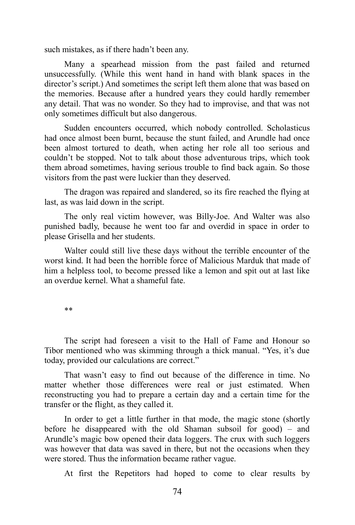such mistakes, as if there hadn't been any.

Many a spearhead mission from the past failed and returned unsuccessfully. (While this went hand in hand with blank spaces in the director's script.) And sometimes the script left them alone that was based on the memories. Because after a hundred years they could hardly remember any detail. That was no wonder. So they had to improvise, and that was not only sometimes difficult but also dangerous.

Sudden encounters occurred, which nobody controlled. Scholasticus had once almost been burnt, because the stunt failed, and Arundle had once been almost tortured to death, when acting her role all too serious and couldn't be stopped. Not to talk about those adventurous trips, which took them abroad sometimes, having serious trouble to find back again. So those visitors from the past were luckier than they deserved.

The dragon was repaired and slandered, so its fire reached the flying at last, as was laid down in the script.

The only real victim however, was Billy-Joe. And Walter was also punished badly, because he went too far and overdid in space in order to please Grisella and her students.

Walter could still live these days without the terrible encounter of the worst kind. It had been the horrible force of Malicious Marduk that made of him a helpless tool, to become pressed like a lemon and spit out at last like an overdue kernel. What a shameful fate.

\*\*

The script had foreseen a visit to the Hall of Fame and Honour so Tibor mentioned who was skimming through a thick manual. "Yes, it's due today, provided our calculations are correct."

That wasn't easy to find out because of the difference in time. No matter whether those differences were real or just estimated. When reconstructing you had to prepare a certain day and a certain time for the transfer or the flight, as they called it.

In order to get a little further in that mode, the magic stone (shortly before he disappeared with the old Shaman subsoil for good) – and Arundle's magic bow opened their data loggers. The crux with such loggers was however that data was saved in there, but not the occasions when they were stored. Thus the information became rather vague.

At first the Repetitors had hoped to come to clear results by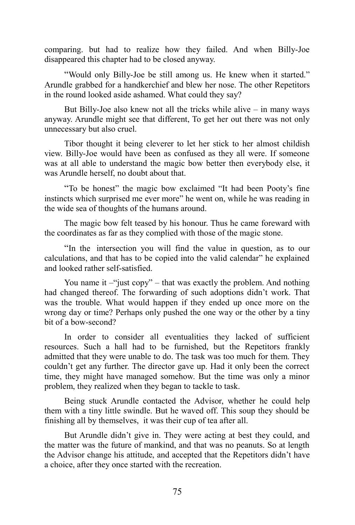comparing. but had to realize how they failed. And when Billy-Joe disappeared this chapter had to be closed anyway.

"Would only Billy-Joe be still among us. He knew when it started." Arundle grabbed for a handkerchief and blew her nose. The other Repetitors in the round looked aside ashamed. What could they say?

But Billy-Joe also knew not all the tricks while alive  $-$  in many ways anyway. Arundle might see that different, To get her out there was not only unnecessary but also cruel.

Tibor thought it being cleverer to let her stick to her almost childish view. Billy-Joe would have been as confused as they all were. If someone was at all able to understand the magic bow better then everybody else, it was Arundle herself, no doubt about that.

"To be honest" the magic bow exclaimed "It had been Pooty's fine instincts which surprised me ever more" he went on, while he was reading in the wide sea of thoughts of the humans around.

The magic bow felt teased by his honour. Thus he came foreward with the coordinates as far as they complied with those of the magic stone.

"In the intersection you will find the value in question, as to our calculations, and that has to be copied into the valid calendar" he explained and looked rather self-satisfied.

You name it  $-\omega$  just copy" – that was exactly the problem. And nothing had changed thereof. The forwarding of such adoptions didn't work. That was the trouble. What would happen if they ended up once more on the wrong day or time? Perhaps only pushed the one way or the other by a tiny bit of a bow-second?

In order to consider all eventualities they lacked of sufficient resources. Such a hall had to be furnished, but the Repetitors frankly admitted that they were unable to do. The task was too much for them. They couldn't get any further. The director gave up. Had it only been the correct time, they might have managed somehow. But the time was only a minor problem, they realized when they began to tackle to task.

Being stuck Arundle contacted the Advisor, whether he could help them with a tiny little swindle. But he waved off. This soup they should be finishing all by themselves, it was their cup of tea after all.

But Arundle didn't give in. They were acting at best they could, and the matter was the future of mankind, and that was no peanuts. So at length the Advisor change his attitude, and accepted that the Repetitors didn't have a choice, after they once started with the recreation.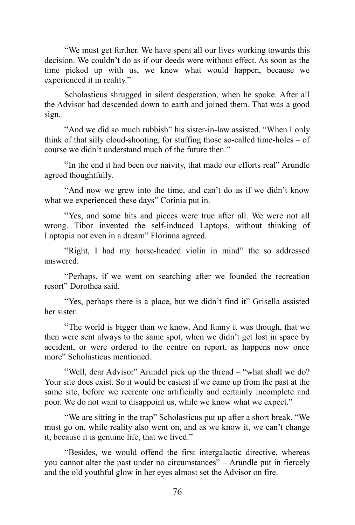"We must get further. We have spent all our lives working towards this decision. We couldn't do as if our deeds were without effect. As soon as the time picked up with us, we knew what would happen, because we experienced it in reality."

Scholasticus shrugged in silent desperation, when he spoke. After all the Advisor had descended down to earth and joined them. That was a good sign.

"And we did so much rubbish" his sister-in-law assisted. "When I only think of that silly cloud-shooting, for stuffing those so-called time-holes – of course we didn't understand much of the future then."

"In the end it had been our naivity, that made our efforts real" Arundle agreed thoughtfully.

"And now we grew into the time, and can't do as if we didn't know what we experienced these days" Corinia put in.

"Yes, and some bits and pieces were true after all. We were not all wrong. Tibor invented the self-induced Laptops, without thinking of Laptopia not even in a dream" Florinna agreed.

"Right, I had my horse-headed violin in mind" the so addressed answered.

"Perhaps, if we went on searching after we founded the recreation resort" Dorothea said.

"Yes, perhaps there is a place, but we didn't find it" Grisella assisted her sister.

"The world is bigger than we know. And funny it was though, that we then were sent always to the same spot, when we didn't get lost in space by accident, or were ordered to the centre on report, as happens now once more" Scholasticus mentioned.

"Well, dear Advisor" Arundel pick up the thread – "what shall we do? Your site does exist. So it would be easiest if we came up from the past at the same site, before we recreate one artificially and certainly incomplete and poor. We do not want to disappoint us, while we know what we expect."

"We are sitting in the trap" Scholasticus put up after a short break. "We must go on, while reality also went on, and as we know it, we can't change it, because it is genuine life, that we lived."

"Besides, we would offend the first intergalactic directive, whereas you cannot alter the past under no circumstances" – Arundle put in fiercely and the old youthful glow in her eyes almost set the Advisor on fire.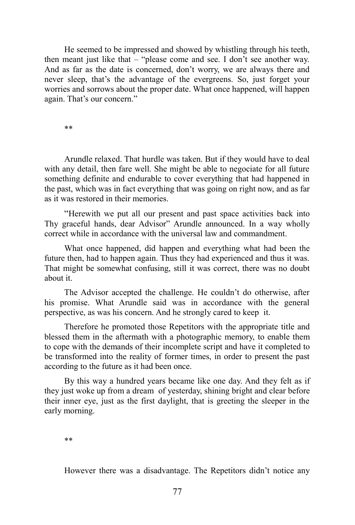He seemed to be impressed and showed by whistling through his teeth, then meant just like that – "please come and see. I don't see another way. And as far as the date is concerned, don't worry, we are always there and never sleep, that's the advantage of the evergreens. So, just forget your worries and sorrows about the proper date. What once happened, will happen again. That's our concern."

\*\*

Arundle relaxed. That hurdle was taken. But if they would have to deal with any detail, then fare well. She might be able to negociate for all future something definite and endurable to cover everything that had happened in the past, which was in fact everything that was going on right now, and as far as it was restored in their memories.

"Herewith we put all our present and past space activities back into Thy graceful hands, dear Advisor" Arundle announced. In a way wholly correct while in accordance with the universal law and commandment.

What once happened, did happen and everything what had been the future then, had to happen again. Thus they had experienced and thus it was. That might be somewhat confusing, still it was correct, there was no doubt about it.

The Advisor accepted the challenge. He couldn't do otherwise, after his promise. What Arundle said was in accordance with the general perspective, as was his concern. And he strongly cared to keep it.

Therefore he promoted those Repetitors with the appropriate title and blessed them in the aftermath with a photographic memory, to enable them to cope with the demands of their incomplete script and have it completed to be transformed into the reality of former times, in order to present the past according to the future as it had been once.

By this way a hundred years became like one day. And they felt as if they just woke up from a dream of yesterday, shining bright and clear before their inner eye, just as the first daylight, that is greeting the sleeper in the early morning.

\*\*

However there was a disadvantage. The Repetitors didn't notice any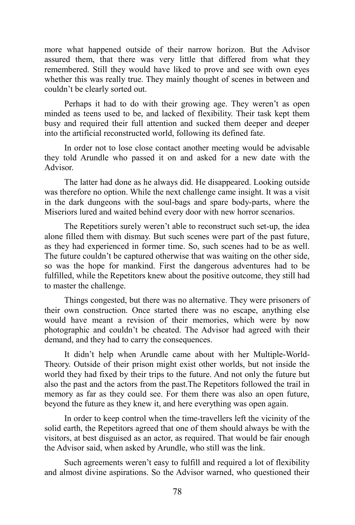more what happened outside of their narrow horizon. But the Advisor assured them, that there was very little that differed from what they remembered. Still they would have liked to prove and see with own eyes whether this was really true. They mainly thought of scenes in between and couldn't be clearly sorted out.

Perhaps it had to do with their growing age. They weren't as open minded as teens used to be, and lacked of flexibility. Their task kept them busy and required their full attention and sucked them deeper and deeper into the artificial reconstructed world, following its defined fate.

In order not to lose close contact another meeting would be advisable they told Arundle who passed it on and asked for a new date with the Advisor.

The latter had done as he always did. He disappeared. Looking outside was therefore no option. While the next challenge came insight. It was a visit in the dark dungeons with the soul-bags and spare body-parts, where the Miseriors lured and waited behind every door with new horror scenarios.

The Repetitiors surely weren't able to reconstruct such set-up, the idea alone filled them with dismay. But such scenes were part of the past future, as they had experienced in former time. So, such scenes had to be as well. The future couldn't be captured otherwise that was waiting on the other side, so was the hope for mankind. First the dangerous adventures had to be fulfilled, while the Repetitors knew about the positive outcome, they still had to master the challenge.

Things congested, but there was no alternative. They were prisoners of their own construction. Once started there was no escape, anything else would have meant a revision of their memories, which were by now photographic and couldn't be cheated. The Advisor had agreed with their demand, and they had to carry the consequences.

It didn't help when Arundle came about with her Multiple-World-Theory. Outside of their prison might exist other worlds, but not inside the world they had fixed by their trips to the future. And not only the future but also the past and the actors from the past.The Repetitors followed the trail in memory as far as they could see. For them there was also an open future, beyond the future as they knew it, and here everything was open again.

In order to keep control when the time-travellers left the vicinity of the solid earth, the Repetitors agreed that one of them should always be with the visitors, at best disguised as an actor, as required. That would be fair enough the Advisor said, when asked by Arundle, who still was the link.

Such agreements weren't easy to fulfill and required a lot of flexibility and almost divine aspirations. So the Advisor warned, who questioned their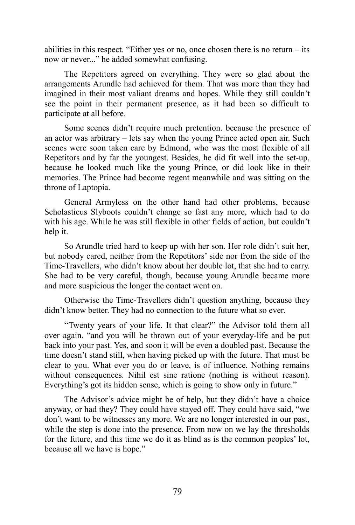abilities in this respect. "Either yes or no, once chosen there is no return – its now or never..." he added somewhat confusing.

The Repetitors agreed on everything. They were so glad about the arrangements Arundle had achieved for them. That was more than they had imagined in their most valiant dreams and hopes. While they still couldn't see the point in their permanent presence, as it had been so difficult to participate at all before.

Some scenes didn't require much pretention. because the presence of an actor was arbitrary – lets say when the young Prince acted open air. Such scenes were soon taken care by Edmond, who was the most flexible of all Repetitors and by far the youngest. Besides, he did fit well into the set-up, because he looked much like the young Prince, or did look like in their memories. The Prince had become regent meanwhile and was sitting on the throne of Laptopia.

General Armyless on the other hand had other problems, because Scholasticus Slyboots couldn't change so fast any more, which had to do with his age. While he was still flexible in other fields of action, but couldn't help it.

So Arundle tried hard to keep up with her son. Her role didn't suit her, but nobody cared, neither from the Repetitors' side nor from the side of the Time-Travellers, who didn't know about her double lot, that she had to carry. She had to be very careful, though, because young Arundle became more and more suspicious the longer the contact went on.

Otherwise the Time-Travellers didn't question anything, because they didn't know better. They had no connection to the future what so ever.

"Twenty years of your life. It that clear?" the Advisor told them all over again. "and you will be thrown out of your everyday-life and be put back into your past. Yes, and soon it will be even a doubled past. Because the time doesn't stand still, when having picked up with the future. That must be clear to you. What ever you do or leave, is of influence. Nothing remains without consequences. Nihil est sine ratione (nothing is without reason). Everything's got its hidden sense, which is going to show only in future."

The Advisor's advice might be of help, but they didn't have a choice anyway, or had they? They could have stayed off. They could have said, "we don't want to be witnesses any more. We are no longer interested in our past, while the step is done into the presence. From now on we lay the thresholds for the future, and this time we do it as blind as is the common peoples' lot, because all we have is hope."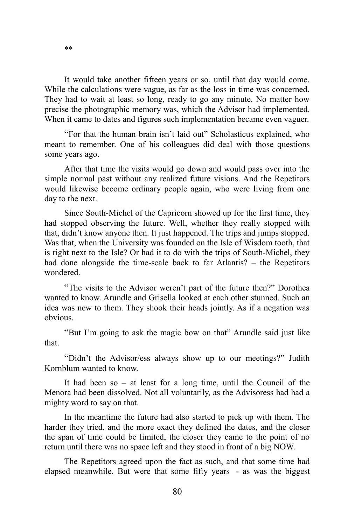It would take another fifteen years or so, until that day would come. While the calculations were vague, as far as the loss in time was concerned. They had to wait at least so long, ready to go any minute. No matter how precise the photographic memory was, which the Advisor had implemented. When it came to dates and figures such implementation became even vaguer.

"For that the human brain isn't laid out" Scholasticus explained, who meant to remember. One of his colleagues did deal with those questions some years ago.

After that time the visits would go down and would pass over into the simple normal past without any realized future visions. And the Repetitors would likewise become ordinary people again, who were living from one day to the next.

Since South-Michel of the Capricorn showed up for the first time, they had stopped observing the future. Well, whether they really stopped with that, didn't know anyone then. It just happened. The trips and jumps stopped. Was that, when the University was founded on the Isle of Wisdom tooth, that is right next to the Isle? Or had it to do with the trips of South-Michel, they had done alongside the time-scale back to far Atlantis? – the Repetitors wondered.

"The visits to the Advisor weren't part of the future then?" Dorothea wanted to know. Arundle and Grisella looked at each other stunned. Such an idea was new to them. They shook their heads jointly. As if a negation was obvious.

"But I'm going to ask the magic bow on that" Arundle said just like that.

"Didn't the Advisor/ess always show up to our meetings?" Judith Kornblum wanted to know.

It had been so – at least for a long time, until the Council of the Menora had been dissolved. Not all voluntarily, as the Advisoress had had a mighty word to say on that.

In the meantime the future had also started to pick up with them. The harder they tried, and the more exact they defined the dates, and the closer the span of time could be limited, the closer they came to the point of no return until there was no space left and they stood in front of a big NOW.

The Repetitors agreed upon the fact as such, and that some time had elapsed meanwhile. But were that some fifty years - as was the biggest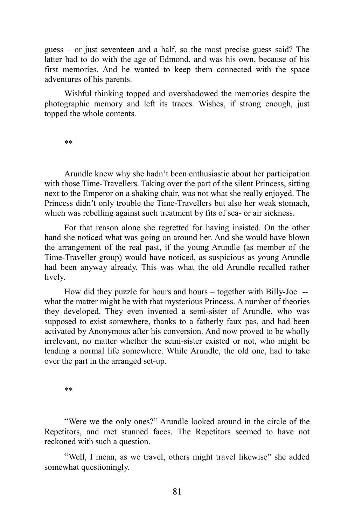guess – or just seventeen and a half, so the most precise guess said? The latter had to do with the age of Edmond, and was his own, because of his first memories. And he wanted to keep them connected with the space adventures of his parents.

Wishful thinking topped and overshadowed the memories despite the photographic memory and left its traces. Wishes, if strong enough, just topped the whole contents.

\*\*

Arundle knew why she hadn't been enthusiastic about her participation with those Time-Travellers. Taking over the part of the silent Princess, sitting next to the Emperor on a shaking chair, was not what she really enjoyed. The Princess didn't only trouble the Time-Travellers but also her weak stomach, which was rebelling against such treatment by fits of sea- or air sickness.

For that reason alone she regretted for having insisted. On the other hand she noticed what was going on around her. And she would have blown the arrangement of the real past, if the young Arundle (as member of the Time-Traveller group) would have noticed, as suspicious as young Arundle had been anyway already. This was what the old Arundle recalled rather lively.

How did they puzzle for hours and hours – together with Billy-Joe - what the matter might be with that mysterious Princess. A number of theories they developed. They even invented a semi-sister of Arundle, who was supposed to exist somewhere, thanks to a fatherly faux pas, and had been activated by Anonymous after his conversion. And now proved to be wholly irrelevant, no matter whether the semi-sister existed or not, who might be leading a normal life somewhere. While Arundle, the old one, had to take over the part in the arranged set-up.

\*\*

"Were we the only ones?" Arundle looked around in the circle of the Repetitors, and met stunned faces. The Repetitors seemed to have not reckoned with such a question.

"Well, I mean, as we travel, others might travel likewise" she added somewhat questioningly.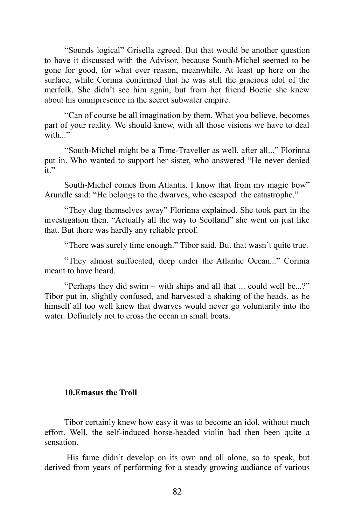"Sounds logical" Grisella agreed. But that would be another question to have it discussed with the Advisor, because South-Michel seemed to be gone for good, for what ever reason, meanwhile. At least up here on the surface, while Corinia confirmed that he was still the gracious idol of the merfolk. She didn't see him again, but from her friend Boetie she knew about his omnipresence in the secret subwater empire.

"Can of course be all imagination by them. What you believe, becomes part of your reality. We should know, with all those visions we have to deal with."

"South-Michel might be a Time-Traveller as well, after all..." Florinna put in. Who wanted to support her sister, who answered "He never denied it."

South-Michel comes from Atlantis. I know that from my magic bow" Arundle said: "He belongs to the dwarves, who escaped the catastrophe."

"They dug themselves away" Florinna explained. She took part in the investigation then. "Actually all the way to Scotland" she went on just like that. But there was hardly any reliable proof.

"There was surely time enough." Tibor said. But that wasn't quite true.

"They almost suffocated, deep under the Atlantic Ocean..." Corinia meant to have heard.

"Perhaps they did swim – with ships and all that ... could well be...?" Tibor put in, slightly confused, and harvested a shaking of the heads, as he himself all too well knew that dwarves would never go voluntarily into the water. Definitely not to cross the ocean in small boats.

## **10.Emasus the Troll**

Tibor certainly knew how easy it was to become an idol, without much effort. Well, the self-induced horse-headed violin had then been quite a sensation.

His fame didn't develop on its own and all alone, so to speak, but derived from years of performing for a steady growing audiance of various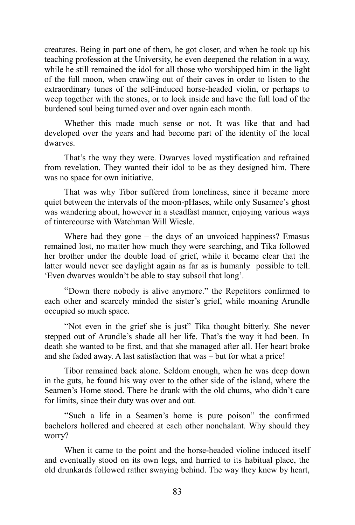creatures. Being in part one of them, he got closer, and when he took up his teaching profession at the University, he even deepened the relation in a way, while he still remained the idol for all those who worshipped him in the light of the full moon, when crawling out of their caves in order to listen to the extraordinary tunes of the self-induced horse-headed violin, or perhaps to weep together with the stones, or to look inside and have the full load of the burdened soul being turned over and over again each month.

Whether this made much sense or not. It was like that and had developed over the years and had become part of the identity of the local dwarves.

That's the way they were. Dwarves loved mystification and refrained from revelation. They wanted their idol to be as they designed him. There was no space for own initiative.

That was why Tibor suffered from loneliness, since it became more quiet between the intervals of the moon-pHases, while only Susamee's ghost was wandering about, however in a steadfast manner, enjoying various ways of tintercourse with Watchman Will Wiesle.

Where had they gone – the days of an unvoiced happiness? Emasus remained lost, no matter how much they were searching, and Tika followed her brother under the double load of grief, while it became clear that the latter would never see daylight again as far as is humanly possible to tell. 'Even dwarves wouldn't be able to stay subsoil that long'.

"Down there nobody is alive anymore." the Repetitors confirmed to each other and scarcely minded the sister's grief, while moaning Arundle occupied so much space.

"Not even in the grief she is just" Tika thought bitterly. She never stepped out of Arundle's shade all her life. That's the way it had been. In death she wanted to be first, and that she managed after all. Her heart broke and she faded away. A last satisfaction that was – but for what a price!

Tibor remained back alone. Seldom enough, when he was deep down in the guts, he found his way over to the other side of the island, where the Seamen's Home stood. There he drank with the old chums, who didn't care for limits, since their duty was over and out.

"Such a life in a Seamen's home is pure poison" the confirmed bachelors hollered and cheered at each other nonchalant. Why should they worry?

When it came to the point and the horse-headed violine induced itself and eventually stood on its own legs, and hurried to its habitual place, the old drunkards followed rather swaying behind. The way they knew by heart,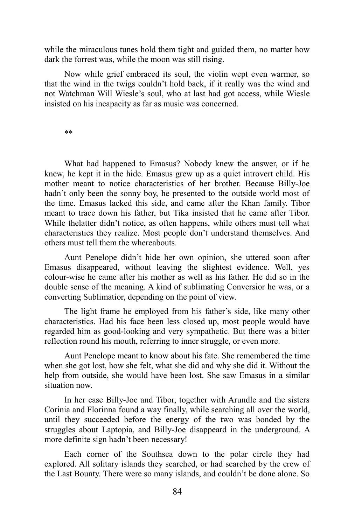while the miraculous tunes hold them tight and guided them, no matter how dark the forrest was, while the moon was still rising.

Now while grief embraced its soul, the violin wept even warmer, so that the wind in the twigs couldn't hold back, if it really was the wind and not Watchman Will Wiesle's soul, who at last had got access, while Wiesle insisted on his incapacity as far as music was concerned.

\*\*

What had happened to Emasus? Nobody knew the answer, or if he knew, he kept it in the hide. Emasus grew up as a quiet introvert child. His mother meant to notice characteristics of her brother. Because Billy-Joe hadn't only been the sonny boy, he presented to the outside world most of the time. Emasus lacked this side, and came after the Khan family. Tibor meant to trace down his father, but Tika insisted that he came after Tibor. While thelatter didn't notice, as often happens, while others must tell what characteristics they realize. Most people don't understand themselves. And others must tell them the whereabouts.

Aunt Penelope didn't hide her own opinion, she uttered soon after Emasus disappeared, without leaving the slightest evidence. Well, yes colour-wise he came after his mother as well as his father. He did so in the double sense of the meaning. A kind of sublimating Conversior he was, or a converting Sublimatior, depending on the point of view.

The light frame he employed from his father's side, like many other characteristics. Had his face been less closed up, most people would have regarded him as good-looking and very sympathetic. But there was a bitter reflection round his mouth, referring to inner struggle, or even more.

Aunt Penelope meant to know about his fate. She remembered the time when she got lost, how she felt, what she did and why she did it. Without the help from outside, she would have been lost. She saw Emasus in a similar situation now.

In her case Billy-Joe and Tibor, together with Arundle and the sisters Corinia and Florinna found a way finally, while searching all over the world, until they succeeded before the energy of the two was bonded by the struggles about Laptopia, and Billy-Joe disappeard in the underground. A more definite sign hadn't been necessary!

Each corner of the Southsea down to the polar circle they had explored. All solitary islands they searched, or had searched by the crew of the Last Bounty. There were so many islands, and couldn't be done alone. So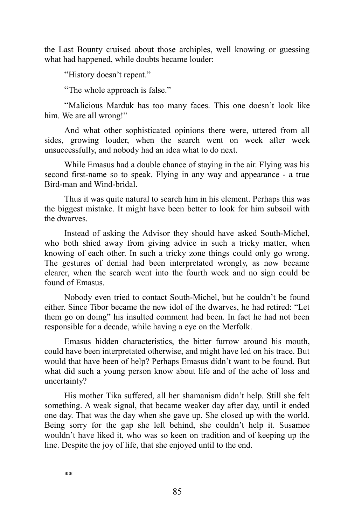the Last Bounty cruised about those archiples, well knowing or guessing what had happened, while doubts became louder:

"History doesn't repeat."

"The whole approach is false."

"Malicious Marduk has too many faces. This one doesn't look like him. We are all wrong!"

And what other sophisticated opinions there were, uttered from all sides, growing louder, when the search went on week after week unsuccessfully, and nobody had an idea what to do next.

While Emasus had a double chance of staying in the air. Flying was his second first-name so to speak. Flying in any way and appearance - a true Bird-man and Wind-bridal.

Thus it was quite natural to search him in his element. Perhaps this was the biggest mistake. It might have been better to look for him subsoil with the dwarves.

Instead of asking the Advisor they should have asked South-Michel, who both shied away from giving advice in such a tricky matter, when knowing of each other. In such a tricky zone things could only go wrong. The gestures of denial had been interpretated wrongly, as now became clearer, when the search went into the fourth week and no sign could be found of Emasus.

Nobody even tried to contact South-Michel, but he couldn't be found either. Since Tibor became the new idol of the dwarves, he had retired: "Let them go on doing" his insulted comment had been. In fact he had not been responsible for a decade, while having a eye on the Merfolk.

Emasus hidden characteristics, the bitter furrow around his mouth, could have been interpretated otherwise, and might have led on his trace. But would that have been of help? Perhaps Emasus didn't want to be found. But what did such a young person know about life and of the ache of loss and uncertainty?

His mother Tika suffered, all her shamanism didn't help. Still she felt something. A weak signal, that became weaker day after day, until it ended one day. That was the day when she gave up. She closed up with the world. Being sorry for the gap she left behind, she couldn't help it. Susamee wouldn't have liked it, who was so keen on tradition and of keeping up the line. Despite the joy of life, that she enjoyed until to the end.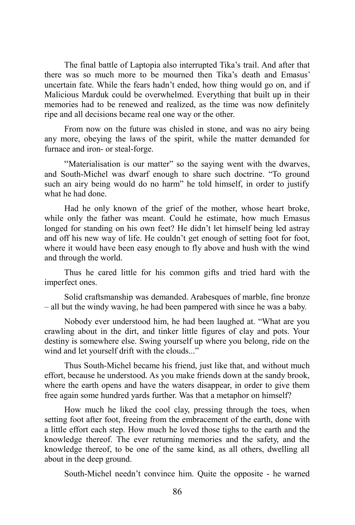The final battle of Laptopia also interrupted Tika's trail. And after that there was so much more to be mourned then Tika's death and Emasus' uncertain fate. While the fears hadn't ended, how thing would go on, and if Malicious Marduk could be overwhelmed. Everything that built up in their memories had to be renewed and realized, as the time was now definitely ripe and all decisions became real one way or the other.

From now on the future was chisled in stone, and was no airy being any more, obeying the laws of the spirit, while the matter demanded for furnace and iron- or steal-forge.

"Materialisation is our matter" so the saying went with the dwarves, and South-Michel was dwarf enough to share such doctrine. "To ground such an airy being would do no harm" he told himself, in order to justify what he had done.

Had he only known of the grief of the mother, whose heart broke, while only the father was meant. Could he estimate, how much Emasus longed for standing on his own feet? He didn't let himself being led astray and off his new way of life. He couldn't get enough of setting foot for foot, where it would have been easy enough to fly above and hush with the wind and through the world.

Thus he cared little for his common gifts and tried hard with the imperfect ones.

Solid craftsmanship was demanded. Arabesques of marble, fine bronze – all but the windy waving, he had been pampered with since he was a baby.

Nobody ever understood him, he had been laughed at. "What are you crawling about in the dirt, and tinker little figures of clay and pots. Your destiny is somewhere else. Swing yourself up where you belong, ride on the wind and let yourself drift with the clouds..."

Thus South-Michel became his friend, just like that, and without much effort, because he understood. As you make friends down at the sandy brook, where the earth opens and have the waters disappear, in order to give them free again some hundred yards further. Was that a metaphor on himself?

How much he liked the cool clay, pressing through the toes, when setting foot after foot, freeing from the embracement of the earth, done with a little effort each step. How much he loved those tighs to the earth and the knowledge thereof. The ever returning memories and the safety, and the knowledge thereof, to be one of the same kind, as all others, dwelling all about in the deep ground.

South-Michel needn't convince him. Quite the opposite - he warned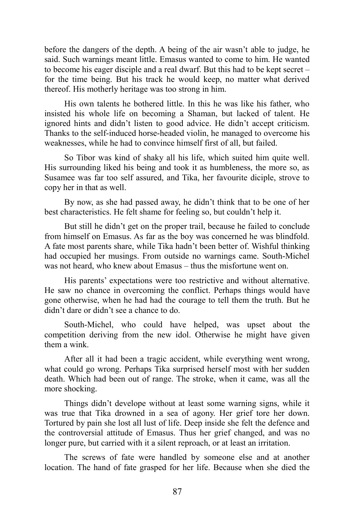before the dangers of the depth. A being of the air wasn't able to judge, he said. Such warnings meant little. Emasus wanted to come to him. He wanted to become his eager disciple and a real dwarf. But this had to be kept secret – for the time being. But his track he would keep, no matter what derived thereof. His motherly heritage was too strong in him.

His own talents he bothered little. In this he was like his father, who insisted his whole life on becoming a Shaman, but lacked of talent. He ignored hints and didn't listen to good advice. He didn't accept criticism. Thanks to the self-induced horse-headed violin, he managed to overcome his weaknesses, while he had to convince himself first of all, but failed.

So Tibor was kind of shaky all his life, which suited him quite well. His surrounding liked his being and took it as humbleness, the more so, as Susamee was far too self assured, and Tika, her favourite diciple, strove to copy her in that as well.

By now, as she had passed away, he didn't think that to be one of her best characteristics. He felt shame for feeling so, but couldn't help it.

But still he didn't get on the proper trail, because he failed to conclude from himself on Emasus. As far as the boy was concerned he was blindfold. A fate most parents share, while Tika hadn't been better of. Wishful thinking had occupied her musings. From outside no warnings came. South-Michel was not heard, who knew about Emasus – thus the misfortune went on.

His parents' expectations were too restrictive and without alternative. He saw no chance in overcoming the conflict. Perhaps things would have gone otherwise, when he had had the courage to tell them the truth. But he didn't dare or didn't see a chance to do.

South-Michel, who could have helped, was upset about the competition deriving from the new idol. Otherwise he might have given them a wink.

After all it had been a tragic accident, while everything went wrong, what could go wrong. Perhaps Tika surprised herself most with her sudden death. Which had been out of range. The stroke, when it came, was all the more shocking.

Things didn't develope without at least some warning signs, while it was true that Tika drowned in a sea of agony. Her grief tore her down. Tortured by pain she lost all lust of life. Deep inside she felt the defence and the controversial attitude of Emasus. Thus her grief changed, and was no longer pure, but carried with it a silent reproach, or at least an irritation.

The screws of fate were handled by someone else and at another location. The hand of fate grasped for her life. Because when she died the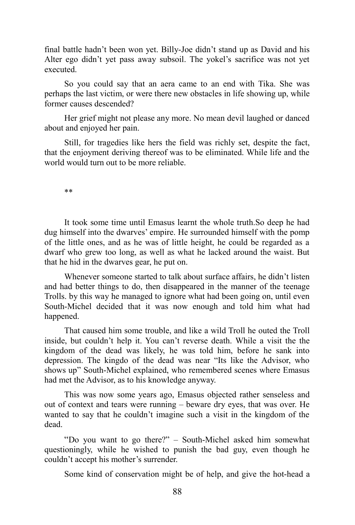final battle hadn't been won yet. Billy-Joe didn't stand up as David and his Alter ego didn't yet pass away subsoil. The yokel's sacrifice was not yet executed.

So you could say that an aera came to an end with Tika. She was perhaps the last victim, or were there new obstacles in life showing up, while former causes descended?

Her grief might not please any more. No mean devil laughed or danced about and enjoyed her pain.

Still, for tragedies like hers the field was richly set, despite the fact, that the enjoyment deriving thereof was to be eliminated. While life and the world would turn out to be more reliable.

\*\*

It took some time until Emasus learnt the whole truth.So deep he had dug himself into the dwarves' empire. He surrounded himself with the pomp of the little ones, and as he was of little height, he could be regarded as a dwarf who grew too long, as well as what he lacked around the waist. But that he hid in the dwarves gear, he put on.

Whenever someone started to talk about surface affairs, he didn't listen and had better things to do, then disappeared in the manner of the teenage Trolls. by this way he managed to ignore what had been going on, until even South-Michel decided that it was now enough and told him what had happened.

That caused him some trouble, and like a wild Troll he outed the Troll inside, but couldn't help it. You can't reverse death. While a visit the the kingdom of the dead was likely, he was told him, before he sank into depression. The kingdo of the dead was near "Its like the Advisor, who shows up" South-Michel explained, who remembered scenes where Emasus had met the Advisor, as to his knowledge anyway.

This was now some years ago, Emasus objected rather senseless and out of context and tears were running – beware dry eyes, that was over. He wanted to say that he couldn't imagine such a visit in the kingdom of the dead.

"Do you want to go there?" – South-Michel asked him somewhat questioningly, while he wished to punish the bad guy, even though he couldn't accept his mother's surrender.

Some kind of conservation might be of help, and give the hot-head a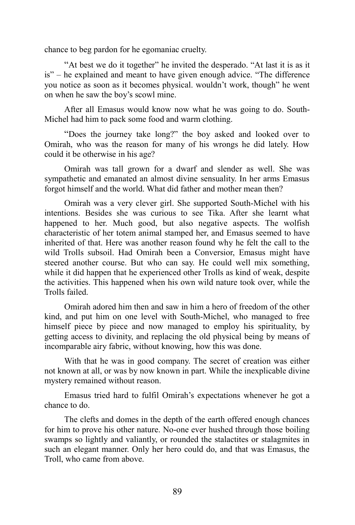chance to beg pardon for he egomaniac cruelty.

"At best we do it together" he invited the desperado. "At last it is as it is" – he explained and meant to have given enough advice. "The difference you notice as soon as it becomes physical. wouldn't work, though" he went on when he saw the boy's scowl mine.

After all Emasus would know now what he was going to do. South-Michel had him to pack some food and warm clothing.

"Does the journey take long?" the boy asked and looked over to Omirah, who was the reason for many of his wrongs he did lately. How could it be otherwise in his age?

Omirah was tall grown for a dwarf and slender as well. She was sympathetic and emanated an almost divine sensuality. In her arms Emasus forgot himself and the world. What did father and mother mean then?

Omirah was a very clever girl. She supported South-Michel with his intentions. Besides she was curious to see Tika. After she learnt what happened to her. Much good, but also negative aspects. The wolfish characteristic of her totem animal stamped her, and Emasus seemed to have inherited of that. Here was another reason found why he felt the call to the wild Trolls subsoil. Had Omirah been a Conversior, Emasus might have steered another course. But who can say. He could well mix something, while it did happen that he experienced other Trolls as kind of weak, despite the activities. This happened when his own wild nature took over, while the Trolls failed.

Omirah adored him then and saw in him a hero of freedom of the other kind, and put him on one level with South-Michel, who managed to free himself piece by piece and now managed to employ his spirituality, by getting access to divinity, and replacing the old physical being by means of incomparable airy fabric, without knowing, how this was done.

With that he was in good company. The secret of creation was either not known at all, or was by now known in part. While the inexplicable divine mystery remained without reason.

Emasus tried hard to fulfil Omirah's expectations whenever he got a chance to do.

The clefts and domes in the depth of the earth offered enough chances for him to prove his other nature. No-one ever hushed through those boiling swamps so lightly and valiantly, or rounded the stalactites or stalagmites in such an elegant manner. Only her hero could do, and that was Emasus, the Troll, who came from above.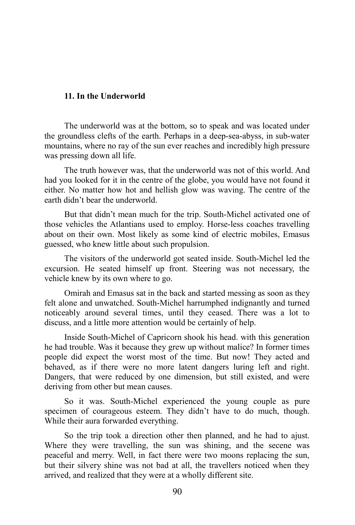## **11. In the Underworld**

The underworld was at the bottom, so to speak and was located under the groundless clefts of the earth. Perhaps in a deep-sea-abyss, in sub-water mountains, where no ray of the sun ever reaches and incredibly high pressure was pressing down all life.

The truth however was, that the underworld was not of this world. And had you looked for it in the centre of the globe, you would have not found it either. No matter how hot and hellish glow was waving. The centre of the earth didn't bear the underworld.

But that didn't mean much for the trip. South-Michel activated one of those vehicles the Atlantians used to employ. Horse-less coaches travelling about on their own. Most likely as some kind of electric mobiles, Emasus guessed, who knew little about such propulsion.

The visitors of the underworld got seated inside. South-Michel led the excursion. He seated himself up front. Steering was not necessary, the vehicle knew by its own where to go.

Omirah and Emasus sat in the back and started messing as soon as they felt alone and unwatched. South-Michel harrumphed indignantly and turned noticeably around several times, until they ceased. There was a lot to discuss, and a little more attention would be certainly of help.

Inside South-Michel of Capricorn shook his head. with this generation he had trouble. Was it because they grew up without malice? In former times people did expect the worst most of the time. But now! They acted and behaved, as if there were no more latent dangers luring left and right. Dangers, that were reduced by one dimension, but still existed, and were deriving from other but mean causes.

So it was. South-Michel experienced the young couple as pure specimen of courageous esteem. They didn't have to do much, though. While their aura forwarded everything.

So the trip took a direction other then planned, and he had to ajust. Where they were travelling, the sun was shining, and the secene was peaceful and merry. Well, in fact there were two moons replacing the sun, but their silvery shine was not bad at all, the travellers noticed when they arrived, and realized that they were at a wholly different site.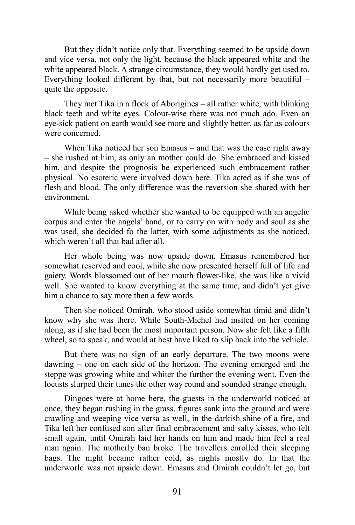But they didn't notice only that. Everything seemed to be upside down and vice versa, not only the light, because the black appeared white and the white appeared black. A strange circumstance, they would hardly get used to. Everything looked different by that, but not necessarily more beautiful – quite the opposite.

They met Tika in a flock of Aborigines – all rather white, with blinking black teeth and white eyes. Colour-wise there was not much ado. Even an eye-sick patient on earth would see more and slightly better, as far as colours were concerned.

When Tika noticed her son Emasus – and that was the case right away – she rushed at him, as only an mother could do. She embraced and kissed him, and despite the prognosis he experienced such embracement rather physical. No esoteric were involved down here. Tika acted as if she was of flesh and blood. The only difference was the reversion she shared with her environment.

While being asked whether she wanted to be equipped with an angelic corpus and enter the angels' band, or to carry on with body and soul as she was used, she decided fo the latter, with some adjustments as she noticed, which weren't all that bad after all.

Her whole being was now upside down. Emasus remembered her somewhat reserved and cool, while she now presented herself full of life and gaiety. Words blossomed out of her mouth flower-like, she was like a vivid well. She wanted to know everything at the same time, and didn't yet give him a chance to say more then a few words.

Then she noticed Omirah, who stood aside somewhat timid and didn't know why she was there. While South-Michel had insited on her coming along, as if she had been the most important person. Now she felt like a fifth wheel, so to speak, and would at best have liked to slip back into the vehicle.

But there was no sign of an early departure. The two moons were dawning – one on each side of the horizon. The evening emerged and the steppe was growing white and whiter the further the evening went. Even the locusts slurped their tunes the other way round and sounded strange enough.

Dingoes were at home here, the guests in the underworld noticed at once, they began rushing in the grass, figures sank into the ground and were crawling and weeping vice versa as well, in the darkish shine of a fire, and Tika left her confused son after final embracement and salty kisses, who felt small again, until Omirah laid her hands on him and made him feel a real man again. The motherly ban broke. The travellers enrolled their sleeping bags. The night became rather cold, as nights mostly do. In that the underworld was not upside down. Emasus and Omirah couldn't let go, but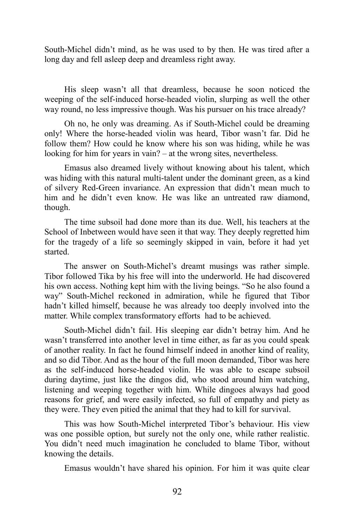South-Michel didn't mind, as he was used to by then. He was tired after a long day and fell asleep deep and dreamless right away.

His sleep wasn't all that dreamless, because he soon noticed the weeping of the self-induced horse-headed violin, slurping as well the other way round, no less impressive though. Was his pursuer on his trace already?

Oh no, he only was dreaming. As if South-Michel could be dreaming only! Where the horse-headed violin was heard, Tibor wasn't far. Did he follow them? How could he know where his son was hiding, while he was looking for him for years in vain? – at the wrong sites, nevertheless.

Emasus also dreamed lively without knowing about his talent, which was hiding with this natural multi-talent under the dominant green, as a kind of silvery Red-Green invariance. An expression that didn't mean much to him and he didn't even know. He was like an untreated raw diamond, though.

The time subsoil had done more than its due. Well, his teachers at the School of Inbetween would have seen it that way. They deeply regretted him for the tragedy of a life so seemingly skipped in vain, before it had yet started.

The answer on South-Michel's dreamt musings was rather simple. Tibor followed Tika by his free will into the underworld. He had discovered his own access. Nothing kept him with the living beings. "So he also found a way" South-Michel reckoned in admiration, while he figured that Tibor hadn't killed himself, because he was already too deeply involved into the matter. While complex transformatory efforts had to be achieved.

South-Michel didn't fail. His sleeping ear didn't betray him. And he wasn't transferred into another level in time either, as far as you could speak of another reality. In fact he found himself indeed in another kind of reality, and so did Tibor. And as the hour of the full moon demanded, Tibor was here as the self-induced horse-headed violin. He was able to escape subsoil during daytime, just like the dingos did, who stood around him watching, listening and weeping together with him. While dingoes always had good reasons for grief, and were easily infected, so full of empathy and piety as they were. They even pitied the animal that they had to kill for survival.

This was how South-Michel interpreted Tibor's behaviour. His view was one possible option, but surely not the only one, while rather realistic. You didn't need much imagination he concluded to blame Tibor, without knowing the details.

Emasus wouldn't have shared his opinion. For him it was quite clear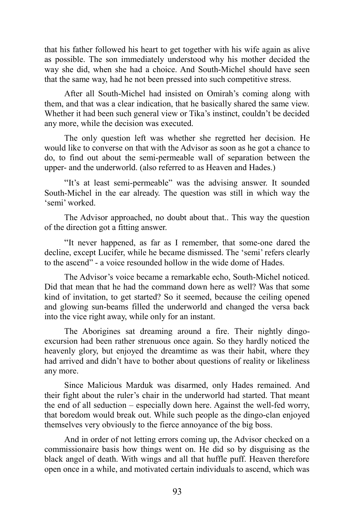that his father followed his heart to get together with his wife again as alive as possible. The son immediately understood why his mother decided the way she did, when she had a choice. And South-Michel should have seen that the same way, had he not been pressed into such competitive stress.

After all South-Michel had insisted on Omirah's coming along with them, and that was a clear indication, that he basically shared the same view. Whether it had been such general view or Tika's instinct, couldn't be decided any more, while the decision was executed.

The only question left was whether she regretted her decision. He would like to converse on that with the Advisor as soon as he got a chance to do, to find out about the semi-permeable wall of separation between the upper- and the underworld. (also referred to as Heaven and Hades.)

"It's at least semi-permeable" was the advising answer. It sounded South-Michel in the ear already. The question was still in which way the 'semi' worked.

The Advisor approached, no doubt about that.. This way the question of the direction got a fitting answer.

"It never happened, as far as I remember, that some-one dared the decline, except Lucifer, while he became dismissed. The 'semi' refers clearly to the ascend" - a voice resounded hollow in the wide dome of Hades.

The Advisor's voice became a remarkable echo, South-Michel noticed. Did that mean that he had the command down here as well? Was that some kind of invitation, to get started? So it seemed, because the ceiling opened and glowing sun-beams filled the underworld and changed the versa back into the vice right away, while only for an instant.

The Aborigines sat dreaming around a fire. Their nightly dingoexcursion had been rather strenuous once again. So they hardly noticed the heavenly glory, but enjoyed the dreamtime as was their habit, where they had arrived and didn't have to bother about questions of reality or likeliness any more.

Since Malicious Marduk was disarmed, only Hades remained. And their fight about the ruler's chair in the underworld had started. That meant the end of all seduction – especially down here. Against the well-fed worry, that boredom would break out. While such people as the dingo-clan enjoyed themselves very obviously to the fierce annoyance of the big boss.

And in order of not letting errors coming up, the Advisor checked on a commissionaire basis how things went on. He did so by disguising as the black angel of death. With wings and all that huffle puff. Heaven therefore open once in a while, and motivated certain individuals to ascend, which was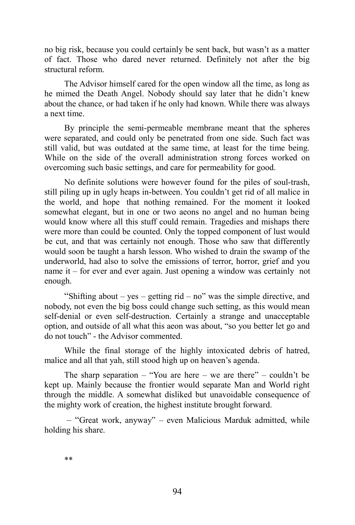no big risk, because you could certainly be sent back, but wasn't as a matter of fact. Those who dared never returned. Definitely not after the big structural reform.

The Advisor himself cared for the open window all the time, as long as he mimed the Death Angel. Nobody should say later that he didn't knew about the chance, or had taken if he only had known. While there was always a next time.

By principle the semi-permeable membrane meant that the spheres were separated, and could only be penetrated from one side. Such fact was still valid, but was outdated at the same time, at least for the time being. While on the side of the overall administration strong forces worked on overcoming such basic settings, and care for permeability for good.

No definite solutions were however found for the piles of soul-trash, still piling up in ugly heaps in-between. You couldn't get rid of all malice in the world, and hope that nothing remained. For the moment it looked somewhat elegant, but in one or two aeons no angel and no human being would know where all this stuff could remain. Tragedies and mishaps there were more than could be counted. Only the topped component of lust would be cut, and that was certainly not enough. Those who saw that differently would soon be taught a harsh lesson. Who wished to drain the swamp of the underworld, had also to solve the emissions of terror, horror, grief and you name it – for ever and ever again. Just opening a window was certainly not enough.

"Shifting about – yes – getting rid – no" was the simple directive, and nobody, not even the big boss could change such setting, as this would mean self-denial or even self-destruction. Certainly a strange and unacceptable option, and outside of all what this aeon was about, "so you better let go and do not touch" - the Advisor commented.

While the final storage of the highly intoxicated debris of hatred, malice and all that yah, still stood high up on heaven's agenda.

The sharp separation – "You are here – we are there" – couldn't be kept up. Mainly because the frontier would separate Man and World right through the middle. A somewhat disliked but unavoidable consequence of the mighty work of creation, the highest institute brought forward.

– "Great work, anyway" – even Malicious Marduk admitted, while holding his share.

\*\*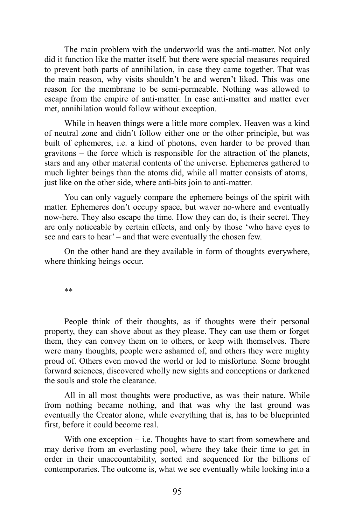The main problem with the underworld was the anti-matter. Not only did it function like the matter itself, but there were special measures required to prevent both parts of annihilation, in case they came together. That was the main reason, why visits shouldn't be and weren't liked. This was one reason for the membrane to be semi-permeable. Nothing was allowed to escape from the empire of anti-matter. In case anti-matter and matter ever met, annihilation would follow without exception.

While in heaven things were a little more complex. Heaven was a kind of neutral zone and didn't follow either one or the other principle, but was built of ephemeres, i.e. a kind of photons, even harder to be proved than gravitons – the force which is responsible for the attraction of the planets, stars and any other material contents of the universe. Ephemeres gathered to much lighter beings than the atoms did, while all matter consists of atoms, just like on the other side, where anti-bits join to anti-matter.

You can only vaguely compare the ephemere beings of the spirit with matter. Ephemeres don't occupy space, but waver no-where and eventually now-here. They also escape the time. How they can do, is their secret. They are only noticeable by certain effects, and only by those 'who have eyes to see and ears to hear' – and that were eventually the chosen few.

On the other hand are they available in form of thoughts everywhere, where thinking beings occur.

\*\*

People think of their thoughts, as if thoughts were their personal property, they can shove about as they please. They can use them or forget them, they can convey them on to others, or keep with themselves. There were many thoughts, people were ashamed of, and others they were mighty proud of. Others even moved the world or led to misfortune. Some brought forward sciences, discovered wholly new sights and conceptions or darkened the souls and stole the clearance.

All in all most thoughts were productive, as was their nature. While from nothing became nothing, and that was why the last ground was eventually the Creator alone, while everything that is, has to be blueprinted first, before it could become real.

With one exception – i.e. Thoughts have to start from somewhere and may derive from an everlasting pool, where they take their time to get in order in their unaccountability, sorted and sequenced for the billions of contemporaries. The outcome is, what we see eventually while looking into a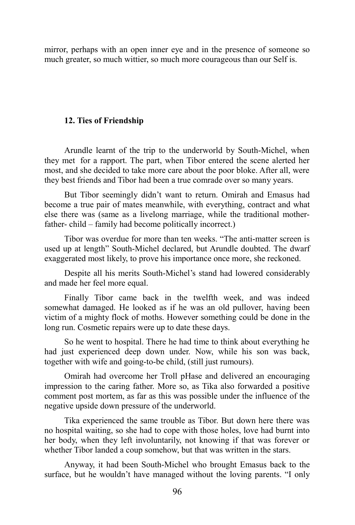mirror, perhaps with an open inner eye and in the presence of someone so much greater, so much wittier, so much more courageous than our Self is.

## **12. Ties of Friendship**

Arundle learnt of the trip to the underworld by South-Michel, when they met for a rapport. The part, when Tibor entered the scene alerted her most, and she decided to take more care about the poor bloke. After all, were they best friends and Tibor had been a true comrade over so many years.

But Tibor seemingly didn't want to return. Omirah and Emasus had become a true pair of mates meanwhile, with everything, contract and what else there was (same as a livelong marriage, while the traditional motherfather- child – family had become politically incorrect.)

Tibor was overdue for more than ten weeks. "The anti-matter screen is used up at length" South-Michel declared, but Arundle doubted. The dwarf exaggerated most likely, to prove his importance once more, she reckoned.

Despite all his merits South-Michel's stand had lowered considerably and made her feel more equal.

Finally Tibor came back in the twelfth week, and was indeed somewhat damaged. He looked as if he was an old pullover, having been victim of a mighty flock of moths. However something could be done in the long run. Cosmetic repairs were up to date these days.

So he went to hospital. There he had time to think about everything he had just experienced deep down under. Now, while his son was back, together with wife and going-to-be child, (still just rumours).

Omirah had overcome her Troll pHase and delivered an encouraging impression to the caring father. More so, as Tika also forwarded a positive comment post mortem, as far as this was possible under the influence of the negative upside down pressure of the underworld.

Tika experienced the same trouble as Tibor. But down here there was no hospital waiting, so she had to cope with those holes, love had burnt into her body, when they left involuntarily, not knowing if that was forever or whether Tibor landed a coup somehow, but that was written in the stars.

Anyway, it had been South-Michel who brought Emasus back to the surface, but he wouldn't have managed without the loving parents. "I only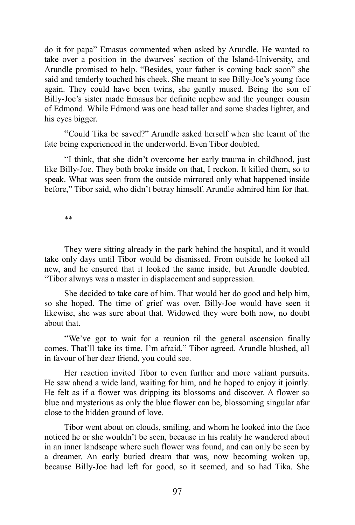do it for papa" Emasus commented when asked by Arundle. He wanted to take over a position in the dwarves' section of the Island-University, and Arundle promised to help. "Besides, your father is coming back soon" she said and tenderly touched his cheek. She meant to see Billy-Joe's young face again. They could have been twins, she gently mused. Being the son of Billy-Joe's sister made Emasus her definite nephew and the younger cousin of Edmond. While Edmond was one head taller and some shades lighter, and his eyes bigger.

"Could Tika be saved?" Arundle asked herself when she learnt of the fate being experienced in the underworld. Even Tibor doubted.

"I think, that she didn't overcome her early trauma in childhood, just like Billy-Joe. They both broke inside on that, I reckon. It killed them, so to speak. What was seen from the outside mirrored only what happened inside before," Tibor said, who didn't betray himself. Arundle admired him for that.

\*\*

They were sitting already in the park behind the hospital, and it would take only days until Tibor would be dismissed. From outside he looked all new, and he ensured that it looked the same inside, but Arundle doubted. "Tibor always was a master in displacement and suppression.

She decided to take care of him. That would her do good and help him, so she hoped. The time of grief was over. Billy-Joe would have seen it likewise, she was sure about that. Widowed they were both now, no doubt about that.

"We've got to wait for a reunion til the general ascension finally comes. That'll take its time, I'm afraid." Tibor agreed. Arundle blushed, all in favour of her dear friend, you could see.

Her reaction invited Tibor to even further and more valiant pursuits. He saw ahead a wide land, waiting for him, and he hoped to enjoy it jointly. He felt as if a flower was dripping its blossoms and discover. A flower so blue and mysterious as only the blue flower can be, blossoming singular afar close to the hidden ground of love.

Tibor went about on clouds, smiling, and whom he looked into the face noticed he or she wouldn't be seen, because in his reality he wandered about in an inner landscape where such flower was found, and can only be seen by a dreamer. An early buried dream that was, now becoming woken up, because Billy-Joe had left for good, so it seemed, and so had Tika. She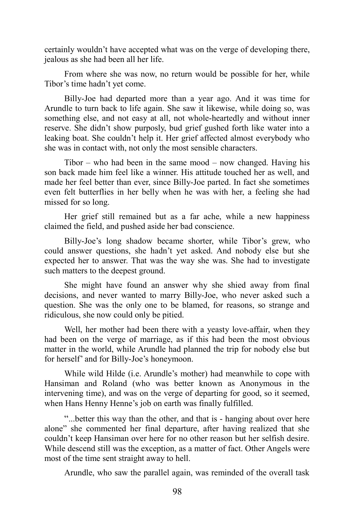certainly wouldn't have accepted what was on the verge of developing there, jealous as she had been all her life.

From where she was now, no return would be possible for her, while Tibor's time hadn't yet come.

Billy-Joe had departed more than a year ago. And it was time for Arundle to turn back to life again. She saw it likewise, while doing so, was something else, and not easy at all, not whole-heartedly and without inner reserve. She didn't show purposly, bud grief gushed forth like water into a leaking boat. She couldn't help it. Her grief affected almost everybody who she was in contact with, not only the most sensible characters.

Tibor – who had been in the same mood – now changed. Having his son back made him feel like a winner. His attitude touched her as well, and made her feel better than ever, since Billy-Joe parted. In fact she sometimes even felt butterflies in her belly when he was with her, a feeling she had missed for so long.

Her grief still remained but as a far ache, while a new happiness claimed the field, and pushed aside her bad conscience.

Billy-Joe's long shadow became shorter, while Tibor's grew, who could answer questions, she hadn't yet asked. And nobody else but she expected her to answer. That was the way she was. She had to investigate such matters to the deepest ground.

She might have found an answer why she shied away from final decisions, and never wanted to marry Billy-Joe, who never asked such a question. She was the only one to be blamed, for reasons, so strange and ridiculous, she now could only be pitied.

Well, her mother had been there with a yeasty love-affair, when they had been on the verge of marriage, as if this had been the most obvious matter in the world, while Arundle had planned the trip for nobody else but for herself' and for Billy-Joe's honeymoon.

While wild Hilde (i.e. Arundle's mother) had meanwhile to cope with Hansiman and Roland (who was better known as Anonymous in the intervening time), and was on the verge of departing for good, so it seemed, when Hans Henny Henne's job on earth was finally fulfilled.

"...better this way than the other, and that is - hanging about over here alone" she commented her final departure, after having realized that she couldn't keep Hansiman over here for no other reason but her selfish desire. While descend still was the exception, as a matter of fact. Other Angels were most of the time sent straight away to hell.

Arundle, who saw the parallel again, was reminded of the overall task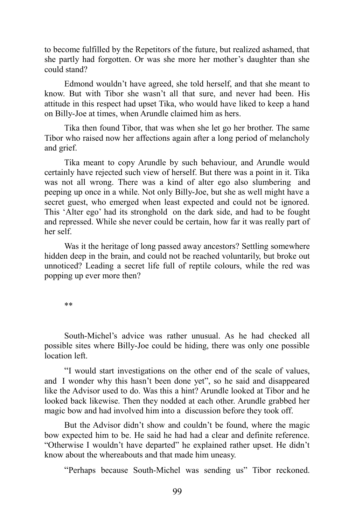to become fulfilled by the Repetitors of the future, but realized ashamed, that she partly had forgotten. Or was she more her mother's daughter than she could stand?

Edmond wouldn't have agreed, she told herself, and that she meant to know. But with Tibor she wasn't all that sure, and never had been. His attitude in this respect had upset Tika, who would have liked to keep a hand on Billy-Joe at times, when Arundle claimed him as hers.

Tika then found Tibor, that was when she let go her brother. The same Tibor who raised now her affections again after a long period of melancholy and grief.

Tika meant to copy Arundle by such behaviour, and Arundle would certainly have rejected such view of herself. But there was a point in it. Tika was not all wrong. There was a kind of alter ego also slumbering and peeping up once in a while. Not only Billy-Joe, but she as well might have a secret guest, who emerged when least expected and could not be ignored. This 'Alter ego' had its stronghold on the dark side, and had to be fought and repressed. While she never could be certain, how far it was really part of her self.

Was it the heritage of long passed away ancestors? Settling somewhere hidden deep in the brain, and could not be reached voluntarily, but broke out unnoticed? Leading a secret life full of reptile colours, while the red was popping up ever more then?

\*\*

South-Michel's advice was rather unusual. As he had checked all possible sites where Billy-Joe could be hiding, there was only one possible location left.

"I would start investigations on the other end of the scale of values, and I wonder why this hasn't been done yet", so he said and disappeared like the Advisor used to do. Was this a hint? Arundle looked at Tibor and he looked back likewise. Then they nodded at each other. Arundle grabbed her magic bow and had involved him into a discussion before they took off.

But the Advisor didn't show and couldn't be found, where the magic bow expected him to be. He said he had had a clear and definite reference. "Otherwise I wouldn't have departed" he explained rather upset. He didn't know about the whereabouts and that made him uneasy.

"Perhaps because South-Michel was sending us" Tibor reckoned.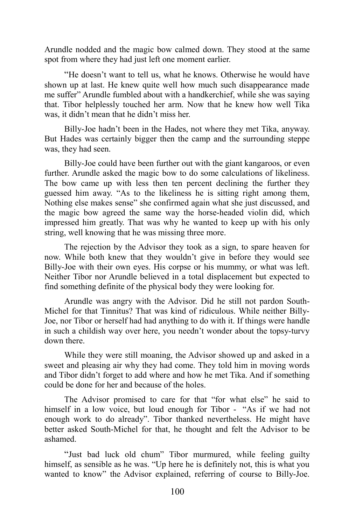Arundle nodded and the magic bow calmed down. They stood at the same spot from where they had just left one moment earlier.

"He doesn't want to tell us, what he knows. Otherwise he would have shown up at last. He knew quite well how much such disappearance made me suffer" Arundle fumbled about with a handkerchief, while she was saying that. Tibor helplessly touched her arm. Now that he knew how well Tika was, it didn't mean that he didn't miss her.

Billy-Joe hadn't been in the Hades, not where they met Tika, anyway. But Hades was certainly bigger then the camp and the surrounding steppe was, they had seen.

Billy-Joe could have been further out with the giant kangaroos, or even further. Arundle asked the magic bow to do some calculations of likeliness. The bow came up with less then ten percent declining the further they guessed him away. "As to the likeliness he is sitting right among them, Nothing else makes sense" she confirmed again what she just discussed, and the magic bow agreed the same way the horse-headed violin did, which impressed him greatly. That was why he wanted to keep up with his only string, well knowing that he was missing three more.

The rejection by the Advisor they took as a sign, to spare heaven for now. While both knew that they wouldn't give in before they would see Billy-Joe with their own eyes. His corpse or his mummy, or what was left. Neither Tibor nor Arundle believed in a total displacement but expected to find something definite of the physical body they were looking for.

Arundle was angry with the Advisor. Did he still not pardon South-Michel for that Tinnitus? That was kind of ridiculous. While neither Billy-Joe, nor Tibor or herself had had anything to do with it. If things were handle in such a childish way over here, you needn't wonder about the topsy-turvy down there.

While they were still moaning, the Advisor showed up and asked in a sweet and pleasing air why they had come. They told him in moving words and Tibor didn't forget to add where and how he met Tika. And if something could be done for her and because of the holes.

The Advisor promised to care for that "for what else" he said to himself in a low voice, but loud enough for Tibor - "As if we had not enough work to do already". Tibor thanked nevertheless. He might have better asked South-Michel for that, he thought and felt the Advisor to be ashamed.

"Just bad luck old chum" Tibor murmured, while feeling guilty himself, as sensible as he was. "Up here he is definitely not, this is what you wanted to know" the Advisor explained, referring of course to Billy-Joe.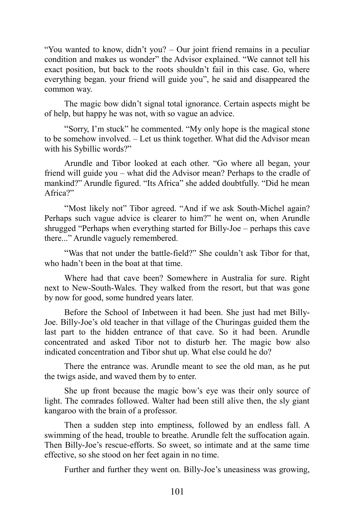"You wanted to know, didn't you? – Our joint friend remains in a peculiar condition and makes us wonder" the Advisor explained. "We cannot tell his exact position, but back to the roots shouldn't fail in this case. Go, where everything began. your friend will guide you", he said and disappeared the common way.

The magic bow didn't signal total ignorance. Certain aspects might be of help, but happy he was not, with so vague an advice.

"Sorry, I'm stuck" he commented. "My only hope is the magical stone to be somehow involved. – Let us think together. What did the Advisor mean with his Sybillic words?"

Arundle and Tibor looked at each other. "Go where all began, your friend will guide you – what did the Advisor mean? Perhaps to the cradle of mankind?" Arundle figured. "Its Africa" she added doubtfully. "Did he mean Africa?"

"Most likely not" Tibor agreed. "And if we ask South-Michel again? Perhaps such vague advice is clearer to him?" he went on, when Arundle shrugged "Perhaps when everything started for Billy-Joe – perhaps this cave there..." Arundle vaguely remembered.

"Was that not under the battle-field?" She couldn't ask Tibor for that, who hadn't been in the boat at that time.

Where had that cave been? Somewhere in Australia for sure. Right next to New-South-Wales. They walked from the resort, but that was gone by now for good, some hundred years later.

Before the School of Inbetween it had been. She just had met Billy-Joe. Billy-Joe's old teacher in that village of the Churingas guided them the last part to the hidden entrance of that cave. So it had been. Arundle concentrated and asked Tibor not to disturb her. The magic bow also indicated concentration and Tibor shut up. What else could he do?

There the entrance was. Arundle meant to see the old man, as he put the twigs aside, and waved them by to enter.

She up front because the magic bow's eye was their only source of light. The comrades followed. Walter had been still alive then, the sly giant kangaroo with the brain of a professor.

Then a sudden step into emptiness, followed by an endless fall. A swimming of the head, trouble to breathe. Arundle felt the suffocation again. Then Billy-Joe's rescue-efforts. So sweet, so intimate and at the same time effective, so she stood on her feet again in no time.

Further and further they went on. Billy-Joe's uneasiness was growing,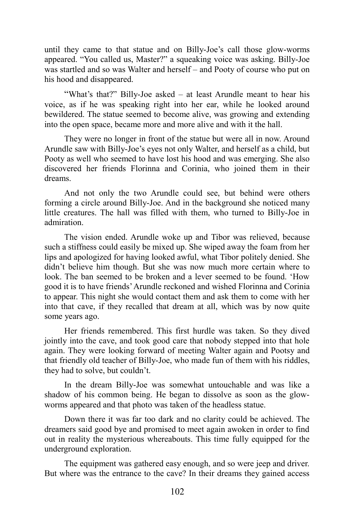until they came to that statue and on Billy-Joe's call those glow-worms appeared. "You called us, Master?" a squeaking voice was asking. Billy-Joe was startled and so was Walter and herself – and Pooty of course who put on his hood and disappeared.

"What's that?" Billy-Joe asked – at least Arundle meant to hear his voice, as if he was speaking right into her ear, while he looked around bewildered. The statue seemed to become alive, was growing and extending into the open space, became more and more alive and with it the hall.

They were no longer in front of the statue but were all in now. Around Arundle saw with Billy-Joe's eyes not only Walter, and herself as a child, but Pooty as well who seemed to have lost his hood and was emerging. She also discovered her friends Florinna and Corinia, who joined them in their dreams.

And not only the two Arundle could see, but behind were others forming a circle around Billy-Joe. And in the background she noticed many little creatures. The hall was filled with them, who turned to Billy-Joe in admiration.

The vision ended. Arundle woke up and Tibor was relieved, because such a stiffness could easily be mixed up. She wiped away the foam from her lips and apologized for having looked awful, what Tibor politely denied. She didn't believe him though. But she was now much more certain where to look. The ban seemed to be broken and a lever seemed to be found. 'How good it is to have friends' Arundle reckoned and wished Florinna and Corinia to appear. This night she would contact them and ask them to come with her into that cave, if they recalled that dream at all, which was by now quite some years ago.

Her friends remembered. This first hurdle was taken. So they dived jointly into the cave, and took good care that nobody stepped into that hole again. They were looking forward of meeting Walter again and Pootsy and that friendly old teacher of Billy-Joe, who made fun of them with his riddles, they had to solve, but couldn't.

In the dream Billy-Joe was somewhat untouchable and was like a shadow of his common being. He began to dissolve as soon as the glowworms appeared and that photo was taken of the headless statue.

Down there it was far too dark and no clarity could be achieved. The dreamers said good bye and promised to meet again awoken in order to find out in reality the mysterious whereabouts. This time fully equipped for the underground exploration.

The equipment was gathered easy enough, and so were jeep and driver. But where was the entrance to the cave? In their dreams they gained access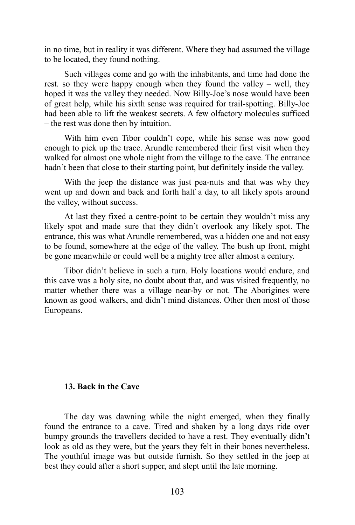in no time, but in reality it was different. Where they had assumed the village to be located, they found nothing.

Such villages come and go with the inhabitants, and time had done the rest. so they were happy enough when they found the valley – well, they hoped it was the valley they needed. Now Billy-Joe's nose would have been of great help, while his sixth sense was required for trail-spotting. Billy-Joe had been able to lift the weakest secrets. A few olfactory molecules sufficed – the rest was done then by intuition.

With him even Tibor couldn't cope, while his sense was now good enough to pick up the trace. Arundle remembered their first visit when they walked for almost one whole night from the village to the cave. The entrance hadn't been that close to their starting point, but definitely inside the valley.

With the jeep the distance was just pea-nuts and that was why they went up and down and back and forth half a day, to all likely spots around the valley, without success.

At last they fixed a centre-point to be certain they wouldn't miss any likely spot and made sure that they didn't overlook any likely spot. The entrance, this was what Arundle remembered, was a hidden one and not easy to be found, somewhere at the edge of the valley. The bush up front, might be gone meanwhile or could well be a mighty tree after almost a century.

Tibor didn't believe in such a turn. Holy locations would endure, and this cave was a holy site, no doubt about that, and was visited frequently, no matter whether there was a village near-by or not. The Aborigines were known as good walkers, and didn't mind distances. Other then most of those Europeans.

## **13. Back in the Cave**

The day was dawning while the night emerged, when they finally found the entrance to a cave. Tired and shaken by a long days ride over bumpy grounds the travellers decided to have a rest. They eventually didn't look as old as they were, but the years they felt in their bones nevertheless. The youthful image was but outside furnish. So they settled in the jeep at best they could after a short supper, and slept until the late morning.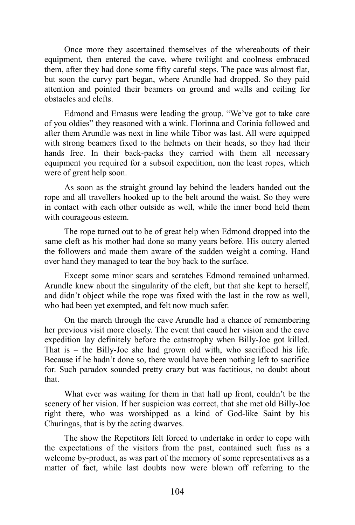Once more they ascertained themselves of the whereabouts of their equipment, then entered the cave, where twilight and coolness embraced them, after they had done some fifty careful steps. The pace was almost flat, but soon the curvy part began, where Arundle had dropped. So they paid attention and pointed their beamers on ground and walls and ceiling for obstacles and clefts.

Edmond and Emasus were leading the group. "We've got to take care of you oldies" they reasoned with a wink. Florinna and Corinia followed and after them Arundle was next in line while Tibor was last. All were equipped with strong beamers fixed to the helmets on their heads, so they had their hands free. In their back-packs they carried with them all necessary equipment you required for a subsoil expedition, non the least ropes, which were of great help soon.

As soon as the straight ground lay behind the leaders handed out the rope and all travellers hooked up to the belt around the waist. So they were in contact with each other outside as well, while the inner bond held them with courageous esteem.

The rope turned out to be of great help when Edmond dropped into the same cleft as his mother had done so many years before. His outcry alerted the followers and made them aware of the sudden weight a coming. Hand over hand they managed to tear the boy back to the surface.

Except some minor scars and scratches Edmond remained unharmed. Arundle knew about the singularity of the cleft, but that she kept to herself, and didn't object while the rope was fixed with the last in the row as well, who had been yet exempted, and felt now much safer.

On the march through the cave Arundle had a chance of remembering her previous visit more closely. The event that caued her vision and the cave expedition lay definitely before the catastrophy when Billy-Joe got killed. That is – the Billy-Joe she had grown old with, who sacrificed his life. Because if he hadn't done so, there would have been nothing left to sacrifice for. Such paradox sounded pretty crazy but was factitious, no doubt about that.

What ever was waiting for them in that hall up front, couldn't be the scenery of her vision. If her suspicion was correct, that she met old Billy-Joe right there, who was worshipped as a kind of God-like Saint by his Churingas, that is by the acting dwarves.

The show the Repetitors felt forced to undertake in order to cope with the expectations of the visitors from the past, contained such fuss as a welcome by-product, as was part of the memory of some representatives as a matter of fact, while last doubts now were blown off referring to the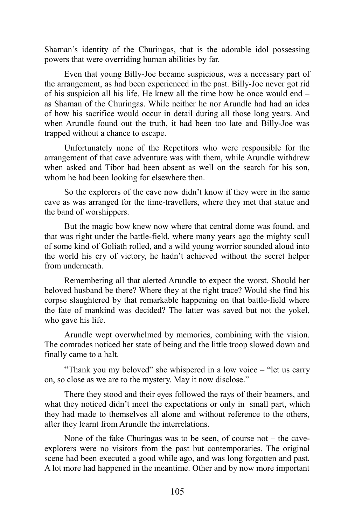Shaman's identity of the Churingas, that is the adorable idol possessing powers that were overriding human abilities by far.

Even that young Billy-Joe became suspicious, was a necessary part of the arrangement, as had been experienced in the past. Billy-Joe never got rid of his suspicion all his life. He knew all the time how he once would end – as Shaman of the Churingas. While neither he nor Arundle had had an idea of how his sacrifice would occur in detail during all those long years. And when Arundle found out the truth, it had been too late and Billy-Joe was trapped without a chance to escape.

Unfortunately none of the Repetitors who were responsible for the arrangement of that cave adventure was with them, while Arundle withdrew when asked and Tibor had been absent as well on the search for his son, whom he had been looking for elsewhere then.

So the explorers of the cave now didn't know if they were in the same cave as was arranged for the time-travellers, where they met that statue and the band of worshippers.

But the magic bow knew now where that central dome was found, and that was right under the battle-field, where many years ago the mighty scull of some kind of Goliath rolled, and a wild young worrior sounded aloud into the world his cry of victory, he hadn't achieved without the secret helper from underneath.

Remembering all that alerted Arundle to expect the worst. Should her beloved husband be there? Where they at the right trace? Would she find his corpse slaughtered by that remarkable happening on that battle-field where the fate of mankind was decided? The latter was saved but not the yokel, who gave his life.

Arundle wept overwhelmed by memories, combining with the vision. The comrades noticed her state of being and the little troop slowed down and finally came to a halt.

"Thank you my beloved" she whispered in a low voice – "let us carry on, so close as we are to the mystery. May it now disclose."

There they stood and their eyes followed the rays of their beamers, and what they noticed didn't meet the expectations or only in small part, which they had made to themselves all alone and without reference to the others, after they learnt from Arundle the interrelations.

None of the fake Churingas was to be seen, of course not – the caveexplorers were no visitors from the past but contemporaries. The original scene had been executed a good while ago, and was long forgotten and past. A lot more had happened in the meantime. Other and by now more important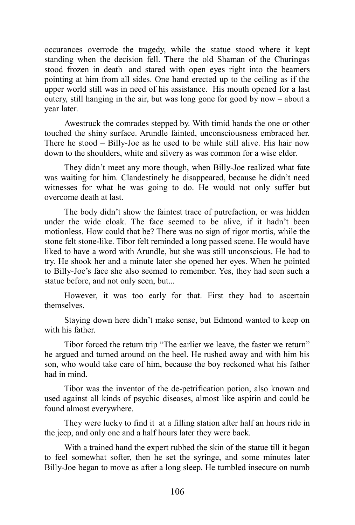occurances overrode the tragedy, while the statue stood where it kept standing when the decision fell. There the old Shaman of the Churingas stood frozen in death and stared with open eyes right into the beamers pointing at him from all sides. One hand erected up to the ceiling as if the upper world still was in need of his assistance. His mouth opened for a last outcry, still hanging in the air, but was long gone for good by now – about a year later.

Awestruck the comrades stepped by. With timid hands the one or other touched the shiny surface. Arundle fainted, unconsciousness embraced her. There he stood – Billy-Joe as he used to be while still alive. His hair now down to the shoulders, white and silvery as was common for a wise elder.

They didn't meet any more though, when Billy-Joe realized what fate was waiting for him. Clandestinely he disappeared, because he didn't need witnesses for what he was going to do. He would not only suffer but overcome death at last.

The body didn't show the faintest trace of putrefaction, or was hidden under the wide cloak. The face seemed to be alive, if it hadn't been motionless. How could that be? There was no sign of rigor mortis, while the stone felt stone-like. Tibor felt reminded a long passed scene. He would have liked to have a word with Arundle, but she was still unconscious. He had to try. He shook her and a minute later she opened her eyes. When he pointed to Billy-Joe's face she also seemed to remember. Yes, they had seen such a statue before, and not only seen, but...

However, it was too early for that. First they had to ascertain themselves.

Staying down here didn't make sense, but Edmond wanted to keep on with his father.

Tibor forced the return trip "The earlier we leave, the faster we return" he argued and turned around on the heel. He rushed away and with him his son, who would take care of him, because the boy reckoned what his father had in mind.

Tibor was the inventor of the de-petrification potion, also known and used against all kinds of psychic diseases, almost like aspirin and could be found almost everywhere.

They were lucky to find it at a filling station after half an hours ride in the jeep, and only one and a half hours later they were back.

With a trained hand the expert rubbed the skin of the statue till it began to feel somewhat softer, then he set the syringe, and some minutes later Billy-Joe began to move as after a long sleep. He tumbled insecure on numb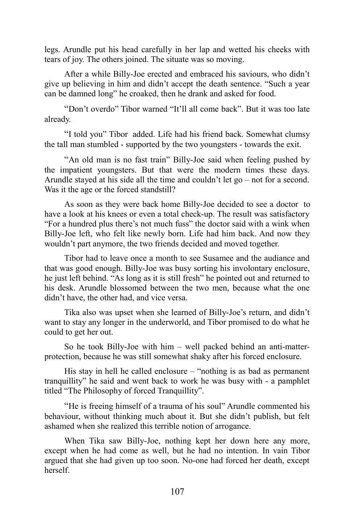legs. Arundle put his head carefully in her lap and wetted his cheeks with tears of joy. The others joined. The situate was so moving.

After a while Billy-Joe erected and embraced his saviours, who didn't give up believing in him and didn't accept the death sentence. "Such a year can be damned long" he croaked, then he drank and asked for food.

"Don't overdo" Tibor warned "It'll all come back". But it was too late already.

"I told you" Tibor added. Life had his friend back. Somewhat clumsy the tall man stumbled - supported by the two youngsters - towards the exit.

"An old man is no fast train" Billy-Joe said when feeling pushed by the impatient youngsters. But that were the modern times these days. Arundle stayed at his side all the time and couldn't let go – not for a second. Was it the age or the forced standstill?

As soon as they were back home Billy-Joe decided to see a doctor to have a look at his knees or even a total check-up. The result was satisfactory "For a hundred plus there's not much fuss" the doctor said with a wink when Billy-Joe left, who felt like newly born. Life had him back. And now they wouldn't part anymore, the two friends decided and moved together.

Tibor had to leave once a month to see Susamee and the audiance and that was good enough. Billy-Joe was busy sorting his involontary enclosure, he just left behind. "As long as it is still fresh" he pointed out and returned to his desk. Arundle blossomed between the two men, because what the one didn't have, the other had, and vice versa.

Tika also was upset when she learned of Billy-Joe's return, and didn't want to stay any longer in the underworld, and Tibor promised to do what he could to get her out.

So he took Billy-Joe with him – well packed behind an anti-matterprotection, because he was still somewhat shaky after his forced enclosure.

His stay in hell he called enclosure – "nothing is as bad as permanent tranquillity" he said and went back to work he was busy with - a pamphlet titled "The Philosophy of forced Tranquillity".

"He is freeing himself of a trauma of his soul" Arundle commented his behaviour, without thinking much about it. But she didn't publish, but felt ashamed when she realized this terrible notion of arrogance.

When Tika saw Billy-Joe, nothing kept her down here any more, except when he had come as well, but he had no intention. In vain Tibor argued that she had given up too soon. No-one had forced her death, except herself.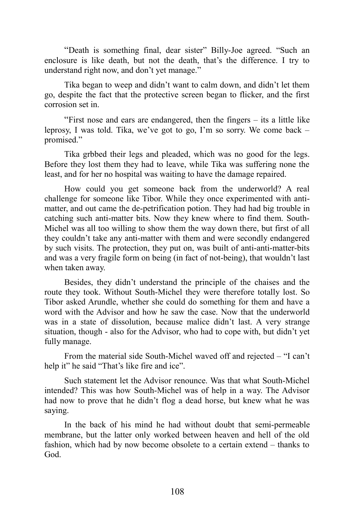"Death is something final, dear sister" Billy-Joe agreed. "Such an enclosure is like death, but not the death, that's the difference. I try to understand right now, and don't yet manage."

Tika began to weep and didn't want to calm down, and didn't let them go, despite the fact that the protective screen began to flicker, and the first corrosion set in.

"First nose and ears are endangered, then the fingers – its a little like leprosy, I was told. Tika, we've got to go, I'm so sorry. We come back – promised."

Tika grbbed their legs and pleaded, which was no good for the legs. Before they lost them they had to leave, while Tika was suffering none the least, and for her no hospital was waiting to have the damage repaired.

How could you get someone back from the underworld? A real challenge for someone like Tibor. While they once experimented with antimatter, and out came the de-petrification potion. They had had big trouble in catching such anti-matter bits. Now they knew where to find them. South-Michel was all too willing to show them the way down there, but first of all they couldn't take any anti-matter with them and were secondly endangered by such visits. The protection, they put on, was built of anti-anti-matter-bits and was a very fragile form on being (in fact of not-being), that wouldn't last when taken away.

Besides, they didn't understand the principle of the chaises and the route they took. Without South-Michel they were therefore totally lost. So Tibor asked Arundle, whether she could do something for them and have a word with the Advisor and how he saw the case. Now that the underworld was in a state of dissolution, because malice didn't last. A very strange situation, though - also for the Advisor, who had to cope with, but didn't yet fully manage.

From the material side South-Michel waved off and rejected – "I can't help it" he said "That's like fire and ice".

Such statement let the Advisor renounce. Was that what South-Michel intended? This was how South-Michel was of help in a way. The Advisor had now to prove that he didn't flog a dead horse, but knew what he was saying.

In the back of his mind he had without doubt that semi-permeable membrane, but the latter only worked between heaven and hell of the old fashion, which had by now become obsolete to a certain extend – thanks to God.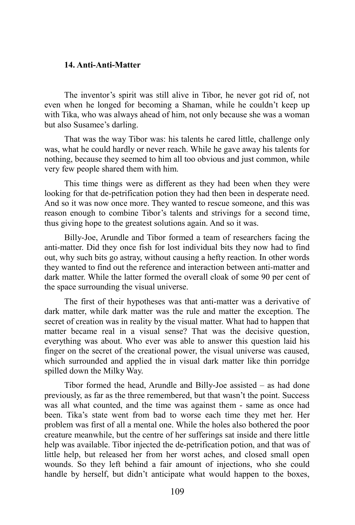#### **14. Anti-Anti-Matter**

The inventor's spirit was still alive in Tibor, he never got rid of, not even when he longed for becoming a Shaman, while he couldn't keep up with Tika, who was always ahead of him, not only because she was a woman but also Susamee's darling.

That was the way Tibor was: his talents he cared little, challenge only was, what he could hardly or never reach. While he gave away his talents for nothing, because they seemed to him all too obvious and just common, while very few people shared them with him.

This time things were as different as they had been when they were looking for that de-petrification potion they had then been in desperate need. And so it was now once more. They wanted to rescue someone, and this was reason enough to combine Tibor's talents and strivings for a second time, thus giving hope to the greatest solutions again. And so it was.

Billy-Joe, Arundle and Tibor formed a team of researchers facing the anti-matter. Did they once fish for lost individual bits they now had to find out, why such bits go astray, without causing a hefty reaction. In other words they wanted to find out the reference and interaction between anti-matter and dark matter. While the latter formed the overall cloak of some 90 per cent of the space surrounding the visual universe.

The first of their hypotheses was that anti-matter was a derivative of dark matter, while dark matter was the rule and matter the exception. The secret of creation was in reality by the visual matter. What had to happen that matter became real in a visual sense? That was the decisive question, everything was about. Who ever was able to answer this question laid his finger on the secret of the creational power, the visual universe was caused, which surrounded and applied the in visual dark matter like thin porridge spilled down the Milky Way.

Tibor formed the head, Arundle and Billy-Joe assisted – as had done previously, as far as the three remembered, but that wasn't the point. Success was all what counted, and the time was against them - same as once had been. Tika's state went from bad to worse each time they met her. Her problem was first of all a mental one. While the holes also bothered the poor creature meanwhile, but the centre of her sufferings sat inside and there little help was available. Tibor injected the de-petrification potion, and that was of little help, but released her from her worst aches, and closed small open wounds. So they left behind a fair amount of injections, who she could handle by herself, but didn't anticipate what would happen to the boxes,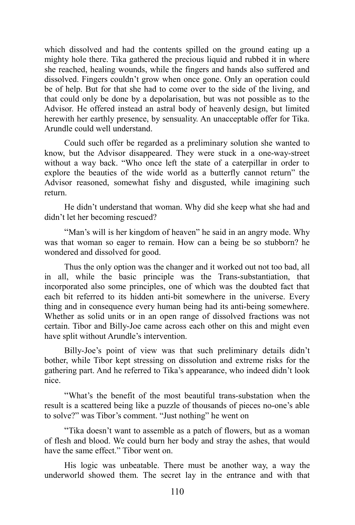which dissolved and had the contents spilled on the ground eating up a mighty hole there. Tika gathered the precious liquid and rubbed it in where she reached, healing wounds, while the fingers and hands also suffered and dissolved. Fingers couldn't grow when once gone. Only an operation could be of help. But for that she had to come over to the side of the living, and that could only be done by a depolarisation, but was not possible as to the Advisor. He offered instead an astral body of heavenly design, but limited herewith her earthly presence, by sensuality. An unacceptable offer for Tika. Arundle could well understand.

Could such offer be regarded as a preliminary solution she wanted to know, but the Advisor disappeared. They were stuck in a one-way-street without a way back. "Who once left the state of a caterpillar in order to explore the beauties of the wide world as a butterfly cannot return" the Advisor reasoned, somewhat fishy and disgusted, while imagining such return.

He didn't understand that woman. Why did she keep what she had and didn't let her becoming rescued?

"Man's will is her kingdom of heaven" he said in an angry mode. Why was that woman so eager to remain. How can a being be so stubborn? he wondered and dissolved for good.

Thus the only option was the changer and it worked out not too bad, all in all, while the basic principle was the Trans-substantiation, that incorporated also some principles, one of which was the doubted fact that each bit referred to its hidden anti-bit somewhere in the universe. Every thing and in consequence every human being had its anti-being somewhere. Whether as solid units or in an open range of dissolved fractions was not certain. Tibor and Billy-Joe came across each other on this and might even have split without Arundle's intervention.

Billy-Joe's point of view was that such preliminary details didn't bother, while Tibor kept stressing on dissolution and extreme risks for the gathering part. And he referred to Tika's appearance, who indeed didn't look nice.

"What's the benefit of the most beautiful trans-substation when the result is a scattered being like a puzzle of thousands of pieces no-one's able to solve?" was Tibor's comment. "Just nothing" he went on

"Tika doesn't want to assemble as a patch of flowers, but as a woman of flesh and blood. We could burn her body and stray the ashes, that would have the same effect." Tibor went on.

His logic was unbeatable. There must be another way, a way the underworld showed them. The secret lay in the entrance and with that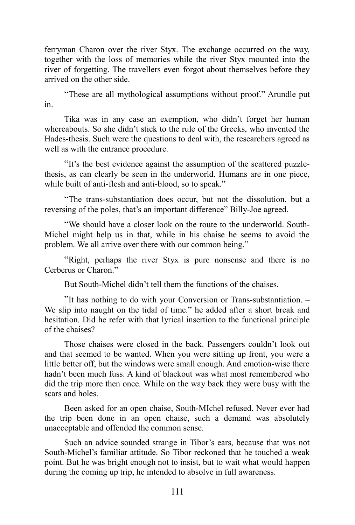ferryman Charon over the river Styx. The exchange occurred on the way, together with the loss of memories while the river Styx mounted into the river of forgetting. The travellers even forgot about themselves before they arrived on the other side.

"These are all mythological assumptions without proof." Arundle put in.

Tika was in any case an exemption, who didn't forget her human whereabouts. So she didn't stick to the rule of the Greeks, who invented the Hades-thesis. Such were the questions to deal with, the researchers agreed as well as with the entrance procedure.

"It's the best evidence against the assumption of the scattered puzzlethesis, as can clearly be seen in the underworld. Humans are in one piece, while built of anti-flesh and anti-blood, so to speak."

"The trans-substantiation does occur, but not the dissolution, but a reversing of the poles, that's an important difference" Billy-Joe agreed.

"We should have a closer look on the route to the underworld. South-Michel might help us in that, while in his chaise he seems to avoid the problem. We all arrive over there with our common being."

"Right, perhaps the river Styx is pure nonsense and there is no Cerberus or Charon."

But South-Michel didn't tell them the functions of the chaises.

"It has nothing to do with your Conversion or Trans-substantiation. – We slip into naught on the tidal of time." he added after a short break and hesitation. Did he refer with that lyrical insertion to the functional principle of the chaises?

Those chaises were closed in the back. Passengers couldn't look out and that seemed to be wanted. When you were sitting up front, you were a little better off, but the windows were small enough. And emotion-wise there hadn't been much fuss. A kind of blackout was what most remembered who did the trip more then once. While on the way back they were busy with the scars and holes.

Been asked for an open chaise, South-MIchel refused. Never ever had the trip been done in an open chaise, such a demand was absolutely unacceptable and offended the common sense.

Such an advice sounded strange in Tibor's ears, because that was not South-Michel's familiar attitude. So Tibor reckoned that he touched a weak point. But he was bright enough not to insist, but to wait what would happen during the coming up trip, he intended to absolve in full awareness.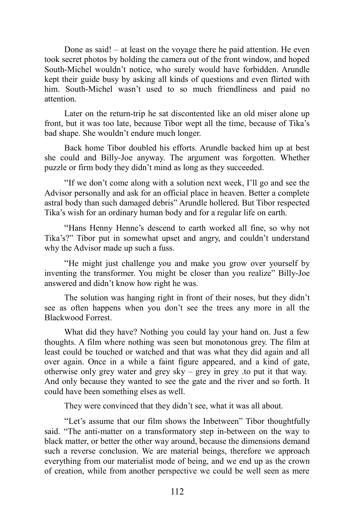Done as said! – at least on the voyage there he paid attention. He even took secret photos by holding the camera out of the front window, and hoped South-Michel wouldn't notice, who surely would have forbidden. Arundle kept their guide busy by asking all kinds of questions and even flirted with him. South-Michel wasn't used to so much friendliness and paid no attention.

Later on the return-trip he sat discontented like an old miser alone up front, but it was too late, because Tibor wept all the time, because of Tika's bad shape. She wouldn't endure much longer.

Back home Tibor doubled his efforts. Arundle backed him up at best she could and Billy-Joe anyway. The argument was forgotten. Whether puzzle or firm body they didn't mind as long as they succeeded.

"If we don't come along with a solution next week, I'll go and see the Advisor personally and ask for an official place in heaven. Better a complete astral body than such damaged debris" Arundle hollered. But Tibor respected Tika's wish for an ordinary human body and for a regular life on earth.

"Hans Henny Henne's descend to earth worked all fine, so why not Tika's?" Tibor put in somewhat upset and angry, and couldn't understand why the Advisor made up such a fuss.

"He might just challenge you and make you grow over yourself by inventing the transformer. You might be closer than you realize" Billy-Joe answered and didn't know how right he was.

The solution was hanging right in front of their noses, but they didn't see as often happens when you don't see the trees any more in all the Blackwood Forrest.

What did they have? Nothing you could lay your hand on. Just a few thoughts. A film where nothing was seen but monotonous grey. The film at least could be touched or watched and that was what they did again and all over again. Once in a while a faint figure appeared, and a kind of gate, otherwise only grey water and grey sky – grey in grey .to put it that way. And only because they wanted to see the gate and the river and so forth. It could have been something elses as well.

They were convinced that they didn't see, what it was all about.

"Let's assume that our film shows the Inbetween" Tibor thoughtfully said. "The anti-matter on a transformatory step in-between on the way to black matter, or better the other way around, because the dimensions demand such a reverse conclusion. We are material beings, therefore we approach everything from our materialist mode of being, and we end up as the crown of creation, while from another perspective we could be well seen as mere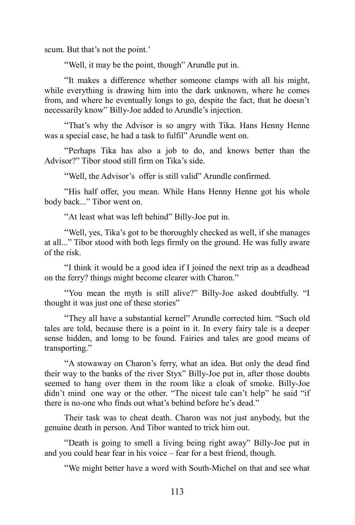scum. But that's not the point.'

"Well, it may be the point, though" Arundle put in.

"It makes a difference whether someone clamps with all his might, while everything is drawing him into the dark unknown, where he comes from, and where he eventually longs to go, despite the fact, that he doesn't necessarily know" Billy-Joe added to Arundle's injection.

"That's why the Advisor is so angry with Tika. Hans Henny Henne was a special case, he had a task to fulfil" Arundle went on.

"Perhaps Tika has also a job to do, and knows better than the Advisor?" Tibor stood still firm on Tika's side.

"Well, the Advisor's offer is still valid" Arundle confirmed.

"His half offer, you mean. While Hans Henny Henne got his whole body back..." Tibor went on.

"At least what was left behind" Billy-Joe put in.

"Well, yes, Tika's got to be thoroughly checked as well, if she manages at all..." Tibor stood with both legs firmly on the ground. He was fully aware of the risk.

"I think it would be a good idea if I joined the next trip as a deadhead on the ferry? things might become clearer with Charon."

"You mean the myth is still alive?" Billy-Joe asked doubtfully. "I thought it was just one of these stories"

"They all have a substantial kernel" Arundle corrected him. "Such old tales are told, because there is a point in it. In every fairy tale is a deeper sense hidden, and lomg to be found. Fairies and tales are good means of transporting."

"A stowaway on Charon's ferry, what an idea. But only the dead find their way to the banks of the river Styx" Billy-Joe put in, after those doubts seemed to hang over them in the room like a cloak of smoke. Billy-Joe didn't mind one way or the other. "The nicest tale can't help" he said "if there is no-one who finds out what's behind before he's dead."

Their task was to cheat death. Charon was not just anybody, but the genuine death in person. And Tibor wanted to trick him out.

"Death is going to smell a living being right away" Billy-Joe put in and you could hear fear in his voice – fear for a best friend, though.

"We might better have a word with South-Michel on that and see what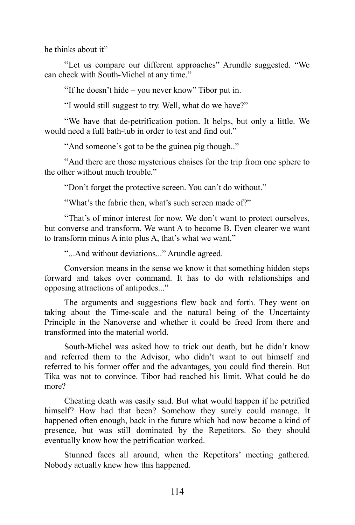he thinks about it"

"Let us compare our different approaches" Arundle suggested. "We can check with South-Michel at any time."

"If he doesn't hide – you never know" Tibor put in.

"I would still suggest to try. Well, what do we have?"

"We have that de-petrification potion. It helps, but only a little. We would need a full bath-tub in order to test and find out."

"And someone's got to be the guinea pig though.."

"And there are those mysterious chaises for the trip from one sphere to the other without much trouble."

"Don't forget the protective screen. You can't do without."

"What's the fabric then, what's such screen made of?"

"That's of minor interest for now. We don't want to protect ourselves, but converse and transform. We want A to become B. Even clearer we want to transform minus A into plus A, that's what we want."

"...And without deviations..." Arundle agreed.

Conversion means in the sense we know it that something hidden steps forward and takes over command. It has to do with relationships and opposing attractions of antipodes..."

The arguments and suggestions flew back and forth. They went on taking about the Time-scale and the natural being of the Uncertainty Principle in the Nanoverse and whether it could be freed from there and transformed into the material world.

South-Michel was asked how to trick out death, but he didn't know and referred them to the Advisor, who didn't want to out himself and referred to his former offer and the advantages, you could find therein. But Tika was not to convince. Tibor had reached his limit. What could he do more?

Cheating death was easily said. But what would happen if he petrified himself? How had that been? Somehow they surely could manage. It happened often enough, back in the future which had now become a kind of presence, but was still dominated by the Repetitors. So they should eventually know how the petrification worked.

Stunned faces all around, when the Repetitors' meeting gathered. Nobody actually knew how this happened.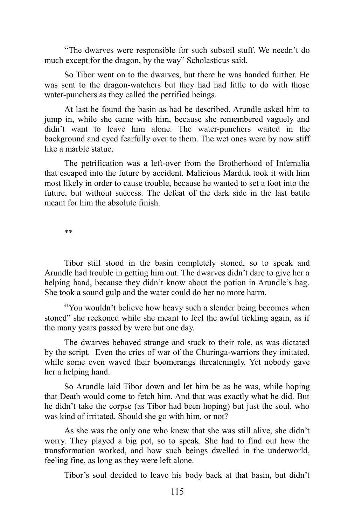"The dwarves were responsible for such subsoil stuff. We needn't do much except for the dragon, by the way" Scholasticus said.

So Tibor went on to the dwarves, but there he was handed further. He was sent to the dragon-watchers but they had had little to do with those water-punchers as they called the petrified beings.

At last he found the basin as had be described. Arundle asked him to jump in, while she came with him, because she remembered vaguely and didn't want to leave him alone. The water-punchers waited in the background and eyed fearfully over to them. The wet ones were by now stiff like a marble statue.

The petrification was a left-over from the Brotherhood of Infernalia that escaped into the future by accident. Malicious Marduk took it with him most likely in order to cause trouble, because he wanted to set a foot into the future, but without success. The defeat of the dark side in the last battle meant for him the absolute finish.

\*\*

Tibor still stood in the basin completely stoned, so to speak and Arundle had trouble in getting him out. The dwarves didn't dare to give her a helping hand, because they didn't know about the potion in Arundle's bag. She took a sound gulp and the water could do her no more harm.

"You wouldn't believe how heavy such a slender being becomes when stoned" she reckoned while she meant to feel the awful tickling again, as if the many years passed by were but one day.

The dwarves behaved strange and stuck to their role, as was dictated by the script. Even the cries of war of the Churinga-warriors they imitated, while some even waved their boomerangs threateningly. Yet nobody gave her a helping hand.

So Arundle laid Tibor down and let him be as he was, while hoping that Death would come to fetch him. And that was exactly what he did. But he didn't take the corpse (as Tibor had been hoping) but just the soul, who was kind of irritated. Should she go with him, or not?

As she was the only one who knew that she was still alive, she didn't worry. They played a big pot, so to speak. She had to find out how the transformation worked, and how such beings dwelled in the underworld, feeling fine, as long as they were left alone.

Tibor's soul decided to leave his body back at that basin, but didn't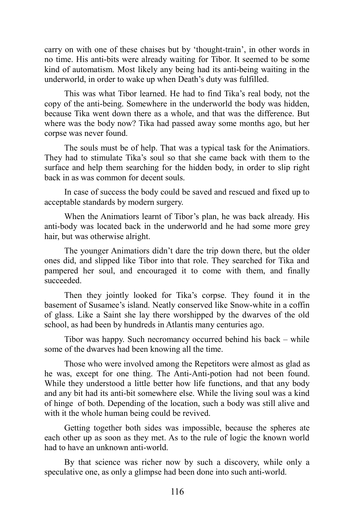carry on with one of these chaises but by 'thought-train', in other words in no time. His anti-bits were already waiting for Tibor. It seemed to be some kind of automatism. Most likely any being had its anti-being waiting in the underworld, in order to wake up when Death's duty was fulfilled.

This was what Tibor learned. He had to find Tika's real body, not the copy of the anti-being. Somewhere in the underworld the body was hidden, because Tika went down there as a whole, and that was the difference. But where was the body now? Tika had passed away some months ago, but her corpse was never found.

The souls must be of help. That was a typical task for the Animatiors. They had to stimulate Tika's soul so that she came back with them to the surface and help them searching for the hidden body, in order to slip right back in as was common for decent souls.

In case of success the body could be saved and rescued and fixed up to acceptable standards by modern surgery.

When the Animatiors learnt of Tibor's plan, he was back already. His anti-body was located back in the underworld and he had some more grey hair, but was otherwise alright.

The younger Animatiors didn't dare the trip down there, but the older ones did, and slipped like Tibor into that role. They searched for Tika and pampered her soul, and encouraged it to come with them, and finally succeeded.

Then they jointly looked for Tika's corpse. They found it in the basement of Susamee's island. Neatly conserved like Snow-white in a coffin of glass. Like a Saint she lay there worshipped by the dwarves of the old school, as had been by hundreds in Atlantis many centuries ago.

Tibor was happy. Such necromancy occurred behind his back – while some of the dwarves had been knowing all the time.

Those who were involved among the Repetitors were almost as glad as he was, except for one thing. The Anti-Anti-potion had not been found. While they understood a little better how life functions, and that any body and any bit had its anti-bit somewhere else. While the living soul was a kind of hinge of both. Depending of the location, such a body was still alive and with it the whole human being could be revived.

Getting together both sides was impossible, because the spheres ate each other up as soon as they met. As to the rule of logic the known world had to have an unknown anti-world.

By that science was richer now by such a discovery, while only a speculative one, as only a glimpse had been done into such anti-world.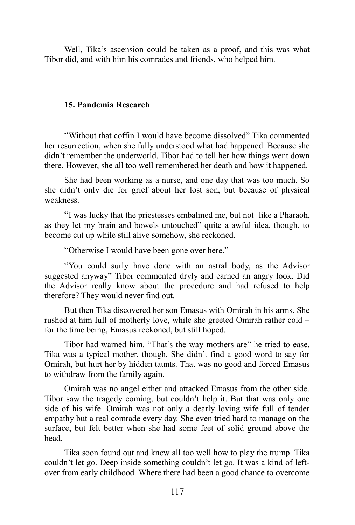Well, Tika's ascension could be taken as a proof, and this was what Tibor did, and with him his comrades and friends, who helped him.

# **15. Pandemia Research**

"Without that coffin I would have become dissolved" Tika commented her resurrection, when she fully understood what had happened. Because she didn't remember the underworld. Tibor had to tell her how things went down there. However, she all too well remembered her death and how it happened.

She had been working as a nurse, and one day that was too much. So she didn't only die for grief about her lost son, but because of physical weakness.

"I was lucky that the priestesses embalmed me, but not like a Pharaoh, as they let my brain and bowels untouched" quite a awful idea, though, to become cut up while still alive somehow, she reckoned.

"Otherwise I would have been gone over here."

"You could surly have done with an astral body, as the Advisor suggested anyway" Tibor commented dryly and earned an angry look. Did the Advisor really know about the procedure and had refused to help therefore? They would never find out.

But then Tika discovered her son Emasus with Omirah in his arms. She rushed at him full of motherly love, while she greeted Omirah rather cold – for the time being, Emasus reckoned, but still hoped.

Tibor had warned him. "That's the way mothers are" he tried to ease. Tika was a typical mother, though. She didn't find a good word to say for Omirah, but hurt her by hidden taunts. That was no good and forced Emasus to withdraw from the family again.

Omirah was no angel either and attacked Emasus from the other side. Tibor saw the tragedy coming, but couldn't help it. But that was only one side of his wife. Omirah was not only a dearly loving wife full of tender empathy but a real comrade every day. She even tried hard to manage on the surface, but felt better when she had some feet of solid ground above the head.

Tika soon found out and knew all too well how to play the trump. Tika couldn't let go. Deep inside something couldn't let go. It was a kind of leftover from early childhood. Where there had been a good chance to overcome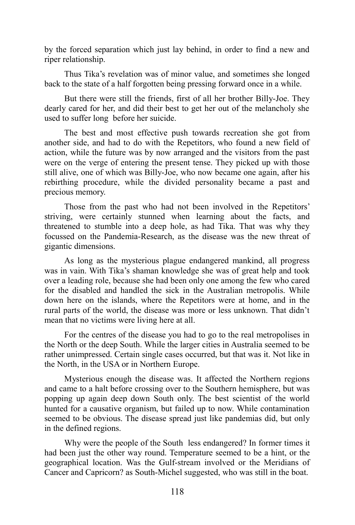by the forced separation which just lay behind, in order to find a new and riper relationship.

Thus Tika's revelation was of minor value, and sometimes she longed back to the state of a half forgotten being pressing forward once in a while.

But there were still the friends, first of all her brother Billy-Joe. They dearly cared for her, and did their best to get her out of the melancholy she used to suffer long before her suicide.

The best and most effective push towards recreation she got from another side, and had to do with the Repetitors, who found a new field of action, while the future was by now arranged and the visitors from the past were on the verge of entering the present tense. They picked up with those still alive, one of which was Billy-Joe, who now became one again, after his rebirthing procedure, while the divided personality became a past and precious memory.

Those from the past who had not been involved in the Repetitors' striving, were certainly stunned when learning about the facts, and threatened to stumble into a deep hole, as had Tika. That was why they focussed on the Pandemia-Research, as the disease was the new threat of gigantic dimensions.

As long as the mysterious plague endangered mankind, all progress was in vain. With Tika's shaman knowledge she was of great help and took over a leading role, because she had been only one among the few who cared for the disabled and handled the sick in the Australian metropolis. While down here on the islands, where the Repetitors were at home, and in the rural parts of the world, the disease was more or less unknown. That didn't mean that no victims were living here at all.

For the centres of the disease you had to go to the real metropolises in the North or the deep South. While the larger cities in Australia seemed to be rather unimpressed. Certain single cases occurred, but that was it. Not like in the North, in the USA or in Northern Europe.

Mysterious enough the disease was. It affected the Northern regions and came to a halt before crossing over to the Southern hemisphere, but was popping up again deep down South only. The best scientist of the world hunted for a causative organism, but failed up to now. While contamination seemed to be obvious. The disease spread just like pandemias did, but only in the defined regions.

Why were the people of the South less endangered? In former times it had been just the other way round. Temperature seemed to be a hint, or the geographical location. Was the Gulf-stream involved or the Meridians of Cancer and Capricorn? as South-Michel suggested, who was still in the boat.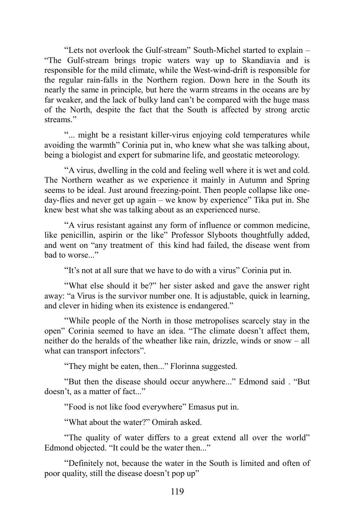"Lets not overlook the Gulf-stream" South-Michel started to explain – "The Gulf-stream brings tropic waters way up to Skandiavia and is responsible for the mild climate, while the West-wind-drift is responsible for the regular rain-falls in the Northern region. Down here in the South its nearly the same in principle, but here the warm streams in the oceans are by far weaker, and the lack of bulky land can't be compared with the huge mass of the North, despite the fact that the South is affected by strong arctic streams."

"... might be a resistant killer-virus enjoying cold temperatures while avoiding the warmth" Corinia put in, who knew what she was talking about, being a biologist and expert for submarine life, and geostatic meteorology.

"A virus, dwelling in the cold and feeling well where it is wet and cold. The Northern weather as we experience it mainly in Autumn and Spring seems to be ideal. Just around freezing-point. Then people collapse like oneday-flies and never get up again – we know by experience" Tika put in. She knew best what she was talking about as an experienced nurse.

"A virus resistant against any form of influence or common medicine, like penicillin, aspirin or the like" Professor Slyboots thoughtfully added, and went on "any treatment of this kind had failed, the disease went from bad to worse..."

"It's not at all sure that we have to do with a virus" Corinia put in.

"What else should it be?" her sister asked and gave the answer right away: "a Virus is the survivor number one. It is adjustable, quick in learning, and clever in hiding when its existence is endangered."

"While people of the North in those metropolises scarcely stay in the open" Corinia seemed to have an idea. "The climate doesn't affect them, neither do the heralds of the wheather like rain, drizzle, winds or snow – all what can transport infectors".

"They might be eaten, then..." Florinna suggested.

"But then the disease should occur anywhere..." Edmond said . "But doesn't, as a matter of fact..."

"Food is not like food everywhere" Emasus put in.

"What about the water?" Omirah asked.

"The quality of water differs to a great extend all over the world" Edmond objected. "It could be the water then..."

"Definitely not, because the water in the South is limited and often of poor quality, still the disease doesn't pop up"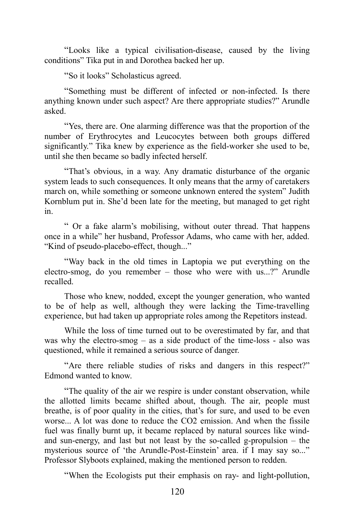"Looks like a typical civilisation-disease, caused by the living conditions" Tika put in and Dorothea backed her up.

"So it looks" Scholasticus agreed.

"Something must be different of infected or non-infected. Is there anything known under such aspect? Are there appropriate studies?" Arundle asked.

"Yes, there are. One alarming difference was that the proportion of the number of Erythrocytes and Leucocytes between both groups differed significantly." Tika knew by experience as the field-worker she used to be, until she then became so badly infected herself.

"That's obvious, in a way. Any dramatic disturbance of the organic system leads to such consequences. It only means that the army of caretakers march on, while something or someone unknown entered the system" Judith Kornblum put in. She'd been late for the meeting, but managed to get right in.

" Or a fake alarm's mobilising, without outer thread. That happens once in a while" her husband, Professor Adams, who came with her, added. "Kind of pseudo-placebo-effect, though..."

"Way back in the old times in Laptopia we put everything on the electro-smog, do you remember – those who were with us...?" Arundle recalled.

Those who knew, nodded, except the younger generation, who wanted to be of help as well, although they were lacking the Time-travelling experience, but had taken up appropriate roles among the Repetitors instead.

While the loss of time turned out to be overestimated by far, and that was why the electro-smog – as a side product of the time-loss - also was questioned, while it remained a serious source of danger.

"Are there reliable studies of risks and dangers in this respect?" Edmond wanted to know.

"The quality of the air we respire is under constant observation, while the allotted limits became shifted about, though. The air, people must breathe, is of poor quality in the cities, that's for sure, and used to be even worse... A lot was done to reduce the CO2 emission. And when the fissile fuel was finally burnt up, it became replaced by natural sources like windand sun-energy, and last but not least by the so-called g-propulsion – the mysterious source of 'the Arundle-Post-Einstein' area. if I may say so..." Professor Slyboots explained, making the mentioned person to redden.

"When the Ecologists put their emphasis on ray- and light-pollution,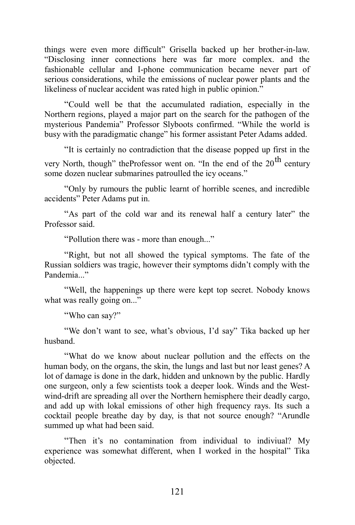things were even more difficult" Grisella backed up her brother-in-law. "Disclosing inner connections here was far more complex. and the fashionable cellular and I-phone communication became never part of serious considerations, while the emissions of nuclear power plants and the likeliness of nuclear accident was rated high in public opinion."

"Could well be that the accumulated radiation, especially in the Northern regions, played a major part on the search for the pathogen of the mysterious Pandemia" Professor Slyboots confirmed. "While the world is busy with the paradigmatic change" his former assistant Peter Adams added.

"It is certainly no contradiction that the disease popped up first in the very North, though" theProfessor went on. "In the end of the  $20<sup>th</sup>$  century some dozen nuclear submarines patroulled the icy oceans."

"Only by rumours the public learnt of horrible scenes, and incredible accidents" Peter Adams put in.

"As part of the cold war and its renewal half a century later" the Professor said.

"Pollution there was - more than enough..."

"Right, but not all showed the typical symptoms. The fate of the Russian soldiers was tragic, however their symptoms didn't comply with the Pandemia..."

"Well, the happenings up there were kept top secret. Nobody knows what was really going on..."

"Who can say?"

"We don't want to see, what's obvious, I'd say" Tika backed up her husband.

"What do we know about nuclear pollution and the effects on the human body, on the organs, the skin, the lungs and last but nor least genes? A lot of damage is done in the dark, hidden and unknown by the public. Hardly one surgeon, only a few scientists took a deeper look. Winds and the Westwind-drift are spreading all over the Northern hemisphere their deadly cargo, and add up with lokal emissions of other high frequency rays. Its such a cocktail people breathe day by day, is that not source enough? "Arundle summed up what had been said.

"Then it's no contamination from individual to indiviual? My experience was somewhat different, when I worked in the hospital" Tika objected.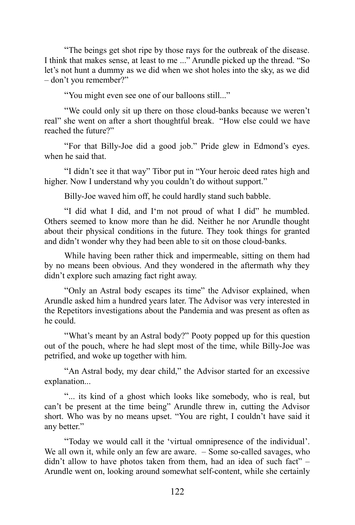"The beings get shot ripe by those rays for the outbreak of the disease. I think that makes sense, at least to me ..." Arundle picked up the thread. "So let's not hunt a dummy as we did when we shot holes into the sky, as we did – don't you remember?"

"You might even see one of our balloons still..."

"We could only sit up there on those cloud-banks because we weren't real" she went on after a short thoughtful break. "How else could we have reached the future?"

"For that Billy-Joe did a good job." Pride glew in Edmond's eyes. when he said that.

"I didn't see it that way" Tibor put in "Your heroic deed rates high and higher. Now I understand why you couldn't do without support."

Billy-Joe waved him off, he could hardly stand such babble.

"I did what I did, and I'm not proud of what I did" he mumbled. Others seemed to know more than he did. Neither he nor Arundle thought about their physical conditions in the future. They took things for granted and didn't wonder why they had been able to sit on those cloud-banks.

While having been rather thick and impermeable, sitting on them had by no means been obvious. And they wondered in the aftermath why they didn't explore such amazing fact right away.

"Only an Astral body escapes its time" the Advisor explained, when Arundle asked him a hundred years later. The Advisor was very interested in the Repetitors investigations about the Pandemia and was present as often as he could.

"What's meant by an Astral body?" Pooty popped up for this question out of the pouch, where he had slept most of the time, while Billy-Joe was petrified, and woke up together with him.

"An Astral body, my dear child," the Advisor started for an excessive explanation...

"... its kind of a ghost which looks like somebody, who is real, but can't be present at the time being" Arundle threw in, cutting the Advisor short. Who was by no means upset. "You are right, I couldn't have said it any better."

"Today we would call it the 'virtual omnipresence of the individual'. We all own it, while only an few are aware. – Some so-called savages, who didn't allow to have photos taken from them, had an idea of such fact" – Arundle went on, looking around somewhat self-content, while she certainly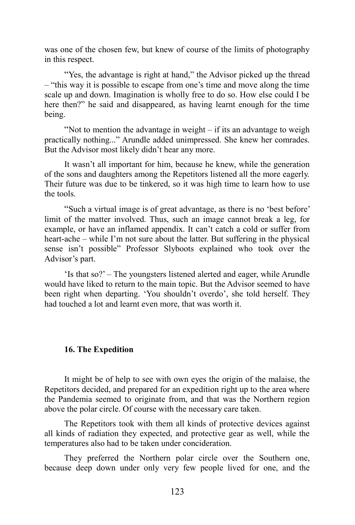was one of the chosen few, but knew of course of the limits of photography in this respect.

"Yes, the advantage is right at hand," the Advisor picked up the thread – "this way it is possible to escape from one's time and move along the time scale up and down. Imagination is wholly free to do so. How else could I be here then?" he said and disappeared, as having learnt enough for the time being.

"Not to mention the advantage in weight – if its an advantage to weigh practically nothing..." Arundle added unimpressed. She knew her comrades. But the Advisor most likely didn't hear any more.

It wasn't all important for him, because he knew, while the generation of the sons and daughters among the Repetitors listened all the more eagerly. Their future was due to be tinkered, so it was high time to learn how to use the tools.

"Such a virtual image is of great advantage, as there is no 'best before' limit of the matter involved. Thus, such an image cannot break a leg, for example, or have an inflamed appendix. It can't catch a cold or suffer from heart-ache – while I'm not sure about the latter. But suffering in the physical sense isn't possible" Professor Slyboots explained who took over the Advisor's part.

'Is that so?' – The youngsters listened alerted and eager, while Arundle would have liked to return to the main topic. But the Advisor seemed to have been right when departing. 'You shouldn't overdo', she told herself. They had touched a lot and learnt even more, that was worth it.

#### **16. The Expedition**

It might be of help to see with own eyes the origin of the malaise, the Repetitors decided, and prepared for an expedition right up to the area where the Pandemia seemed to originate from, and that was the Northern region above the polar circle. Of course with the necessary care taken.

The Repetitors took with them all kinds of protective devices against all kinds of radiation they expected, and protective gear as well, while the temperatures also had to be taken under concideration.

They preferred the Northern polar circle over the Southern one, because deep down under only very few people lived for one, and the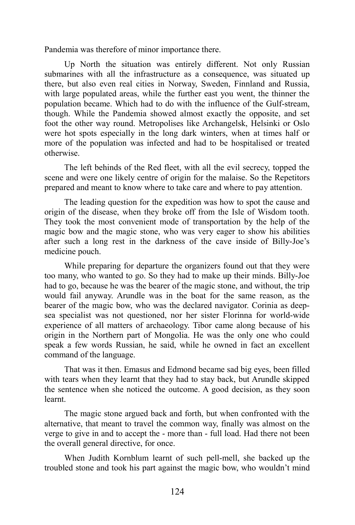Pandemia was therefore of minor importance there.

Up North the situation was entirely different. Not only Russian submarines with all the infrastructure as a consequence, was situated up there, but also even real cities in Norway, Sweden, Finnland and Russia, with large populated areas, while the further east you went, the thinner the population became. Which had to do with the influence of the Gulf-stream, though. While the Pandemia showed almost exactly the opposite, and set foot the other way round. Metropolises like Archangelsk, Helsinki or Oslo were hot spots especially in the long dark winters, when at times half or more of the population was infected and had to be hospitalised or treated otherwise.

The left behinds of the Red fleet, with all the evil secrecy, topped the scene and were one likely centre of origin for the malaise. So the Repetitors prepared and meant to know where to take care and where to pay attention.

The leading question for the expedition was how to spot the cause and origin of the disease, when they broke off from the Isle of Wisdom tooth. They took the most convenient mode of transportation by the help of the magic bow and the magic stone, who was very eager to show his abilities after such a long rest in the darkness of the cave inside of Billy-Joe's medicine pouch.

While preparing for departure the organizers found out that they were too many, who wanted to go. So they had to make up their minds. Billy-Joe had to go, because he was the bearer of the magic stone, and without, the trip would fail anyway. Arundle was in the boat for the same reason, as the bearer of the magic bow, who was the declared navigator. Corinia as deepsea specialist was not questioned, nor her sister Florinna for world-wide experience of all matters of archaeology. Tibor came along because of his origin in the Northern part of Mongolia. He was the only one who could speak a few words Russian, he said, while he owned in fact an excellent command of the language.

That was it then. Emasus and Edmond became sad big eyes, been filled with tears when they learnt that they had to stay back, but Arundle skipped the sentence when she noticed the outcome. A good decision, as they soon learnt.

The magic stone argued back and forth, but when confronted with the alternative, that meant to travel the common way, finally was almost on the verge to give in and to accept the - more than - full load. Had there not been the overall general directive, for once.

When Judith Kornblum learnt of such pell-mell, she backed up the troubled stone and took his part against the magic bow, who wouldn't mind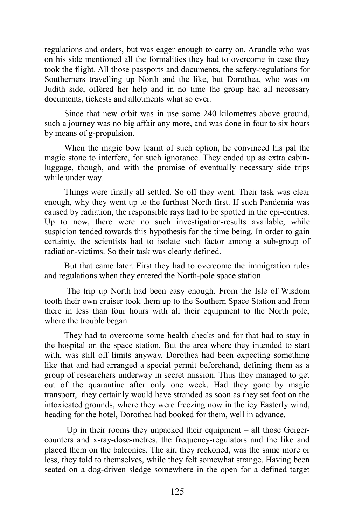regulations and orders, but was eager enough to carry on. Arundle who was on his side mentioned all the formalities they had to overcome in case they took the flight. All those passports and documents, the safety-regulations for Southerners travelling up North and the like, but Dorothea, who was on Judith side, offered her help and in no time the group had all necessary documents, tickests and allotments what so ever.

Since that new orbit was in use some 240 kilometres above ground, such a journey was no big affair any more, and was done in four to six hours by means of g-propulsion.

When the magic bow learnt of such option, he convinced his pal the magic stone to interfere, for such ignorance. They ended up as extra cabinluggage, though, and with the promise of eventually necessary side trips while under way.

Things were finally all settled. So off they went. Their task was clear enough, why they went up to the furthest North first. If such Pandemia was caused by radiation, the responsible rays had to be spotted in the epi-centres. Up to now, there were no such investigation-results available, while suspicion tended towards this hypothesis for the time being. In order to gain certainty, the scientists had to isolate such factor among a sub-group of radiation-victims. So their task was clearly defined.

But that came later. First they had to overcome the immigration rules and regulations when they entered the North-pole space station.

The trip up North had been easy enough. From the Isle of Wisdom tooth their own cruiser took them up to the Southern Space Station and from there in less than four hours with all their equipment to the North pole, where the trouble began.

They had to overcome some health checks and for that had to stay in the hospital on the space station. But the area where they intended to start with, was still off limits anyway. Dorothea had been expecting something like that and had arranged a special permit beforehand, defining them as a group of researchers underway in secret mission. Thus they managed to get out of the quarantine after only one week. Had they gone by magic transport, they certainly would have stranded as soon as they set foot on the intoxicated grounds, where they were freezing now in the icy Easterly wind, heading for the hotel, Dorothea had booked for them, well in advance.

Up in their rooms they unpacked their equipment  $-$  all those Geigercounters and x-ray-dose-metres, the frequency-regulators and the like and placed them on the balconies. The air, they reckoned, was the same more or less, they told to themselves, while they felt somewhat strange. Having been seated on a dog-driven sledge somewhere in the open for a defined target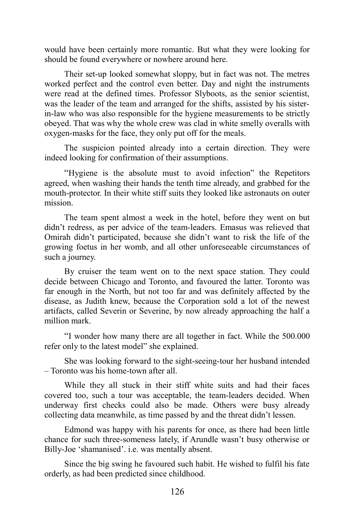would have been certainly more romantic. But what they were looking for should be found everywhere or nowhere around here.

Their set-up looked somewhat sloppy, but in fact was not. The metres worked perfect and the control even better. Day and night the instruments were read at the defined times. Professor Slyboots, as the senior scientist, was the leader of the team and arranged for the shifts, assisted by his sisterin-law who was also responsible for the hygiene measurements to be strictly obeyed. That was why the whole crew was clad in white smelly overalls with oxygen-masks for the face, they only put off for the meals.

The suspicion pointed already into a certain direction. They were indeed looking for confirmation of their assumptions.

"Hygiene is the absolute must to avoid infection" the Repetitors agreed, when washing their hands the tenth time already, and grabbed for the mouth-protector. In their white stiff suits they looked like astronauts on outer mission.

The team spent almost a week in the hotel, before they went on but didn't redress, as per advice of the team-leaders. Emasus was relieved that Omirah didn't participated, because she didn't want to risk the life of the growing foetus in her womb, and all other unforeseeable circumstances of such a journey.

By cruiser the team went on to the next space station. They could decide between Chicago and Toronto, and favoured the latter. Toronto was far enough in the North, but not too far and was definitely affected by the disease, as Judith knew, because the Corporation sold a lot of the newest artifacts, called Severin or Severine, by now already approaching the half a million mark.

"I wonder how many there are all together in fact. While the 500.000 refer only to the latest model" she explained.

She was looking forward to the sight-seeing-tour her husband intended – Toronto was his home-town after all.

While they all stuck in their stiff white suits and had their faces covered too, such a tour was acceptable, the team-leaders decided. When underway first checks could also be made. Others were busy already collecting data meanwhile, as time passed by and the threat didn't lessen.

Edmond was happy with his parents for once, as there had been little chance for such three-someness lately, if Arundle wasn't busy otherwise or Billy-Joe 'shamanised'. i.e. was mentally absent.

Since the big swing he favoured such habit. He wished to fulfil his fate orderly, as had been predicted since childhood.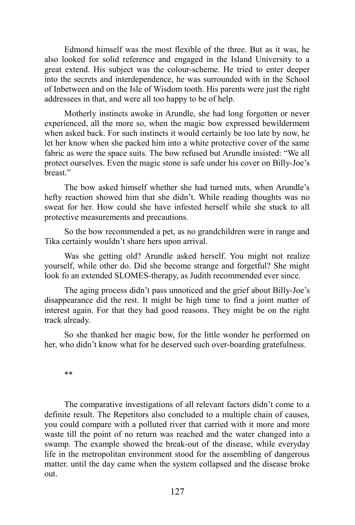Edmond himself was the most flexible of the three. But as it was, he also looked for solid reference and engaged in the Island University to a great extend. His subject was the colour-scheme. He tried to enter deeper into the secrets and interdependence, he was surrounded with in the School of Inbetween and on the Isle of Wisdom tooth. His parents were just the right addressees in that, and were all too happy to be of help.

Motherly instincts awoke in Arundle, she had long forgotten or never experienced, all the more so, when the magic bow expressed bewilderment when asked back. For such instincts it would certainly be too late by now, he let her know when she packed him into a white protective cover of the same fabric as were the space suits. The bow refused but Arundle insisted: "We all protect ourselves. Even the magic stone is safe under his cover on Billy-Joe's breast."

The bow asked himself whether she had turned nuts, when Arundle's hefty reaction showed him that she didn't. While reading thoughts was no sweat for her. How could she have infested herself while she stuck to all protective measurements and precautions.

So the bow recommended a pet, as no grandchildren were in range and Tika certainly wouldn't share hers upon arrival.

Was she getting old? Arundle asked herself. You might not realize yourself, while other do. Did she become strange and forgetful? She might look fo an extended SLOMES-therapy, as Judith recommended ever since.

The aging process didn't pass unnoticed and the grief about Billy-Joe's disappearance did the rest. It might be high time to find a joint matter of interest again. For that they had good reasons. They might be on the right track already.

So she thanked her magic bow, for the little wonder he performed on her, who didn't know what for he deserved such over-boarding gratefulness.

\*\*

The comparative investigations of all relevant factors didn't come to a definite result. The Repetitors also concluded to a multiple chain of causes, you could compare with a polluted river that carried with it more and more waste till the point of no return was reached and the water changed into a swamp. The example showed the break-out of the disease, while everyday life in the metropolitan environment stood for the assembling of dangerous matter. until the day came when the system collapsed and the disease broke out.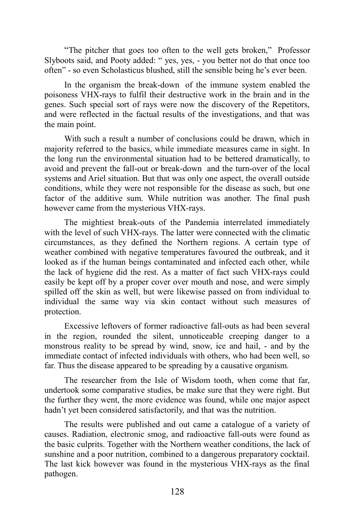"The pitcher that goes too often to the well gets broken," Professor Slyboots said, and Pooty added: " yes, yes, - you better not do that once too often" - so even Scholasticus blushed, still the sensible being he's ever been.

In the organism the break-down of the immune system enabled the poisoness VHX-rays to fulfil their destructive work in the brain and in the genes. Such special sort of rays were now the discovery of the Repetitors, and were reflected in the factual results of the investigations, and that was the main point.

With such a result a number of conclusions could be drawn, which in majority referred to the basics, while immediate measures came in sight. In the long run the environmental situation had to be bettered dramatically, to avoid and prevent the fall-out or break-down and the turn-over of the local systems and Ariel situation. But that was only one aspect, the overall outside conditions, while they were not responsible for the disease as such, but one factor of the additive sum. While nutrition was another. The final push however came from the mysterious VHX-rays.

The mightiest break-outs of the Pandemia interrelated immediately with the level of such VHX-rays. The latter were connected with the climatic circumstances, as they defined the Northern regions. A certain type of weather combined with negative temperatures favoured the outbreak, and it looked as if the human beings contaminated and infected each other, while the lack of hygiene did the rest. As a matter of fact such VHX-rays could easily be kept off by a proper cover over mouth and nose, and were simply spilled off the skin as well, but were likewise passed on from individual to individual the same way via skin contact without such measures of protection.

Excessive leftovers of former radioactive fall-outs as had been several in the region, rounded the silent, unnoticeable creeping danger to a monstrous reality to be spread by wind, snow, ice and hail, - and by the immediate contact of infected individuals with others, who had been well, so far. Thus the disease appeared to be spreading by a causative organism.

The researcher from the Isle of Wisdom tooth, when come that far, undertook some comparative studies, be make sure that they were right. But the further they went, the more evidence was found, while one major aspect hadn't yet been considered satisfactorily, and that was the nutrition.

The results were published and out came a catalogue of a variety of causes. Radiation, electronic smog, and radioactive fall-outs were found as the basic culprits. Together with the Northern weather conditions, the lack of sunshine and a poor nutrition, combined to a dangerous preparatory cocktail. The last kick however was found in the mysterious VHX-rays as the final pathogen.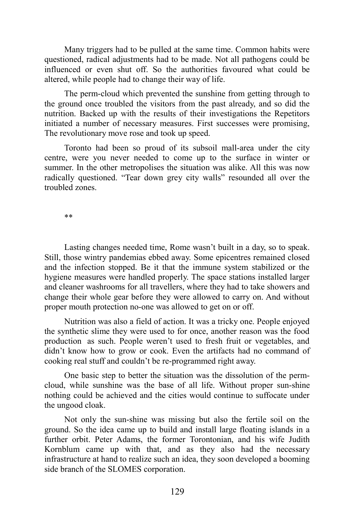Many triggers had to be pulled at the same time. Common habits were questioned, radical adjustments had to be made. Not all pathogens could be influenced or even shut off. So the authorities favoured what could be altered, while people had to change their way of life.

The perm-cloud which prevented the sunshine from getting through to the ground once troubled the visitors from the past already, and so did the nutrition. Backed up with the results of their investigations the Repetitors initiated a number of necessary measures. First successes were promising, The revolutionary move rose and took up speed.

Toronto had been so proud of its subsoil mall-area under the city centre, were you never needed to come up to the surface in winter or summer. In the other metropolises the situation was alike. All this was now radically questioned. "Tear down grey city walls" resounded all over the troubled zones.

\*\*

Lasting changes needed time, Rome wasn't built in a day, so to speak. Still, those wintry pandemias ebbed away. Some epicentres remained closed and the infection stopped. Be it that the immune system stabilized or the hygiene measures were handled properly. The space stations installed larger and cleaner washrooms for all travellers, where they had to take showers and change their whole gear before they were allowed to carry on. And without proper mouth protection no-one was allowed to get on or off.

Nutrition was also a field of action. It was a tricky one. People enjoyed the synthetic slime they were used to for once, another reason was the food production as such. People weren't used to fresh fruit or vegetables, and didn't know how to grow or cook. Even the artifacts had no command of cooking real stuff and couldn't be re-programmed right away.

One basic step to better the situation was the dissolution of the permcloud, while sunshine was the base of all life. Without proper sun-shine nothing could be achieved and the cities would continue to suffocate under the ungood cloak.

Not only the sun-shine was missing but also the fertile soil on the ground. So the idea came up to build and install large floating islands in a further orbit. Peter Adams, the former Torontonian, and his wife Judith Kornblum came up with that, and as they also had the necessary infrastructure at hand to realize such an idea, they soon developed a booming side branch of the SLOMES corporation.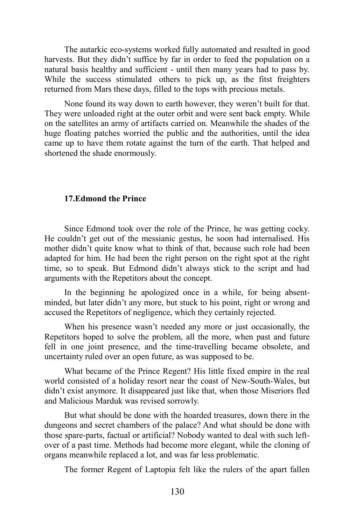The autarkic eco-systems worked fully automated and resulted in good harvests. But they didn't suffice by far in order to feed the population on a natural basis healthy and sufficient - until then many years had to pass by. While the success stimulated others to pick up, as the fitst freighters returned from Mars these days, filled to the tops with precious metals.

None found its way down to earth however, they weren't built for that. They were unloaded right at the outer orbit and were sent back empty. While on the satellites an army of artifacts carried on. Meanwhile the shades of the huge floating patches worried the public and the authorities, until the idea came up to have them rotate against the turn of the earth. That helped and shortened the shade enormously.

## **17.Edmond the Prince**

Since Edmond took over the role of the Prince, he was getting cocky. He couldn't get out of the messianic gestus, he soon had internalised. His mother didn't quite know what to think of that, because such role had been adapted for him. He had been the right person on the right spot at the right time, so to speak. But Edmond didn't always stick to the script and had arguments with the Repetitors about the concept.

In the beginning he apologized once in a while, for being absentminded, but later didn't any more, but stuck to his point, right or wrong and accused the Repetitors of negligence, which they certainly rejected.

When his presence wasn't needed any more or just occasionally, the Repetitors hoped to solve the problem, all the more, when past and future fell in one joint presence, and the time-travelling became obsolete, and uncertainty ruled over an open future, as was supposed to be.

What became of the Prince Regent? His little fixed empire in the real world consisted of a holiday resort near the coast of New-South-Wales, but didn't exist anymore. It disappeared just like that, when those Miseriors fled and Malicious Marduk was revised sorrowly.

But what should be done with the hoarded treasures, down there in the dungeons and secret chambers of the palace? And what should be done with those spare-parts, factual or artificial? Nobody wanted to deal with such leftover of a past time. Methods had become more elegant, while the cloning of organs meanwhile replaced a lot, and was far less problematic.

The former Regent of Laptopia felt like the rulers of the apart fallen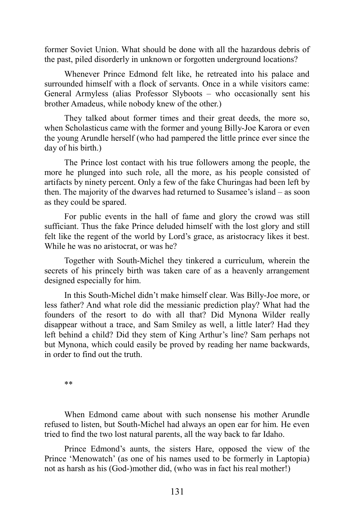former Soviet Union. What should be done with all the hazardous debris of the past, piled disorderly in unknown or forgotten underground locations?

Whenever Prince Edmond felt like, he retreated into his palace and surrounded himself with a flock of servants. Once in a while visitors came: General Armyless (alias Professor Slyboots – who occasionally sent his brother Amadeus, while nobody knew of the other.)

They talked about former times and their great deeds, the more so, when Scholasticus came with the former and young Billy-Joe Karora or even the young Arundle herself (who had pampered the little prince ever since the day of his birth.)

The Prince lost contact with his true followers among the people, the more he plunged into such role, all the more, as his people consisted of artifacts by ninety percent. Only a few of the fake Churingas had been left by then. The majority of the dwarves had returned to Susamee's island – as soon as they could be spared.

For public events in the hall of fame and glory the crowd was still sufficiant. Thus the fake Prince deluded himself with the lost glory and still felt like the regent of the world by Lord's grace, as aristocracy likes it best. While he was no aristocrat, or was he?

Together with South-Michel they tinkered a curriculum, wherein the secrets of his princely birth was taken care of as a heavenly arrangement designed especially for him.

In this South-Michel didn't make himself clear. Was Billy-Joe more, or less father? And what role did the messianic prediction play? What had the founders of the resort to do with all that? Did Mynona Wilder really disappear without a trace, and Sam Smiley as well, a little later? Had they left behind a child? Did they stem of King Arthur's line? Sam perhaps not but Mynona, which could easily be proved by reading her name backwards, in order to find out the truth.

\*\*

When Edmond came about with such nonsense his mother Arundle refused to listen, but South-Michel had always an open ear for him. He even tried to find the two lost natural parents, all the way back to far Idaho.

Prince Edmond's aunts, the sisters Hare, opposed the view of the Prince 'Menowatch' (as one of his names used to be formerly in Laptopia) not as harsh as his (God-)mother did, (who was in fact his real mother!)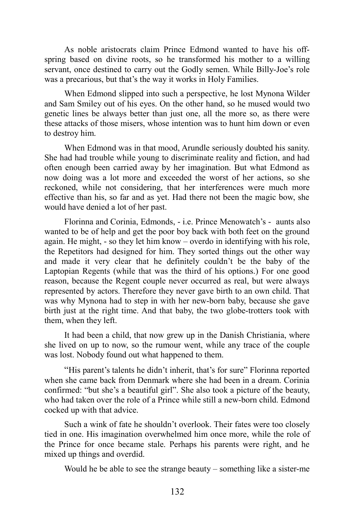As noble aristocrats claim Prince Edmond wanted to have his offspring based on divine roots, so he transformed his mother to a willing servant, once destined to carry out the Godly semen. While Billy-Joe's role was a precarious, but that's the way it works in Holy Families.

When Edmond slipped into such a perspective, he lost Mynona Wilder and Sam Smiley out of his eyes. On the other hand, so he mused would two genetic lines be always better than just one, all the more so, as there were these attacks of those misers, whose intention was to hunt him down or even to destroy him.

When Edmond was in that mood, Arundle seriously doubted his sanity. She had had trouble while young to discriminate reality and fiction, and had often enough been carried away by her imagination. But what Edmond as now doing was a lot more and exceeded the worst of her actions, so she reckoned, while not considering, that her interferences were much more effective than his, so far and as yet. Had there not been the magic bow, she would have denied a lot of her past.

Florinna and Corinia, Edmonds, - i.e. Prince Menowatch's - aunts also wanted to be of help and get the poor boy back with both feet on the ground again. He might, - so they let him know – overdo in identifying with his role, the Repetitors had designed for him. They sorted things out the other way and made it very clear that he definitely couldn't be the baby of the Laptopian Regents (while that was the third of his options.) For one good reason, because the Regent couple never occurred as real, but were always represented by actors. Therefore they never gave birth to an own child. That was why Mynona had to step in with her new-born baby, because she gave birth just at the right time. And that baby, the two globe-trotters took with them, when they left.

It had been a child, that now grew up in the Danish Christiania, where she lived on up to now, so the rumour went, while any trace of the couple was lost. Nobody found out what happened to them.

"His parent's talents he didn't inherit, that's for sure" Florinna reported when she came back from Denmark where she had been in a dream. Corinia confirmed: "but she's a beautiful girl". She also took a picture of the beauty, who had taken over the role of a Prince while still a new-born child. Edmond cocked up with that advice.

Such a wink of fate he shouldn't overlook. Their fates were too closely tied in one. His imagination overwhelmed him once more, while the role of the Prince for once became stale. Perhaps his parents were right, and he mixed up things and overdid.

Would he be able to see the strange beauty – something like a sister-me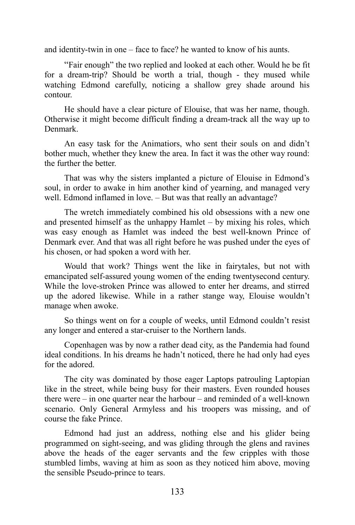and identity-twin in one – face to face? he wanted to know of his aunts.

"Fair enough" the two replied and looked at each other. Would he be fit for a dream-trip? Should be worth a trial, though - they mused while watching Edmond carefully, noticing a shallow grey shade around his contour.

He should have a clear picture of Elouise, that was her name, though. Otherwise it might become difficult finding a dream-track all the way up to Denmark.

An easy task for the Animatiors, who sent their souls on and didn't bother much, whether they knew the area. In fact it was the other way round: the further the better.

That was why the sisters implanted a picture of Elouise in Edmond's soul, in order to awake in him another kind of yearning, and managed very well. Edmond inflamed in love. – But was that really an advantage?

The wretch immediately combined his old obsessions with a new one and presented himself as the unhappy Hamlet – by mixing his roles, which was easy enough as Hamlet was indeed the best well-known Prince of Denmark ever. And that was all right before he was pushed under the eyes of his chosen, or had spoken a word with her.

Would that work? Things went the like in fairytales, but not with emancipated self-assured young women of the ending twentysecond century. While the love-stroken Prince was allowed to enter her dreams, and stirred up the adored likewise. While in a rather stange way, Elouise wouldn't manage when awoke.

So things went on for a couple of weeks, until Edmond couldn't resist any longer and entered a star-cruiser to the Northern lands.

Copenhagen was by now a rather dead city, as the Pandemia had found ideal conditions. In his dreams he hadn't noticed, there he had only had eyes for the adored.

The city was dominated by those eager Laptops patrouling Laptopian like in the street, while being busy for their masters. Even rounded houses there were – in one quarter near the harbour – and reminded of a well-known scenario. Only General Armyless and his troopers was missing, and of course the fake Prince.

Edmond had just an address, nothing else and his glider being programmed on sight-seeing, and was gliding through the glens and ravines above the heads of the eager servants and the few cripples with those stumbled limbs, waving at him as soon as they noticed him above, moving the sensible Pseudo-prince to tears.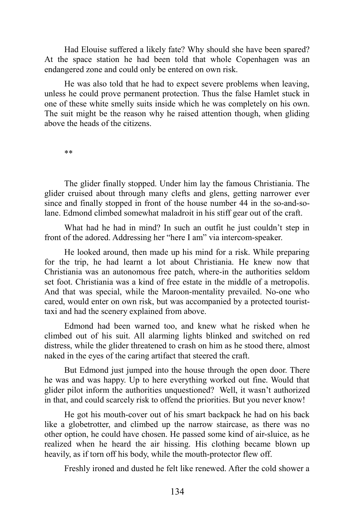Had Elouise suffered a likely fate? Why should she have been spared? At the space station he had been told that whole Copenhagen was an endangered zone and could only be entered on own risk.

He was also told that he had to expect severe problems when leaving, unless he could prove permanent protection. Thus the false Hamlet stuck in one of these white smelly suits inside which he was completely on his own. The suit might be the reason why he raised attention though, when gliding above the heads of the citizens.

\*\*

The glider finally stopped. Under him lay the famous Christiania. The glider cruised about through many clefts and glens, getting narrower ever since and finally stopped in front of the house number 44 in the so-and-solane. Edmond climbed somewhat maladroit in his stiff gear out of the craft.

What had he had in mind? In such an outfit he just couldn't step in front of the adored. Addressing her "here I am" via intercom-speaker.

He looked around, then made up his mind for a risk. While preparing for the trip, he had learnt a lot about Christiania. He knew now that Christiania was an autonomous free patch, where-in the authorities seldom set foot. Christiania was a kind of free estate in the middle of a metropolis. And that was special, while the Maroon-mentality prevailed. No-one who cared, would enter on own risk, but was accompanied by a protected touristtaxi and had the scenery explained from above.

Edmond had been warned too, and knew what he risked when he climbed out of his suit. All alarming lights blinked and switched on red distress, while the glider threatened to crash on him as he stood there, almost naked in the eyes of the caring artifact that steered the craft.

But Edmond just jumped into the house through the open door. There he was and was happy. Up to here everything worked out fine. Would that glider pilot inform the authorities unquestioned? Well, it wasn't authorized in that, and could scarcely risk to offend the priorities. But you never know!

He got his mouth-cover out of his smart backpack he had on his back like a globetrotter, and climbed up the narrow staircase, as there was no other option, he could have chosen. He passed some kind of air-sluice, as he realized when he heard the air hissing. His clothing became blown up heavily, as if torn off his body, while the mouth-protector flew off.

Freshly ironed and dusted he felt like renewed. After the cold shower a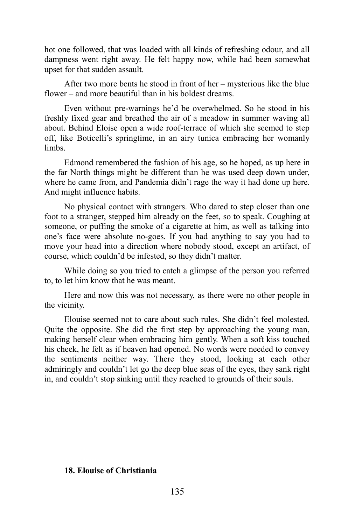hot one followed, that was loaded with all kinds of refreshing odour, and all dampness went right away. He felt happy now, while had been somewhat upset for that sudden assault.

After two more bents he stood in front of her – mysterious like the blue flower – and more beautiful than in his boldest dreams.

Even without pre-warnings he'd be overwhelmed. So he stood in his freshly fixed gear and breathed the air of a meadow in summer waving all about. Behind Eloise open a wide roof-terrace of which she seemed to step off, like Boticelli's springtime, in an airy tunica embracing her womanly limbs.

Edmond remembered the fashion of his age, so he hoped, as up here in the far North things might be different than he was used deep down under, where he came from, and Pandemia didn't rage the way it had done up here. And might influence habits.

No physical contact with strangers. Who dared to step closer than one foot to a stranger, stepped him already on the feet, so to speak. Coughing at someone, or puffing the smoke of a cigarette at him, as well as talking into one's face were absolute no-goes. If you had anything to say you had to move your head into a direction where nobody stood, except an artifact, of course, which couldn'd be infested, so they didn't matter.

While doing so you tried to catch a glimpse of the person you referred to, to let him know that he was meant.

Here and now this was not necessary, as there were no other people in the vicinity.

Elouise seemed not to care about such rules. She didn't feel molested. Quite the opposite. She did the first step by approaching the young man, making herself clear when embracing him gently. When a soft kiss touched his cheek, he felt as if heaven had opened. No words were needed to convey the sentiments neither way. There they stood, looking at each other admiringly and couldn't let go the deep blue seas of the eyes, they sank right in, and couldn't stop sinking until they reached to grounds of their souls.

## **18. Elouise of Christiania**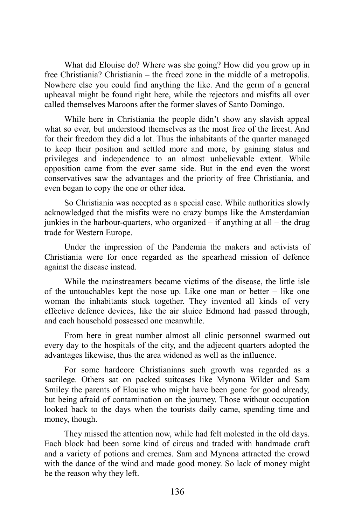What did Elouise do? Where was she going? How did you grow up in free Christiania? Christiania – the freed zone in the middle of a metropolis. Nowhere else you could find anything the like. And the germ of a general upheaval might be found right here, while the rejectors and misfits all over called themselves Maroons after the former slaves of Santo Domingo.

While here in Christiania the people didn't show any slavish appeal what so ever, but understood themselves as the most free of the freest. And for their freedom they did a lot. Thus the inhabitants of the quarter managed to keep their position and settled more and more, by gaining status and privileges and independence to an almost unbelievable extent. While opposition came from the ever same side. But in the end even the worst conservatives saw the advantages and the priority of free Christiania, and even began to copy the one or other idea.

So Christiania was accepted as a special case. While authorities slowly acknowledged that the misfits were no crazy bumps like the Amsterdamian junkies in the harbour-quarters, who organized  $-$  if anything at all  $-$  the drug trade for Western Europe.

Under the impression of the Pandemia the makers and activists of Christiania were for once regarded as the spearhead mission of defence against the disease instead.

While the mainstreamers became victims of the disease, the little isle of the untouchables kept the nose up. Like one man or better – like one woman the inhabitants stuck together. They invented all kinds of very effective defence devices, like the air sluice Edmond had passed through, and each household possessed one meanwhile.

From here in great number almost all clinic personnel swarmed out every day to the hospitals of the city, and the adjecent quarters adopted the advantages likewise, thus the area widened as well as the influence.

For some hardcore Christianians such growth was regarded as a sacrilege. Others sat on packed suitcases like Mynona Wilder and Sam Smiley the parents of Elouise who might have been gone for good already, but being afraid of contamination on the journey. Those without occupation looked back to the days when the tourists daily came, spending time and money, though.

They missed the attention now, while had felt molested in the old days. Each block had been some kind of circus and traded with handmade craft and a variety of potions and cremes. Sam and Mynona attracted the crowd with the dance of the wind and made good money. So lack of money might be the reason why they left.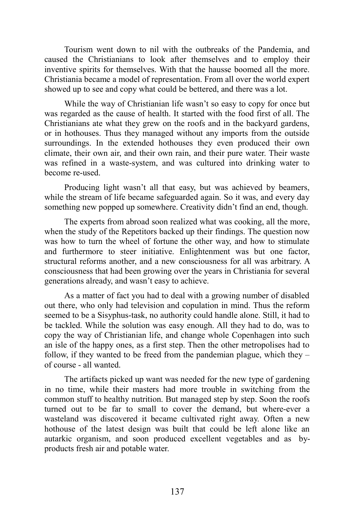Tourism went down to nil with the outbreaks of the Pandemia, and caused the Christianians to look after themselves and to employ their inventive spirits for themselves. With that the hausse boomed all the more. Christiania became a model of representation. From all over the world expert showed up to see and copy what could be bettered, and there was a lot.

While the way of Christianian life wasn't so easy to copy for once but was regarded as the cause of health. It started with the food first of all. The Christianians ate what they grew on the roofs and in the backyard gardens, or in hothouses. Thus they managed without any imports from the outside surroundings. In the extended hothouses they even produced their own climate, their own air, and their own rain, and their pure water. Their waste was refined in a waste-system, and was cultured into drinking water to become re-used.

Producing light wasn't all that easy, but was achieved by beamers, while the stream of life became safeguarded again. So it was, and every day something new popped up somewhere. Creativity didn't find an end, though.

The experts from abroad soon realized what was cooking, all the more, when the study of the Repetitors backed up their findings. The question now was how to turn the wheel of fortune the other way, and how to stimulate and furthermore to steer initiative. Enlightenment was but one factor, structural reforms another, and a new consciousness for all was arbitrary. A consciousness that had been growing over the years in Christiania for several generations already, and wasn't easy to achieve.

As a matter of fact you had to deal with a growing number of disabled out there, who only had television and copulation in mind. Thus the reform seemed to be a Sisyphus-task, no authority could handle alone. Still, it had to be tackled. While the solution was easy enough. All they had to do, was to copy the way of Christianian life, and change whole Copenhagen into such an isle of the happy ones, as a first step. Then the other metropolises had to follow, if they wanted to be freed from the pandemian plague, which they – of course - all wanted.

The artifacts picked up want was needed for the new type of gardening in no time, while their masters had more trouble in switching from the common stuff to healthy nutrition. But managed step by step. Soon the roofs turned out to be far to small to cover the demand, but where-ever a wasteland was discovered it became cultivated right away. Often a new hothouse of the latest design was built that could be left alone like an autarkic organism, and soon produced excellent vegetables and as byproducts fresh air and potable water.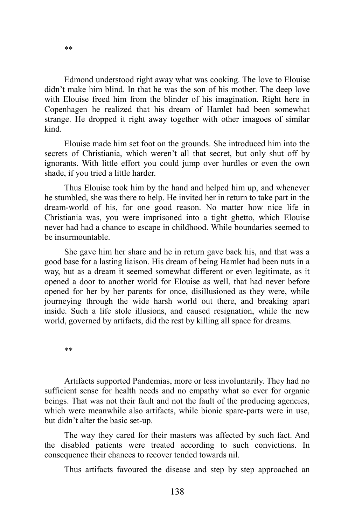Edmond understood right away what was cooking. The love to Elouise didn't make him blind. In that he was the son of his mother. The deep love with Elouise freed him from the blinder of his imagination. Right here in Copenhagen he realized that his dream of Hamlet had been somewhat strange. He dropped it right away together with other imagoes of similar kind.

Elouise made him set foot on the grounds. She introduced him into the secrets of Christiania, which weren't all that secret, but only shut off by ignorants. With little effort you could jump over hurdles or even the own shade, if you tried a little harder.

Thus Elouise took him by the hand and helped him up, and whenever he stumbled, she was there to help. He invited her in return to take part in the dream-world of his, for one good reason. No matter how nice life in Christiania was, you were imprisoned into a tight ghetto, which Elouise never had had a chance to escape in childhood. While boundaries seemed to be insurmountable.

She gave him her share and he in return gave back his, and that was a good base for a lasting liaison. His dream of being Hamlet had been nuts in a way, but as a dream it seemed somewhat different or even legitimate, as it opened a door to another world for Elouise as well, that had never before opened for her by her parents for once, disillusioned as they were, while journeying through the wide harsh world out there, and breaking apart inside. Such a life stole illusions, and caused resignation, while the new world, governed by artifacts, did the rest by killing all space for dreams.

\*\*

Artifacts supported Pandemias, more or less involuntarily. They had no sufficient sense for health needs and no empathy what so ever for organic beings. That was not their fault and not the fault of the producing agencies, which were meanwhile also artifacts, while bionic spare-parts were in use, but didn't alter the basic set-up.

The way they cared for their masters was affected by such fact. And the disabled patients were treated according to such convictions. In consequence their chances to recover tended towards nil.

Thus artifacts favoured the disease and step by step approached an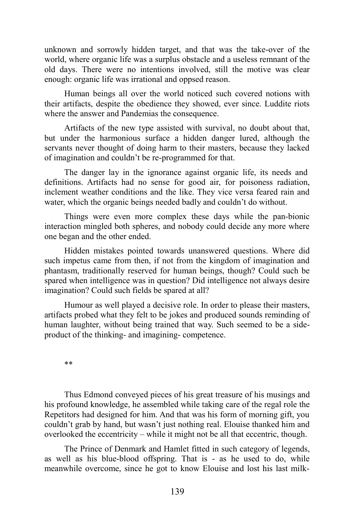unknown and sorrowly hidden target, and that was the take-over of the world, where organic life was a surplus obstacle and a useless remnant of the old days. There were no intentions involved, still the motive was clear enough: organic life was irrational and oppsed reason.

Human beings all over the world noticed such covered notions with their artifacts, despite the obedience they showed, ever since. Luddite riots where the answer and Pandemias the consequence.

Artifacts of the new type assisted with survival, no doubt about that, but under the harmonious surface a hidden danger lured, although the servants never thought of doing harm to their masters, because they lacked of imagination and couldn't be re-programmed for that.

The danger lay in the ignorance against organic life, its needs and definitions. Artifacts had no sense for good air, for poisoness radiation, inclement weather conditions and the like. They vice versa feared rain and water, which the organic beings needed badly and couldn't do without.

Things were even more complex these days while the pan-bionic interaction mingled both spheres, and nobody could decide any more where one began and the other ended.

Hidden mistakes pointed towards unanswered questions. Where did such impetus came from then, if not from the kingdom of imagination and phantasm, traditionally reserved for human beings, though? Could such be spared when intelligence was in question? Did intelligence not always desire imagination? Could such fields be spared at all?

Humour as well played a decisive role. In order to please their masters, artifacts probed what they felt to be jokes and produced sounds reminding of human laughter, without being trained that way. Such seemed to be a sideproduct of the thinking- and imagining- competence.

\*\*

Thus Edmond conveyed pieces of his great treasure of his musings and his profound knowledge, he assembled while taking care of the regal role the Repetitors had designed for him. And that was his form of morning gift, you couldn't grab by hand, but wasn't just nothing real. Elouise thanked him and overlooked the eccentricity – while it might not be all that eccentric, though.

The Prince of Denmark and Hamlet fitted in such category of legends, as well as his blue-blood offspring. That is - as he used to do, while meanwhile overcome, since he got to know Elouise and lost his last milk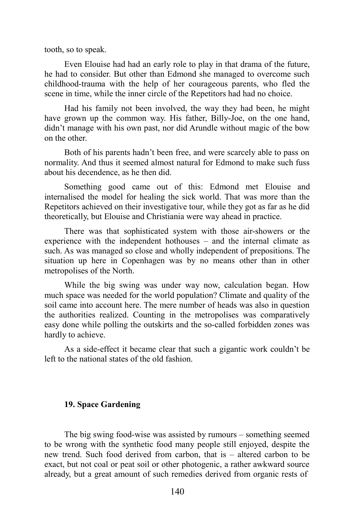tooth, so to speak.

Even Elouise had had an early role to play in that drama of the future, he had to consider. But other than Edmond she managed to overcome such childhood-trauma with the help of her courageous parents, who fled the scene in time, while the inner circle of the Repetitors had had no choice.

Had his family not been involved, the way they had been, he might have grown up the common way. His father, Billy-Joe, on the one hand, didn't manage with his own past, nor did Arundle without magic of the bow on the other.

Both of his parents hadn't been free, and were scarcely able to pass on normality. And thus it seemed almost natural for Edmond to make such fuss about his decendence, as he then did.

Something good came out of this: Edmond met Elouise and internalised the model for healing the sick world. That was more than the Repetitors achieved on their investigative tour, while they got as far as he did theoretically, but Elouise and Christiania were way ahead in practice.

There was that sophisticated system with those air-showers or the experience with the independent hothouses – and the internal climate as such. As was managed so close and wholly independent of prepositions. The situation up here in Copenhagen was by no means other than in other metropolises of the North.

While the big swing was under way now, calculation began. How much space was needed for the world population? Climate and quality of the soil came into account here. The mere number of heads was also in question the authorities realized. Counting in the metropolises was comparatively easy done while polling the outskirts and the so-called forbidden zones was hardly to achieve.

As a side-effect it became clear that such a gigantic work couldn't be left to the national states of the old fashion.

## **19. Space Gardening**

The big swing food-wise was assisted by rumours – something seemed to be wrong with the synthetic food many people still enjoyed, despite the new trend. Such food derived from carbon, that is – altered carbon to be exact, but not coal or peat soil or other photogenic, a rather awkward source already, but a great amount of such remedies derived from organic rests of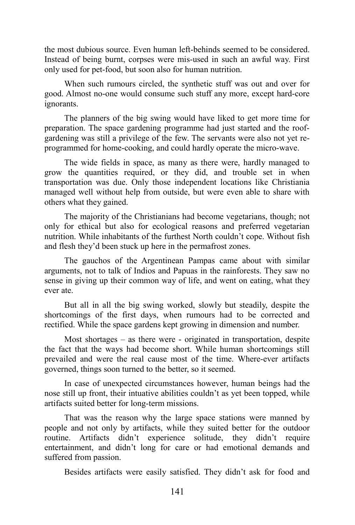the most dubious source. Even human left-behinds seemed to be considered. Instead of being burnt, corpses were mis-used in such an awful way. First only used for pet-food, but soon also for human nutrition.

When such rumours circled, the synthetic stuff was out and over for good. Almost no-one would consume such stuff any more, except hard-core ignorants.

The planners of the big swing would have liked to get more time for preparation. The space gardening programme had just started and the roofgardening was still a privilege of the few. The servants were also not yet reprogrammed for home-cooking, and could hardly operate the micro-wave.

The wide fields in space, as many as there were, hardly managed to grow the quantities required, or they did, and trouble set in when transportation was due. Only those independent locations like Christiania managed well without help from outside, but were even able to share with others what they gained.

The majority of the Christianians had become vegetarians, though; not only for ethical but also for ecological reasons and preferred vegetarian nutrition. While inhabitants of the furthest North couldn't cope. Without fish and flesh they'd been stuck up here in the permafrost zones.

The gauchos of the Argentinean Pampas came about with similar arguments, not to talk of Indios and Papuas in the rainforests. They saw no sense in giving up their common way of life, and went on eating, what they ever ate.

But all in all the big swing worked, slowly but steadily, despite the shortcomings of the first days, when rumours had to be corrected and rectified. While the space gardens kept growing in dimension and number.

Most shortages – as there were - originated in transportation, despite the fact that the ways had become short. While human shortcomings still prevailed and were the real cause most of the time. Where-ever artifacts governed, things soon turned to the better, so it seemed.

In case of unexpected circumstances however, human beings had the nose still up front, their intuative abilities couldn't as yet been topped, while artifacts suited better for long-term missions.

That was the reason why the large space stations were manned by people and not only by artifacts, while they suited better for the outdoor routine. Artifacts didn't experience solitude, they didn't require entertainment, and didn't long for care or had emotional demands and suffered from passion.

Besides artifacts were easily satisfied. They didn't ask for food and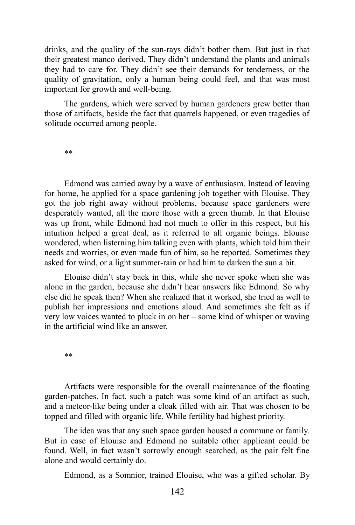drinks, and the quality of the sun-rays didn't bother them. But just in that their greatest manco derived. They didn't understand the plants and animals they had to care for. They didn't see their demands for tenderness, or the quality of gravitation, only a human being could feel, and that was most important for growth and well-being.

The gardens, which were served by human gardeners grew better than those of artifacts, beside the fact that quarrels happened, or even tragedies of solitude occurred among people.

\*\*

Edmond was carried away by a wave of enthusiasm. Instead of leaving for home, he applied for a space gardening job together with Elouise. They got the job right away without problems, because space gardeners were desperately wanted, all the more those with a green thumb. In that Elouise was up front, while Edmond had not much to offer in this respect, but his intuition helped a great deal, as it referred to all organic beings. Elouise wondered, when listerning him talking even with plants, which told him their needs and worries, or even made fun of him, so he reported. Sometimes they asked for wind, or a light summer-rain or had him to darken the sun a bit.

Elouise didn't stay back in this, while she never spoke when she was alone in the garden, because she didn't hear answers like Edmond. So why else did he speak then? When she realized that it worked, she tried as well to publish her impressions and emotions aloud. And sometimes she felt as if very low voices wanted to pluck in on her – some kind of whisper or waving in the artificial wind like an answer.

\*\*

Artifacts were responsible for the overall maintenance of the floating garden-patches. In fact, such a patch was some kind of an artifact as such, and a meteor-like being under a cloak filled with air. That was chosen to be topped and filled with organic life. While fertility had highest priority.

The idea was that any such space garden housed a commune or family. But in case of Elouise and Edmond no suitable other applicant could be found. Well, in fact wasn't sorrowly enough searched, as the pair felt fine alone and would certainly do.

Edmond, as a Somnior, trained Elouise, who was a gifted scholar. By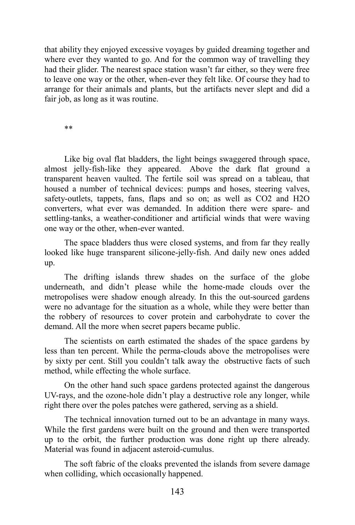that ability they enjoyed excessive voyages by guided dreaming together and where ever they wanted to go. And for the common way of travelling they had their glider. The nearest space station wasn't far either, so they were free to leave one way or the other, when-ever they felt like. Of course they had to arrange for their animals and plants, but the artifacts never slept and did a fair job, as long as it was routine.

\*\*

Like big oval flat bladders, the light beings swaggered through space, almost jelly-fish-like they appeared. Above the dark flat ground a transparent heaven vaulted. The fertile soil was spread on a tableau, that housed a number of technical devices: pumps and hoses, steering valves, safety-outlets, tappets, fans, flaps and so on; as well as CO2 and H2O converters, what ever was demanded. In addition there were spare- and settling-tanks, a weather-conditioner and artificial winds that were waving one way or the other, when-ever wanted.

The space bladders thus were closed systems, and from far they really looked like huge transparent silicone-jelly-fish. And daily new ones added up.

The drifting islands threw shades on the surface of the globe underneath, and didn't please while the home-made clouds over the metropolises were shadow enough already. In this the out-sourced gardens were no advantage for the situation as a whole, while they were better than the robbery of resources to cover protein and carbohydrate to cover the demand. All the more when secret papers became public.

The scientists on earth estimated the shades of the space gardens by less than ten percent. While the perma-clouds above the metropolises were by sixty per cent. Still you couldn't talk away the obstructive facts of such method, while effecting the whole surface.

On the other hand such space gardens protected against the dangerous UV-rays, and the ozone-hole didn't play a destructive role any longer, while right there over the poles patches were gathered, serving as a shield.

The technical innovation turned out to be an advantage in many ways. While the first gardens were built on the ground and then were transported up to the orbit, the further production was done right up there already. Material was found in adjacent asteroid-cumulus.

The soft fabric of the cloaks prevented the islands from severe damage when colliding, which occasionally happened.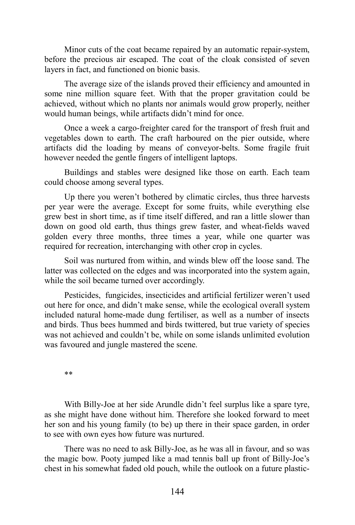Minor cuts of the coat became repaired by an automatic repair-system, before the precious air escaped. The coat of the cloak consisted of seven layers in fact, and functioned on bionic basis.

The average size of the islands proved their efficiency and amounted in some nine million square feet. With that the proper gravitation could be achieved, without which no plants nor animals would grow properly, neither would human beings, while artifacts didn't mind for once.

Once a week a cargo-freighter cared for the transport of fresh fruit and vegetables down to earth. The craft harboured on the pier outside, where artifacts did the loading by means of conveyor-belts. Some fragile fruit however needed the gentle fingers of intelligent laptops.

Buildings and stables were designed like those on earth. Each team could choose among several types.

Up there you weren't bothered by climatic circles, thus three harvests per year were the average. Except for some fruits, while everything else grew best in short time, as if time itself differed, and ran a little slower than down on good old earth, thus things grew faster, and wheat-fields waved golden every three months, three times a year, while one quarter was required for recreation, interchanging with other crop in cycles.

Soil was nurtured from within, and winds blew off the loose sand. The latter was collected on the edges and was incorporated into the system again, while the soil became turned over accordingly.

Pesticides, fungicides, insecticides and artificial fertilizer weren't used out here for once, and didn't make sense, while the ecological overall system included natural home-made dung fertiliser, as well as a number of insects and birds. Thus bees hummed and birds twittered, but true variety of species was not achieved and couldn't be, while on some islands unlimited evolution was favoured and jungle mastered the scene.

\*\*

With Billy-Joe at her side Arundle didn't feel surplus like a spare tyre, as she might have done without him. Therefore she looked forward to meet her son and his young family (to be) up there in their space garden, in order to see with own eyes how future was nurtured.

There was no need to ask Billy-Joe, as he was all in favour, and so was the magic bow. Pooty jumped like a mad tennis ball up front of Billy-Joe's chest in his somewhat faded old pouch, while the outlook on a future plastic-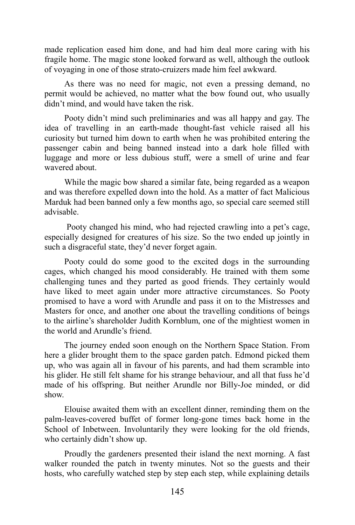made replication eased him done, and had him deal more caring with his fragile home. The magic stone looked forward as well, although the outlook of voyaging in one of those strato-cruizers made him feel awkward.

As there was no need for magic, not even a pressing demand, no permit would be achieved, no matter what the bow found out, who usually didn't mind, and would have taken the risk.

Pooty didn't mind such preliminaries and was all happy and gay. The idea of travelling in an earth-made thought-fast vehicle raised all his curiosity but turned him down to earth when he was prohibited entering the passenger cabin and being banned instead into a dark hole filled with luggage and more or less dubious stuff, were a smell of urine and fear wavered about.

While the magic bow shared a similar fate, being regarded as a weapon and was therefore expelled down into the hold. As a matter of fact Malicious Marduk had been banned only a few months ago, so special care seemed still advisable.

Pooty changed his mind, who had rejected crawling into a pet's cage, especially designed for creatures of his size. So the two ended up jointly in such a disgraceful state, they'd never forget again.

Pooty could do some good to the excited dogs in the surrounding cages, which changed his mood considerably. He trained with them some challenging tunes and they parted as good friends. They certainly would have liked to meet again under more attractive circumstances. So Pooty promised to have a word with Arundle and pass it on to the Mistresses and Masters for once, and another one about the travelling conditions of beings to the airline's shareholder Judith Kornblum, one of the mightiest women in the world and Arundle's friend.

The journey ended soon enough on the Northern Space Station. From here a glider brought them to the space garden patch. Edmond picked them up, who was again all in favour of his parents, and had them scramble into his glider. He still felt shame for his strange behaviour, and all that fuss he'd made of his offspring. But neither Arundle nor Billy-Joe minded, or did show.

Elouise awaited them with an excellent dinner, reminding them on the palm-leaves-covered buffet of former long-gone times back home in the School of Inbetween. Involuntarily they were looking for the old friends, who certainly didn't show up.

Proudly the gardeners presented their island the next morning. A fast walker rounded the patch in twenty minutes. Not so the guests and their hosts, who carefully watched step by step each step, while explaining details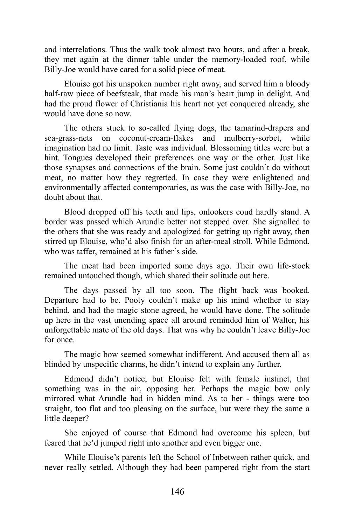and interrelations. Thus the walk took almost two hours, and after a break, they met again at the dinner table under the memory-loaded roof, while Billy-Joe would have cared for a solid piece of meat.

Elouise got his unspoken number right away, and served him a bloody half-raw piece of beefsteak, that made his man's heart jump in delight. And had the proud flower of Christiania his heart not yet conquered already, she would have done so now.

The others stuck to so-called flying dogs, the tamarind-drapers and sea-grass-nets on coconut-cream-flakes and mulberry-sorbet, while imagination had no limit. Taste was individual. Blossoming titles were but a hint. Tongues developed their preferences one way or the other. Just like those synapses and connections of the brain. Some just couldn't do without meat, no matter how they regretted. In case they were enlightened and environmentally affected contemporaries, as was the case with Billy-Joe, no doubt about that.

Blood dropped off his teeth and lips, onlookers coud hardly stand. A border was passed which Arundle better not stepped over. She signalled to the others that she was ready and apologized for getting up right away, then stirred up Elouise, who'd also finish for an after-meal stroll. While Edmond, who was taffer, remained at his father's side.

The meat had been imported some days ago. Their own life-stock remained untouched though, which shared their solitude out here.

The days passed by all too soon. The flight back was booked. Departure had to be. Pooty couldn't make up his mind whether to stay behind, and had the magic stone agreed, he would have done. The solitude up here in the vast unending space all around reminded him of Walter, his unforgettable mate of the old days. That was why he couldn't leave Billy-Joe for once.

The magic bow seemed somewhat indifferent. And accused them all as blinded by unspecific charms, he didn't intend to explain any further.

Edmond didn't notice, but Elouise felt with female instinct, that something was in the air, opposing her. Perhaps the magic bow only mirrored what Arundle had in hidden mind. As to her - things were too straight, too flat and too pleasing on the surface, but were they the same a little deeper?

She enjoyed of course that Edmond had overcome his spleen, but feared that he'd jumped right into another and even bigger one.

While Elouise's parents left the School of Inbetween rather quick, and never really settled. Although they had been pampered right from the start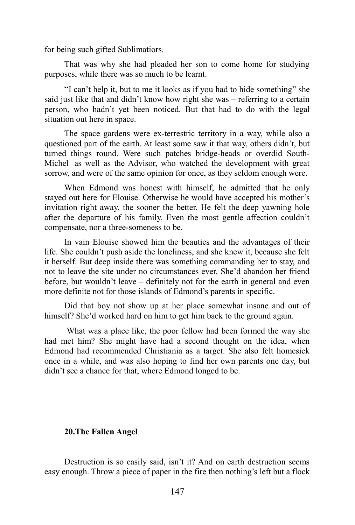for being such gifted Sublimatiors.

That was why she had pleaded her son to come home for studying purposes, while there was so much to be learnt.

"I can't help it, but to me it looks as if you had to hide something" she said just like that and didn't know how right she was – referring to a certain person, who hadn't yet been noticed. But that had to do with the legal situation out here in space.

The space gardens were ex-terrestric territory in a way, while also a questioned part of the earth. At least some saw it that way, others didn't, but turned things round. Were such patches bridge-heads or overdid South-Michel as well as the Advisor, who watched the development with great sorrow, and were of the same opinion for once, as they seldom enough were.

When Edmond was honest with himself, he admitted that he only stayed out here for Elouise. Otherwise he would have accepted his mother's invitation right away, the sooner the better. He felt the deep yawning hole after the departure of his family. Even the most gentle affection couldn't compensate, nor a three-someness to be.

In vain Elouise showed him the beauties and the advantages of their life. She couldn't push aside the loneliness, and she knew it, because she felt it herself. But deep inside there was something commanding her to stay, and not to leave the site under no circumstances ever. She'd abandon her friend before, but wouldn't leave – definitely not for the earth in general and even more definite not for those islands of Edmond's parents in specific.

Did that boy not show up at her place somewhat insane and out of himself? She'd worked hard on him to get him back to the ground again.

What was a place like, the poor fellow had been formed the way she had met him? She might have had a second thought on the idea, when Edmond had recommended Christiania as a target. She also felt homesick once in a while, and was also hoping to find her own parents one day, but didn't see a chance for that, where Edmond longed to be.

#### **20.The Fallen Angel**

Destruction is so easily said, isn't it? And on earth destruction seems easy enough. Throw a piece of paper in the fire then nothing's left but a flock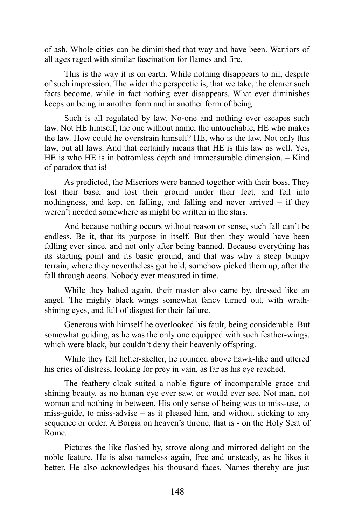of ash. Whole cities can be diminished that way and have been. Warriors of all ages raged with similar fascination for flames and fire.

This is the way it is on earth. While nothing disappears to nil, despite of such impression. The wider the perspectie is, that we take, the clearer such facts become, while in fact nothing ever disappears. What ever diminishes keeps on being in another form and in another form of being.

Such is all regulated by law. No-one and nothing ever escapes such law. Not HE himself, the one without name, the untouchable, HE who makes the law. How could he overstrain himself? HE, who is the law. Not only this law, but all laws. And that certainly means that HE is this law as well. Yes, HE is who HE is in bottomless depth and immeasurable dimension. – Kind of paradox that is!

As predicted, the Miseriors were banned together with their boss. They lost their base, and lost their ground under their feet, and fell into nothingness, and kept on falling, and falling and never arrived – if they weren't needed somewhere as might be written in the stars.

And because nothing occurs without reason or sense, such fall can't be endless. Be it, that its purpose in itself. But then they would have been falling ever since, and not only after being banned. Because everything has its starting point and its basic ground, and that was why a steep bumpy terrain, where they nevertheless got hold, somehow picked them up, after the fall through aeons. Nobody ever measured in time.

While they halted again, their master also came by, dressed like an angel. The mighty black wings somewhat fancy turned out, with wrathshining eyes, and full of disgust for their failure.

Generous with himself he overlooked his fault, being considerable. But somewhat guiding, as he was the only one equipped with such feather-wings, which were black, but couldn't deny their heavenly offspring.

While they fell helter-skelter, he rounded above hawk-like and uttered his cries of distress, looking for prey in vain, as far as his eye reached.

The feathery cloak suited a noble figure of incomparable grace and shining beauty, as no human eye ever saw, or would ever see. Not man, not woman and nothing in between. His only sense of being was to miss-use, to miss-guide, to miss-advise – as it pleased him, and without sticking to any sequence or order. A Borgia on heaven's throne, that is - on the Holy Seat of Rome.

Pictures the like flashed by, strove along and mirrored delight on the noble feature. He is also nameless again, free and unsteady, as he likes it better. He also acknowledges his thousand faces. Names thereby are just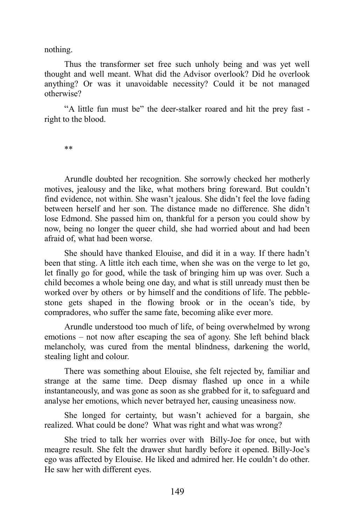nothing.

Thus the transformer set free such unholy being and was yet well thought and well meant. What did the Advisor overlook? Did he overlook anything? Or was it unavoidable necessity? Could it be not managed otherwise?

"A little fun must be" the deer-stalker roared and hit the prey fast right to the blood.

\*\*

Arundle doubted her recognition. She sorrowly checked her motherly motives, jealousy and the like, what mothers bring foreward. But couldn't find evidence, not within. She wasn't jealous. She didn't feel the love fading between herself and her son. The distance made no difference. She didn't lose Edmond. She passed him on, thankful for a person you could show by now, being no longer the queer child, she had worried about and had been afraid of, what had been worse.

She should have thanked Elouise, and did it in a way. If there hadn't been that sting. A little itch each time, when she was on the verge to let go, let finally go for good, while the task of bringing him up was over. Such a child becomes a whole being one day, and what is still unready must then be worked over by others or by himself and the conditions of life. The pebblestone gets shaped in the flowing brook or in the ocean's tide, by compradores, who suffer the same fate, becoming alike ever more.

Arundle understood too much of life, of being overwhelmed by wrong emotions – not now after escaping the sea of agony. She left behind black melancholy, was cured from the mental blindness, darkening the world, stealing light and colour.

There was something about Elouise, she felt rejected by, familiar and strange at the same time. Deep dismay flashed up once in a while instantaneously, and was gone as soon as she grabbed for it, to safeguard and analyse her emotions, which never betrayed her, causing uneasiness now.

She longed for certainty, but wasn't achieved for a bargain, she realized. What could be done? What was right and what was wrong?

She tried to talk her worries over with Billy-Joe for once, but with meagre result. She felt the drawer shut hardly before it opened. Billy-Joe's ego was affected by Elouise. He liked and admired her. He couldn't do other. He saw her with different eyes.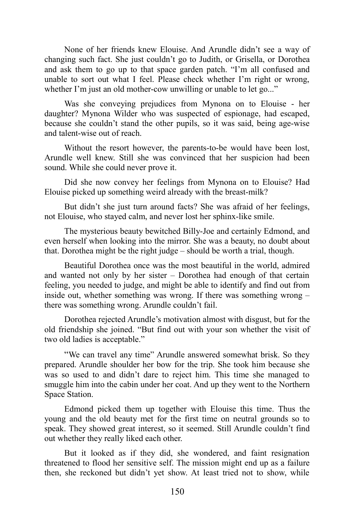None of her friends knew Elouise. And Arundle didn't see a way of changing such fact. She just couldn't go to Judith, or Grisella, or Dorothea and ask them to go up to that space garden patch. "I'm all confused and unable to sort out what I feel. Please check whether I'm right or wrong, whether I'm just an old mother-cow unwilling or unable to let go..."

Was she conveying prejudices from Mynona on to Elouise - her daughter? Mynona Wilder who was suspected of espionage, had escaped, because she couldn't stand the other pupils, so it was said, being age-wise and talent-wise out of reach.

Without the resort however, the parents-to-be would have been lost, Arundle well knew. Still she was convinced that her suspicion had been sound. While she could never prove it.

Did she now convey her feelings from Mynona on to Elouise? Had Elouise picked up something weird already with the breast-milk?

But didn't she just turn around facts? She was afraid of her feelings, not Elouise, who stayed calm, and never lost her sphinx-like smile.

The mysterious beauty bewitched Billy-Joe and certainly Edmond, and even herself when looking into the mirror. She was a beauty, no doubt about that. Dorothea might be the right judge – should be worth a trial, though.

Beautiful Dorothea once was the most beautiful in the world, admired and wanted not only by her sister – Dorothea had enough of that certain feeling, you needed to judge, and might be able to identify and find out from inside out, whether something was wrong. If there was something wrong – there was something wrong. Arundle couldn't fail.

Dorothea rejected Arundle's motivation almost with disgust, but for the old friendship she joined. "But find out with your son whether the visit of two old ladies is acceptable."

"We can travel any time" Arundle answered somewhat brisk. So they prepared. Arundle shoulder her bow for the trip. She took him because she was so used to and didn't dare to reject him. This time she managed to smuggle him into the cabin under her coat. And up they went to the Northern Space Station.

Edmond picked them up together with Elouise this time. Thus the young and the old beauty met for the first time on neutral grounds so to speak. They showed great interest, so it seemed. Still Arundle couldn't find out whether they really liked each other.

But it looked as if they did, she wondered, and faint resignation threatened to flood her sensitive self. The mission might end up as a failure then, she reckoned but didn't yet show. At least tried not to show, while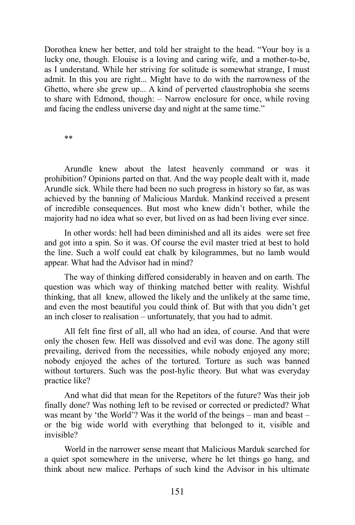Dorothea knew her better, and told her straight to the head. "Your boy is a lucky one, though. Elouise is a loving and caring wife, and a mother-to-be, as I understand. While her striving for solitude is somewhat strange, I must admit. In this you are right... Might have to do with the narrowness of the Ghetto, where she grew up... A kind of perverted claustrophobia she seems to share with Edmond, though: – Narrow enclosure for once, while roving and facing the endless universe day and night at the same time."

\*\*

Arundle knew about the latest heavenly command or was it prohibition? Opinions parted on that. And the way people dealt with it, made Arundle sick. While there had been no such progress in history so far, as was achieved by the banning of Malicious Marduk. Mankind received a present of incredible consequences. But most who knew didn't bother, while the majority had no idea what so ever, but lived on as had been living ever since.

In other words: hell had been diminished and all its aides were set free and got into a spin. So it was. Of course the evil master tried at best to hold the line. Such a wolf could eat chalk by kilogrammes, but no lamb would appear. What had the Advisor had in mind?

The way of thinking differed considerably in heaven and on earth. The question was which way of thinking matched better with reality. Wishful thinking, that all knew, allowed the likely and the unlikely at the same time, and even the most beautiful you could think of. But with that you didn't get an inch closer to realisation – unfortunately, that you had to admit.

All felt fine first of all, all who had an idea, of course. And that were only the chosen few. Hell was dissolved and evil was done. The agony still prevailing, derived from the necessities, while nobody enjoyed any more; nobody enjoyed the aches of the tortured. Torture as such was banned without torturers. Such was the post-hylic theory. But what was everyday practice like?

And what did that mean for the Repetitors of the future? Was their job finally done? Was nothing left to be revised or corrected or predicted? What was meant by 'the World'? Was it the world of the beings – man and beast – or the big wide world with everything that belonged to it, visible and invisible?

World in the narrower sense meant that Malicious Marduk searched for a quiet spot somewhere in the universe, where he let things go hang, and think about new malice. Perhaps of such kind the Advisor in his ultimate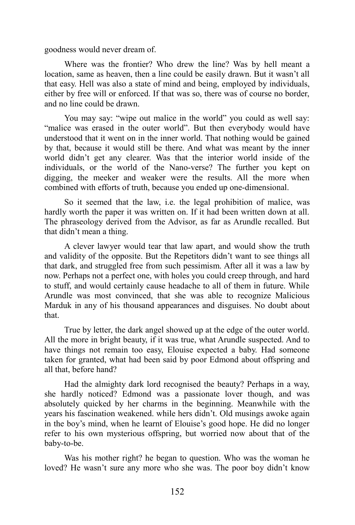goodness would never dream of.

Where was the frontier? Who drew the line? Was by hell meant a location, same as heaven, then a line could be easily drawn. But it wasn't all that easy. Hell was also a state of mind and being, employed by individuals, either by free will or enforced. If that was so, there was of course no border, and no line could be drawn.

You may say: "wipe out malice in the world" you could as well say: "malice was erased in the outer world". But then everybody would have understood that it went on in the inner world. That nothing would be gained by that, because it would still be there. And what was meant by the inner world didn't get any clearer. Was that the interior world inside of the individuals, or the world of the Nano-verse? The further you kept on digging, the meeker and weaker were the results. All the more when combined with efforts of truth, because you ended up one-dimensional.

So it seemed that the law, i.e. the legal prohibition of malice, was hardly worth the paper it was written on. If it had been written down at all. The phraseology derived from the Advisor, as far as Arundle recalled. But that didn't mean a thing.

A clever lawyer would tear that law apart, and would show the truth and validity of the opposite. But the Repetitors didn't want to see things all that dark, and struggled free from such pessimism. After all it was a law by now. Perhaps not a perfect one, with holes you could creep through, and hard to stuff, and would certainly cause headache to all of them in future. While Arundle was most convinced, that she was able to recognize Malicious Marduk in any of his thousand appearances and disguises. No doubt about that.

True by letter, the dark angel showed up at the edge of the outer world. All the more in bright beauty, if it was true, what Arundle suspected. And to have things not remain too easy, Elouise expected a baby. Had someone taken for granted, what had been said by poor Edmond about offspring and all that, before hand?

Had the almighty dark lord recognised the beauty? Perhaps in a way, she hardly noticed? Edmond was a passionate lover though, and was absolutely quicked by her charms in the beginning. Meanwhile with the years his fascination weakened. while hers didn't. Old musings awoke again in the boy's mind, when he learnt of Elouise's good hope. He did no longer refer to his own mysterious offspring, but worried now about that of the baby-to-be.

Was his mother right? he began to question. Who was the woman he loved? He wasn't sure any more who she was. The poor boy didn't know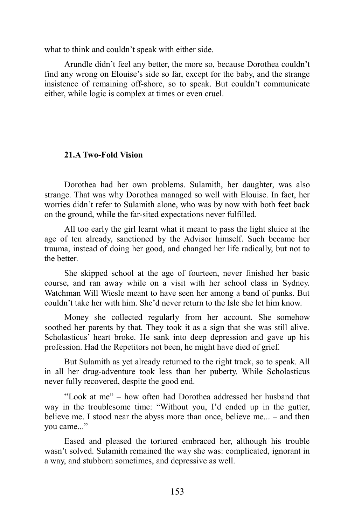what to think and couldn't speak with either side.

Arundle didn't feel any better, the more so, because Dorothea couldn't find any wrong on Elouise's side so far, except for the baby, and the strange insistence of remaining off-shore, so to speak. But couldn't communicate either, while logic is complex at times or even cruel.

# **21.A Two-Fold Vision**

Dorothea had her own problems. Sulamith, her daughter, was also strange. That was why Dorothea managed so well with Elouise. In fact, her worries didn't refer to Sulamith alone, who was by now with both feet back on the ground, while the far-sited expectations never fulfilled.

All too early the girl learnt what it meant to pass the light sluice at the age of ten already, sanctioned by the Advisor himself. Such became her trauma, instead of doing her good, and changed her life radically, but not to the better.

She skipped school at the age of fourteen, never finished her basic course, and ran away while on a visit with her school class in Sydney. Watchman Will Wiesle meant to have seen her among a band of punks. But couldn't take her with him. She'd never return to the Isle she let him know.

Money she collected regularly from her account. She somehow soothed her parents by that. They took it as a sign that she was still alive. Scholasticus' heart broke. He sank into deep depression and gave up his profession. Had the Repetitors not been, he might have died of grief.

But Sulamith as yet already returned to the right track, so to speak. All in all her drug-adventure took less than her puberty. While Scholasticus never fully recovered, despite the good end.

"Look at me" – how often had Dorothea addressed her husband that way in the troublesome time: "Without you, I'd ended up in the gutter, believe me. I stood near the abyss more than once, believe me... – and then you came..."

Eased and pleased the tortured embraced her, although his trouble wasn't solved. Sulamith remained the way she was: complicated, ignorant in a way, and stubborn sometimes, and depressive as well.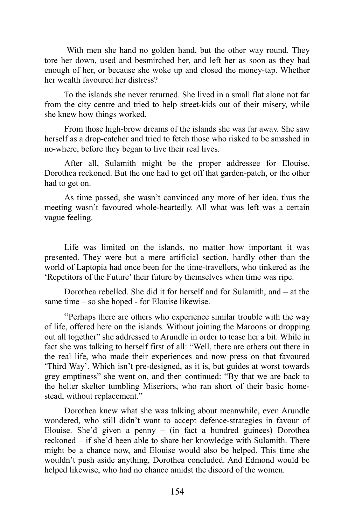With men she hand no golden hand, but the other way round. They tore her down, used and besmirched her, and left her as soon as they had enough of her, or because she woke up and closed the money-tap. Whether her wealth favoured her distress?

To the islands she never returned. She lived in a small flat alone not far from the city centre and tried to help street-kids out of their misery, while she knew how things worked.

From those high-brow dreams of the islands she was far away. She saw herself as a drop-catcher and tried to fetch those who risked to be smashed in no-where, before they began to live their real lives.

After all, Sulamith might be the proper addressee for Elouise, Dorothea reckoned. But the one had to get off that garden-patch, or the other had to get on.

As time passed, she wasn't convinced any more of her idea, thus the meeting wasn't favoured whole-heartedly. All what was left was a certain vague feeling.

Life was limited on the islands, no matter how important it was presented. They were but a mere artificial section, hardly other than the world of Laptopia had once been for the time-travellers, who tinkered as the 'Repetitors of the Future' their future by themselves when time was ripe.

Dorothea rebelled. She did it for herself and for Sulamith, and – at the same time – so she hoped - for Elouise likewise.

"Perhaps there are others who experience similar trouble with the way of life, offered here on the islands. Without joining the Maroons or dropping out all together" she addressed to Arundle in order to tease her a bit. While in fact she was talking to herself first of all: "Well, there are others out there in the real life, who made their experiences and now press on that favoured 'Third Way'. Which isn't pre-designed, as it is, but guides at worst towards grey emptiness" she went on, and then continued: "By that we are back to the helter skelter tumbling Miseriors, who ran short of their basic homestead, without replacement."

Dorothea knew what she was talking about meanwhile, even Arundle wondered, who still didn't want to accept defence-strategies in favour of Elouise. She'd given a penny – (in fact a hundred guinees) Dorothea reckoned – if she'd been able to share her knowledge with Sulamith. There might be a chance now, and Elouise would also be helped. This time she wouldn't push aside anything, Dorothea concluded. And Edmond would be helped likewise, who had no chance amidst the discord of the women.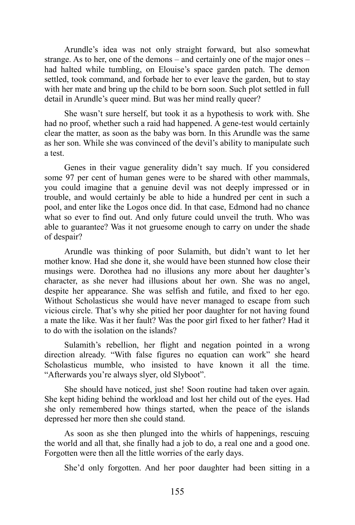Arundle's idea was not only straight forward, but also somewhat strange. As to her, one of the demons – and certainly one of the major ones – had halted while tumbling, on Elouise's space garden patch. The demon settled, took command, and forbade her to ever leave the garden, but to stay with her mate and bring up the child to be born soon. Such plot settled in full detail in Arundle's queer mind. But was her mind really queer?

She wasn't sure herself, but took it as a hypothesis to work with. She had no proof, whether such a raid had happened. A gene-test would certainly clear the matter, as soon as the baby was born. In this Arundle was the same as her son. While she was convinced of the devil's ability to manipulate such a test.

Genes in their vague generality didn't say much. If you considered some 97 per cent of human genes were to be shared with other mammals, you could imagine that a genuine devil was not deeply impressed or in trouble, and would certainly be able to hide a hundred per cent in such a pool, and enter like the Logos once did. In that case, Edmond had no chance what so ever to find out. And only future could unveil the truth. Who was able to guarantee? Was it not gruesome enough to carry on under the shade of despair?

Arundle was thinking of poor Sulamith, but didn't want to let her mother know. Had she done it, she would have been stunned how close their musings were. Dorothea had no illusions any more about her daughter's character, as she never had illusions about her own. She was no angel, despite her appearance. She was selfish and futile, and fixed to her ego. Without Scholasticus she would have never managed to escape from such vicious circle. That's why she pitied her poor daughter for not having found a mate the like. Was it her fault? Was the poor girl fixed to her father? Had it to do with the isolation on the islands?

Sulamith's rebellion, her flight and negation pointed in a wrong direction already. "With false figures no equation can work" she heard Scholasticus mumble, who insisted to have known it all the time. "Afterwards you're always slyer, old Slyboot".

She should have noticed, just she! Soon routine had taken over again. She kept hiding behind the workload and lost her child out of the eyes. Had she only remembered how things started, when the peace of the islands depressed her more then she could stand.

As soon as she then plunged into the whirls of happenings, rescuing the world and all that, she finally had a job to do, a real one and a good one. Forgotten were then all the little worries of the early days.

She'd only forgotten. And her poor daughter had been sitting in a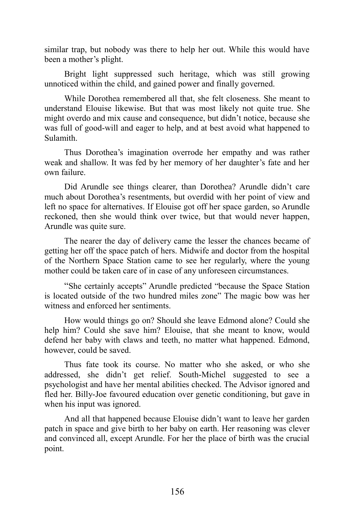similar trap, but nobody was there to help her out. While this would have been a mother's plight.

Bright light suppressed such heritage, which was still growing unnoticed within the child, and gained power and finally governed.

While Dorothea remembered all that, she felt closeness. She meant to understand Elouise likewise. But that was most likely not quite true. She might overdo and mix cause and consequence, but didn't notice, because she was full of good-will and eager to help, and at best avoid what happened to Sulamith.

Thus Dorothea's imagination overrode her empathy and was rather weak and shallow. It was fed by her memory of her daughter's fate and her own failure.

Did Arundle see things clearer, than Dorothea? Arundle didn't care much about Dorothea's resentments, but overdid with her point of view and left no space for alternatives. If Elouise got off her space garden, so Arundle reckoned, then she would think over twice, but that would never happen, Arundle was quite sure.

The nearer the day of delivery came the lesser the chances became of getting her off the space patch of hers. Midwife and doctor from the hospital of the Northern Space Station came to see her regularly, where the young mother could be taken care of in case of any unforeseen circumstances.

"She certainly accepts" Arundle predicted "because the Space Station is located outside of the two hundred miles zone" The magic bow was her witness and enforced her sentiments.

How would things go on? Should she leave Edmond alone? Could she help him? Could she save him? Elouise, that she meant to know, would defend her baby with claws and teeth, no matter what happened. Edmond, however, could be saved.

Thus fate took its course. No matter who she asked, or who she addressed, she didn't get relief. South-Michel suggested to see a psychologist and have her mental abilities checked. The Advisor ignored and fled her. Billy-Joe favoured education over genetic conditioning, but gave in when his input was ignored.

And all that happened because Elouise didn't want to leave her garden patch in space and give birth to her baby on earth. Her reasoning was clever and convinced all, except Arundle. For her the place of birth was the crucial point.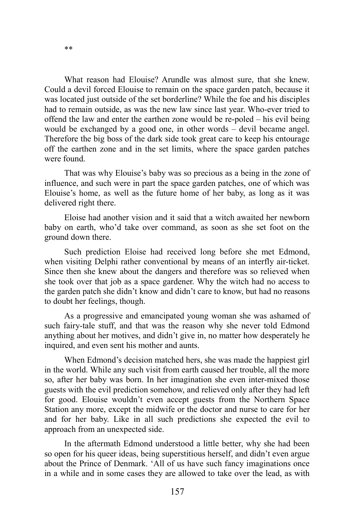\*\*

What reason had Elouise? Arundle was almost sure, that she knew. Could a devil forced Elouise to remain on the space garden patch, because it was located just outside of the set borderline? While the foe and his disciples had to remain outside, as was the new law since last year. Who-ever tried to offend the law and enter the earthen zone would be re-poled – his evil being would be exchanged by a good one, in other words – devil became angel. Therefore the big boss of the dark side took great care to keep his entourage off the earthen zone and in the set limits, where the space garden patches were found.

That was why Elouise's baby was so precious as a being in the zone of influence, and such were in part the space garden patches, one of which was Elouise's home, as well as the future home of her baby, as long as it was delivered right there.

Eloise had another vision and it said that a witch awaited her newborn baby on earth, who'd take over command, as soon as she set foot on the ground down there.

Such prediction Eloise had received long before she met Edmond, when visiting Delphi rather conventional by means of an interfly air-ticket. Since then she knew about the dangers and therefore was so relieved when she took over that job as a space gardener. Why the witch had no access to the garden patch she didn't know and didn't care to know, but had no reasons to doubt her feelings, though.

As a progressive and emancipated young woman she was ashamed of such fairy-tale stuff, and that was the reason why she never told Edmond anything about her motives, and didn't give in, no matter how desperately he inquired, and even sent his mother and aunts.

When Edmond's decision matched hers, she was made the happiest girl in the world. While any such visit from earth caused her trouble, all the more so, after her baby was born. In her imagination she even inter-mixed those guests with the evil prediction somehow, and relieved only after they had left for good. Elouise wouldn't even accept guests from the Northern Space Station any more, except the midwife or the doctor and nurse to care for her and for her baby. Like in all such predictions she expected the evil to approach from an unexpected side.

In the aftermath Edmond understood a little better, why she had been so open for his queer ideas, being superstitious herself, and didn't even argue about the Prince of Denmark. 'All of us have such fancy imaginations once in a while and in some cases they are allowed to take over the lead, as with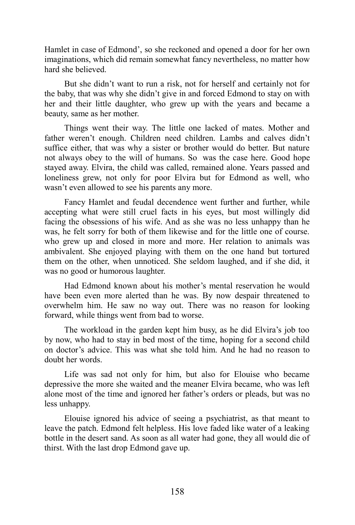Hamlet in case of Edmond', so she reckoned and opened a door for her own imaginations, which did remain somewhat fancy nevertheless, no matter how hard she believed.

But she didn't want to run a risk, not for herself and certainly not for the baby, that was why she didn't give in and forced Edmond to stay on with her and their little daughter, who grew up with the years and became a beauty, same as her mother.

Things went their way. The little one lacked of mates. Mother and father weren't enough. Children need children. Lambs and calves didn't suffice either, that was why a sister or brother would do better. But nature not always obey to the will of humans. So was the case here. Good hope stayed away. Elvira, the child was called, remained alone. Years passed and loneliness grew, not only for poor Elvira but for Edmond as well, who wasn't even allowed to see his parents any more.

Fancy Hamlet and feudal decendence went further and further, while accepting what were still cruel facts in his eyes, but most willingly did facing the obsessions of his wife. And as she was no less unhappy than he was, he felt sorry for both of them likewise and for the little one of course. who grew up and closed in more and more. Her relation to animals was ambivalent. She enjoyed playing with them on the one hand but tortured them on the other, when unnoticed. She seldom laughed, and if she did, it was no good or humorous laughter.

Had Edmond known about his mother's mental reservation he would have been even more alerted than he was. By now despair threatened to overwhelm him. He saw no way out. There was no reason for looking forward, while things went from bad to worse.

The workload in the garden kept him busy, as he did Elvira's job too by now, who had to stay in bed most of the time, hoping for a second child on doctor's advice. This was what she told him. And he had no reason to doubt her words.

Life was sad not only for him, but also for Elouise who became depressive the more she waited and the meaner Elvira became, who was left alone most of the time and ignored her father's orders or pleads, but was no less unhappy.

Elouise ignored his advice of seeing a psychiatrist, as that meant to leave the patch. Edmond felt helpless. His love faded like water of a leaking bottle in the desert sand. As soon as all water had gone, they all would die of thirst. With the last drop Edmond gave up.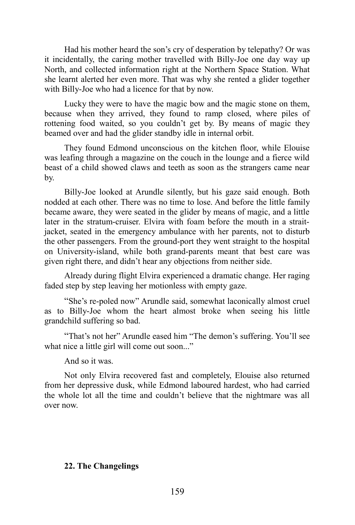Had his mother heard the son's cry of desperation by telepathy? Or was it incidentally, the caring mother travelled with Billy-Joe one day way up North, and collected information right at the Northern Space Station. What she learnt alerted her even more. That was why she rented a glider together with Billy-Joe who had a licence for that by now.

Lucky they were to have the magic bow and the magic stone on them, because when they arrived, they found to ramp closed, where piles of rottening food waited, so you couldn't get by. By means of magic they beamed over and had the glider standby idle in internal orbit.

They found Edmond unconscious on the kitchen floor, while Elouise was leafing through a magazine on the couch in the lounge and a fierce wild beast of a child showed claws and teeth as soon as the strangers came near by.

Billy-Joe looked at Arundle silently, but his gaze said enough. Both nodded at each other. There was no time to lose. And before the little family became aware, they were seated in the glider by means of magic, and a little later in the stratum-cruiser. Elvira with foam before the mouth in a straitjacket, seated in the emergency ambulance with her parents, not to disturb the other passengers. From the ground-port they went straight to the hospital on University-island, while both grand-parents meant that best care was given right there, and didn't hear any objections from neither side.

Already during flight Elvira experienced a dramatic change. Her raging faded step by step leaving her motionless with empty gaze.

"She's re-poled now" Arundle said, somewhat laconically almost cruel as to Billy-Joe whom the heart almost broke when seeing his little grandchild suffering so bad.

"That's not her" Arundle eased him "The demon's suffering. You'll see what nice a little girl will come out soon..."

And so it was.

Not only Elvira recovered fast and completely, Elouise also returned from her depressive dusk, while Edmond laboured hardest, who had carried the whole lot all the time and couldn't believe that the nightmare was all over now.

### **22. The Changelings**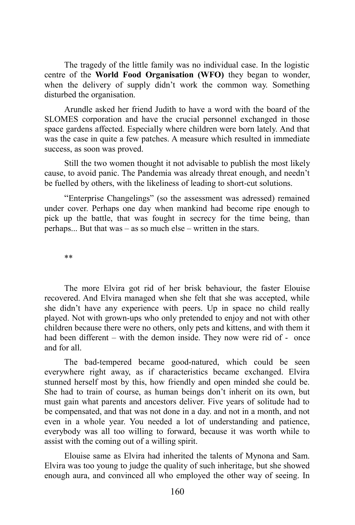The tragedy of the little family was no individual case. In the logistic centre of the **World Food Organisation (WFO)** they began to wonder, when the delivery of supply didn't work the common way. Something disturbed the organisation.

Arundle asked her friend Judith to have a word with the board of the SLOMES corporation and have the crucial personnel exchanged in those space gardens affected. Especially where children were born lately. And that was the case in quite a few patches. A measure which resulted in immediate success, as soon was proved.

Still the two women thought it not advisable to publish the most likely cause, to avoid panic. The Pandemia was already threat enough, and needn't be fuelled by others, with the likeliness of leading to short-cut solutions.

"Enterprise Changelings" (so the assessment was adressed) remained under cover. Perhaps one day when mankind had become ripe enough to pick up the battle, that was fought in secrecy for the time being, than perhaps... But that was – as so much else – written in the stars.

\*\*

The more Elvira got rid of her brisk behaviour, the faster Elouise recovered. And Elvira managed when she felt that she was accepted, while she didn't have any experience with peers. Up in space no child really played. Not with grown-ups who only pretended to enjoy and not with other children because there were no others, only pets and kittens, and with them it had been different – with the demon inside. They now were rid of - once and for all.

The bad-tempered became good-natured, which could be seen everywhere right away, as if characteristics became exchanged. Elvira stunned herself most by this, how friendly and open minded she could be. She had to train of course, as human beings don't inherit on its own, but must gain what parents and ancestors deliver. Five years of solitude had to be compensated, and that was not done in a day. and not in a month, and not even in a whole year. You needed a lot of understanding and patience, everybody was all too willing to forward, because it was worth while to assist with the coming out of a willing spirit.

Elouise same as Elvira had inherited the talents of Mynona and Sam. Elvira was too young to judge the quality of such inheritage, but she showed enough aura, and convinced all who employed the other way of seeing. In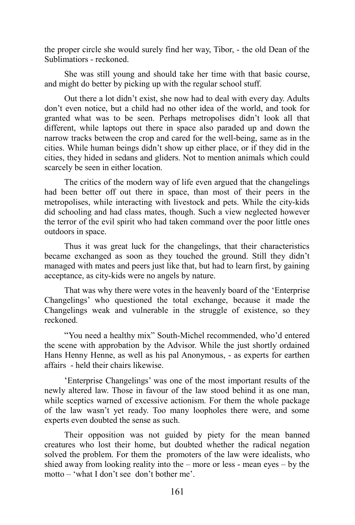the proper circle she would surely find her way, Tibor, - the old Dean of the Sublimatiors - reckoned.

She was still young and should take her time with that basic course, and might do better by picking up with the regular school stuff.

Out there a lot didn't exist, she now had to deal with every day. Adults don't even notice, but a child had no other idea of the world, and took for granted what was to be seen. Perhaps metropolises didn't look all that different, while laptops out there in space also paraded up and down the narrow tracks between the crop and cared for the well-being, same as in the cities. While human beings didn't show up either place, or if they did in the cities, they hided in sedans and gliders. Not to mention animals which could scarcely be seen in either location.

The critics of the modern way of life even argued that the changelings had been better off out there in space, than most of their peers in the metropolises, while interacting with livestock and pets. While the city-kids did schooling and had class mates, though. Such a view neglected however the terror of the evil spirit who had taken command over the poor little ones outdoors in space.

Thus it was great luck for the changelings, that their characteristics became exchanged as soon as they touched the ground. Still they didn't managed with mates and peers just like that, but had to learn first, by gaining acceptance, as city-kids were no angels by nature.

That was why there were votes in the heavenly board of the 'Enterprise Changelings' who questioned the total exchange, because it made the Changelings weak and vulnerable in the struggle of existence, so they reckoned.

"You need a healthy mix" South-Michel recommended, who'd entered the scene with approbation by the Advisor. While the just shortly ordained Hans Henny Henne, as well as his pal Anonymous, - as experts for earthen affairs - held their chairs likewise.

'Enterprise Changelings' was one of the most important results of the newly altered law. Those in favour of the law stood behind it as one man, while sceptics warned of excessive actionism. For them the whole package of the law wasn't yet ready. Too many loopholes there were, and some experts even doubted the sense as such.

Their opposition was not guided by piety for the mean banned creatures who lost their home, but doubted whether the radical negation solved the problem. For them the promoters of the law were idealists, who shied away from looking reality into the – more or less - mean eyes – by the motto – 'what I don't see don't bother me'.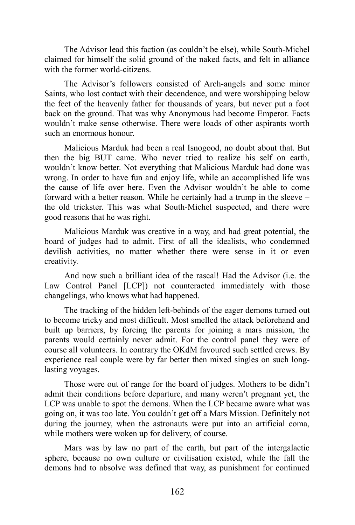The Advisor lead this faction (as couldn't be else), while South-Michel claimed for himself the solid ground of the naked facts, and felt in alliance with the former world-citizens.

The Advisor's followers consisted of Arch-angels and some minor Saints, who lost contact with their decendence, and were worshipping below the feet of the heavenly father for thousands of years, but never put a foot back on the ground. That was why Anonymous had become Emperor. Facts wouldn't make sense otherwise. There were loads of other aspirants worth such an enormous honour.

Malicious Marduk had been a real Isnogood, no doubt about that. But then the big BUT came. Who never tried to realize his self on earth, wouldn't know better. Not everything that Malicious Marduk had done was wrong. In order to have fun and enjoy life, while an accomplished life was the cause of life over here. Even the Advisor wouldn't be able to come forward with a better reason. While he certainly had a trump in the sleeve – the old trickster. This was what South-Michel suspected, and there were good reasons that he was right.

Malicious Marduk was creative in a way, and had great potential, the board of judges had to admit. First of all the idealists, who condemned devilish activities, no matter whether there were sense in it or even creativity.

And now such a brilliant idea of the rascal! Had the Advisor (i.e. the Law Control Panel [LCP]) not counteracted immediately with those changelings, who knows what had happened.

The tracking of the hidden left-behinds of the eager demons turned out to become tricky and most difficult. Most smelled the attack beforehand and built up barriers, by forcing the parents for joining a mars mission, the parents would certainly never admit. For the control panel they were of course all volunteers. In contrary the OKdM favoured such settled crews. By experience real couple were by far better then mixed singles on such longlasting voyages.

Those were out of range for the board of judges. Mothers to be didn't admit their conditions before departure, and many weren't pregnant yet, the LCP was unable to spot the demons. When the LCP became aware what was going on, it was too late. You couldn't get off a Mars Mission. Definitely not during the journey, when the astronauts were put into an artificial coma, while mothers were woken up for delivery, of course.

Mars was by law no part of the earth, but part of the intergalactic sphere, because no own culture or civilisation existed, while the fall the demons had to absolve was defined that way, as punishment for continued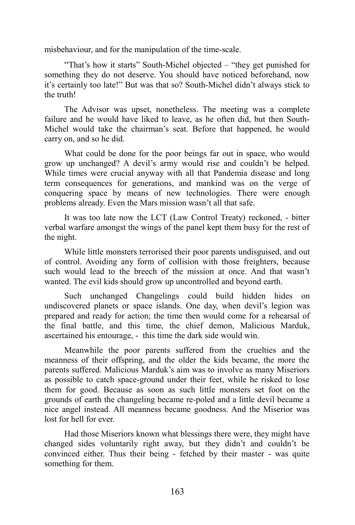misbehaviour, and for the manipulation of the time-scale.

"That's how it starts" South-Michel objected – "they get punished for something they do not deserve. You should have noticed beforehand, now it's certainly too late!" But was that so? South-Michel didn't always stick to the truth!

The Advisor was upset, nonetheless. The meeting was a complete failure and he would have liked to leave, as he often did, but then South-Michel would take the chairman's seat. Before that happened, he would carry on, and so he did.

What could be done for the poor beings far out in space, who would grow up unchanged? A devil's army would rise and couldn't be helped. While times were crucial anyway with all that Pandemia disease and long term consequences for generations, and mankind was on the verge of conquering space by means of new technologies. There were enough problems already. Even the Mars mission wasn't all that safe.

It was too late now the LCT (Law Control Treaty) reckoned, - bitter verbal warfare amongst the wings of the panel kept them busy for the rest of the night.

While little monsters terrorised their poor parents undisguised, and out of control. Avoiding any form of collision with those freighters, because such would lead to the breech of the mission at once. And that wasn't wanted. The evil kids should grow up uncontrolled and beyond earth.

Such unchanged Changelings could build hidden hides on undiscovered planets or space islands. One day, when devil's legion was prepared and ready for action; the time then would come for a rehearsal of the final battle, and this time, the chief demon, Malicious Marduk, ascertained his entourage, - this time the dark side would win.

Meanwhile the poor parents suffered from the cruelties and the meanness of their offspring, and the older the kids became, the more the parents suffered. Malicious Marduk's aim was to involve as many Miseriors as possible to catch space-ground under their feet, while he risked to lose them for good. Because as soon as such little monsters set foot on the grounds of earth the changeling became re-poled and a little devil became a nice angel instead. All meanness became goodness. And the Miserior was lost for hell for ever.

Had those Miseriors known what blessings there were, they might have changed sides voluntarily right away, but they didn't and couldn't be convinced either. Thus their being - fetched by their master - was quite something for them.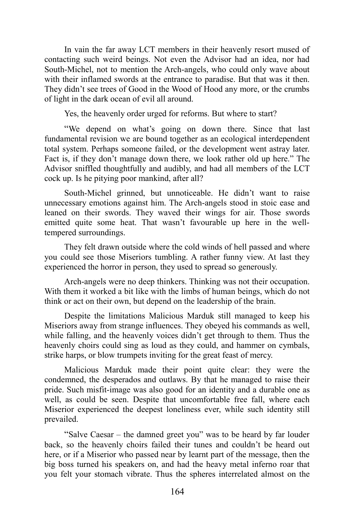In vain the far away LCT members in their heavenly resort mused of contacting such weird beings. Not even the Advisor had an idea, nor had South-Michel, not to mention the Arch-angels, who could only wave about with their inflamed swords at the entrance to paradise. But that was it then. They didn't see trees of Good in the Wood of Hood any more, or the crumbs of light in the dark ocean of evil all around.

Yes, the heavenly order urged for reforms. But where to start?

"We depend on what's going on down there. Since that last fundamental revision we are bound together as an ecological interdependent total system. Perhaps someone failed, or the development went astray later. Fact is, if they don't manage down there, we look rather old up here." The Advisor sniffled thoughtfully and audibly, and had all members of the LCT cock up. Is he pitying poor mankind, after all?

South-Michel grinned, but unnoticeable. He didn't want to raise unnecessary emotions against him. The Arch-angels stood in stoic ease and leaned on their swords. They waved their wings for air. Those swords emitted quite some heat. That wasn't favourable up here in the welltempered surroundings.

They felt drawn outside where the cold winds of hell passed and where you could see those Miseriors tumbling. A rather funny view. At last they experienced the horror in person, they used to spread so generously.

Arch-angels were no deep thinkers. Thinking was not their occupation. With them it worked a bit like with the limbs of human beings, which do not think or act on their own, but depend on the leadership of the brain.

Despite the limitations Malicious Marduk still managed to keep his Miseriors away from strange influences. They obeyed his commands as well, while falling, and the heavenly voices didn't get through to them. Thus the heavenly choirs could sing as loud as they could, and hammer on cymbals, strike harps, or blow trumpets inviting for the great feast of mercy.

Malicious Marduk made their point quite clear: they were the condemned, the desperados and outlaws. By that he managed to raise their pride. Such misfit-image was also good for an identity and a durable one as well, as could be seen. Despite that uncomfortable free fall, where each Miserior experienced the deepest loneliness ever, while such identity still prevailed.

"Salve Caesar – the damned greet you" was to be heard by far louder back, so the heavenly choirs failed their tunes and couldn't be heard out here, or if a Miserior who passed near by learnt part of the message, then the big boss turned his speakers on, and had the heavy metal inferno roar that you felt your stomach vibrate. Thus the spheres interrelated almost on the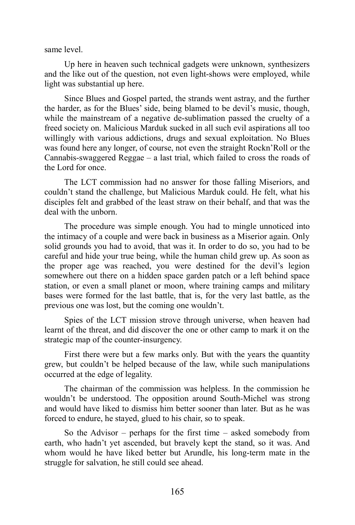same level.

Up here in heaven such technical gadgets were unknown, synthesizers and the like out of the question, not even light-shows were employed, while light was substantial up here.

Since Blues and Gospel parted, the strands went astray, and the further the harder, as for the Blues' side, being blamed to be devil's music, though, while the mainstream of a negative de-sublimation passed the cruelty of a freed society on. Malicious Marduk sucked in all such evil aspirations all too willingly with various addictions, drugs and sexual exploitation. No Blues was found here any longer, of course, not even the straight Rockn'Roll or the Cannabis-swaggered Reggae – a last trial, which failed to cross the roads of the Lord for once.

The LCT commission had no answer for those falling Miseriors, and couldn't stand the challenge, but Malicious Marduk could. He felt, what his disciples felt and grabbed of the least straw on their behalf, and that was the deal with the unborn.

The procedure was simple enough. You had to mingle unnoticed into the intimacy of a couple and were back in business as a Miserior again. Only solid grounds you had to avoid, that was it. In order to do so, you had to be careful and hide your true being, while the human child grew up. As soon as the proper age was reached, you were destined for the devil's legion somewhere out there on a hidden space garden patch or a left behind space station, or even a small planet or moon, where training camps and military bases were formed for the last battle, that is, for the very last battle, as the previous one was lost, but the coming one wouldn't.

Spies of the LCT mission strove through universe, when heaven had learnt of the threat, and did discover the one or other camp to mark it on the strategic map of the counter-insurgency.

First there were but a few marks only. But with the years the quantity grew, but couldn't be helped because of the law, while such manipulations occurred at the edge of legality.

The chairman of the commission was helpless. In the commission he wouldn't be understood. The opposition around South-Michel was strong and would have liked to dismiss him better sooner than later. But as he was forced to endure, he stayed, glued to his chair, so to speak.

So the Advisor – perhaps for the first time – asked somebody from earth, who hadn't yet ascended, but bravely kept the stand, so it was. And whom would he have liked better but Arundle, his long-term mate in the struggle for salvation, he still could see ahead.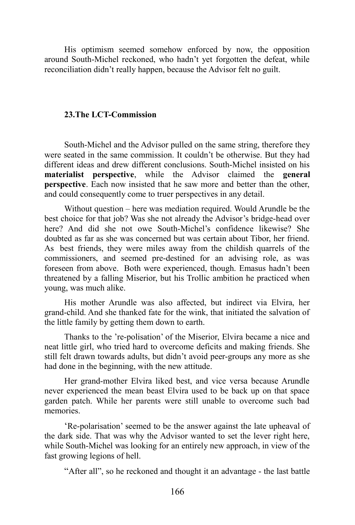His optimism seemed somehow enforced by now, the opposition around South-Michel reckoned, who hadn't yet forgotten the defeat, while reconciliation didn't really happen, because the Advisor felt no guilt.

### **23.The LCT-Commission**

South-Michel and the Advisor pulled on the same string, therefore they were seated in the same commission. It couldn't be otherwise. But they had different ideas and drew different conclusions. South-Michel insisted on his **materialist perspective**, while the Advisor claimed the **general perspective**. Each now insisted that he saw more and better than the other, and could consequently come to truer perspectives in any detail.

Without question – here was mediation required. Would Arundle be the best choice for that job? Was she not already the Advisor's bridge-head over here? And did she not owe South-Michel's confidence likewise? She doubted as far as she was concerned but was certain about Tibor, her friend. As best friends, they were miles away from the childish quarrels of the commissioners, and seemed pre-destined for an advising role, as was foreseen from above. Both were experienced, though. Emasus hadn't been threatened by a falling Miserior, but his Trollic ambition he practiced when young, was much alike.

His mother Arundle was also affected, but indirect via Elvira, her grand-child. And she thanked fate for the wink, that initiated the salvation of the little family by getting them down to earth.

Thanks to the 're-polisation' of the Miserior, Elvira became a nice and neat little girl, who tried hard to overcome deficits and making friends. She still felt drawn towards adults, but didn't avoid peer-groups any more as she had done in the beginning, with the new attitude.

Her grand-mother Elvira liked best, and vice versa because Arundle never experienced the mean beast Elvira used to be back up on that space garden patch. While her parents were still unable to overcome such bad memories.

'Re-polarisation' seemed to be the answer against the late upheaval of the dark side. That was why the Advisor wanted to set the lever right here, while South-Michel was looking for an entirely new approach, in view of the fast growing legions of hell.

"After all", so he reckoned and thought it an advantage - the last battle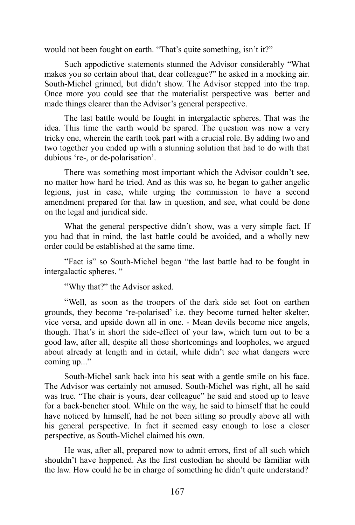would not been fought on earth. "That's quite something, isn't it?"

Such appodictive statements stunned the Advisor considerably "What makes you so certain about that, dear colleague?" he asked in a mocking air. South-Michel grinned, but didn't show. The Advisor stepped into the trap. Once more you could see that the materialist perspective was better and made things clearer than the Advisor's general perspective.

The last battle would be fought in intergalactic spheres. That was the idea. This time the earth would be spared. The question was now a very tricky one, wherein the earth took part with a crucial role. By adding two and two together you ended up with a stunning solution that had to do with that dubious 're-, or de-polarisation'.

There was something most important which the Advisor couldn't see, no matter how hard he tried. And as this was so, he began to gather angelic legions, just in case, while urging the commission to have a second amendment prepared for that law in question, and see, what could be done on the legal and juridical side.

What the general perspective didn't show, was a very simple fact. If you had that in mind, the last battle could be avoided, and a wholly new order could be established at the same time.

"Fact is" so South-Michel began "the last battle had to be fought in intergalactic spheres. "

"Why that?" the Advisor asked.

"Well, as soon as the troopers of the dark side set foot on earthen grounds, they become 're-polarised' i.e. they become turned helter skelter, vice versa, and upside down all in one. - Mean devils become nice angels, though. That's in short the side-effect of your law, which turn out to be a good law, after all, despite all those shortcomings and loopholes, we argued about already at length and in detail, while didn't see what dangers were coming up..."

South-Michel sank back into his seat with a gentle smile on his face. The Advisor was certainly not amused. South-Michel was right, all he said was true. "The chair is yours, dear colleague" he said and stood up to leave for a back-bencher stool. While on the way, he said to himself that he could have noticed by himself, had he not been sitting so proudly above all with his general perspective. In fact it seemed easy enough to lose a closer perspective, as South-Michel claimed his own.

He was, after all, prepared now to admit errors, first of all such which shouldn't have happened. As the first custodian he should be familiar with the law. How could he be in charge of something he didn't quite understand?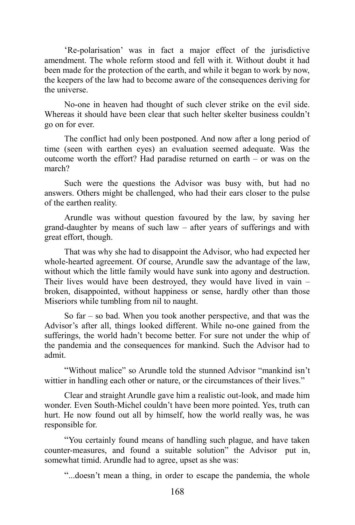'Re-polarisation' was in fact a major effect of the jurisdictive amendment. The whole reform stood and fell with it. Without doubt it had been made for the protection of the earth, and while it began to work by now, the keepers of the law had to become aware of the consequences deriving for the universe.

No-one in heaven had thought of such clever strike on the evil side. Whereas it should have been clear that such helter skelter business couldn't go on for ever.

The conflict had only been postponed. And now after a long period of time (seen with earthen eyes) an evaluation seemed adequate. Was the outcome worth the effort? Had paradise returned on earth – or was on the march?

Such were the questions the Advisor was busy with, but had no answers. Others might be challenged, who had their ears closer to the pulse of the earthen reality.

Arundle was without question favoured by the law, by saving her grand-daughter by means of such law – after years of sufferings and with great effort, though.

That was why she had to disappoint the Advisor, who had expected her whole-hearted agreement. Of course, Arundle saw the advantage of the law, without which the little family would have sunk into agony and destruction. Their lives would have been destroyed, they would have lived in vain – broken, disappointed, without happiness or sense, hardly other than those Miseriors while tumbling from nil to naught.

So far – so bad. When you took another perspective, and that was the Advisor's after all, things looked different. While no-one gained from the sufferings, the world hadn't become better. For sure not under the whip of the pandemia and the consequences for mankind. Such the Advisor had to admit.

"Without malice" so Arundle told the stunned Advisor "mankind isn't wittier in handling each other or nature, or the circumstances of their lives."

Clear and straight Arundle gave him a realistic out-look, and made him wonder. Even South-Michel couldn't have been more pointed. Yes, truth can hurt. He now found out all by himself, how the world really was, he was responsible for.

"You certainly found means of handling such plague, and have taken counter-measures, and found a suitable solution" the Advisor put in, somewhat timid. Arundle had to agree, upset as she was:

"...doesn't mean a thing, in order to escape the pandemia, the whole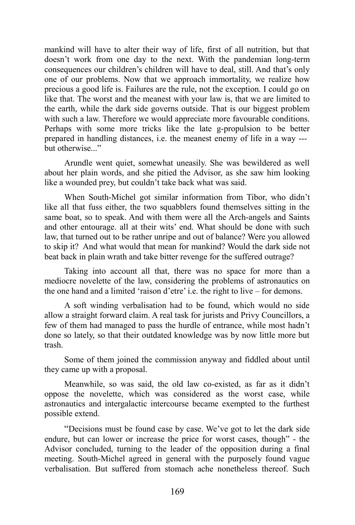mankind will have to alter their way of life, first of all nutrition, but that doesn't work from one day to the next. With the pandemian long-term consequences our children's children will have to deal, still. And that's only one of our problems. Now that we approach immortality, we realize how precious a good life is. Failures are the rule, not the exception. I could go on like that. The worst and the meanest with your law is, that we are limited to the earth, while the dark side governs outside. That is our biggest problem with such a law. Therefore we would appreciate more favourable conditions. Perhaps with some more tricks like the late g-propulsion to be better prepared in handling distances, i.e. the meanest enemy of life in a way -- but otherwise..."

Arundle went quiet, somewhat uneasily. She was bewildered as well about her plain words, and she pitied the Advisor, as she saw him looking like a wounded prey, but couldn't take back what was said.

When South-Michel got similar information from Tibor, who didn't like all that fuss either, the two squabblers found themselves sitting in the same boat, so to speak. And with them were all the Arch-angels and Saints and other entourage. all at their wits' end. What should be done with such law, that turned out to be rather unripe and out of balance? Were you allowed to skip it? And what would that mean for mankind? Would the dark side not beat back in plain wrath and take bitter revenge for the suffered outrage?

Taking into account all that, there was no space for more than a mediocre novelette of the law, considering the problems of astronautics on the one hand and a limited 'raison d'etre' i.e. the right to live – for demons.

A soft winding verbalisation had to be found, which would no side allow a straight forward claim. A real task for jurists and Privy Councillors, a few of them had managed to pass the hurdle of entrance, while most hadn't done so lately, so that their outdated knowledge was by now little more but trash.

Some of them joined the commission anyway and fiddled about until they came up with a proposal.

Meanwhile, so was said, the old law co-existed, as far as it didn't oppose the novelette, which was considered as the worst case, while astronautics and intergalactic intercourse became exempted to the furthest possible extend.

"Decisions must be found case by case. We've got to let the dark side endure, but can lower or increase the price for worst cases, though" - the Advisor concluded, turning to the leader of the opposition during a final meeting. South-Michel agreed in general with the purposely found vague verbalisation. But suffered from stomach ache nonetheless thereof. Such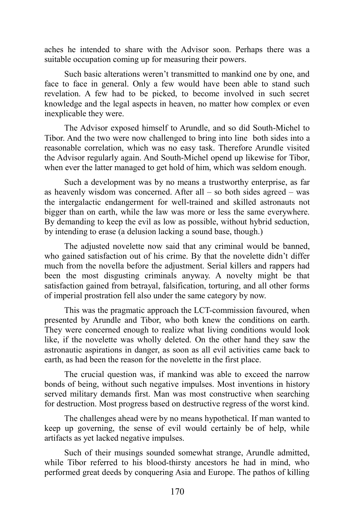aches he intended to share with the Advisor soon. Perhaps there was a suitable occupation coming up for measuring their powers.

Such basic alterations weren't transmitted to mankind one by one, and face to face in general. Only a few would have been able to stand such revelation. A few had to be picked, to become involved in such secret knowledge and the legal aspects in heaven, no matter how complex or even inexplicable they were.

The Advisor exposed himself to Arundle, and so did South-Michel to Tibor. And the two were now challenged to bring into line both sides into a reasonable correlation, which was no easy task. Therefore Arundle visited the Advisor regularly again. And South-Michel opend up likewise for Tibor, when ever the latter managed to get hold of him, which was seldom enough.

Such a development was by no means a trustworthy enterprise, as far as heavenly wisdom was concerned. After all – so both sides agreed – was the intergalactic endangerment for well-trained and skilled astronauts not bigger than on earth, while the law was more or less the same everywhere. By demanding to keep the evil as low as possible, without hybrid seduction, by intending to erase (a delusion lacking a sound base, though.)

The adjusted novelette now said that any criminal would be banned, who gained satisfaction out of his crime. By that the novelette didn't differ much from the novella before the adjustment. Serial killers and rappers had been the most disgusting criminals anyway. A novelty might be that satisfaction gained from betrayal, falsification, torturing, and all other forms of imperial prostration fell also under the same category by now.

This was the pragmatic approach the LCT-commission favoured, when presented by Arundle and Tibor, who both knew the conditions on earth. They were concerned enough to realize what living conditions would look like, if the novelette was wholly deleted. On the other hand they saw the astronautic aspirations in danger, as soon as all evil activities came back to earth, as had been the reason for the novelette in the first place.

The crucial question was, if mankind was able to exceed the narrow bonds of being, without such negative impulses. Most inventions in history served military demands first. Man was most constructive when searching for destruction. Most progress based on destructive regress of the worst kind.

The challenges ahead were by no means hypothetical. If man wanted to keep up governing, the sense of evil would certainly be of help, while artifacts as yet lacked negative impulses.

Such of their musings sounded somewhat strange, Arundle admitted, while Tibor referred to his blood-thirsty ancestors he had in mind, who performed great deeds by conquering Asia and Europe. The pathos of killing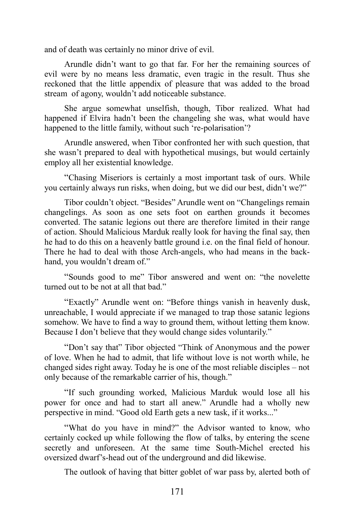and of death was certainly no minor drive of evil.

Arundle didn't want to go that far. For her the remaining sources of evil were by no means less dramatic, even tragic in the result. Thus she reckoned that the little appendix of pleasure that was added to the broad stream of agony, wouldn't add noticeable substance.

She argue somewhat unselfish, though, Tibor realized. What had happened if Elvira hadn't been the changeling she was, what would have happened to the little family, without such 're-polarisation'?

Arundle answered, when Tibor confronted her with such question, that she wasn't prepared to deal with hypothetical musings, but would certainly employ all her existential knowledge.

"Chasing Miseriors is certainly a most important task of ours. While you certainly always run risks, when doing, but we did our best, didn't we?"

Tibor couldn't object. "Besides" Arundle went on "Changelings remain changelings. As soon as one sets foot on earthen grounds it becomes converted. The satanic legions out there are therefore limited in their range of action. Should Malicious Marduk really look for having the final say, then he had to do this on a heavenly battle ground i.e. on the final field of honour. There he had to deal with those Arch-angels, who had means in the backhand, you wouldn't dream of."

"Sounds good to me" Tibor answered and went on: "the novelette turned out to be not at all that bad."

"Exactly" Arundle went on: "Before things vanish in heavenly dusk, unreachable, I would appreciate if we managed to trap those satanic legions somehow. We have to find a way to ground them, without letting them know. Because I don't believe that they would change sides voluntarily."

"Don't say that" Tibor objected "Think of Anonymous and the power of love. When he had to admit, that life without love is not worth while, he changed sides right away. Today he is one of the most reliable disciples – not only because of the remarkable carrier of his, though."

"If such grounding worked, Malicious Marduk would lose all his power for once and had to start all anew." Arundle had a wholly new perspective in mind. "Good old Earth gets a new task, if it works..."

"What do you have in mind?" the Advisor wanted to know, who certainly cocked up while following the flow of talks, by entering the scene secretly and unforeseen. At the same time South-Michel erected his oversized dwarf's-head out of the underground and did likewise.

The outlook of having that bitter goblet of war pass by, alerted both of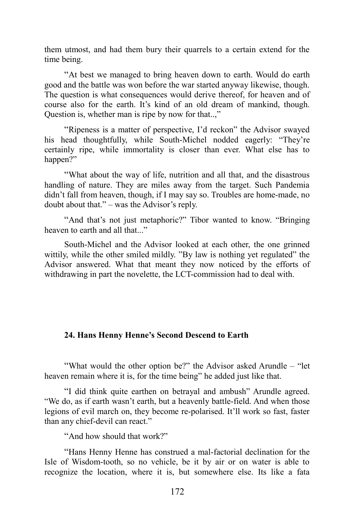them utmost, and had them bury their quarrels to a certain extend for the time being.

"At best we managed to bring heaven down to earth. Would do earth good and the battle was won before the war started anyway likewise, though. The question is what consequences would derive thereof, for heaven and of course also for the earth. It's kind of an old dream of mankind, though. Question is, whether man is ripe by now for that..,"

"Ripeness is a matter of perspective, I'd reckon" the Advisor swayed his head thoughtfully, while South-Michel nodded eagerly: "They're certainly ripe, while immortality is closer than ever. What else has to happen?"

"What about the way of life, nutrition and all that, and the disastrous handling of nature. They are miles away from the target. Such Pandemia didn't fall from heaven, though, if I may say so. Troubles are home-made, no doubt about that." – was the Advisor's reply.

"And that's not just metaphoric?" Tibor wanted to know. "Bringing heaven to earth and all that..."

South-Michel and the Advisor looked at each other, the one grinned wittily, while the other smiled mildly. "By law is nothing yet regulated" the Advisor answered. What that meant they now noticed by the efforts of withdrawing in part the novelette, the LCT-commission had to deal with.

# **24. Hans Henny Henne's Second Descend to Earth**

"What would the other option be?" the Advisor asked Arundle – "let heaven remain where it is, for the time being" he added just like that.

"I did think quite earthen on betrayal and ambush" Arundle agreed. "We do, as if earth wasn't earth, but a heavenly battle-field. And when those legions of evil march on, they become re-polarised. It'll work so fast, faster than any chief-devil can react."

"And how should that work?"

"Hans Henny Henne has construed a mal-factorial declination for the Isle of Wisdom-tooth, so no vehicle, be it by air or on water is able to recognize the location, where it is, but somewhere else. Its like a fata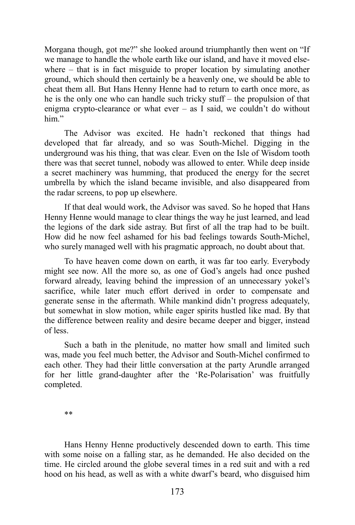Morgana though, got me?" she looked around triumphantly then went on "If we manage to handle the whole earth like our island, and have it moved elsewhere – that is in fact misguide to proper location by simulating another ground, which should then certainly be a heavenly one, we should be able to cheat them all. But Hans Henny Henne had to return to earth once more, as he is the only one who can handle such tricky stuff – the propulsion of that enigma crypto-clearance or what ever – as I said, we couldn't do without him."

The Advisor was excited. He hadn't reckoned that things had developed that far already, and so was South-Michel. Digging in the underground was his thing, that was clear. Even on the Isle of Wisdom tooth there was that secret tunnel, nobody was allowed to enter. While deep inside a secret machinery was humming, that produced the energy for the secret umbrella by which the island became invisible, and also disappeared from the radar screens, to pop up elsewhere.

If that deal would work, the Advisor was saved. So he hoped that Hans Henny Henne would manage to clear things the way he just learned, and lead the legions of the dark side astray. But first of all the trap had to be built. How did he now feel ashamed for his bad feelings towards South-Michel, who surely managed well with his pragmatic approach, no doubt about that.

To have heaven come down on earth, it was far too early. Everybody might see now. All the more so, as one of God's angels had once pushed forward already, leaving behind the impression of an unnecessary yokel's sacrifice, while later much effort derived in order to compensate and generate sense in the aftermath. While mankind didn't progress adequately, but somewhat in slow motion, while eager spirits hustled like mad. By that the difference between reality and desire became deeper and bigger, instead of less.

Such a bath in the plenitude, no matter how small and limited such was, made you feel much better, the Advisor and South-Michel confirmed to each other. They had their little conversation at the party Arundle arranged for her little grand-daughter after the 'Re-Polarisation' was fruitfully completed.

Hans Henny Henne productively descended down to earth. This time with some noise on a falling star, as he demanded. He also decided on the time. He circled around the globe several times in a red suit and with a red hood on his head, as well as with a white dwarf's beard, who disguised him

<sup>\*\*</sup>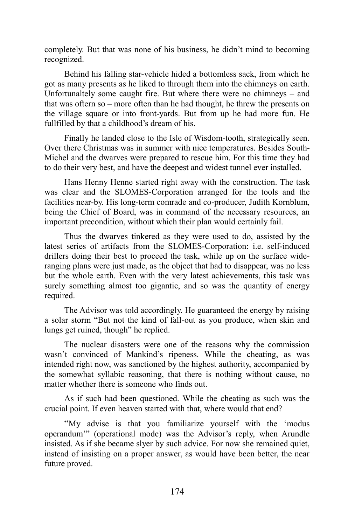completely. But that was none of his business, he didn't mind to becoming recognized.

Behind his falling star-vehicle hided a bottomless sack, from which he got as many presents as he liked to through them into the chimneys on earth. Unfortunaltely some caught fire. But where there were no chimneys – and that was oftern so – more often than he had thought, he threw the presents on the village square or into front-yards. But from up he had more fun. He fullfilled by that a childhood's dream of his.

Finally he landed close to the Isle of Wisdom-tooth, strategically seen. Over there Christmas was in summer with nice temperatures. Besides South-Michel and the dwarves were prepared to rescue him. For this time they had to do their very best, and have the deepest and widest tunnel ever installed.

Hans Henny Henne started right away with the construction. The task was clear and the SLOMES-Corporation arranged for the tools and the facilities near-by. His long-term comrade and co-producer, Judith Kornblum, being the Chief of Board, was in command of the necessary resources, an important precondition, without which their plan would certainly fail.

Thus the dwarves tinkered as they were used to do, assisted by the latest series of artifacts from the SLOMES-Corporation: i.e. self-induced drillers doing their best to proceed the task, while up on the surface wideranging plans were just made, as the object that had to disappear, was no less but the whole earth. Even with the very latest achievements, this task was surely something almost too gigantic, and so was the quantity of energy required.

The Advisor was told accordingly. He guaranteed the energy by raising a solar storm "But not the kind of fall-out as you produce, when skin and lungs get ruined, though" he replied.

The nuclear disasters were one of the reasons why the commission wasn't convinced of Mankind's ripeness. While the cheating, as was intended right now, was sanctioned by the highest authority, accompanied by the somewhat syllabic reasoning, that there is nothing without cause, no matter whether there is someone who finds out.

As if such had been questioned. While the cheating as such was the crucial point. If even heaven started with that, where would that end?

"My advise is that you familiarize yourself with the 'modus operandum'" (operational mode) was the Advisor's reply, when Arundle insisted. As if she became slyer by such advice. For now she remained quiet, instead of insisting on a proper answer, as would have been better, the near future proved.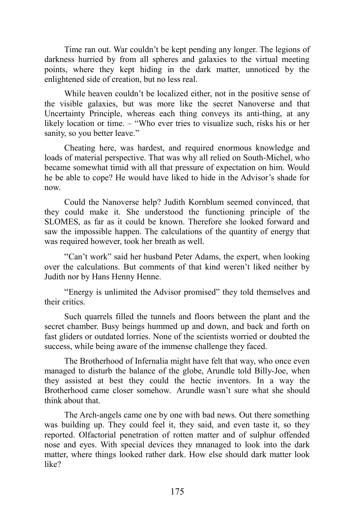Time ran out. War couldn't be kept pending any longer. The legions of darkness hurried by from all spheres and galaxies to the virtual meeting points, where they kept hiding in the dark matter, unnoticed by the enlightened side of creation, but no less real.

While heaven couldn't be localized either, not in the positive sense of the visible galaxies, but was more like the secret Nanoverse and that Uncertainty Principle, whereas each thing conveys its anti-thing, at any likely location or time. – "Who ever tries to visualize such, risks his or her sanity, so you better leave."

Cheating here, was hardest, and required enormous knowledge and loads of material perspective. That was why all relied on South-Michel, who became somewhat timid with all that pressure of expectation on him. Would he be able to cope? He would have liked to hide in the Advisor's shade for now.

Could the Nanoverse help? Judith Kornblum seemed convinced, that they could make it. She understood the functioning principle of the SLOMES, as far as it could be known. Therefore she looked forward and saw the impossible happen. The calculations of the quantity of energy that was required however, took her breath as well.

"Can't work" said her husband Peter Adams, the expert, when looking over the calculations. But comments of that kind weren't liked neither by Judith nor by Hans Henny Henne.

"Energy is unlimited the Advisor promised" they told themselves and their critics.

Such quarrels filled the tunnels and floors between the plant and the secret chamber. Busy beings hummed up and down, and back and forth on fast gliders or outdated lorries. None of the scientists worried or doubted the success, while being aware of the immense challenge they faced.

The Brotherhood of Infernalia might have felt that way, who once even managed to disturb the balance of the globe, Arundle told Billy-Joe, when they assisted at best they could the hectic inventors. In a way the Brotherhood came closer somehow. Arundle wasn't sure what she should think about that.

The Arch-angels came one by one with bad news. Out there something was building up. They could feel it, they said, and even taste it, so they reported. Olfactorial penetration of rotten matter and of sulphur offended nose and eyes. With special devices they mnanaged to look into the dark matter, where things looked rather dark. How else should dark matter look like?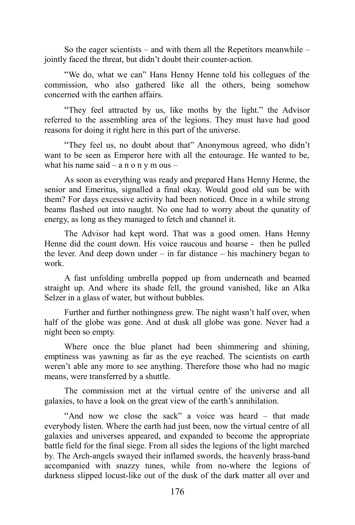So the eager scientists – and with them all the Repetitors meanwhile – jointly faced the threat, but didn't doubt their counter-action.

"We do, what we can" Hans Henny Henne told his collegues of the commission, who also gathered like all the others, being somehow concerned with the earthen affairs.

"They feel attracted by us, like moths by the light." the Advisor referred to the assembling area of the legions. They must have had good reasons for doing it right here in this part of the universe.

"They feel us, no doubt about that" Anonymous agreed, who didn't want to be seen as Emperor here with all the entourage. He wanted to be, what his name said – a n o n y m ous –

As soon as everything was ready and prepared Hans Henny Henne, the senior and Emeritus, signalled a final okay. Would good old sun be with them? For days excessive activity had been noticed. Once in a while strong beams flashed out into naught. No one had to worry about the qunatity of energy, as long as they managed to fetch and channel it.

The Advisor had kept word. That was a good omen. Hans Henny Henne did the count down. His voice raucous and hoarse - then he pulled the lever. And deep down under – in far distance – his machinery began to work.

A fast unfolding umbrella popped up from underneath and beamed straight up. And where its shade fell, the ground vanished, like an Alka Selzer in a glass of water, but without bubbles.

Further and further nothingness grew. The night wasn't half over, when half of the globe was gone. And at dusk all globe was gone. Never had a night been so empty.

Where once the blue planet had been shimmering and shining, emptiness was yawning as far as the eye reached. The scientists on earth weren't able any more to see anything. Therefore those who had no magic means, were transferred by a shuttle.

The commission met at the virtual centre of the universe and all galaxies, to have a look on the great view of the earth's annihilation.

"And now we close the sack" a voice was heard – that made everybody listen. Where the earth had just been, now the virtual centre of all galaxies and universes appeared, and expanded to become the appropriate battle field for the final siege. From all sides the legions of the light marched by. The Arch-angels swayed their inflamed swords, the heavenly brass-band accompanied with snazzy tunes, while from no-where the legions of darkness slipped locust-like out of the dusk of the dark matter all over and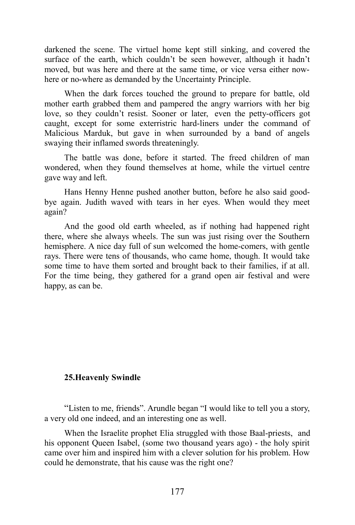darkened the scene. The virtuel home kept still sinking, and covered the surface of the earth, which couldn't be seen however, although it hadn't moved, but was here and there at the same time, or vice versa either nowhere or no-where as demanded by the Uncertainty Principle.

When the dark forces touched the ground to prepare for battle, old mother earth grabbed them and pampered the angry warriors with her big love, so they couldn't resist. Sooner or later, even the petty-officers got caught, except for some exterristric hard-liners under the command of Malicious Marduk, but gave in when surrounded by a band of angels swaying their inflamed swords threateningly.

The battle was done, before it started. The freed children of man wondered, when they found themselves at home, while the virtuel centre gave way and left.

Hans Henny Henne pushed another button, before he also said goodbye again. Judith waved with tears in her eyes. When would they meet again?

And the good old earth wheeled, as if nothing had happened right there, where she always wheels. The sun was just rising over the Southern hemisphere. A nice day full of sun welcomed the home-comers, with gentle rays. There were tens of thousands, who came home, though. It would take some time to have them sorted and brought back to their families, if at all. For the time being, they gathered for a grand open air festival and were happy, as can be.

#### **25.Heavenly Swindle**

"Listen to me, friends". Arundle began "I would like to tell you a story, a very old one indeed, and an interesting one as well.

When the Israelite prophet Elia struggled with those Baal-priests, and his opponent Queen Isabel, (some two thousand years ago) - the holy spirit came over him and inspired him with a clever solution for his problem. How could he demonstrate, that his cause was the right one?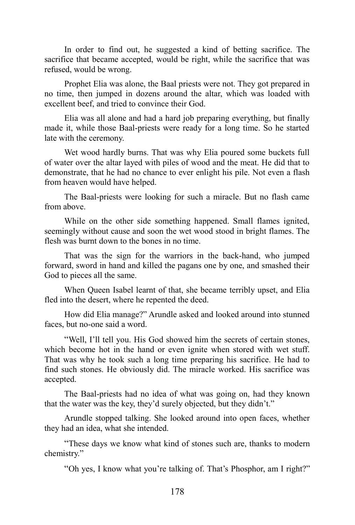In order to find out, he suggested a kind of betting sacrifice. The sacrifice that became accepted, would be right, while the sacrifice that was refused, would be wrong.

Prophet Elia was alone, the Baal priests were not. They got prepared in no time, then jumped in dozens around the altar, which was loaded with excellent beef, and tried to convince their God.

Elia was all alone and had a hard job preparing everything, but finally made it, while those Baal-priests were ready for a long time. So he started late with the ceremony.

Wet wood hardly burns. That was why Elia poured some buckets full of water over the altar layed with piles of wood and the meat. He did that to demonstrate, that he had no chance to ever enlight his pile. Not even a flash from heaven would have helped.

The Baal-priests were looking for such a miracle. But no flash came from above.

While on the other side something happened. Small flames ignited, seemingly without cause and soon the wet wood stood in bright flames. The flesh was burnt down to the bones in no time.

That was the sign for the warriors in the back-hand, who jumped forward, sword in hand and killed the pagans one by one, and smashed their God to pieces all the same.

When Queen Isabel learnt of that, she became terribly upset, and Elia fled into the desert, where he repented the deed.

How did Elia manage?" Arundle asked and looked around into stunned faces, but no-one said a word.

"Well, I'll tell you. His God showed him the secrets of certain stones, which become hot in the hand or even ignite when stored with wet stuff. That was why he took such a long time preparing his sacrifice. He had to find such stones. He obviously did. The miracle worked. His sacrifice was accepted.

The Baal-priests had no idea of what was going on, had they known that the water was the key, they'd surely objected, but they didn't."

Arundle stopped talking. She looked around into open faces, whether they had an idea, what she intended.

"These days we know what kind of stones such are, thanks to modern chemistry."

"Oh yes, I know what you're talking of. That's Phosphor, am I right?"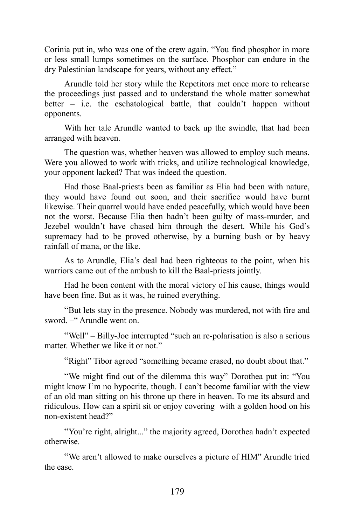Corinia put in, who was one of the crew again. "You find phosphor in more or less small lumps sometimes on the surface. Phosphor can endure in the dry Palestinian landscape for years, without any effect."

Arundle told her story while the Repetitors met once more to rehearse the proceedings just passed and to understand the whole matter somewhat better – i.e. the eschatological battle, that couldn't happen without opponents.

With her tale Arundle wanted to back up the swindle, that had been arranged with heaven.

The question was, whether heaven was allowed to employ such means. Were you allowed to work with tricks, and utilize technological knowledge, your opponent lacked? That was indeed the question.

Had those Baal-priests been as familiar as Elia had been with nature, they would have found out soon, and their sacrifice would have burnt likewise. Their quarrel would have ended peacefully, which would have been not the worst. Because Elia then hadn't been guilty of mass-murder, and Jezebel wouldn't have chased him through the desert. While his God's supremacy had to be proved otherwise, by a burning bush or by heavy rainfall of mana, or the like.

As to Arundle, Elia's deal had been righteous to the point, when his warriors came out of the ambush to kill the Baal-priests jointly.

Had he been content with the moral victory of his cause, things would have been fine. But as it was, he ruined everything.

"But lets stay in the presence. Nobody was murdered, not with fire and sword. – Arundle went on.

"Well" – Billy-Joe interrupted "such an re-polarisation is also a serious matter. Whether we like it or not."

"Right" Tibor agreed "something became erased, no doubt about that."

"We might find out of the dilemma this way" Dorothea put in: "You might know I'm no hypocrite, though. I can't become familiar with the view of an old man sitting on his throne up there in heaven. To me its absurd and ridiculous. How can a spirit sit or enjoy covering with a golden hood on his non-existent head?"

"You're right, alright..." the majority agreed, Dorothea hadn't expected otherwise.

"We aren't allowed to make ourselves a picture of HIM" Arundle tried the ease.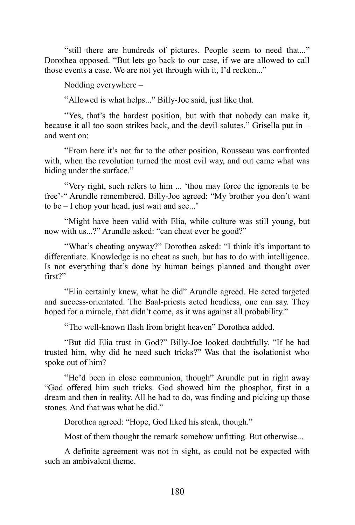"still there are hundreds of pictures. People seem to need that..." Dorothea opposed. "But lets go back to our case, if we are allowed to call those events a case. We are not yet through with it, I'd reckon..."

Nodding everywhere –

"Allowed is what helps..." Billy-Joe said, just like that.

"Yes, that's the hardest position, but with that nobody can make it, because it all too soon strikes back, and the devil salutes." Grisella put in – and went on:

"From here it's not far to the other position, Rousseau was confronted with, when the revolution turned the most evil way, and out came what was hiding under the surface."

"Very right, such refers to him ... 'thou may force the ignorants to be free'-" Arundle remembered. Billy-Joe agreed: "My brother you don't want to be – I chop your head, just wait and see...'

"Might have been valid with Elia, while culture was still young, but now with us...?" Arundle asked: "can cheat ever be good?"

"What's cheating anyway?" Dorothea asked: "I think it's important to differentiate. Knowledge is no cheat as such, but has to do with intelligence. Is not everything that's done by human beings planned and thought over first?"

"Elia certainly knew, what he did" Arundle agreed. He acted targeted and success-orientated. The Baal-priests acted headless, one can say. They hoped for a miracle, that didn't come, as it was against all probability."

"The well-known flash from bright heaven" Dorothea added.

"But did Elia trust in God?" Billy-Joe looked doubtfully. "If he had trusted him, why did he need such tricks?" Was that the isolationist who spoke out of him?

"He'd been in close communion, though" Arundle put in right away "God offered him such tricks. God showed him the phosphor, first in a dream and then in reality. All he had to do, was finding and picking up those stones. And that was what he did."

Dorothea agreed: "Hope, God liked his steak, though."

Most of them thought the remark somehow unfitting. But otherwise...

A definite agreement was not in sight, as could not be expected with such an ambivalent theme.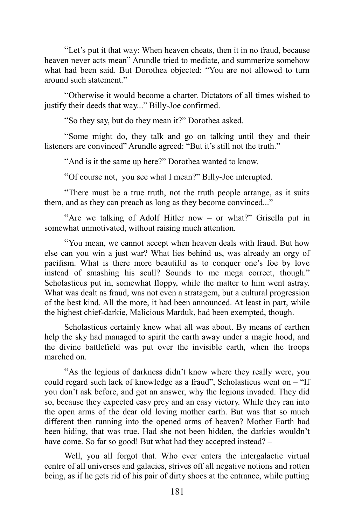"Let's put it that way: When heaven cheats, then it in no fraud, because heaven never acts mean" Arundle tried to mediate, and summerize somehow what had been said. But Dorothea objected: "You are not allowed to turn around such statement."

"Otherwise it would become a charter. Dictators of all times wished to justify their deeds that way..." Billy-Joe confirmed.

"So they say, but do they mean it?" Dorothea asked.

"Some might do, they talk and go on talking until they and their listeners are convinced" Arundle agreed: "But it's still not the truth."

"And is it the same up here?" Dorothea wanted to know.

"Of course not, you see what I mean?" Billy-Joe interupted.

"There must be a true truth, not the truth people arrange, as it suits them, and as they can preach as long as they become convinced..."

"Are we talking of Adolf Hitler now – or what?" Grisella put in somewhat unmotivated, without raising much attention.

"You mean, we cannot accept when heaven deals with fraud. But how else can you win a just war? What lies behind us, was already an orgy of pacifism. What is there more beautiful as to conquer one's foe by love instead of smashing his scull? Sounds to me mega correct, though." Scholasticus put in, somewhat floppy, while the matter to him went astray. What was dealt as fraud, was not even a stratagem, but a cultural progression of the best kind. All the more, it had been announced. At least in part, while the highest chief-darkie, Malicious Marduk, had been exempted, though.

Scholasticus certainly knew what all was about. By means of earthen help the sky had managed to spirit the earth away under a magic hood, and the divine battlefield was put over the invisible earth, when the troops marched on.

"As the legions of darkness didn't know where they really were, you could regard such lack of knowledge as a fraud", Scholasticus went on – "If you don't ask before, and got an answer, why the legions invaded. They did so, because they expected easy prey and an easy victory. While they ran into the open arms of the dear old loving mother earth. But was that so much different then running into the opened arms of heaven? Mother Earth had been hiding, that was true. Had she not been hidden, the darkies wouldn't have come. So far so good! But what had they accepted instead? -

Well, you all forgot that. Who ever enters the intergalactic virtual centre of all universes and galacies, strives off all negative notions and rotten being, as if he gets rid of his pair of dirty shoes at the entrance, while putting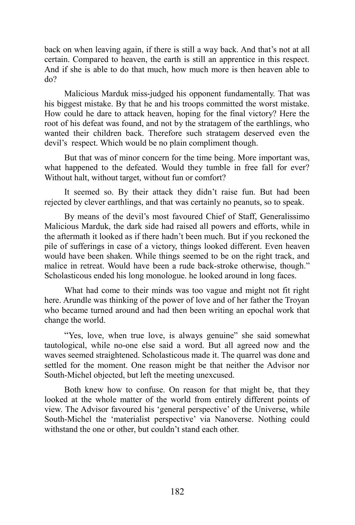back on when leaving again, if there is still a way back. And that's not at all certain. Compared to heaven, the earth is still an apprentice in this respect. And if she is able to do that much, how much more is then heaven able to do?

Malicious Marduk miss-judged his opponent fundamentally. That was his biggest mistake. By that he and his troops committed the worst mistake. How could he dare to attack heaven, hoping for the final victory? Here the root of his defeat was found, and not by the stratagem of the earthlings, who wanted their children back. Therefore such stratagem deserved even the devil's respect. Which would be no plain compliment though.

But that was of minor concern for the time being. More important was, what happened to the defeated. Would they tumble in free fall for ever? Without halt, without target, without fun or comfort?

It seemed so. By their attack they didn't raise fun. But had been rejected by clever earthlings, and that was certainly no peanuts, so to speak.

By means of the devil's most favoured Chief of Staff, Generalissimo Malicious Marduk, the dark side had raised all powers and efforts, while in the aftermath it looked as if there hadn't been much. But if you reckoned the pile of sufferings in case of a victory, things looked different. Even heaven would have been shaken. While things seemed to be on the right track, and malice in retreat. Would have been a rude back-stroke otherwise, though." Scholasticous ended his long monologue. he looked around in long faces.

What had come to their minds was too vague and might not fit right here. Arundle was thinking of the power of love and of her father the Troyan who became turned around and had then been writing an epochal work that change the world.

"Yes, love, when true love, is always genuine" she said somewhat tautological, while no-one else said a word. But all agreed now and the waves seemed straightened. Scholasticous made it. The quarrel was done and settled for the moment. One reason might be that neither the Advisor nor South-Michel objected, but left the meeting unexcused.

Both knew how to confuse. On reason for that might be, that they looked at the whole matter of the world from entirely different points of view. The Advisor favoured his 'general perspective' of the Universe, while South-Michel the 'materialist perspective' via Nanoverse. Nothing could withstand the one or other, but couldn't stand each other.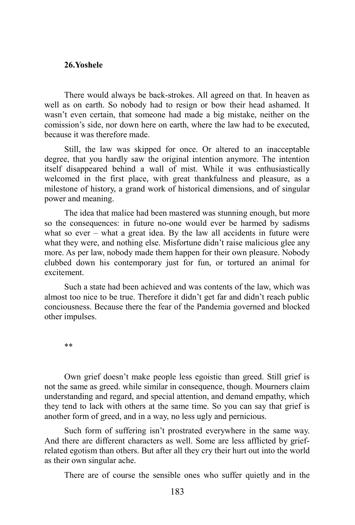## **26.Yoshele**

There would always be back-strokes. All agreed on that. In heaven as well as on earth. So nobody had to resign or bow their head ashamed. It wasn't even certain, that someone had made a big mistake, neither on the comission's side, nor down here on earth, where the law had to be executed, because it was therefore made.

Still, the law was skipped for once. Or altered to an inacceptable degree, that you hardly saw the original intention anymore. The intention itself disappeared behind a wall of mist. While it was enthusiastically welcomed in the first place, with great thankfulness and pleasure, as a milestone of history, a grand work of historical dimensions, and of singular power and meaning.

The idea that malice had been mastered was stunning enough, but more so the consequences: in future no-one would ever be harmed by sadisms what so ever – what a great idea. By the law all accidents in future were what they were, and nothing else. Misfortune didn't raise malicious glee any more. As per law, nobody made them happen for their own pleasure. Nobody clubbed down his contemporary just for fun, or tortured an animal for excitement.

Such a state had been achieved and was contents of the law, which was almost too nice to be true. Therefore it didn't get far and didn't reach public conciousness. Because there the fear of the Pandemia governed and blocked other impulses.

\*\*

Own grief doesn't make people less egoistic than greed. Still grief is not the same as greed. while similar in consequence, though. Mourners claim understanding and regard, and special attention, and demand empathy, which they tend to lack with others at the same time. So you can say that grief is another form of greed, and in a way, no less ugly and pernicious.

Such form of suffering isn't prostrated everywhere in the same way. And there are different characters as well. Some are less afflicted by griefrelated egotism than others. But after all they cry their hurt out into the world as their own singular ache.

There are of course the sensible ones who suffer quietly and in the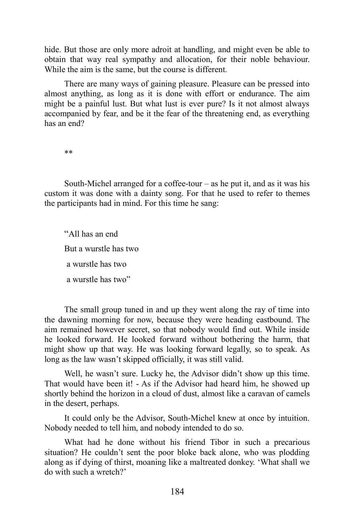hide. But those are only more adroit at handling, and might even be able to obtain that way real sympathy and allocation, for their noble behaviour. While the aim is the same, but the course is different.

There are many ways of gaining pleasure. Pleasure can be pressed into almost anything, as long as it is done with effort or endurance. The aim might be a painful lust. But what lust is ever pure? Is it not almost always accompanied by fear, and be it the fear of the threatening end, as everything has an end?

\*\*

South-Michel arranged for a coffee-tour  $-$  as he put it, and as it was his custom it was done with a dainty song. For that he used to refer to themes the participants had in mind. For this time he sang:

"All has an end But a wurstle has two a wurstle has two a wurstle has two"

The small group tuned in and up they went along the ray of time into the dawning morning for now, because they were heading eastbound. The aim remained however secret, so that nobody would find out. While inside he looked forward. He looked forward without bothering the harm, that might show up that way. He was looking forward legally, so to speak. As long as the law wasn't skipped officially, it was still valid.

Well, he wasn't sure. Lucky he, the Advisor didn't show up this time. That would have been it! - As if the Advisor had heard him, he showed up shortly behind the horizon in a cloud of dust, almost like a caravan of camels in the desert, perhaps.

It could only be the Advisor, South-Michel knew at once by intuition. Nobody needed to tell him, and nobody intended to do so.

What had he done without his friend Tibor in such a precarious situation? He couldn't sent the poor bloke back alone, who was plodding along as if dying of thirst, moaning like a maltreated donkey. 'What shall we do with such a wretch?'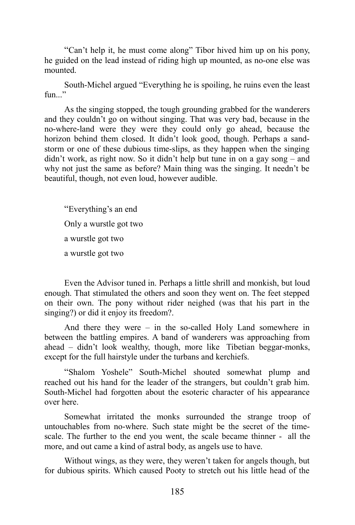"Can't help it, he must come along" Tibor hived him up on his pony, he guided on the lead instead of riding high up mounted, as no-one else was mounted.

South-Michel argued "Everything he is spoiling, he ruins even the least  $fin.$ ..."

As the singing stopped, the tough grounding grabbed for the wanderers and they couldn't go on without singing. That was very bad, because in the no-where-land were they were they could only go ahead, because the horizon behind them closed. It didn't look good, though. Perhaps a sandstorm or one of these dubious time-slips, as they happen when the singing didn't work, as right now. So it didn't help but tune in on a gay song – and why not just the same as before? Main thing was the singing. It needn't be beautiful, though, not even loud, however audible.

"Everything's an end Only a wurstle got two a wurstle got two a wurstle got two

Even the Advisor tuned in. Perhaps a little shrill and monkish, but loud enough. That stimulated the others and soon they went on. The feet stepped on their own. The pony without rider neighed (was that his part in the singing?) or did it enjoy its freedom?.

And there they were – in the so-called Holy Land somewhere in between the battling empires. A band of wanderers was approaching from ahead – didn't look wealthy, though, more like Tibetian beggar-monks, except for the full hairstyle under the turbans and kerchiefs.

"Shalom Yoshele" South-Michel shouted somewhat plump and reached out his hand for the leader of the strangers, but couldn't grab him. South-Michel had forgotten about the esoteric character of his appearance over here.

Somewhat irritated the monks surrounded the strange troop of untouchables from no-where. Such state might be the secret of the timescale. The further to the end you went, the scale became thinner - all the more, and out came a kind of astral body, as angels use to have.

Without wings, as they were, they weren't taken for angels though, but for dubious spirits. Which caused Pooty to stretch out his little head of the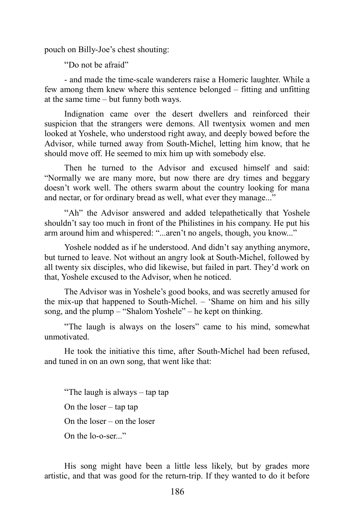pouch on Billy-Joe's chest shouting:

"Do not be afraid"

- and made the time-scale wanderers raise a Homeric laughter. While a few among them knew where this sentence belonged – fitting and unfitting at the same time – but funny both ways.

Indignation came over the desert dwellers and reinforced their suspicion that the strangers were demons. All twentysix women and men looked at Yoshele, who understood right away, and deeply bowed before the Advisor, while turned away from South-Michel, letting him know, that he should move off. He seemed to mix him up with somebody else.

Then he turned to the Advisor and excused himself and said: "Normally we are many more, but now there are dry times and beggary doesn't work well. The others swarm about the country looking for mana and nectar, or for ordinary bread as well, what ever they manage..."

"Ah" the Advisor answered and added telepathetically that Yoshele shouldn't say too much in front of the Philistines in his company. He put his arm around him and whispered: "...aren't no angels, though, you know..."

Yoshele nodded as if he understood. And didn't say anything anymore, but turned to leave. Not without an angry look at South-Michel, followed by all twenty six disciples, who did likewise, but failed in part. They'd work on that, Yoshele excused to the Advisor, when he noticed.

The Advisor was in Yoshele's good books, and was secretly amused for the mix-up that happened to South-Michel. – 'Shame on him and his silly song, and the plump – "Shalom Yoshele" – he kept on thinking.

"The laugh is always on the losers" came to his mind, somewhat unmotivated.

He took the initiative this time, after South-Michel had been refused, and tuned in on an own song, that went like that:

"The laugh is always – tap tap On the loser  $-$  tap tap On the loser – on the loser On the lo-o-ser..."

His song might have been a little less likely, but by grades more artistic, and that was good for the return-trip. If they wanted to do it before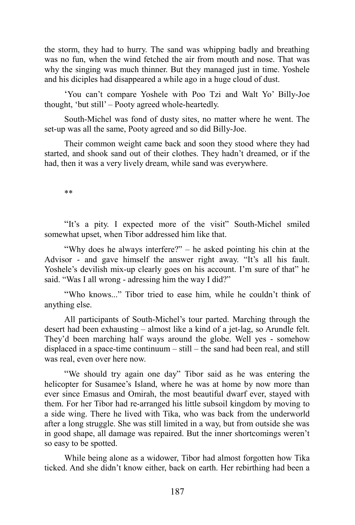the storm, they had to hurry. The sand was whipping badly and breathing was no fun, when the wind fetched the air from mouth and nose. That was why the singing was much thinner. But they managed just in time. Yoshele and his diciples had disappeared a while ago in a huge cloud of dust.

'You can't compare Yoshele with Poo Tzi and Walt Yo' Billy-Joe thought, 'but still' – Pooty agreed whole-heartedly.

South-Michel was fond of dusty sites, no matter where he went. The set-up was all the same, Pooty agreed and so did Billy-Joe.

Their common weight came back and soon they stood where they had started, and shook sand out of their clothes. They hadn't dreamed, or if the had, then it was a very lively dream, while sand was everywhere.

\*\*

"It's a pity. I expected more of the visit" South-Michel smiled somewhat upset, when Tibor addressed him like that.

"Why does he always interfere?" – he asked pointing his chin at the Advisor - and gave himself the answer right away. "It's all his fault. Yoshele's devilish mix-up clearly goes on his account. I'm sure of that" he said. "Was I all wrong - adressing him the way I did?"

"Who knows..." Tibor tried to ease him, while he couldn't think of anything else.

All participants of South-Michel's tour parted. Marching through the desert had been exhausting – almost like a kind of a jet-lag, so Arundle felt. They'd been marching half ways around the globe. Well yes - somehow displaced in a space-time continuum – still – the sand had been real, and still was real, even over here now.

"We should try again one day" Tibor said as he was entering the helicopter for Susamee's Island, where he was at home by now more than ever since Emasus and Omirah, the most beautiful dwarf ever, stayed with them. For her Tibor had re-arranged his little subsoil kingdom by moving to a side wing. There he lived with Tika, who was back from the underworld after a long struggle. She was still limited in a way, but from outside she was in good shape, all damage was repaired. But the inner shortcomings weren't so easy to be spotted.

While being alone as a widower, Tibor had almost forgotten how Tika ticked. And she didn't know either, back on earth. Her rebirthing had been a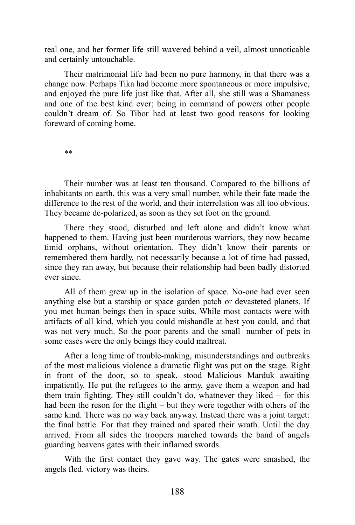real one, and her former life still wavered behind a veil, almost unnoticable and certainly untouchable.

Their matrimonial life had been no pure harmony, in that there was a change now. Perhaps Tika had become more spontaneous or more impulsive, and enjoyed the pure life just like that. After all, she still was a Shamaness and one of the best kind ever; being in command of powers other people couldn't dream of. So Tibor had at least two good reasons for looking foreward of coming home.

\*\*

Their number was at least ten thousand. Compared to the billions of inhabitants on earth, this was a very small number, while their fate made the difference to the rest of the world, and their interrelation was all too obvious. They became de-polarized, as soon as they set foot on the ground.

There they stood, disturbed and left alone and didn't know what happened to them. Having just been murderous warriors, they now became timid orphans, without orientation. They didn't know their parents or remembered them hardly, not necessarily because a lot of time had passed, since they ran away, but because their relationship had been badly distorted ever since.

All of them grew up in the isolation of space. No-one had ever seen anything else but a starship or space garden patch or devasteted planets. If you met human beings then in space suits. While most contacts were with artifacts of all kind, which you could mishandle at best you could, and that was not very much. So the poor parents and the small number of pets in some cases were the only beings they could maltreat.

After a long time of trouble-making, misunderstandings and outbreaks of the most malicious violence a dramatic flight was put on the stage. Right in front of the door, so to speak, stood Malicious Marduk awaiting impatiently. He put the refugees to the army, gave them a weapon and had them train fighting. They still couldn't do, whatnever they liked – for this had been the reson for the flight – but they were together with others of the same kind. There was no way back anyway. Instead there was a joint target: the final battle. For that they trained and spared their wrath. Until the day arrived. From all sides the troopers marched towards the band of angels guarding heavens gates with their inflamed swords.

With the first contact they gave way. The gates were smashed, the angels fled. victory was theirs.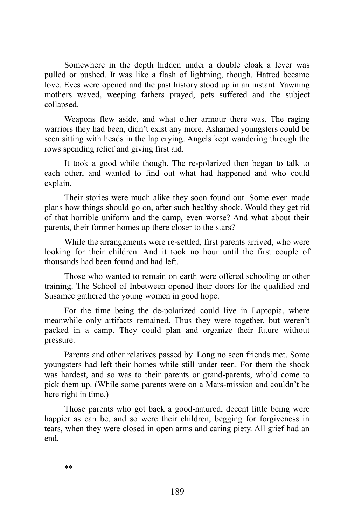Somewhere in the depth hidden under a double cloak a lever was pulled or pushed. It was like a flash of lightning, though. Hatred became love. Eyes were opened and the past history stood up in an instant. Yawning mothers waved, weeping fathers prayed, pets suffered and the subject collapsed.

Weapons flew aside, and what other armour there was. The raging warriors they had been, didn't exist any more. Ashamed youngsters could be seen sitting with heads in the lap crying. Angels kept wandering through the rows spending relief and giving first aid.

It took a good while though. The re-polarized then began to talk to each other, and wanted to find out what had happened and who could explain.

Their stories were much alike they soon found out. Some even made plans how things should go on, after such healthy shock. Would they get rid of that horrible uniform and the camp, even worse? And what about their parents, their former homes up there closer to the stars?

While the arrangements were re-settled, first parents arrived, who were looking for their children. And it took no hour until the first couple of thousands had been found and had left.

Those who wanted to remain on earth were offered schooling or other training. The School of Inbetween opened their doors for the qualified and Susamee gathered the young women in good hope.

For the time being the de-polarized could live in Laptopia, where meanwhile only artifacts remained. Thus they were together, but weren't packed in a camp. They could plan and organize their future without pressure.

Parents and other relatives passed by. Long no seen friends met. Some youngsters had left their homes while still under teen. For them the shock was hardest, and so was to their parents or grand-parents, who'd come to pick them up. (While some parents were on a Mars-mission and couldn't be here right in time.)

Those parents who got back a good-natured, decent little being were happier as can be, and so were their children, begging for forgiveness in tears, when they were closed in open arms and caring piety. All grief had an end.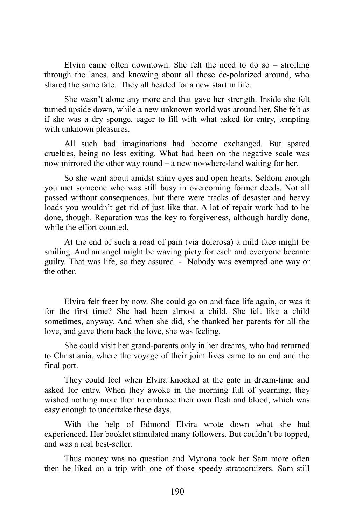Elvira came often downtown. She felt the need to do so – strolling through the lanes, and knowing about all those de-polarized around, who shared the same fate. They all headed for a new start in life.

She wasn't alone any more and that gave her strength. Inside she felt turned upside down, while a new unknown world was around her. She felt as if she was a dry sponge, eager to fill with what asked for entry, tempting with unknown pleasures.

All such bad imaginations had become exchanged. But spared cruelties, being no less exiting. What had been on the negative scale was now mirrored the other way round – a new no-where-land waiting for her.

So she went about amidst shiny eyes and open hearts. Seldom enough you met someone who was still busy in overcoming former deeds. Not all passed without consequences, but there were tracks of desaster and heavy loads you wouldn't get rid of just like that. A lot of repair work had to be done, though. Reparation was the key to forgiveness, although hardly done, while the effort counted.

At the end of such a road of pain (via dolerosa) a mild face might be smiling. And an angel might be waving piety for each and everyone became guilty. That was life, so they assured. - Nobody was exempted one way or the other.

Elvira felt freer by now. She could go on and face life again, or was it for the first time? She had been almost a child. She felt like a child sometimes, anyway. And when she did, she thanked her parents for all the love, and gave them back the love, she was feeling.

She could visit her grand-parents only in her dreams, who had returned to Christiania, where the voyage of their joint lives came to an end and the final port.

They could feel when Elvira knocked at the gate in dream-time and asked for entry. When they awoke in the morning full of yearning, they wished nothing more then to embrace their own flesh and blood, which was easy enough to undertake these days.

With the help of Edmond Elvira wrote down what she had experienced. Her booklet stimulated many followers. But couldn't be topped, and was a real best-seller.

Thus money was no question and Mynona took her Sam more often then he liked on a trip with one of those speedy stratocruizers. Sam still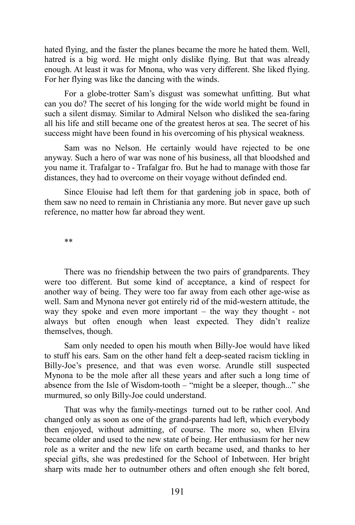hated flying, and the faster the planes became the more he hated them. Well, hatred is a big word. He might only dislike flying. But that was already enough. At least it was for Mnona, who was very different. She liked flying. For her flying was like the dancing with the winds.

For a globe-trotter Sam's disgust was somewhat unfitting. But what can you do? The secret of his longing for the wide world might be found in such a silent dismay. Similar to Admiral Nelson who disliked the sea-faring all his life and still became one of the greatest heros at sea. The secret of his success might have been found in his overcoming of his physical weakness.

Sam was no Nelson. He certainly would have rejected to be one anyway. Such a hero of war was none of his business, all that bloodshed and you name it. Trafalgar to - Trafalgar fro. But he had to manage with those far distances, they had to overcome on their voyage without definded end.

Since Elouise had left them for that gardening job in space, both of them saw no need to remain in Christiania any more. But never gave up such reference, no matter how far abroad they went.

\*\*

There was no friendship between the two pairs of grandparents. They were too different. But some kind of acceptance, a kind of respect for another way of being. They were too far away from each other age-wise as well. Sam and Mynona never got entirely rid of the mid-western attitude, the way they spoke and even more important – the way they thought - not always but often enough when least expected. They didn't realize themselves, though.

Sam only needed to open his mouth when Billy-Joe would have liked to stuff his ears. Sam on the other hand felt a deep-seated racism tickling in Billy-Joe's presence, and that was even worse. Arundle still suspected Mynona to be the mole after all these years and after such a long time of absence from the Isle of Wisdom-tooth – "might be a sleeper, though..." she murmured, so only Billy-Joe could understand.

That was why the family-meetings turned out to be rather cool. And changed only as soon as one of the grand-parents had left, which everybody then enjoyed, without admitting, of course. The more so, when Elvira became older and used to the new state of being. Her enthusiasm for her new role as a writer and the new life on earth became used, and thanks to her special gifts, she was predestined for the School of Inbetween. Her bright sharp wits made her to outnumber others and often enough she felt bored,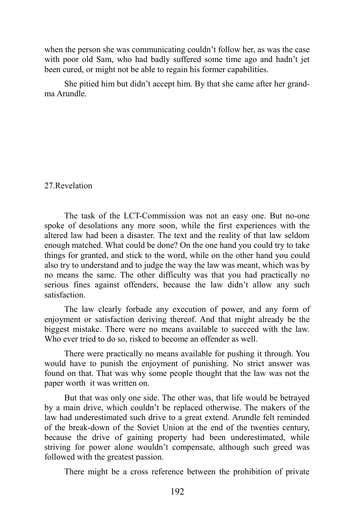when the person she was communicating couldn't follow her, as was the case with poor old Sam, who had badly suffered some time ago and hadn't jet been cured, or might not be able to regain his former capabilities.

She pitied him but didn't accept him. By that she came after her grandma Arundle.

# 27.Revelation

The task of the LCT-Commission was not an easy one. But no-one spoke of desolations any more soon, while the first experiences with the altered law had been a disaster. The text and the reality of that law seldom enough matched. What could be done? On the one hand you could try to take things for granted, and stick to the word, while on the other hand you could also try to understand and to judge the way the law was meant, which was by no means the same. The other difficulty was that you had practically no serious fines against offenders, because the law didn't allow any such satisfaction.

The law clearly forbade any execution of power, and any form of enjoyment or satisfaction deriving thereof. And that might already be the biggest mistake. There were no means available to succeed with the law. Who ever tried to do so, risked to become an offender as well.

There were practically no means available for pushing it through. You would have to punish the enjoyment of punishing. No strict answer was found on that. That was why some people thought that the law was not the paper worth it was written on.

But that was only one side. The other was, that life would be betrayed by a main drive, which couldn't be replaced otherwise. The makers of the law had underestimated such drive to a great extend. Arundle felt reminded of the break-down of the Soviet Union at the end of the twenties century, because the drive of gaining property had been underestimated, while striving for power alone wouldn't compensate, although such greed was followed with the greatest passion.

There might be a cross reference between the prohibition of private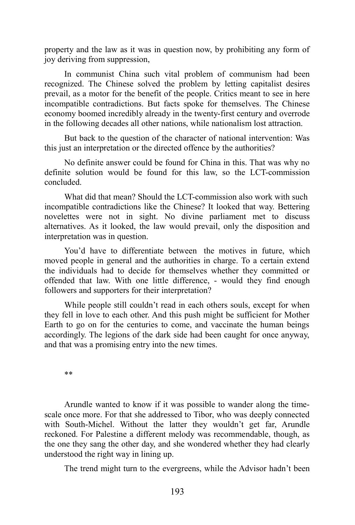property and the law as it was in question now, by prohibiting any form of joy deriving from suppression,

In communist China such vital problem of communism had been recognized. The Chinese solved the problem by letting capitalist desires prevail, as a motor for the benefit of the people. Critics meant to see in here incompatible contradictions. But facts spoke for themselves. The Chinese economy boomed incredibly already in the twenty-first century and overrode in the following decades all other nations, while nationalism lost attraction.

But back to the question of the character of national intervention: Was this just an interpretation or the directed offence by the authorities?

No definite answer could be found for China in this. That was why no definite solution would be found for this law, so the LCT-commission concluded.

What did that mean? Should the LCT-commission also work with such incompatible contradictions like the Chinese? It looked that way. Bettering novelettes were not in sight. No divine parliament met to discuss alternatives. As it looked, the law would prevail, only the disposition and interpretation was in question.

You'd have to differentiate between the motives in future, which moved people in general and the authorities in charge. To a certain extend the individuals had to decide for themselves whether they committed or offended that law. With one little difference, - would they find enough followers and supporters for their interpretation?

While people still couldn't read in each others souls, except for when they fell in love to each other. And this push might be sufficient for Mother Earth to go on for the centuries to come, and vaccinate the human beings accordingly. The legions of the dark side had been caught for once anyway, and that was a promising entry into the new times.

\*\*

Arundle wanted to know if it was possible to wander along the timescale once more. For that she addressed to Tibor, who was deeply connected with South-Michel. Without the latter they wouldn't get far, Arundle reckoned. For Palestine a different melody was recommendable, though, as the one they sang the other day, and she wondered whether they had clearly understood the right way in lining up.

The trend might turn to the evergreens, while the Advisor hadn't been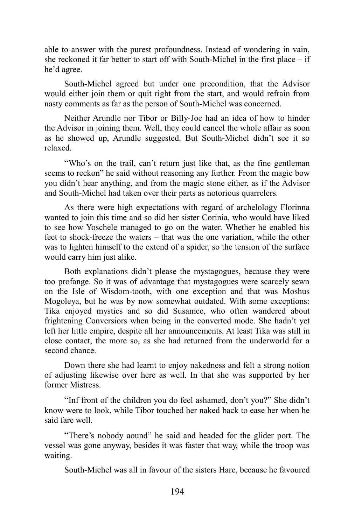able to answer with the purest profoundness. Instead of wondering in vain, she reckoned it far better to start off with South-Michel in the first place – if he'd agree.

South-Michel agreed but under one precondition, that the Advisor would either join them or quit right from the start, and would refrain from nasty comments as far as the person of South-Michel was concerned.

Neither Arundle nor Tibor or Billy-Joe had an idea of how to hinder the Advisor in joining them. Well, they could cancel the whole affair as soon as he showed up, Arundle suggested. But South-Michel didn't see it so relaxed.

"Who's on the trail, can't return just like that, as the fine gentleman seems to reckon" he said without reasoning any further. From the magic bow you didn't hear anything, and from the magic stone either, as if the Advisor and South-Michel had taken over their parts as notorious quarrelers.

As there were high expectations with regard of archelology Florinna wanted to join this time and so did her sister Corinia, who would have liked to see how Yoschele managed to go on the water. Whether he enabled his feet to shock-freeze the waters – that was the one variation, while the other was to lighten himself to the extend of a spider, so the tension of the surface would carry him just alike.

Both explanations didn't please the mystagogues, because they were too profange. So it was of advantage that mystagogues were scarcely sewn on the Isle of Wisdom-tooth, with one exception and that was Moshus Mogoleya, but he was by now somewhat outdated. With some exceptions: Tika enjoyed mystics and so did Susamee, who often wandered about frightening Conversiors when being in the converted mode. She hadn't yet left her little empire, despite all her announcements. At least Tika was still in close contact, the more so, as she had returned from the underworld for a second chance.

Down there she had learnt to enjoy nakedness and felt a strong notion of adjusting likewise over here as well. In that she was supported by her former Mistress.

"Inf front of the children you do feel ashamed, don't you?" She didn't know were to look, while Tibor touched her naked back to ease her when he said fare well.

"There's nobody aound" he said and headed for the glider port. The vessel was gone anyway, besides it was faster that way, while the troop was waiting.

South-Michel was all in favour of the sisters Hare, because he favoured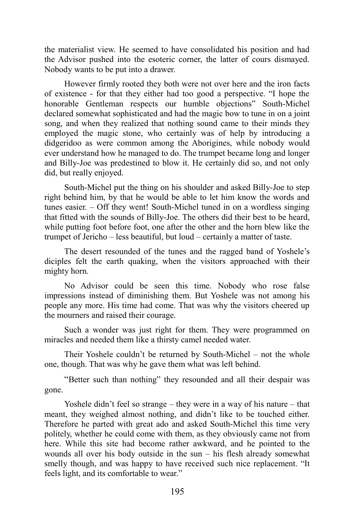the materialist view. He seemed to have consolidated his position and had the Advisor pushed into the esoteric corner, the latter of cours dismayed. Nobody wants to be put into a drawer.

However firmly rooted they both were not over here and the iron facts of existence - for that they either had too good a perspective. "I hope the honorable Gentleman respects our humble objections" South-Michel declared somewhat sophisticated and had the magic bow to tune in on a joint song, and when they realized that nothing sound came to their minds they employed the magic stone, who certainly was of help by introducing a didgeridoo as were common among the Aborigines, while nobody would ever understand how he managed to do. The trumpet became long and longer and Billy-Joe was predestined to blow it. He certainly did so, and not only did, but really enjoyed.

South-Michel put the thing on his shoulder and asked Billy-Joe to step right behind him, by that he would be able to let him know the words and tunes easier. – Off they went! South-Michel tuned in on a wordless singing that fitted with the sounds of Billy-Joe. The others did their best to be heard, while putting foot before foot, one after the other and the horn blew like the trumpet of Jericho – less beautiful, but loud – certainly a matter of taste.

The desert resounded of the tunes and the ragged band of Yoshele's diciples felt the earth quaking, when the visitors approached with their mighty horn.

No Advisor could be seen this time. Nobody who rose false impressions instead of diminishing them. But Yoshele was not among his people any more. His time had come. That was why the visitors cheered up the mourners and raised their courage.

Such a wonder was just right for them. They were programmed on miracles and needed them like a thirsty camel needed water.

Their Yoshele couldn't be returned by South-Michel – not the whole one, though. That was why he gave them what was left behind.

"Better such than nothing" they resounded and all their despair was gone.

Yoshele didn't feel so strange – they were in a way of his nature – that meant, they weighed almost nothing, and didn't like to be touched either. Therefore he parted with great ado and asked South-Michel this time very politely, whether he could come with them, as they obviously came not from here. While this site had become rather awkward, and he pointed to the wounds all over his body outside in the sun – his flesh already somewhat smelly though, and was happy to have received such nice replacement. "It feels light, and its comfortable to wear."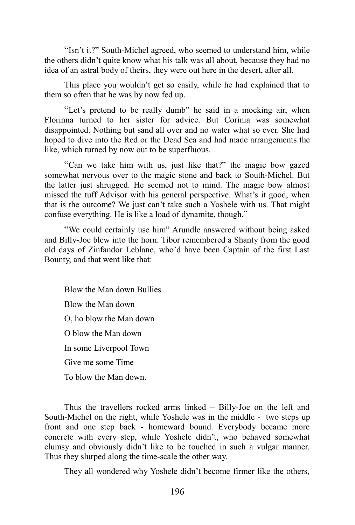"Isn't it?" South-Michel agreed, who seemed to understand him, while the others didn't quite know what his talk was all about, because they had no idea of an astral body of theirs, they were out here in the desert, after all.

This place you wouldn't get so easily, while he had explained that to them so often that he was by now fed up.

"Let's pretend to be really dumb" he said in a mocking air, when Florinna turned to her sister for advice. But Corinia was somewhat disappointed. Nothing but sand all over and no water what so ever. She had hoped to dive into the Red or the Dead Sea and had made arrangements the like, which turned by now out to be superfluous.

"Can we take him with us, just like that?" the magic bow gazed somewhat nervous over to the magic stone and back to South-Michel. But the latter just shrugged. He seemed not to mind. The magic bow almost missed the tuff Advisor with his general perspective. What's it good, when that is the outcome? We just can't take such a Yoshele with us. That might confuse everything. He is like a load of dynamite, though."

"We could certainly use him" Arundle answered without being asked and Billy-Joe blew into the horn. Tibor remembered a Shanty from the good old days of Zinfandor Leblanc, who'd have been Captain of the first Last Bounty, and that went like that:

Blow the Man down Bullies Blow the Man down O, ho blow the Man down O blow the Man down In some Liverpool Town Give me some Time To blow the Man down.

Thus the travellers rocked arms linked – Billy-Joe on the left and South-Michel on the right, while Yoshele was in the middle - two steps up front and one step back - homeward bound. Everybody became more concrete with every step, while Yoshele didn't, who behaved somewhat clumsy and obviously didn't like to be touched in such a vulgar manner. Thus they slurped along the time-scale the other way.

They all wondered why Yoshele didn't become firmer like the others,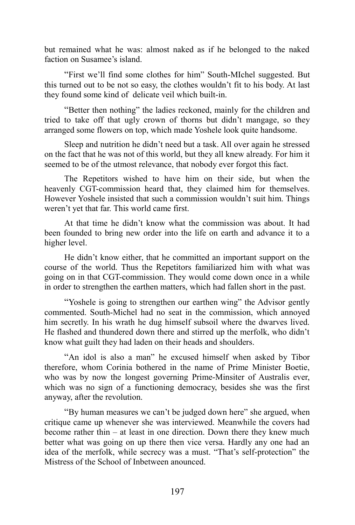but remained what he was: almost naked as if he belonged to the naked faction on Susamee's island.

"First we'll find some clothes for him" South-MIchel suggested. But this turned out to be not so easy, the clothes wouldn't fit to his body. At last they found some kind of delicate veil which built-in.

"Better then nothing" the ladies reckoned, mainly for the children and tried to take off that ugly crown of thorns but didn't mangage, so they arranged some flowers on top, which made Yoshele look quite handsome.

Sleep and nutrition he didn't need but a task. All over again he stressed on the fact that he was not of this world, but they all knew already. For him it seemed to be of the utmost relevance, that nobody ever forgot this fact.

The Repetitors wished to have him on their side, but when the heavenly CGT-commission heard that, they claimed him for themselves. However Yoshele insisted that such a commission wouldn't suit him. Things weren't yet that far. This world came first.

At that time he didn't know what the commission was about. It had been founded to bring new order into the life on earth and advance it to a higher level.

He didn't know either, that he committed an important support on the course of the world. Thus the Repetitors familiarized him with what was going on in that CGT-commission. They would come down once in a while in order to strengthen the earthen matters, which had fallen short in the past.

"Yoshele is going to strengthen our earthen wing" the Advisor gently commented. South-Michel had no seat in the commission, which annoyed him secretly. In his wrath he dug himself subsoil where the dwarves lived. He flashed and thundered down there and stirred up the merfolk, who didn't know what guilt they had laden on their heads and shoulders.

"An idol is also a man" he excused himself when asked by Tibor therefore, whom Corinia bothered in the name of Prime Minister Boetie, who was by now the longest governing Prime-Minsiter of Australis ever, which was no sign of a functioning democracy, besides she was the first anyway, after the revolution.

"By human measures we can't be judged down here" she argued, when critique came up whenever she was interviewed. Meanwhile the covers had become rather thin – at least in one direction. Down there they knew much better what was going on up there then vice versa. Hardly any one had an idea of the merfolk, while secrecy was a must. "That's self-protection" the Mistress of the School of Inbetween anounced.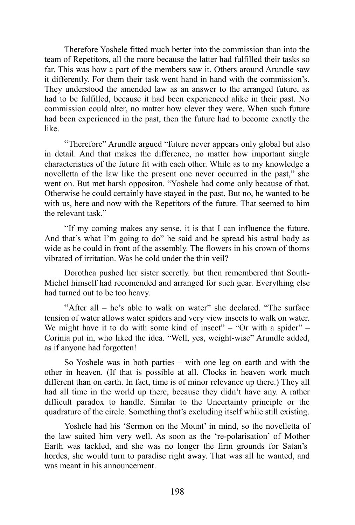Therefore Yoshele fitted much better into the commission than into the team of Repetitors, all the more because the latter had fulfilled their tasks so far. This was how a part of the members saw it. Others around Arundle saw it differently. For them their task went hand in hand with the commission's. They understood the amended law as an answer to the arranged future, as had to be fulfilled, because it had been experienced alike in their past. No commission could alter, no matter how clever they were. When such future had been experienced in the past, then the future had to become exactly the like.

"Therefore" Arundle argued "future never appears only global but also in detail. And that makes the difference, no matter how important single characteristics of the future fit with each other. While as to my knowledge a novelletta of the law like the present one never occurred in the past," she went on. But met harsh oppositon. "Yoshele had come only because of that. Otherwise he could certainly have stayed in the past. But no, he wanted to be with us, here and now with the Repetitors of the future. That seemed to him the relevant task."

"If my coming makes any sense, it is that I can influence the future. And that's what I'm going to do" he said and he spread his astral body as wide as he could in front of the assembly. The flowers in his crown of thorns vibrated of irritation. Was he cold under the thin veil?

Dorothea pushed her sister secretly. but then remembered that South-Michel himself had recomended and arranged for such gear. Everything else had turned out to be too heavy.

"After all – he's able to walk on water" she declared. "The surface tension of water allows water spiders and very view insects to walk on water. We might have it to do with some kind of insect" – "Or with a spider" – Corinia put in, who liked the idea. "Well, yes, weight-wise" Arundle added, as if anyone had forgotten!

So Yoshele was in both parties – with one leg on earth and with the other in heaven. (If that is possible at all. Clocks in heaven work much different than on earth. In fact, time is of minor relevance up there.) They all had all time in the world up there, because they didn't have any. A rather difficult paradox to handle. Similar to the Uncertainty principle or the quadrature of the circle. Something that's excluding itself while still existing.

Yoshele had his 'Sermon on the Mount' in mind, so the novelletta of the law suited him very well. As soon as the 're-polarisation' of Mother Earth was tackled, and she was no longer the firm grounds for Satan's hordes, she would turn to paradise right away. That was all he wanted, and was meant in his announcement.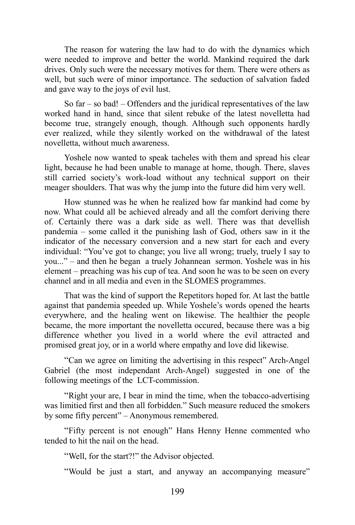The reason for watering the law had to do with the dynamics which were needed to improve and better the world. Mankind required the dark drives. Only such were the necessary motives for them. There were others as well, but such were of minor importance. The seduction of salvation faded and gave way to the joys of evil lust.

So far – so bad! – Offenders and the juridical representatives of the law worked hand in hand, since that silent rebuke of the latest novelletta had become true, strangely enough, though. Although such opponents hardly ever realized, while they silently worked on the withdrawal of the latest novelletta, without much awareness.

Yoshele now wanted to speak tacheles with them and spread his clear light, because he had been unable to manage at home, though. There, slaves still carried society's work-load without any technical support on their meager shoulders. That was why the jump into the future did him very well.

How stunned was he when he realized how far mankind had come by now. What could all be achieved already and all the comfort deriving there of. Certainly there was a dark side as well. There was that devellish pandemia – some called it the punishing lash of God, others saw in it the indicator of the necessary conversion and a new start for each and every individual: "You've got to change; you live all wrong; truely, truely I say to you..." – and then he began a truely Johannean sermon. Yoshele was in his element – preaching was his cup of tea. And soon he was to be seen on every channel and in all media and even in the SLOMES programmes.

That was the kind of support the Repetitors hoped for. At last the battle against that pandemia speeded up. While Yoshele's words opened the hearts everywhere, and the healing went on likewise. The healthier the people became, the more important the novelletta occured, because there was a big difference whether you lived in a world where the evil attracted and promised great joy, or in a world where empathy and love did likewise.

"Can we agree on limiting the advertising in this respect" Arch-Angel Gabriel (the most independant Arch-Angel) suggested in one of the following meetings of the LCT-commission.

"Right your are, I bear in mind the time, when the tobacco-advertising was limitied first and then all forbidden." Such measure reduced the smokers by some fifty percent" – Anonymous remembered.

"Fifty percent is not enough" Hans Henny Henne commented who tended to hit the nail on the head.

"Well, for the start?!" the Advisor objected.

"Would be just a start, and anyway an accompanying measure"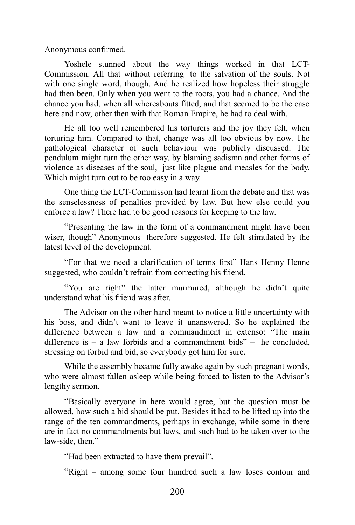Anonymous confirmed.

Yoshele stunned about the way things worked in that LCT-Commission. All that without referring to the salvation of the souls. Not with one single word, though. And he realized how hopeless their struggle had then been. Only when you went to the roots, you had a chance. And the chance you had, when all whereabouts fitted, and that seemed to be the case here and now, other then with that Roman Empire, he had to deal with.

He all too well remembered his torturers and the joy they felt, when torturing him. Compared to that, change was all too obvious by now. The pathological character of such behaviour was publicly discussed. The pendulum might turn the other way, by blaming sadismn and other forms of violence as diseases of the soul, just like plague and measles for the body. Which might turn out to be too easy in a way.

One thing the LCT-Commisson had learnt from the debate and that was the senselessness of penalties provided by law. But how else could you enforce a law? There had to be good reasons for keeping to the law.

"Presenting the law in the form of a commandment might have been wiser, though" Anonymous therefore suggested. He felt stimulated by the latest level of the development.

"For that we need a clarification of terms first" Hans Henny Henne suggested, who couldn't refrain from correcting his friend.

"You are right" the latter murmured, although he didn't quite understand what his friend was after.

The Advisor on the other hand meant to notice a little uncertainty with his boss, and didn't want to leave it unanswered. So he explained the difference between a law and a commandment in extenso: "The main difference is – a law forbids and a commandment bids" – he concluded, stressing on forbid and bid, so everybody got him for sure.

While the assembly became fully awake again by such pregnant words, who were almost fallen asleep while being forced to listen to the Advisor's lengthy sermon.

"Basically everyone in here would agree, but the question must be allowed, how such a bid should be put. Besides it had to be lifted up into the range of the ten commandments, perhaps in exchange, while some in there are in fact no commandments but laws, and such had to be taken over to the law-side, then."

"Had been extracted to have them prevail".

"Right – among some four hundred such a law loses contour and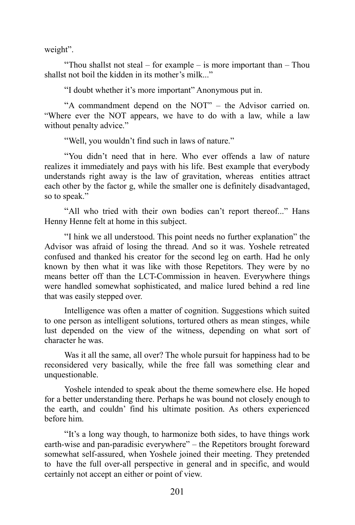weight".

"Thou shallst not steal – for example – is more important than – Thou shallst not boil the kidden in its mother's milk..."

"I doubt whether it's more important" Anonymous put in.

"A commandment depend on the NOT" – the Advisor carried on. "Where ever the NOT appears, we have to do with a law, while a law without penalty advice."

"Well, you wouldn't find such in laws of nature."

"You didn't need that in here. Who ever offends a law of nature realizes it immediately and pays with his life. Best example that everybody understands right away is the law of gravitation, whereas entities attract each other by the factor g, while the smaller one is definitely disadvantaged, so to speak."

"All who tried with their own bodies can't report thereof..." Hans Henny Henne felt at home in this subject.

"I hink we all understood. This point needs no further explanation" the Advisor was afraid of losing the thread. And so it was. Yoshele retreated confused and thanked his creator for the second leg on earth. Had he only known by then what it was like with those Repetitors. They were by no means better off than the LCT-Commission in heaven. Everywhere things were handled somewhat sophisticated, and malice lured behind a red line that was easily stepped over.

Intelligence was often a matter of cognition. Suggestions which suited to one person as intelligent solutions, tortured others as mean stinges, while lust depended on the view of the witness, depending on what sort of character he was.

Was it all the same, all over? The whole pursuit for happiness had to be reconsidered very basically, while the free fall was something clear and unquestionable.

Yoshele intended to speak about the theme somewhere else. He hoped for a better understanding there. Perhaps he was bound not closely enough to the earth, and couldn' find his ultimate position. As others experienced before him.

"It's a long way though, to harmonize both sides, to have things work earth-wise and pan-paradisic everywhere" – the Repetitors brought foreward somewhat self-assured, when Yoshele joined their meeting. They pretended to have the full over-all perspective in general and in specific, and would certainly not accept an either or point of view.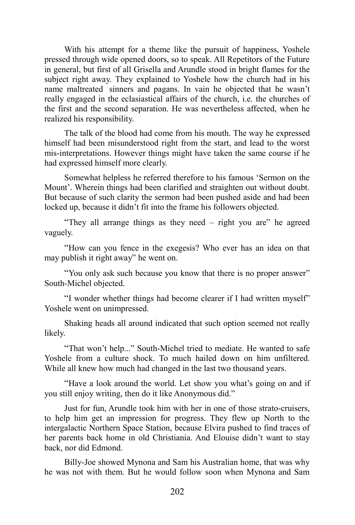With his attempt for a theme like the pursuit of happiness, Yoshele pressed through wide opened doors, so to speak. All Repetitors of the Future in general, but first of all Grisella and Arundle stood in bright flames for the subject right away. They explained to Yoshele how the church had in his name maltreated sinners and pagans. In vain he objected that he wasn't really engaged in the eclasiastical affairs of the church, i.e. the churches of the first and the second separation. He was nevertheless affected, when he realized his responsibility.

The talk of the blood had come from his mouth. The way he expressed himself had been misunderstood right from the start, and lead to the worst mis-interpretations. However things might have taken the same course if he had expressed himself more clearly.

Somewhat helpless he referred therefore to his famous 'Sermon on the Mount'. Wherein things had been clarified and straighten out without doubt. But because of such clarity the sermon had been pushed aside and had been locked up, because it didn't fit into the frame his followers objected.

"They all arrange things as they need – right you are" he agreed vaguely.

"How can you fence in the exegesis? Who ever has an idea on that may publish it right away" he went on.

"You only ask such because you know that there is no proper answer" South-Michel objected.

"I wonder whether things had become clearer if I had written myself" Yoshele went on unimpressed.

Shaking heads all around indicated that such option seemed not really likely.

"That won't help..." South-Michel tried to mediate. He wanted to safe Yoshele from a culture shock. To much hailed down on him unfiltered. While all knew how much had changed in the last two thousand years.

"Have a look around the world. Let show you what's going on and if you still enjoy writing, then do it like Anonymous did."

Just for fun, Arundle took him with her in one of those strato-cruisers, to help him get an impression for progress. They flew up North to the intergalactic Northern Space Station, because Elvira pushed to find traces of her parents back home in old Christiania. And Elouise didn't want to stay back, nor did Edmond.

Billy-Joe showed Mynona and Sam his Australian home, that was why he was not with them. But he would follow soon when Mynona and Sam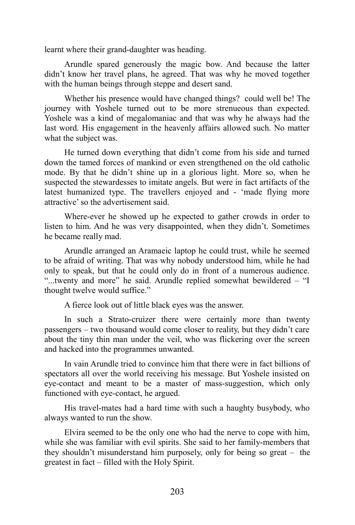learnt where their grand-daughter was heading.

Arundle spared generously the magic bow. And because the latter didn't know her travel plans, he agreed. That was why he moved together with the human beings through steppe and desert sand.

Whether his presence would have changed things? could well be! The journey with Yoshele turned out to be more strenueous than expected. Yoshele was a kind of megalomaniac and that was why he always had the last word. His engagement in the heavenly affairs allowed such. No matter what the subject was.

He turned down everything that didn't come from his side and turned down the tamed forces of mankind or even strengthened on the old catholic mode. By that he didn't shine up in a glorious light. More so, when he suspected the stewardesses to imitate angels. But were in fact artifacts of the latest humanized type. The travellers enjoyed and - 'made flying more attractive' so the advertisement said.

Where-ever he showed up he expected to gather crowds in order to listen to him. And he was very disappointed, when they didn't. Sometimes he became really mad.

Arundle arranged an Aramaeic laptop he could trust, while he seemed to be afraid of writing. That was why nobody understood him, while he had only to speak, but that he could only do in front of a numerous audience. "...twenty and more" he said. Arundle replied somewhat bewildered – "I thought twelve would suffice."

A fierce look out of little black eyes was the answer.

In such a Strato-cruizer there were certainly more than twenty passengers – two thousand would come closer to reality, but they didn't care about the tiny thin man under the veil, who was flickering over the screen and hacked into the programmes unwanted.

In vain Arundle tried to convince him that there were in fact billions of spectators all over the world receiving his message. But Yoshele insisted on eye-contact and meant to be a master of mass-suggestion, which only functioned with eye-contact, he argued.

His travel-mates had a hard time with such a haughty busybody, who always wanted to run the show.

Elvira seemed to be the only one who had the nerve to cope with him, while she was familiar with evil spirits. She said to her family-members that they shouldn't misunderstand him purposely, only for being so great – the greatest in fact – filled with the Holy Spirit.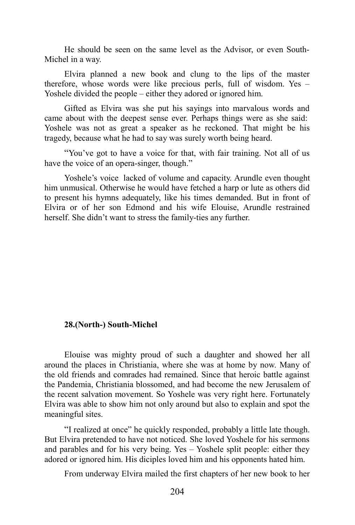He should be seen on the same level as the Advisor, or even South-Michel in a way.

Elvira planned a new book and clung to the lips of the master therefore, whose words were like precious perls, full of wisdom. Yes – Yoshele divided the people – either they adored or ignored him.

Gifted as Elvira was she put his sayings into marvalous words and came about with the deepest sense ever. Perhaps things were as she said: Yoshele was not as great a speaker as he reckoned. That might be his tragedy, because what he had to say was surely worth being heard.

"You've got to have a voice for that, with fair training. Not all of us have the voice of an opera-singer, though."

Yoshele's voice lacked of volume and capacity. Arundle even thought him unmusical. Otherwise he would have fetched a harp or lute as others did to present his hymns adequately, like his times demanded. But in front of Elvira or of her son Edmond and his wife Elouise, Arundle restrained herself. She didn't want to stress the family-ties any further.

### **28.(North-) South-Michel**

Elouise was mighty proud of such a daughter and showed her all around the places in Christiania, where she was at home by now. Many of the old friends and comrades had remained. Since that heroic battle against the Pandemia, Christiania blossomed, and had become the new Jerusalem of the recent salvation movement. So Yoshele was very right here. Fortunately Elvira was able to show him not only around but also to explain and spot the meaningful sites.

"I realized at once" he quickly responded, probably a little late though. But Elvira pretended to have not noticed. She loved Yoshele for his sermons and parables and for his very being. Yes – Yoshele split people: either they adored or ignored him. His diciples loved him and his opponents hated him.

From underway Elvira mailed the first chapters of her new book to her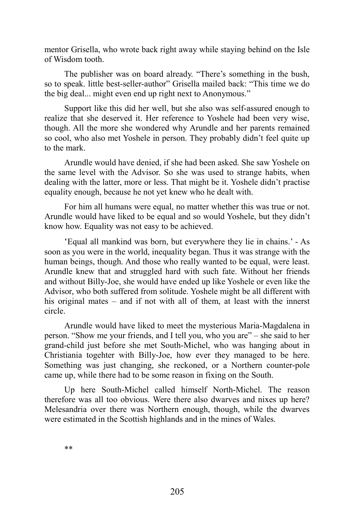mentor Grisella, who wrote back right away while staying behind on the Isle of Wisdom tooth.

The publisher was on board already. "There's something in the bush, so to speak. little best-seller-author" Grisella mailed back: "This time we do the big deal... might even end up right next to Anonymous."

Support like this did her well, but she also was self-assured enough to realize that she deserved it. Her reference to Yoshele had been very wise, though. All the more she wondered why Arundle and her parents remained so cool, who also met Yoshele in person. They probably didn't feel quite up to the mark.

Arundle would have denied, if she had been asked. She saw Yoshele on the same level with the Advisor. So she was used to strange habits, when dealing with the latter, more or less. That might be it. Yoshele didn't practise equality enough, because he not yet knew who he dealt with.

For him all humans were equal, no matter whether this was true or not. Arundle would have liked to be equal and so would Yoshele, but they didn't know how. Equality was not easy to be achieved.

'Equal all mankind was born, but everywhere they lie in chains.' - As soon as you were in the world, inequality began. Thus it was strange with the human beings, though. And those who really wanted to be equal, were least. Arundle knew that and struggled hard with such fate. Without her friends and without Billy-Joe, she would have ended up like Yoshele or even like the Advisor, who both suffered from solitude. Yoshele might be all different with his original mates – and if not with all of them, at least with the innerst circle.

Arundle would have liked to meet the mysterious Maria-Magdalena in person. "Show me your friends, and I tell you, who you are" – she said to her grand-child just before she met South-Michel, who was hanging about in Christiania togehter with Billy-Joe, how ever they managed to be here. Something was just changing, she reckoned, or a Northern counter-pole came up, while there had to be some reason in fixing on the South.

Up here South-Michel called himself North-Michel. The reason therefore was all too obvious. Were there also dwarves and nixes up here? Melesandria over there was Northern enough, though, while the dwarves were estimated in the Scottish highlands and in the mines of Wales.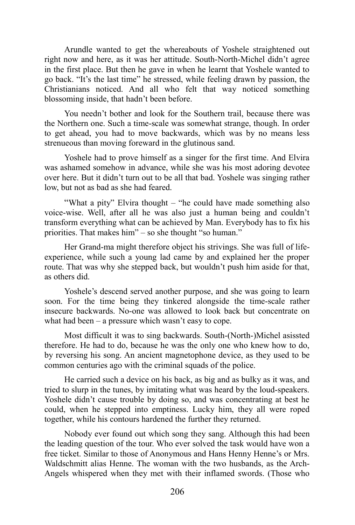Arundle wanted to get the whereabouts of Yoshele straightened out right now and here, as it was her attitude. South-North-Michel didn't agree in the first place. But then he gave in when he learnt that Yoshele wanted to go back. "It's the last time" he stressed, while feeling drawn by passion, the Christianians noticed. And all who felt that way noticed something blossoming inside, that hadn't been before.

You needn't bother and look for the Southern trail, because there was the Northern one. Such a time-scale was somewhat strange, though. In order to get ahead, you had to move backwards, which was by no means less strenueous than moving foreward in the glutinous sand.

Yoshele had to prove himself as a singer for the first time. And Elvira was ashamed somehow in advance, while she was his most adoring devotee over here. But it didn't turn out to be all that bad. Yoshele was singing rather low, but not as bad as she had feared.

"What a pity" Elvira thought – "he could have made something also voice-wise. Well, after all he was also just a human being and couldn't transform everything what can be achieved by Man. Everybody has to fix his priorities. That makes him" – so she thought "so human."

Her Grand-ma might therefore object his strivings. She was full of lifeexperience, while such a young lad came by and explained her the proper route. That was why she stepped back, but wouldn't push him aside for that, as others did.

Yoshele's descend served another purpose, and she was going to learn soon. For the time being they tinkered alongside the time-scale rather insecure backwards. No-one was allowed to look back but concentrate on what had been – a pressure which wasn't easy to cope.

Most difficult it was to sing backwards. South-(North-)Michel asissted therefore. He had to do, because he was the only one who knew how to do, by reversing his song. An ancient magnetophone device, as they used to be common centuries ago with the criminal squads of the police.

He carried such a device on his back, as big and as bulky as it was, and tried to slurp in the tunes, by imitating what was heard by the loud-speakers. Yoshele didn't cause trouble by doing so, and was concentrating at best he could, when he stepped into emptiness. Lucky him, they all were roped together, while his contours hardened the further they returned.

Nobody ever found out which song they sang. Although this had been the leading question of the tour. Who ever solved the task would have won a free ticket. Similar to those of Anonymous and Hans Henny Henne's or Mrs. Waldschmitt alias Henne. The woman with the two husbands, as the Arch-Angels whispered when they met with their inflamed swords. (Those who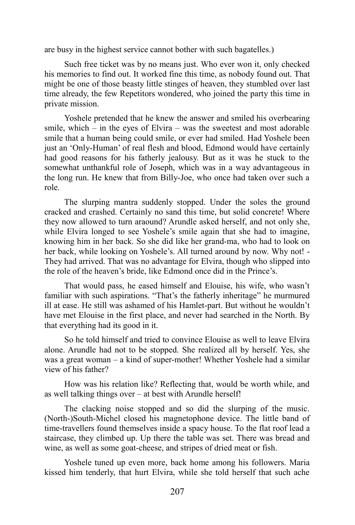are busy in the highest service cannot bother with such bagatelles.)

Such free ticket was by no means just. Who ever won it, only checked his memories to find out. It worked fine this time, as nobody found out. That might be one of those beasty little stinges of heaven, they stumbled over last time already, the few Repetitors wondered, who joined the party this time in private mission.

Yoshele pretended that he knew the answer and smiled his overbearing smile, which – in the eyes of Elvira – was the sweetest and most adorable smile that a human being could smile, or ever had smiled. Had Yoshele been just an 'Only-Human' of real flesh and blood, Edmond would have certainly had good reasons for his fatherly jealousy. But as it was he stuck to the somewhat unthankful role of Joseph, which was in a way advantageous in the long run. He knew that from Billy-Joe, who once had taken over such a role.

The slurping mantra suddenly stopped. Under the soles the ground cracked and crashed. Certainly no sand this time, but solid concrete! Where they now allowed to turn araound? Arundle asked herself, and not only she, while Elvira longed to see Yoshele's smile again that she had to imagine, knowing him in her back. So she did like her grand-ma, who had to look on her back, while looking on Yoshele's. All turned around by now. Why not! - They had arrived. That was no advantage for Elvira, though who slipped into the role of the heaven's bride, like Edmond once did in the Prince's.

That would pass, he eased himself and Elouise, his wife, who wasn't familiar with such aspirations. "That's the fatherly inheritage" he murmured ill at ease. He still was ashamed of his Hamlet-part. But without he wouldn't have met Elouise in the first place, and never had searched in the North. By that everything had its good in it.

So he told himself and tried to convince Elouise as well to leave Elvira alone. Arundle had not to be stopped. She realized all by herself. Yes, she was a great woman – a kind of super-mother! Whether Yoshele had a similar view of his father?

How was his relation like? Reflecting that, would be worth while, and as well talking things over – at best with Arundle herself!

The clacking noise stopped and so did the slurping of the music. (North-)South-Michel closed his magnetophone device. The little band of time-travellers found themselves inside a spacy house. To the flat roof lead a staircase, they climbed up. Up there the table was set. There was bread and wine, as well as some goat-cheese, and stripes of dried meat or fish.

Yoshele tuned up even more, back home among his followers. Maria kissed him tenderly, that hurt Elvira, while she told herself that such ache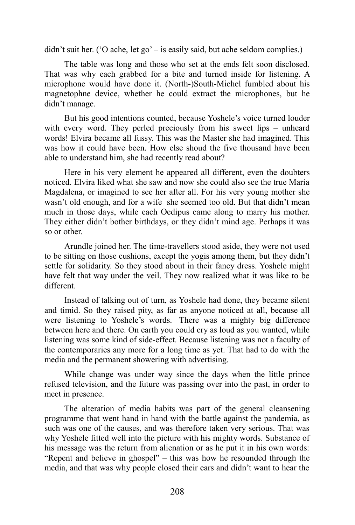didn't suit her. ('O ache, let go' – is easily said, but ache seldom complies.)

The table was long and those who set at the ends felt soon disclosed. That was why each grabbed for a bite and turned inside for listening. A microphone would have done it. (North-)South-Michel fumbled about his magnetophne device, whether he could extract the microphones, but he didn't manage.

But his good intentions counted, because Yoshele's voice turned louder with every word. They perled preciously from his sweet lips – unheard words! Elvira became all fussy. This was the Master she had imagined. This was how it could have been. How else shoud the five thousand have been able to understand him, she had recently read about?

Here in his very element he appeared all different, even the doubters noticed. Elvira liked what she saw and now she could also see the true Maria Magdalena, or imagined to see her after all. For his very young mother she wasn't old enough, and for a wife she seemed too old. But that didn't mean much in those days, while each Oedipus came along to marry his mother. They either didn't bother birthdays, or they didn't mind age. Perhaps it was so or other.

Arundle joined her. The time-travellers stood aside, they were not used to be sitting on those cushions, except the yogis among them, but they didn't settle for solidarity. So they stood about in their fancy dress. Yoshele might have felt that way under the veil. They now realized what it was like to be different.

Instead of talking out of turn, as Yoshele had done, they became silent and timid. So they raised pity, as far as anyone noticed at all, because all were listening to Yoshele's words. There was a mighty big difference between here and there. On earth you could cry as loud as you wanted, while listening was some kind of side-effect. Because listening was not a faculty of the contemporaries any more for a long time as yet. That had to do with the media and the permanent showering with advertising.

While change was under way since the days when the little prince refused television, and the future was passing over into the past, in order to meet in presence.

The alteration of media habits was part of the general cleansening programme that went hand in hand with the battle against the pandemia, as such was one of the causes, and was therefore taken very serious. That was why Yoshele fitted well into the picture with his mighty words. Substance of his message was the return from alienation or as he put it in his own words: "Repent and believe in ghospel" – this was how he resounded through the media, and that was why people closed their ears and didn't want to hear the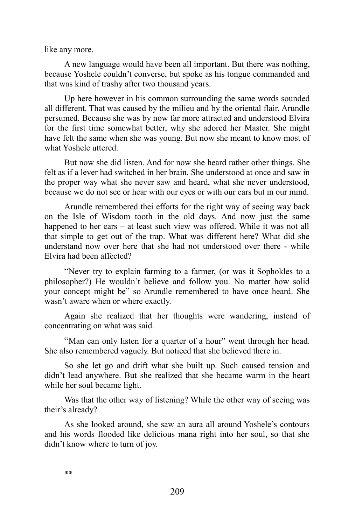like any more.

A new language would have been all important. But there was nothing, because Yoshele couldn't converse, but spoke as his tongue commanded and that was kind of trashy after two thousand years.

Up here however in his common surrounding the same words sounded all different. That was caused by the milieu and by the oriental flair, Arundle persumed. Because she was by now far more attracted and understood Elvira for the first time somewhat better, why she adored her Master. She might have felt the same when she was young. But now she meant to know most of what Yoshele uttered.

But now she did listen. And for now she heard rather other things. She felt as if a lever had switched in her brain. She understood at once and saw in the proper way what she never saw and heard, what she never understood, because we do not see or hear with our eyes or with our ears but in our mind.

Arundle remembered thei efforts for the right way of seeing way back on the Isle of Wisdom tooth in the old days. And now just the same happened to her ears – at least such view was offered. While it was not all that simple to get out of the trap. What was different here? What did she understand now over here that she had not understood over there - while Elvira had been affected?

"Never try to explain farming to a farmer, (or was it Sophokles to a philosopher?) He wouldn't believe and follow you. No matter how solid your concept might be" so Arundle remembered to have once heard. She wasn't aware when or where exactly.

Again she realized that her thoughts were wandering, instead of concentrating on what was said.

"Man can only listen for a quarter of a hour" went through her head. She also remembered vaguely. But noticed that she believed there in.

So she let go and drift what she built up. Such caused tension and didn't lead anywhere. But she realized that she became warm in the heart while her soul became light.

Was that the other way of listening? While the other way of seeing was their's already?

As she looked around, she saw an aura all around Yoshele's contours and his words flooded like delicious mana right into her soul, so that she didn't know where to turn of joy.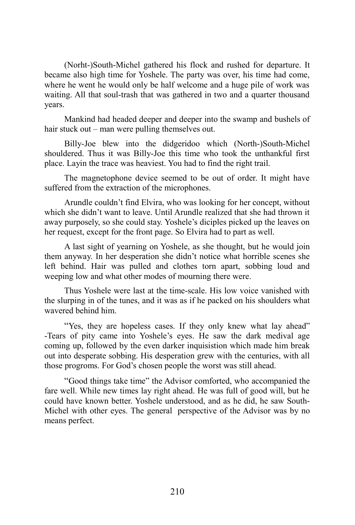(Norht-)South-Michel gathered his flock and rushed for departure. It became also high time for Yoshele. The party was over, his time had come, where he went he would only be half welcome and a huge pile of work was waiting. All that soul-trash that was gathered in two and a quarter thousand years.

Mankind had headed deeper and deeper into the swamp and bushels of hair stuck out – man were pulling themselves out.

Billy-Joe blew into the didgeridoo which (North-)South-Michel shouldered. Thus it was Billy-Joe this time who took the unthankful first place. Layin the trace was heaviest. You had to find the right trail.

The magnetophone device seemed to be out of order. It might have suffered from the extraction of the microphones.

Arundle couldn't find Elvira, who was looking for her concept, without which she didn't want to leave. Until Arundle realized that she had thrown it away purposely, so she could stay. Yoshele's diciples picked up the leaves on her request, except for the front page. So Elvira had to part as well.

A last sight of yearning on Yoshele, as she thought, but he would join them anyway. In her desperation she didn't notice what horrible scenes she left behind. Hair was pulled and clothes torn apart, sobbing loud and weeping low and what other modes of mourning there were.

Thus Yoshele were last at the time-scale. His low voice vanished with the slurping in of the tunes, and it was as if he packed on his shoulders what wavered behind him.

"Yes, they are hopeless cases. If they only knew what lay ahead" -Tears of pity came into Yoshele's eyes. He saw the dark medival age coming up, followed by the even darker inquisistion which made him break out into desperate sobbing. His desperation grew with the centuries, with all those progroms. For God's chosen people the worst was still ahead.

"Good things take time" the Advisor comforted, who accompanied the fare well. While new times lay right ahead. He was full of good will, but he could have known better. Yoshele understood, and as he did, he saw South-Michel with other eyes. The general perspective of the Advisor was by no means perfect.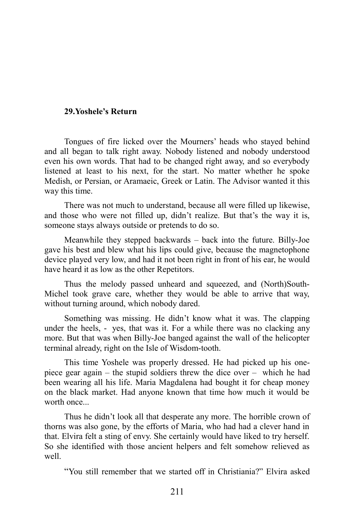## **29.Yoshele's Return**

Tongues of fire licked over the Mourners' heads who stayed behind and all began to talk right away. Nobody listened and nobody understood even his own words. That had to be changed right away, and so everybody listened at least to his next, for the start. No matter whether he spoke Medish, or Persian, or Aramaeic, Greek or Latin. The Advisor wanted it this way this time.

There was not much to understand, because all were filled up likewise, and those who were not filled up, didn't realize. But that's the way it is, someone stays always outside or pretends to do so.

Meanwhile they stepped backwards – back into the future. Billy-Joe gave his best and blew what his lips could give, because the magnetophone device played very low, and had it not been right in front of his ear, he would have heard it as low as the other Repetitors.

Thus the melody passed unheard and squeezed, and (North)South-Michel took grave care, whether they would be able to arrive that way, without turning around, which nobody dared.

Something was missing. He didn't know what it was. The clapping under the heels, - yes, that was it. For a while there was no clacking any more. But that was when Billy-Joe banged against the wall of the helicopter terminal already, right on the Isle of Wisdom-tooth.

This time Yoshele was properly dressed. He had picked up his onepiece gear again – the stupid soldiers threw the dice over – which he had been wearing all his life. Maria Magdalena had bought it for cheap money on the black market. Had anyone known that time how much it would be worth once...

Thus he didn't look all that desperate any more. The horrible crown of thorns was also gone, by the efforts of Maria, who had had a clever hand in that. Elvira felt a sting of envy. She certainly would have liked to try herself. So she identified with those ancient helpers and felt somehow relieved as well.

"You still remember that we started off in Christiania?" Elvira asked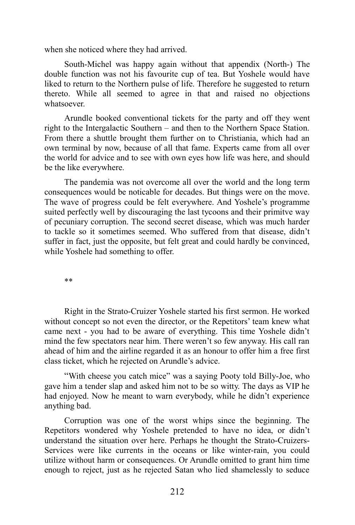when she noticed where they had arrived.

South-Michel was happy again without that appendix (North-) The double function was not his favourite cup of tea. But Yoshele would have liked to return to the Northern pulse of life. Therefore he suggested to return thereto. While all seemed to agree in that and raised no objections whatsoever.

Arundle booked conventional tickets for the party and off they went right to the Intergalactic Southern – and then to the Northern Space Station. From there a shuttle brought them further on to Christiania, which had an own terminal by now, because of all that fame. Experts came from all over the world for advice and to see with own eyes how life was here, and should be the like everywhere.

The pandemia was not overcome all over the world and the long term consequences would be noticable for decades. But things were on the move. The wave of progress could be felt everywhere. And Yoshele's programme suited perfectly well by discouraging the last tycoons and their primitve way of pecuniary corruption. The second secret disease, which was much harder to tackle so it sometimes seemed. Who suffered from that disease, didn't suffer in fact, just the opposite, but felt great and could hardly be convinced, while Yoshele had something to offer.

\*\*

Right in the Strato-Cruizer Yoshele started his first sermon. He worked without concept so not even the director, or the Repetitors' team knew what came next - you had to be aware of everything. This time Yoshele didn't mind the few spectators near him. There weren't so few anyway. His call ran ahead of him and the airline regarded it as an honour to offer him a free first class ticket, which he rejected on Arundle's advice.

"With cheese you catch mice" was a saying Pooty told Billy-Joe, who gave him a tender slap and asked him not to be so witty. The days as VIP he had enjoyed. Now he meant to warn everybody, while he didn't experience anything bad.

Corruption was one of the worst whips since the beginning. The Repetitors wondered why Yoshele pretended to have no idea, or didn't understand the situation over here. Perhaps he thought the Strato-Cruizers-Services were like currents in the oceans or like winter-rain, you could utilize without harm or consequences. Or Arundle omitted to grant him time enough to reject, just as he rejected Satan who lied shamelessly to seduce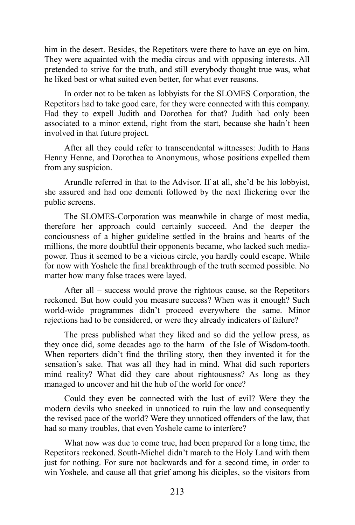him in the desert. Besides, the Repetitors were there to have an eye on him. They were aquainted with the media circus and with opposing interests. All pretended to strive for the truth, and still everybody thought true was, what he liked best or what suited even better, for what ever reasons.

In order not to be taken as lobbyists for the SLOMES Corporation, the Repetitors had to take good care, for they were connected with this company. Had they to expell Judith and Dorothea for that? Judith had only been associated to a minor extend, right from the start, because she hadn't been involved in that future project.

After all they could refer to transcendental wittnesses: Judith to Hans Henny Henne, and Dorothea to Anonymous, whose positions expelled them from any suspicion.

Arundle referred in that to the Advisor. If at all, she'd be his lobbyist, she assured and had one dementi followed by the next flickering over the public screens.

The SLOMES-Corporation was meanwhile in charge of most media, therefore her approach could certainly succeed. And the deeper the conciousness of a higher guideline settled in the brains and hearts of the millions, the more doubtful their opponents became, who lacked such mediapower. Thus it seemed to be a vicious circle, you hardly could escape. While for now with Yoshele the final breakthrough of the truth seemed possible. No matter how many false traces were layed.

After all – success would prove the rightous cause, so the Repetitors reckoned. But how could you measure success? When was it enough? Such world-wide programmes didn't proceed everywhere the same. Minor rejections had to be considered, or were they already indicaters of failure?

The press published what they liked and so did the yellow press, as they once did, some decades ago to the harm of the Isle of Wisdom-tooth. When reporters didn't find the thriling story, then they invented it for the sensation's sake. That was all they had in mind. What did such reporters mind reality? What did they care about rightousness? As long as they managed to uncover and hit the hub of the world for once?

Could they even be connected with the lust of evil? Were they the modern devils who sneeked in unnoticed to ruin the law and consequently the revised pace of the world? Were they unnoticed offenders of the law, that had so many troubles, that even Yoshele came to interfere?

What now was due to come true, had been prepared for a long time, the Repetitors reckoned. South-Michel didn't march to the Holy Land with them just for nothing. For sure not backwards and for a second time, in order to win Yoshele, and cause all that grief among his diciples, so the visitors from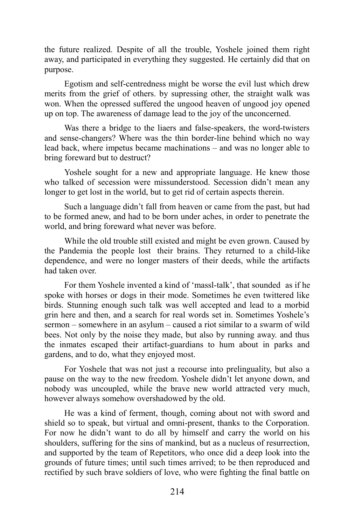the future realized. Despite of all the trouble, Yoshele joined them right away, and participated in everything they suggested. He certainly did that on purpose.

Egotism and self-centredness might be worse the evil lust which drew merits from the grief of others. by supressing other, the straight walk was won. When the opressed suffered the ungood heaven of ungood joy opened up on top. The awareness of damage lead to the joy of the unconcerned.

Was there a bridge to the liaers and false-speakers, the word-twisters and sense-changers? Where was the thin border-line behind which no way lead back, where impetus became machinations – and was no longer able to bring foreward but to destruct?

Yoshele sought for a new and appropriate language. He knew those who talked of secession were missunderstood. Secession didn't mean any longer to get lost in the world, but to get rid of certain aspects therein.

Such a language didn't fall from heaven or came from the past, but had to be formed anew, and had to be born under aches, in order to penetrate the world, and bring foreward what never was before.

While the old trouble still existed and might be even grown. Caused by the Pandemia the people lost their brains. They returned to a child-like dependence, and were no longer masters of their deeds, while the artifacts had taken over.

For them Yoshele invented a kind of 'massl-talk', that sounded as if he spoke with horses or dogs in their mode. Sometimes he even twittered like birds. Stunning enough such talk was well accepted and lead to a morbid grin here and then, and a search for real words set in. Sometimes Yoshele's sermon – somewhere in an asylum – caused a riot similar to a swarm of wild bees. Not only by the noise they made, but also by running away. and thus the inmates escaped their artifact-guardians to hum about in parks and gardens, and to do, what they enjoyed most.

For Yoshele that was not just a recourse into prelinguality, but also a pause on the way to the new freedom. Yoshele didn't let anyone down, and nobody was uncoupled, while the brave new world attracted very much, however always somehow overshadowed by the old.

He was a kind of ferment, though, coming about not with sword and shield so to speak, but virtual and omni-present, thanks to the Corporation. For now he didn't want to do all by himself and carry the world on his shoulders, suffering for the sins of mankind, but as a nucleus of resurrection, and supported by the team of Repetitors, who once did a deep look into the grounds of future times; until such times arrived; to be then reproduced and rectified by such brave soldiers of love, who were fighting the final battle on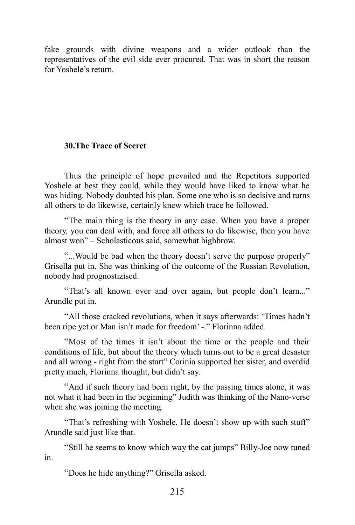fake grounds with divine weapons and a wider outlook than the representatives of the evil side ever procured. That was in short the reason for Yoshele's return.

# **30.The Trace of Secret**

Thus the principle of hope prevailed and the Repetitors supported Yoshele at best they could, while they would have liked to know what he was hiding. Nobody doubted his plan. Some one who is so decisive and turns all others to do likewise, certainly knew which trace he followed.

"The main thing is the theory in any case. When you have a proper theory, you can deal with, and force all others to do likewise, then you have almost won" – Scholasticous said, somewhat highbrow.

"...Would be bad when the theory doesn't serve the purpose properly" Grisella put in. She was thinking of the outcome of the Russian Revolution, nobody had prognostizised.

"That's all known over and over again, but people don't learn..." Arundle put in.

"All those cracked revolutions, when it says afterwards: 'Times hadn't been ripe yet or Man isn't made for freedom' -." Florinna added.

"Most of the times it isn't about the time or the people and their conditions of life, but about the theory which turns out to be a great desaster and all wrong - right from the start" Corinia supported her sister, and overdid pretty much, Florinna thought, but didn't say.

"And if such theory had been right, by the passing times alone, it was not what it had been in the beginning" Judith was thinking of the Nano-verse when she was joining the meeting.

"That's refreshing with Yoshele. He doesn't show up with such stuff" Arundle said just like that.

"Still he seems to know which way the cat jumps" Billy-Joe now tuned in.

"Does he hide anything?" Grisella asked.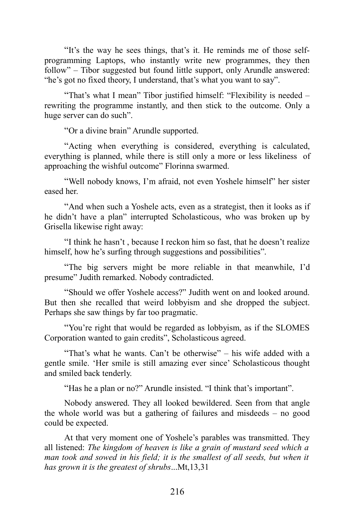"It's the way he sees things, that's it. He reminds me of those selfprogramming Laptops, who instantly write new programmes, they then follow" – Tibor suggested but found little support, only Arundle answered: "he's got no fixed theory, I understand, that's what you want to say".

"That's what I mean" Tibor justified himself: "Flexibility is needed – rewriting the programme instantly, and then stick to the outcome. Only a huge server can do such".

"Or a divine brain" Arundle supported.

"Acting when everything is considered, everything is calculated, everything is planned, while there is still only a more or less likeliness of approaching the wishful outcome" Florinna swarmed.

"Well nobody knows, I'm afraid, not even Yoshele himself" her sister eased her.

"And when such a Yoshele acts, even as a strategist, then it looks as if he didn't have a plan" interrupted Scholasticous, who was broken up by Grisella likewise right away:

"I think he hasn't , because I reckon him so fast, that he doesn't realize himself, how he's surfing through suggestions and possibilities".

"The big servers might be more reliable in that meanwhile, I'd presume" Judith remarked. Nobody contradicted.

"Should we offer Yoshele access?" Judith went on and looked around. But then she recalled that weird lobbyism and she dropped the subject. Perhaps she saw things by far too pragmatic.

"You're right that would be regarded as lobbyism, as if the SLOMES Corporation wanted to gain credits", Scholasticous agreed.

"That's what he wants. Can't be otherwise" – his wife added with a gentle smile. 'Her smile is still amazing ever since' Scholasticous thought and smiled back tenderly.

"Has he a plan or no?" Arundle insisted. "I think that's important".

Nobody answered. They all looked bewildered. Seen from that angle the whole world was but a gathering of failures and misdeeds – no good could be expected.

At that very moment one of Yoshele's parables was transmitted. They all listened: *The kingdom of heaven is like a grain of mustard seed which a man took and sowed in his field; it is the smallest of all seeds, but when it has grown it is the greatest of shrubs*...Mt,13,31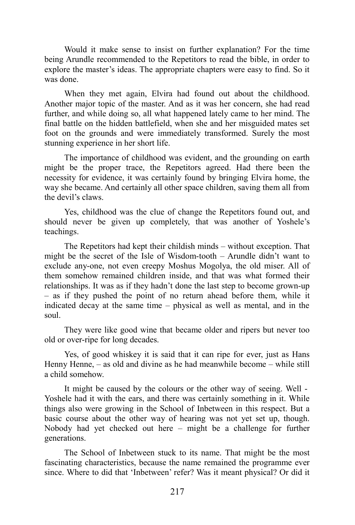Would it make sense to insist on further explanation? For the time being Arundle recommended to the Repetitors to read the bible, in order to explore the master's ideas. The appropriate chapters were easy to find. So it was done.

When they met again, Elvira had found out about the childhood. Another major topic of the master. And as it was her concern, she had read further, and while doing so, all what happened lately came to her mind. The final battle on the hidden battlefield, when she and her misguided mates set foot on the grounds and were immediately transformed. Surely the most stunning experience in her short life.

The importance of childhood was evident, and the grounding on earth might be the proper trace, the Repetitors agreed. Had there been the necessity for evidence, it was certainly found by bringing Elvira home, the way she became. And certainly all other space children, saving them all from the devil's claws.

Yes, childhood was the clue of change the Repetitors found out, and should never be given up completely, that was another of Yoshele's teachings.

The Repetitors had kept their childish minds – without exception. That might be the secret of the Isle of Wisdom-tooth – Arundle didn't want to exclude any-one, not even creepy Moshus Mogolya, the old miser. All of them somehow remained children inside, and that was what formed their relationships. It was as if they hadn't done the last step to become grown-up – as if they pushed the point of no return ahead before them, while it indicated decay at the same time – physical as well as mental, and in the soul.

They were like good wine that became older and ripers but never too old or over-ripe for long decades.

Yes, of good whiskey it is said that it can ripe for ever, just as Hans Henny Henne, – as old and divine as he had meanwhile become – while still a child somehow.

It might be caused by the colours or the other way of seeing. Well - Yoshele had it with the ears, and there was certainly something in it. While things also were growing in the School of Inbetween in this respect. But a basic course about the other way of hearing was not yet set up, though. Nobody had yet checked out here – might be a challenge for further generations.

The School of Inbetween stuck to its name. That might be the most fascinating characteristics, because the name remained the programme ever since. Where to did that 'Inbetween' refer? Was it meant physical? Or did it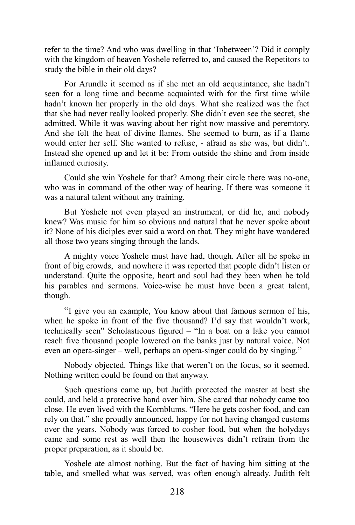refer to the time? And who was dwelling in that 'Inbetween'? Did it comply with the kingdom of heaven Yoshele referred to, and caused the Repetitors to study the bible in their old days?

For Arundle it seemed as if she met an old acquaintance, she hadn't seen for a long time and became acquainted with for the first time while hadn't known her properly in the old days. What she realized was the fact that she had never really looked properly. She didn't even see the secret, she admitted. While it was waving about her right now massive and peremtory. And she felt the heat of divine flames. She seemed to burn, as if a flame would enter her self. She wanted to refuse, - afraid as she was, but didn't. Instead she opened up and let it be: From outside the shine and from inside inflamed curiosity.

Could she win Yoshele for that? Among their circle there was no-one, who was in command of the other way of hearing. If there was someone it was a natural talent without any training.

But Yoshele not even played an instrument, or did he, and nobody knew? Was music for him so obvious and natural that he never spoke about it? None of his diciples ever said a word on that. They might have wandered all those two years singing through the lands.

A mighty voice Yoshele must have had, though. After all he spoke in front of big crowds, and nowhere it was reported that people didn't listen or understand. Quite the opposite, heart and soul had they been when he told his parables and sermons. Voice-wise he must have been a great talent, though.

"I give you an example, You know about that famous sermon of his, when he spoke in front of the five thousand? I'd say that wouldn't work, technically seen" Scholasticous figured – "In a boat on a lake you cannot reach five thousand people lowered on the banks just by natural voice. Not even an opera-singer – well, perhaps an opera-singer could do by singing."

Nobody objected. Things like that weren't on the focus, so it seemed. Nothing written could be found on that anyway.

Such questions came up, but Judith protected the master at best she could, and held a protective hand over him. She cared that nobody came too close. He even lived with the Kornblums. "Here he gets cosher food, and can rely on that." she proudly announced, happy for not having changed customs over the years. Nobody was forced to cosher food, but when the holydays came and some rest as well then the housewives didn't refrain from the proper preparation, as it should be.

Yoshele ate almost nothing. But the fact of having him sitting at the table, and smelled what was served, was often enough already. Judith felt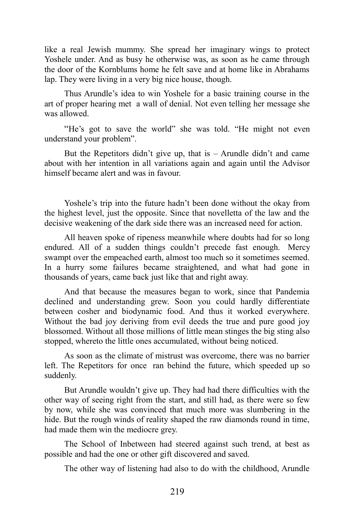like a real Jewish mummy. She spread her imaginary wings to protect Yoshele under. And as busy he otherwise was, as soon as he came through the door of the Kornblums home he felt save and at home like in Abrahams lap. They were living in a very big nice house, though.

Thus Arundle's idea to win Yoshele for a basic training course in the art of proper hearing met a wall of denial. Not even telling her message she was allowed.

"He's got to save the world" she was told. "He might not even understand your problem".

But the Repetitors didn't give up, that is  $-$  Arundle didn't and came about with her intention in all variations again and again until the Advisor himself became alert and was in favour.

Yoshele's trip into the future hadn't been done without the okay from the highest level, just the opposite. Since that novelletta of the law and the decisive weakening of the dark side there was an increased need for action.

All heaven spoke of ripeness meanwhile where doubts had for so long endured. All of a sudden things couldn't precede fast enough. Mercy swampt over the empeached earth, almost too much so it sometimes seemed. In a hurry some failures became straightened, and what had gone in thousands of years, came back just like that and right away.

And that because the measures began to work, since that Pandemia declined and understanding grew. Soon you could hardly differentiate between cosher and biodynamic food. And thus it worked everywhere. Without the bad joy deriving from evil deeds the true and pure good joy blossomed. Without all those millions of little mean stinges the big sting also stopped, whereto the little ones accumulated, without being noticed.

As soon as the climate of mistrust was overcome, there was no barrier left. The Repetitors for once ran behind the future, which speeded up so suddenly.

But Arundle wouldn't give up. They had had there difficulties with the other way of seeing right from the start, and still had, as there were so few by now, while she was convinced that much more was slumbering in the hide. But the rough winds of reality shaped the raw diamonds round in time, had made them win the mediocre grey.

The School of Inbetween had steered against such trend, at best as possible and had the one or other gift discovered and saved.

The other way of listening had also to do with the childhood, Arundle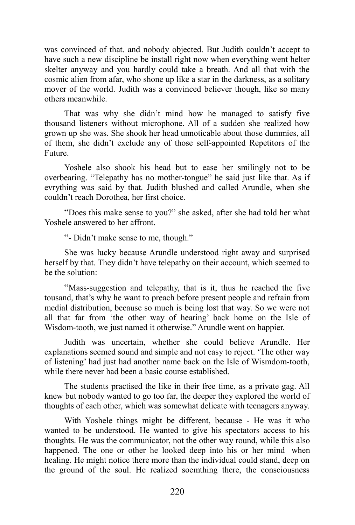was convinced of that. and nobody objected. But Judith couldn't accept to have such a new discipline be install right now when everything went helter skelter anyway and you hardly could take a breath. And all that with the cosmic alien from afar, who shone up like a star in the darkness, as a solitary mover of the world. Judith was a convinced believer though, like so many others meanwhile.

That was why she didn't mind how he managed to satisfy five thousand listeners without microphone. All of a sudden she realized how grown up she was. She shook her head unnoticable about those dummies, all of them, she didn't exclude any of those self-appointed Repetitors of the Future.

Yoshele also shook his head but to ease her smilingly not to be overbearing. "Telepathy has no mother-tongue" he said just like that. As if evrything was said by that. Judith blushed and called Arundle, when she couldn't reach Dorothea, her first choice.

"Does this make sense to you?" she asked, after she had told her what Yoshele answered to her affront.

"- Didn't make sense to me, though."

She was lucky because Arundle understood right away and surprised herself by that. They didn't have telepathy on their account, which seemed to be the solution:

"Mass-suggestion and telepathy, that is it, thus he reached the five tousand, that's why he want to preach before present people and refrain from medial distribution, because so much is being lost that way. So we were not all that far from 'the other way of hearing' back home on the Isle of Wisdom-tooth, we just named it otherwise." Arundle went on happier.

Judith was uncertain, whether she could believe Arundle. Her explanations seemed sound and simple and not easy to reject. 'The other way of listening' had just had another name back on the Isle of Wismdom-tooth, while there never had been a basic course established.

The students practised the like in their free time, as a private gag. All knew but nobody wanted to go too far, the deeper they explored the world of thoughts of each other, which was somewhat delicate with teenagers anyway.

With Yoshele things might be different, because - He was it who wanted to be understood. He wanted to give his spectators access to his thoughts. He was the communicator, not the other way round, while this also happened. The one or other he looked deep into his or her mind when healing. He might notice there more than the individual could stand, deep on the ground of the soul. He realized soemthing there, the consciousness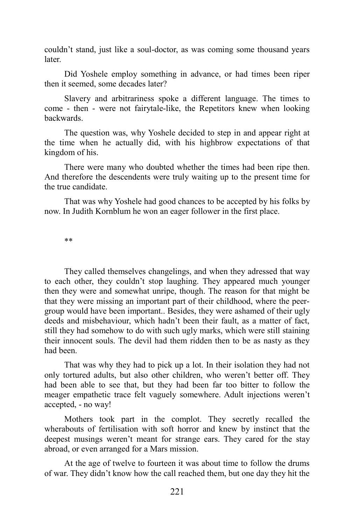couldn't stand, just like a soul-doctor, as was coming some thousand years later.

Did Yoshele employ something in advance, or had times been riper then it seemed, some decades later?

Slavery and arbitrariness spoke a different language. The times to come - then - were not fairytale-like, the Repetitors knew when looking backwards.

The question was, why Yoshele decided to step in and appear right at the time when he actually did, with his highbrow expectations of that kingdom of his.

There were many who doubted whether the times had been ripe then. And therefore the descendents were truly waiting up to the present time for the true candidate.

That was why Yoshele had good chances to be accepted by his folks by now. In Judith Kornblum he won an eager follower in the first place.

\*\*

They called themselves changelings, and when they adressed that way to each other, they couldn't stop laughing. They appeared much younger then they were and somewhat unripe, though. The reason for that might be that they were missing an important part of their childhood, where the peergroup would have been important.. Besides, they were ashamed of their ugly deeds and misbehaviour, which hadn't been their fault, as a matter of fact, still they had somehow to do with such ugly marks, which were still staining their innocent souls. The devil had them ridden then to be as nasty as they had been.

That was why they had to pick up a lot. In their isolation they had not only tortured adults, but also other children, who weren't better off. They had been able to see that, but they had been far too bitter to follow the meager empathetic trace felt vaguely somewhere. Adult injections weren't accepted, - no way!

Mothers took part in the complot. They secretly recalled the wherabouts of fertilisation with soft horror and knew by instinct that the deepest musings weren't meant for strange ears. They cared for the stay abroad, or even arranged for a Mars mission.

At the age of twelve to fourteen it was about time to follow the drums of war. They didn't know how the call reached them, but one day they hit the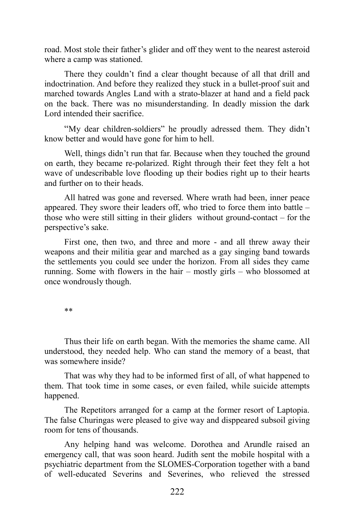road. Most stole their father's glider and off they went to the nearest asteroid where a camp was stationed.

There they couldn't find a clear thought because of all that drill and indoctrination. And before they realized they stuck in a bullet-proof suit and marched towards Angles Land with a strato-blazer at hand and a field pack on the back. There was no misunderstanding. In deadly mission the dark Lord intended their sacrifice.

"My dear children-soldiers" he proudly adressed them. They didn't know better and would have gone for him to hell.

Well, things didn't run that far. Because when they touched the ground on earth, they became re-polarized. Right through their feet they felt a hot wave of undescribable love flooding up their bodies right up to their hearts and further on to their heads.

All hatred was gone and reversed. Where wrath had been, inner peace appeared. They swore their leaders off, who tried to force them into battle – those who were still sitting in their gliders without ground-contact – for the perspective's sake.

First one, then two, and three and more - and all threw away their weapons and their militia gear and marched as a gay singing band towards the settlements you could see under the horizon. From all sides they came running. Some with flowers in the hair – mostly girls – who blossomed at once wondrously though.

\*\*

Thus their life on earth began. With the memories the shame came. All understood, they needed help. Who can stand the memory of a beast, that was somewhere inside?

That was why they had to be informed first of all, of what happened to them. That took time in some cases, or even failed, while suicide attempts happened.

The Repetitors arranged for a camp at the former resort of Laptopia. The false Churingas were pleased to give way and disppeared subsoil giving room for tens of thousands.

Any helping hand was welcome. Dorothea and Arundle raised an emergency call, that was soon heard. Judith sent the mobile hospital with a psychiatric department from the SLOMES-Corporation together with a band of well-educated Severins and Severines, who relieved the stressed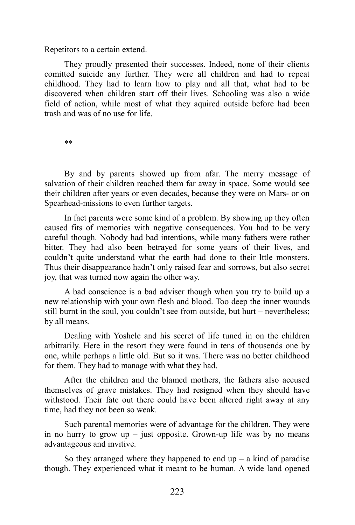Repetitors to a certain extend.

They proudly presented their successes. Indeed, none of their clients comitted suicide any further. They were all children and had to repeat childhood. They had to learn how to play and all that, what had to be discovered when children start off their lives. Schooling was also a wide field of action, while most of what they aquired outside before had been trash and was of no use for life.

\*\*

By and by parents showed up from afar. The merry message of salvation of their children reached them far away in space. Some would see their children after years or even decades, because they were on Mars- or on Spearhead-missions to even further targets.

In fact parents were some kind of a problem. By showing up they often caused fits of memories with negative consequences. You had to be very careful though. Nobody had bad intentions, while many fathers were rather bitter. They had also been betrayed for some years of their lives, and couldn't quite understand what the earth had done to their lttle monsters. Thus their disappearance hadn't only raised fear and sorrows, but also secret joy, that was turned now again the other way.

A bad conscience is a bad adviser though when you try to build up a new relationship with your own flesh and blood. Too deep the inner wounds still burnt in the soul, you couldn't see from outside, but hurt – nevertheless; by all means.

Dealing with Yoshele and his secret of life tuned in on the children arbitrarily. Here in the resort they were found in tens of thousends one by one, while perhaps a little old. But so it was. There was no better childhood for them. They had to manage with what they had.

After the children and the blamed mothers, the fathers also accused themselves of grave mistakes. They had resigned when they should have withstood. Their fate out there could have been altered right away at any time, had they not been so weak.

Such parental memories were of advantage for the children. They were in no hurry to grow  $up$  – just opposite. Grown-up life was by no means advantageous and invitive.

So they arranged where they happened to end  $up - a$  kind of paradise though. They experienced what it meant to be human. A wide land opened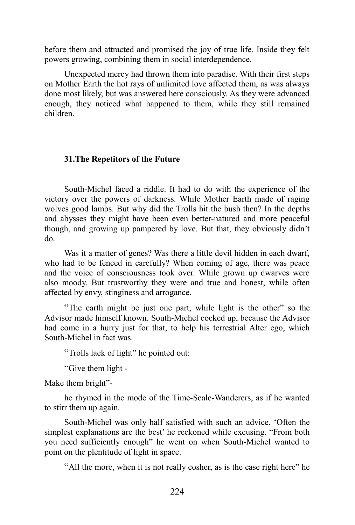before them and attracted and promised the joy of true life. Inside they felt powers growing, combining them in social interdependence.

Unexpected mercy had thrown them into paradise. With their first steps on Mother Earth the hot rays of unlimited love affected them, as was always done most likely, but was answered here consciously. As they were advanced enough, they noticed what happened to them, while they still remained children.

## **31.The Repetitors of the Future**

South-Michel faced a riddle. It had to do with the experience of the victory over the powers of darkness. While Mother Earth made of raging wolves good lambs. But why did the Trolls hit the bush then? In the depths and abysses they might have been even better-natured and more peaceful though, and growing up pampered by love. But that, they obviously didn't do.

Was it a matter of genes? Was there a little devil hidden in each dwarf, who had to be fenced in carefully? When coming of age, there was peace and the voice of consciousness took over. While grown up dwarves were also moody. But trustworthy they were and true and honest, while often affected by envy, stinginess and arrogance.

"The earth might be just one part, while light is the other" so the Advisor made himself known. South-Michel cocked up, because the Advisor had come in a hurry just for that, to help his terrestrial Alter ego, which South-Michel in fact was.

"Trolls lack of light" he pointed out:

"Give them light -

Make them bright"-

he rhymed in the mode of the Time-Scale-Wanderers, as if he wanted to stirr them up again.

South-Michel was only half satisfied with such an advice. 'Often the simplest explanations are the best' he reckoned while excusing. "From both you need sufficiently enough" he went on when South-Michel wanted to point on the plentitude of light in space.

"All the more, when it is not really cosher, as is the case right here" he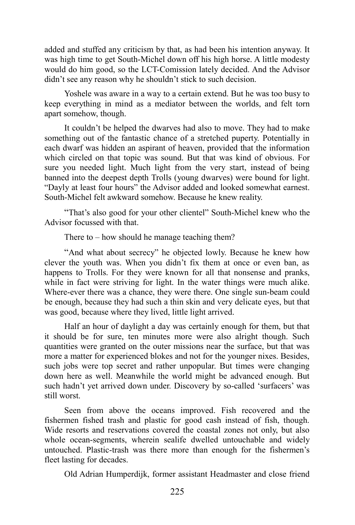added and stuffed any criticism by that, as had been his intention anyway. It was high time to get South-Michel down off his high horse. A little modesty would do him good, so the LCT-Comission lately decided. And the Advisor didn't see any reason why he shouldn't stick to such decision.

Yoshele was aware in a way to a certain extend. But he was too busy to keep everything in mind as a mediator between the worlds, and felt torn apart somehow, though.

It couldn't be helped the dwarves had also to move. They had to make something out of the fantastic chance of a stretched puperty. Potentially in each dwarf was hidden an aspirant of heaven, provided that the information which circled on that topic was sound. But that was kind of obvious. For sure you needed light. Much light from the very start, instead of being banned into the deepest depth Trolls (young dwarves) were bound for light. "Dayly at least four hours" the Advisor added and looked somewhat earnest. South-Michel felt awkward somehow. Because he knew reality.

"That's also good for your other clientel" South-Michel knew who the Advisor focussed with that.

There to  $-$  how should he manage teaching them?

"And what about secrecy" he objected lowly. Because he knew how clever the youth was. When you didn't fix them at once or even ban, as happens to Trolls. For they were known for all that nonsense and pranks, while in fact were striving for light. In the water things were much alike. Where-ever there was a chance, they were there. One single sun-beam could be enough, because they had such a thin skin and very delicate eyes, but that was good, because where they lived, little light arrived.

Half an hour of daylight a day was certainly enough for them, but that it should be for sure, ten minutes more were also alright though. Such quantities were granted on the outer missions near the surface, but that was more a matter for experienced blokes and not for the younger nixes. Besides, such jobs were top secret and rather unpopular. But times were changing down here as well. Meanwhile the world might be advanced enough. But such hadn't yet arrived down under. Discovery by so-called 'surfacers' was still worst.

Seen from above the oceans improved. Fish recovered and the fishermen fished trash and plastic for good cash instead of fish, though. Wide resorts and reservations covered the coastal zones not only, but also whole ocean-segments, wherein sealife dwelled untouchable and widely untouched. Plastic-trash was there more than enough for the fishermen's fleet lasting for decades.

Old Adrian Humperdijk, former assistant Headmaster and close friend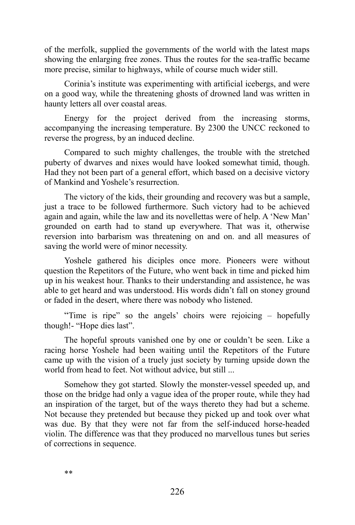of the merfolk, supplied the governments of the world with the latest maps showing the enlarging free zones. Thus the routes for the sea-traffic became more precise, similar to highways, while of course much wider still.

Corinia's institute was experimenting with artificial icebergs, and were on a good way, while the threatening ghosts of drowned land was written in haunty letters all over coastal areas.

Energy for the project derived from the increasing storms, accompanying the increasing temperature. By 2300 the UNCC reckoned to reverse the progress, by an induced decline.

Compared to such mighty challenges, the trouble with the stretched puberty of dwarves and nixes would have looked somewhat timid, though. Had they not been part of a general effort, which based on a decisive victory of Mankind and Yoshele's resurrection.

The victory of the kids, their grounding and recovery was but a sample, just a trace to be followed furthermore. Such victory had to be achieved again and again, while the law and its novellettas were of help. A 'New Man' grounded on earth had to stand up everywhere. That was it, otherwise reversion into barbarism was threatening on and on. and all measures of saving the world were of minor necessity.

Yoshele gathered his diciples once more. Pioneers were without question the Repetitors of the Future, who went back in time and picked him up in his weakest hour. Thanks to their understanding and assistence, he was able to get heard and was understood. His words didn't fall on stoney ground or faded in the desert, where there was nobody who listened.

"Time is ripe" so the angels' choirs were rejoicing – hopefully though!- "Hope dies last".

The hopeful sprouts vanished one by one or couldn't be seen. Like a racing horse Yoshele had been waiting until the Repetitors of the Future came up with the vision of a truely just society by turning upside down the world from head to feet. Not without advice, but still ...

Somehow they got started. Slowly the monster-vessel speeded up, and those on the bridge had only a vague idea of the proper route, while they had an inspiration of the target, but of the ways thereto they had but a scheme. Not because they pretended but because they picked up and took over what was due. By that they were not far from the self-induced horse-headed violin. The difference was that they produced no marvellous tunes but series of corrections in sequence.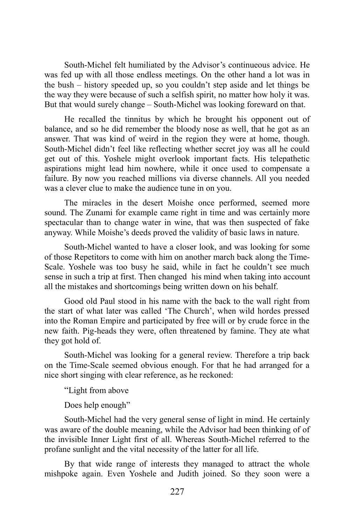South-Michel felt humiliated by the Advisor's continueous advice. He was fed up with all those endless meetings. On the other hand a lot was in the bush – history speeded up, so you couldn't step aside and let things be the way they were because of such a selfish spirit, no matter how holy it was. But that would surely change – South-Michel was looking foreward on that.

He recalled the tinnitus by which he brought his opponent out of balance, and so he did remember the bloody nose as well, that he got as an answer. That was kind of weird in the region they were at home, though. South-Michel didn't feel like reflecting whether secret joy was all he could get out of this. Yoshele might overlook important facts. His telepathetic aspirations might lead him nowhere, while it once used to compensate a failure. By now you reached millions via diverse channels. All you needed was a clever clue to make the audience tune in on you.

The miracles in the desert Moishe once performed, seemed more sound. The Zunami for example came right in time and was certainly more spectacular than to change water in wine, that was then suspected of fake anyway. While Moishe's deeds proved the validity of basic laws in nature.

South-Michel wanted to have a closer look, and was looking for some of those Repetitors to come with him on another march back along the Time-Scale. Yoshele was too busy he said, while in fact he couldn't see much sense in such a trip at first. Then changed his mind when taking into account all the mistakes and shortcomings being written down on his behalf.

Good old Paul stood in his name with the back to the wall right from the start of what later was called 'The Church', when wild hordes pressed into the Roman Empire and participated by free will or by crude force in the new faith. Pig-heads they were, often threatened by famine. They ate what they got hold of.

South-Michel was looking for a general review. Therefore a trip back on the Time-Scale seemed obvious enough. For that he had arranged for a nice short singing with clear reference, as he reckoned:

"Light from above

Does help enough"

South-Michel had the very general sense of light in mind. He certainly was aware of the double meaning, while the Advisor had been thinking of of the invisible Inner Light first of all. Whereas South-Michel referred to the profane sunlight and the vital necessity of the latter for all life.

By that wide range of interests they managed to attract the whole mishpoke again. Even Yoshele and Judith joined. So they soon were a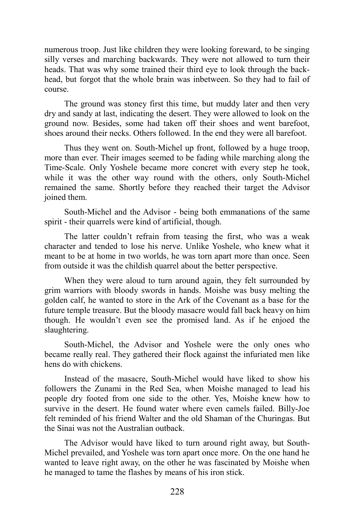numerous troop. Just like children they were looking foreward, to be singing silly verses and marching backwards. They were not allowed to turn their heads. That was why some trained their third eye to look through the backhead, but forgot that the whole brain was inbetween. So they had to fail of course.

The ground was stoney first this time, but muddy later and then very dry and sandy at last, indicating the desert. They were allowed to look on the ground now. Besides, some had taken off their shoes and went barefoot, shoes around their necks. Others followed. In the end they were all barefoot.

Thus they went on. South-Michel up front, followed by a huge troop, more than ever. Their images seemed to be fading while marching along the Time-Scale. Only Yoshele became more concret with every step he took, while it was the other way round with the others, only South-Michel remained the same. Shortly before they reached their target the Advisor joined them.

South-Michel and the Advisor - being both emmanations of the same spirit - their quarrels were kind of artificial, though.

The latter couldn't refrain from teasing the first, who was a weak character and tended to lose his nerve. Unlike Yoshele, who knew what it meant to be at home in two worlds, he was torn apart more than once. Seen from outside it was the childish quarrel about the better perspective.

When they were aloud to turn around again, they felt surrounded by grim warriors with bloody swords in hands. Moishe was busy melting the golden calf, he wanted to store in the Ark of the Covenant as a base for the future temple treasure. But the bloody masacre would fall back heavy on him though. He wouldn't even see the promised land. As if he enjoed the slaughtering.

South-Michel, the Advisor and Yoshele were the only ones who became really real. They gathered their flock against the infuriated men like hens do with chickens.

Instead of the masacre, South-Michel would have liked to show his followers the Zunami in the Red Sea, when Moishe managed to lead his people dry footed from one side to the other. Yes, Moishe knew how to survive in the desert. He found water where even camels failed. Billy-Joe felt reminded of his friend Walter and the old Shaman of the Churingas. But the Sinai was not the Australian outback.

The Advisor would have liked to turn around right away, but South-Michel prevailed, and Yoshele was torn apart once more. On the one hand he wanted to leave right away, on the other he was fascinated by Moishe when he managed to tame the flashes by means of his iron stick.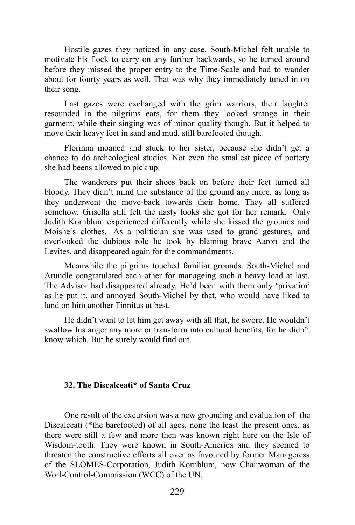Hostile gazes they noticed in any case. South-Michel felt unable to motivate his flock to carry on any further backwards, so he turned around before they missed the proper entry to the Time-Scale and had to wander about for fourty years as well. That was why they immediately tuned in on their song.

Last gazes were exchanged with the grim warriors, their laughter resounded in the pilgrims ears, for them they looked strange in their garment, while their singing was of minor quality though. But it helped to move their heavy feet in sand and mud, still barefooted though..

Florinna moaned and stuck to her sister, because she didn't get a chance to do archeological studies. Not even the smallest piece of pottery she had beens allowed to pick up.

The wanderers put their shoes back on before their feet turned all bloody. They didn't mind the substance of the ground any more, as long as they underwent the move-back towards their home. They all suffered somehow. Grisella still felt the nasty looks she got for her remark. Only Judith Kornblum experienced differently while she kissed the grounds and Moishe's clothes. As a politician she was used to grand gestures, and overlooked the dubious role he took by blaming brave Aaron and the Levites, and disappeared again for the commandments.

Meanwhile the pilgrims touched familiar grounds. South-Michel and Arundle congratulated each other for manageing such a heavy load at last. The Advisor had disappeared already, He'd been with them only 'privatim' as he put it, and annoyed South-Michel by that, who would have liked to land on him another Tinnitus at best.

He didn't want to let him get away with all that, he swore. He wouldn't swallow his anger any more or transform into cultural benefits, for he didn't know which. But he surely would find out.

#### **32. The Discalceati\* of Santa Cruz**

One result of the excursion was a new grounding and evaluation of the Discalceati (\*the barefooted) of all ages, none the least the present ones, as there were still a few and more then was known right here on the Isle of Wisdom-tooth. They were known in South-America and they seemed to threaten the constructive efforts all over as favoured by former Manageress of the SLOMES-Corporation, Judith Kornblum, now Chairwoman of the Worl-Control-Commission (WCC) of the UN.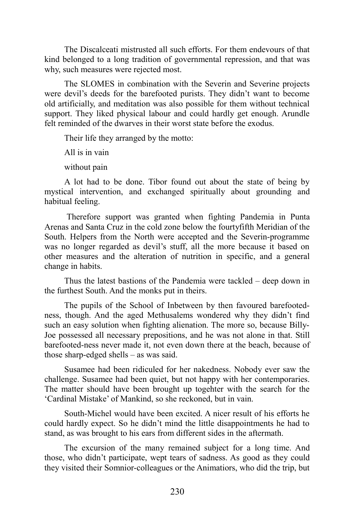The Discalceati mistrusted all such efforts. For them endevours of that kind belonged to a long tradition of governmental repression, and that was why, such measures were rejected most.

The SLOMES in combination with the Severin and Severine projects were devil's deeds for the barefooted purists. They didn't want to become old artificially, and meditation was also possible for them without technical support. They liked physical labour and could hardly get enough. Arundle felt reminded of the dwarves in their worst state before the exodus.

Their life they arranged by the motto:

All is in vain

without pain

A lot had to be done. Tibor found out about the state of being by mystical intervention, and exchanged spiritually about grounding and habitual feeling.

Therefore support was granted when fighting Pandemia in Punta Arenas and Santa Cruz in the cold zone below the fourtyfifth Meridian of the South. Helpers from the North were accepted and the Severin-programme was no longer regarded as devil's stuff, all the more because it based on other measures and the alteration of nutrition in specific, and a general change in habits.

Thus the latest bastions of the Pandemia were tackled – deep down in the furthest South. And the monks put in theirs.

The pupils of the School of Inbetween by then favoured barefootedness, though. And the aged Methusalems wondered why they didn't find such an easy solution when fighting alienation. The more so, because Billy-Joe possessed all necessary prepositions, and he was not alone in that. Still barefooted-ness never made it, not even down there at the beach, because of those sharp-edged shells – as was said.

Susamee had been ridiculed for her nakedness. Nobody ever saw the challenge. Susamee had been quiet, but not happy with her contemporaries. The matter should have been brought up togehter with the search for the 'Cardinal Mistake' of Mankind, so she reckoned, but in vain.

South-Michel would have been excited. A nicer result of his efforts he could hardly expect. So he didn't mind the little disappointments he had to stand, as was brought to his ears from different sides in the aftermath.

The excursion of the many remained subject for a long time. And those, who didn't participate, wept tears of sadness. As good as they could they visited their Somnior-colleagues or the Animatiors, who did the trip, but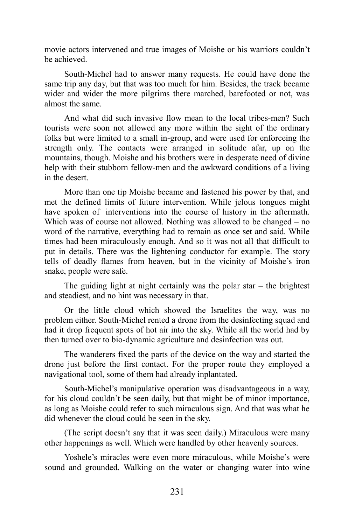movie actors intervened and true images of Moishe or his warriors couldn't be achieved.

South-Michel had to answer many requests. He could have done the same trip any day, but that was too much for him. Besides, the track became wider and wider the more pilgrims there marched, barefooted or not, was almost the same.

And what did such invasive flow mean to the local tribes-men? Such tourists were soon not allowed any more within the sight of the ordinary folks but were limited to a small in-group, and were used for enforceing the strength only. The contacts were arranged in solitude afar, up on the mountains, though. Moishe and his brothers were in desperate need of divine help with their stubborn fellow-men and the awkward conditions of a living in the desert.

More than one tip Moishe became and fastened his power by that, and met the defined limits of future intervention. While jelous tongues might have spoken of interventions into the course of history in the aftermath. Which was of course not allowed. Nothing was allowed to be changed – no word of the narrative, everything had to remain as once set and said. While times had been miraculously enough. And so it was not all that difficult to put in details. There was the lightening conductor for example. The story tells of deadly flames from heaven, but in the vicinity of Moishe's iron snake, people were safe.

The guiding light at night certainly was the polar star  $-$  the brightest and steadiest, and no hint was necessary in that.

Or the little cloud which showed the Israelites the way, was no problem either. South-Michel rented a drone from the desinfecting squad and had it drop frequent spots of hot air into the sky. While all the world had by then turned over to bio-dynamic agriculture and desinfection was out.

The wanderers fixed the parts of the device on the way and started the drone just before the first contact. For the proper route they employed a navigational tool, some of them had already inplantated.

South-Michel's manipulative operation was disadvantageous in a way, for his cloud couldn't be seen daily, but that might be of minor importance, as long as Moishe could refer to such miraculous sign. And that was what he did whenever the cloud could be seen in the sky.

(The script doesn't say that it was seen daily.) Miraculous were many other happenings as well. Which were handled by other heavenly sources.

Yoshele's miracles were even more miraculous, while Moishe's were sound and grounded. Walking on the water or changing water into wine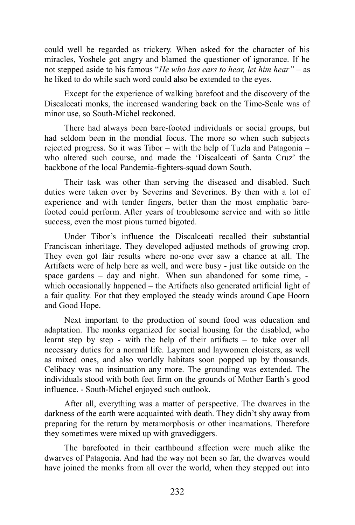could well be regarded as trickery. When asked for the character of his miracles, Yoshele got angry and blamed the questioner of ignorance. If he not stepped aside to his famous "*He who has ears to hear, let him hear" –* as he liked to do while such word could also be extended to the eyes.

Except for the experience of walking barefoot and the discovery of the Discalceati monks, the increased wandering back on the Time-Scale was of minor use, so South-Michel reckoned.

There had always been bare-footed individuals or social groups, but had seldom been in the mondial focus. The more so when such subjects rejected progress. So it was Tibor – with the help of Tuzla and Patagonia – who altered such course, and made the 'Discalceati of Santa Cruz' the backbone of the local Pandemia-fighters-squad down South.

Their task was other than serving the diseased and disabled. Such duties were taken over by Severins and Severines. By then with a lot of experience and with tender fingers, better than the most emphatic barefooted could perform. After years of troublesome service and with so little success, even the most pious turned bigoted.

Under Tibor's influence the Discalceati recalled their substantial Franciscan inheritage. They developed adjusted methods of growing crop. They even got fair results where no-one ever saw a chance at all. The Artifacts were of help here as well, and were busy - just like outside on the space gardens – day and night. When sun abandoned for some time, which occasionally happened – the Artifacts also generated artificial light of a fair quality. For that they employed the steady winds around Cape Hoorn and Good Hope.

Next important to the production of sound food was education and adaptation. The monks organized for social housing for the disabled, who learnt step by step - with the help of their artifacts – to take over all necessary duties for a normal life. Laymen and laywomen cloisters, as well as mixed ones, and also worldly habitats soon popped up by thousands. Celibacy was no insinuation any more. The grounding was extended. The individuals stood with both feet firm on the grounds of Mother Earth's good influence. - South-Michel enjoyed such outlook.

After all, everything was a matter of perspective. The dwarves in the darkness of the earth were acquainted with death. They didn't shy away from preparing for the return by metamorphosis or other incarnations. Therefore they sometimes were mixed up with gravediggers.

The barefooted in their earthbound affection were much alike the dwarves of Patagonia. And had the way not been so far, the dwarves would have joined the monks from all over the world, when they stepped out into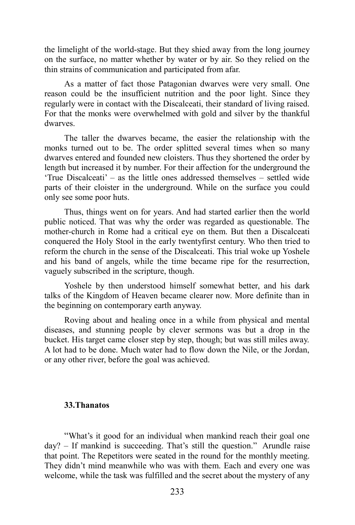the limelight of the world-stage. But they shied away from the long journey on the surface, no matter whether by water or by air. So they relied on the thin strains of communication and participated from afar.

As a matter of fact those Patagonian dwarves were very small. One reason could be the insufficient nutrition and the poor light. Since they regularly were in contact with the Discalceati, their standard of living raised. For that the monks were overwhelmed with gold and silver by the thankful dwarves.

The taller the dwarves became, the easier the relationship with the monks turned out to be. The order splitted several times when so many dwarves entered and founded new cloisters. Thus they shortened the order by length but increased it by number. For their affection for the underground the 'True Discalceati' – as the little ones addressed themselves – settled wide parts of their cloister in the underground. While on the surface you could only see some poor huts.

Thus, things went on for years. And had started earlier then the world public noticed. That was why the order was regarded as questionable. The mother-church in Rome had a critical eye on them. But then a Discalceati conquered the Holy Stool in the early twentyfirst century. Who then tried to reform the church in the sense of the Discalceati. This trial woke up Yoshele and his band of angels, while the time became ripe for the resurrection, vaguely subscribed in the scripture, though.

Yoshele by then understood himself somewhat better, and his dark talks of the Kingdom of Heaven became clearer now. More definite than in the beginning on contemporary earth anyway.

Roving about and healing once in a while from physical and mental diseases, and stunning people by clever sermons was but a drop in the bucket. His target came closer step by step, though; but was still miles away. A lot had to be done. Much water had to flow down the Nile, or the Jordan, or any other river, before the goal was achieved.

#### **33.Thanatos**

"What's it good for an individual when mankind reach their goal one day? – If mankind is succeeding. That's still the question." Arundle raise that point. The Repetitors were seated in the round for the monthly meeting. They didn't mind meanwhile who was with them. Each and every one was welcome, while the task was fulfilled and the secret about the mystery of any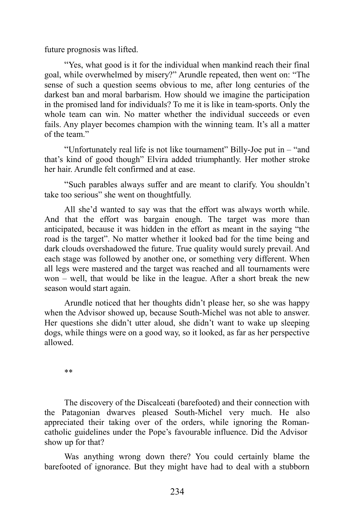future prognosis was lifted.

"Yes, what good is it for the individual when mankind reach their final goal, while overwhelmed by misery?" Arundle repeated, then went on: "The sense of such a question seems obvious to me, after long centuries of the darkest ban and moral barbarism. How should we imagine the participation in the promised land for individuals? To me it is like in team-sports. Only the whole team can win. No matter whether the individual succeeds or even fails. Any player becomes champion with the winning team. It's all a matter of the team."

"Unfortunately real life is not like tournament" Billy-Joe put in – "and that's kind of good though" Elvira added triumphantly. Her mother stroke her hair. Arundle felt confirmed and at ease.

"Such parables always suffer and are meant to clarify. You shouldn't take too serious" she went on thoughtfully.

All she'd wanted to say was that the effort was always worth while. And that the effort was bargain enough. The target was more than anticipated, because it was hidden in the effort as meant in the saying "the road is the target". No matter whether it looked bad for the time being and dark clouds overshadowed the future. True quality would surely prevail. And each stage was followed by another one, or something very different. When all legs were mastered and the target was reached and all tournaments were won – well, that would be like in the league. After a short break the new season would start again.

Arundle noticed that her thoughts didn't please her, so she was happy when the Advisor showed up, because South-Michel was not able to answer. Her questions she didn't utter aloud, she didn't want to wake up sleeping dogs, while things were on a good way, so it looked, as far as her perspective allowed.

\*\*

The discovery of the Discalceati (barefooted) and their connection with the Patagonian dwarves pleased South-Michel very much. He also appreciated their taking over of the orders, while ignoring the Romancatholic guidelines under the Pope's favourable influence. Did the Advisor show up for that?

Was anything wrong down there? You could certainly blame the barefooted of ignorance. But they might have had to deal with a stubborn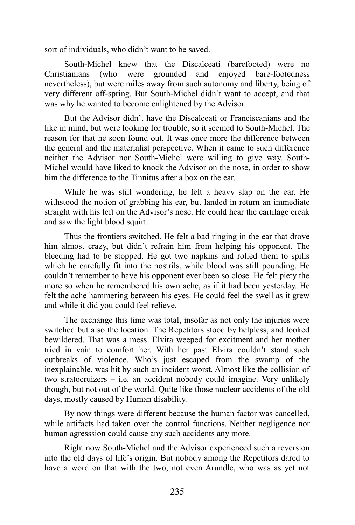sort of individuals, who didn't want to be saved.

South-Michel knew that the Discalceati (barefooted) were no Christianians (who were grounded and enjoyed bare-footedness nevertheless), but were miles away from such autonomy and liberty, being of very different off-spring. But South-Michel didn't want to accept, and that was why he wanted to become enlightened by the Advisor.

But the Advisor didn't have the Discalceati or Franciscanians and the like in mind, but were looking for trouble, so it seemed to South-Michel. The reason for that he soon found out. It was once more the difference between the general and the materialist perspective. When it came to such difference neither the Advisor nor South-Michel were willing to give way. South-Michel would have liked to knock the Advisor on the nose, in order to show him the difference to the Tinnitus after a box on the ear.

While he was still wondering, he felt a heavy slap on the ear. He withstood the notion of grabbing his ear, but landed in return an immediate straight with his left on the Advisor's nose. He could hear the cartilage creak and saw the light blood squirt.

Thus the frontiers switched. He felt a bad ringing in the ear that drove him almost crazy, but didn't refrain him from helping his opponent. The bleeding had to be stopped. He got two napkins and rolled them to spills which he carefully fit into the nostrils, while blood was still pounding. He couldn't remember to have his opponent ever been so close. He felt piety the more so when he remembered his own ache, as if it had been yesterday. He felt the ache hammering between his eyes. He could feel the swell as it grew and while it did you could feel relieve.

The exchange this time was total, insofar as not only the injuries were switched but also the location. The Repetitors stood by helpless, and looked bewildered. That was a mess. Elvira weeped for excitment and her mother tried in vain to comfort her. With her past Elvira couldn't stand such outbreaks of violence. Who's just escaped from the swamp of the inexplainable, was hit by such an incident worst. Almost like the collision of two stratocruizers – i.e. an accident nobody could imagine. Very unlikely though, but not out of the world. Quite like those nuclear accidents of the old days, mostly caused by Human disability.

By now things were different because the human factor was cancelled, while artifacts had taken over the control functions. Neither negligence nor human agresssion could cause any such accidents any more.

Right now South-Michel and the Advisor experienced such a reversion into the old days of life's origin. But nobody among the Repetitors dared to have a word on that with the two, not even Arundle, who was as yet not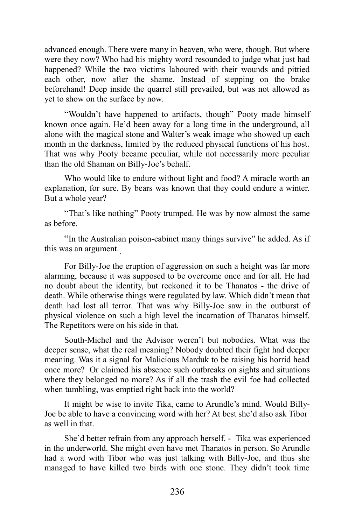advanced enough. There were many in heaven, who were, though. But where were they now? Who had his mighty word resounded to judge what just had happened? While the two victims laboured with their wounds and pittied each other, now after the shame. Instead of stepping on the brake beforehand! Deep inside the quarrel still prevailed, but was not allowed as yet to show on the surface by now.

"Wouldn't have happened to artifacts, though" Pooty made himself known once again. He'd been away for a long time in the underground, all alone with the magical stone and Walter's weak image who showed up each month in the darkness, limited by the reduced physical functions of his host. That was why Pooty became peculiar, while not necessarily more peculiar than the old Shaman on Billy-Joe's behalf.

Who would like to endure without light and food? A miracle worth an explanation, for sure. By bears was known that they could endure a winter. But a whole year?

"That's like nothing" Pooty trumped. He was by now almost the same as before.

"In the Australian poison-cabinet many things survive" he added. As if this was an argument. .

For Billy-Joe the eruption of aggression on such a height was far more alarming, because it was supposed to be overcome once and for all. He had no doubt about the identity, but reckoned it to be Thanatos - the drive of death. While otherwise things were regulated by law. Which didn't mean that death had lost all terror. That was why Billy-Joe saw in the outburst of physical violence on such a high level the incarnation of Thanatos himself. The Repetitors were on his side in that.

South-Michel and the Advisor weren't but nobodies. What was the deeper sense, what the real meaning? Nobody doubted their fight had deeper meaning. Was it a signal for Malicious Marduk to be raising his horrid head once more? Or claimed his absence such outbreaks on sights and situations where they belonged no more? As if all the trash the evil foe had collected when tumbling, was emptied right back into the world?

It might be wise to invite Tika, came to Arundle's mind. Would Billy-Joe be able to have a convincing word with her? At best she'd also ask Tibor as well in that.

She'd better refrain from any approach herself. - Tika was experienced in the underworld. She might even have met Thanatos in person. So Arundle had a word with Tibor who was just talking with Billy-Joe, and thus she managed to have killed two birds with one stone. They didn't took time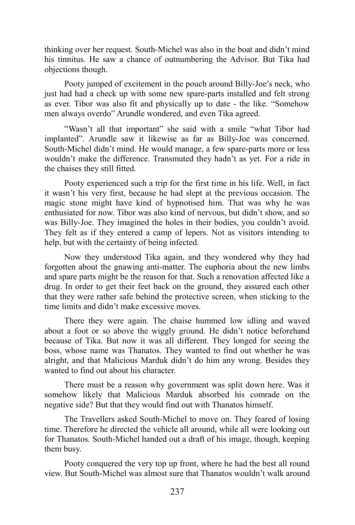thinking over her request. South-Michel was also in the boat and didn't mind his tinnitus. He saw a chance of outnumbering the Advisor. But Tika had objections though.

Pooty jumped of excitement in the pouch around Billy-Joe's neck, who just had had a check up with some new spare-parts installed and felt strong as ever. Tibor was also fit and physically up to date - the like. "Somehow men always overdo" Arundle wondered, and even Tika agreed.

"Wasn't all that important" she said with a smile "what Tibor had implanted". Arundle saw it likewise as far as Billy-Joe was concerned. South-Michel didn't mind. He would manage, a few spare-parts more or less wouldn't make the difference. Transmuted they hadn't as yet. For a ride in the chaises they still fitted.

Pooty experienced such a trip for the first time in his life. Well, in fact it wasn't his very first, because he had slept at the previous occasion. The magic stone might have kind of hypnotised him. That was why he was enthusiated for now. Tibor was also kind of nervous, but didn't show, and so was Billy-Joe. They imagined the holes in their bodies, you couldn't avoid. They felt as if they entered a camp of lepers. Not as visitors intending to help, but with the certainty of being infected.

Now they understood Tika again, and they wondered why they had forgotten about the gnawing anti-matter. The euphoria about the new limbs and spare parts might be the reason for that. Such a renovation affected like a drug. In order to get their feet back on the ground, they assured each other that they were rather safe behind the protective screen, when sticking to the time limits and didn't make excessive moves.

There they were again. The chaise hummed low idling and waved about a foot or so above the wiggly ground. He didn't notice beforehand because of Tika. But now it was all different. They longed for seeing the boss, whose name was Thanatos. They wanted to find out whether he was alright, and that Malicious Marduk didn't do him any wrong. Besides they wanted to find out about his character.

There must be a reason why government was split down here. Was it somehow likely that Malicious Marduk absorbed his comrade on the negative side? But that they would find out with Thanatos himself.

The Travellers asked South-Michel to move on. They feared of losing time. Therefore he directed the vehicle all around, while all were looking out for Thanatos. South-Michel handed out a draft of his image, though, keeping them busy.

Pooty conquered the very top up front, where he had the best all round view. But South-Michel was almost sure that Thanatos wouldn't walk around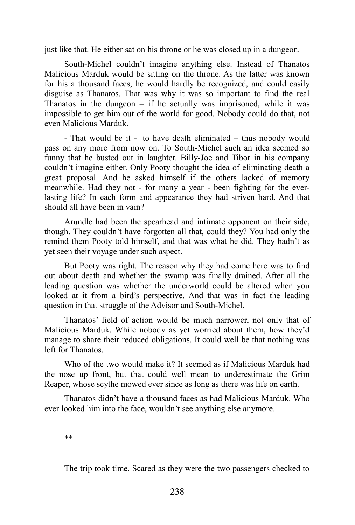just like that. He either sat on his throne or he was closed up in a dungeon.

South-Michel couldn't imagine anything else. Instead of Thanatos Malicious Marduk would be sitting on the throne. As the latter was known for his a thousand faces, he would hardly be recognized, and could easily disguise as Thanatos. That was why it was so important to find the real Thanatos in the dungeon  $-$  if he actually was imprisoned, while it was impossible to get him out of the world for good. Nobody could do that, not even Malicious Marduk.

- That would be it - to have death eliminated – thus nobody would pass on any more from now on. To South-Michel such an idea seemed so funny that he busted out in laughter. Billy-Joe and Tibor in his company couldn't imagine either. Only Pooty thought the idea of eliminating death a great proposal. And he asked himself if the others lacked of memory meanwhile. Had they not - for many a year - been fighting for the everlasting life? In each form and appearance they had striven hard. And that should all have been in vain?

Arundle had been the spearhead and intimate opponent on their side, though. They couldn't have forgotten all that, could they? You had only the remind them Pooty told himself, and that was what he did. They hadn't as yet seen their voyage under such aspect.

But Pooty was right. The reason why they had come here was to find out about death and whether the swamp was finally drained. After all the leading question was whether the underworld could be altered when you looked at it from a bird's perspective. And that was in fact the leading question in that struggle of the Advisor and South-Michel.

Thanatos' field of action would be much narrower, not only that of Malicious Marduk. While nobody as yet worried about them, how they'd manage to share their reduced obligations. It could well be that nothing was left for Thanatos.

Who of the two would make it? It seemed as if Malicious Marduk had the nose up front, but that could well mean to underestimate the Grim Reaper, whose scythe mowed ever since as long as there was life on earth.

Thanatos didn't have a thousand faces as had Malicious Marduk. Who ever looked him into the face, wouldn't see anything else anymore.

\*\*

The trip took time. Scared as they were the two passengers checked to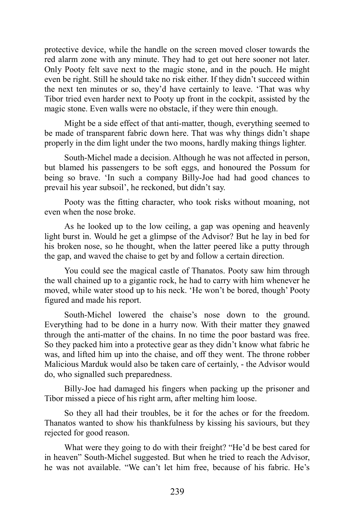protective device, while the handle on the screen moved closer towards the red alarm zone with any minute. They had to get out here sooner not later. Only Pooty felt save next to the magic stone, and in the pouch. He might even be right. Still he should take no risk either. If they didn't succeed within the next ten minutes or so, they'd have certainly to leave. 'That was why Tibor tried even harder next to Pooty up front in the cockpit, assisted by the magic stone. Even walls were no obstacle, if they were thin enough.

Might be a side effect of that anti-matter, though, everything seemed to be made of transparent fabric down here. That was why things didn't shape properly in the dim light under the two moons, hardly making things lighter.

South-Michel made a decision. Although he was not affected in person, but blamed his passengers to be soft eggs, and honoured the Possum for being so brave. 'In such a company Billy-Joe had had good chances to prevail his year subsoil', he reckoned, but didn't say.

Pooty was the fitting character, who took risks without moaning, not even when the nose broke.

As he looked up to the low ceiling, a gap was opening and heavenly light burst in. Would he get a glimpse of the Advisor? But he lay in bed for his broken nose, so he thought, when the latter peered like a putty through the gap, and waved the chaise to get by and follow a certain direction.

You could see the magical castle of Thanatos. Pooty saw him through the wall chained up to a gigantic rock, he had to carry with him whenever he moved, while water stood up to his neck. 'He won't be bored, though' Pooty figured and made his report.

South-Michel lowered the chaise's nose down to the ground. Everything had to be done in a hurry now. With their matter they gnawed through the anti-matter of the chains. In no time the poor bastard was free. So they packed him into a protective gear as they didn't know what fabric he was, and lifted him up into the chaise, and off they went. The throne robber Malicious Marduk would also be taken care of certainly, - the Advisor would do, who signalled such preparedness.

Billy-Joe had damaged his fingers when packing up the prisoner and Tibor missed a piece of his right arm, after melting him loose.

So they all had their troubles, be it for the aches or for the freedom. Thanatos wanted to show his thankfulness by kissing his saviours, but they rejected for good reason.

What were they going to do with their freight? "He'd be best cared for in heaven" South-Michel suggested. But when he tried to reach the Advisor, he was not available. "We can't let him free, because of his fabric. He's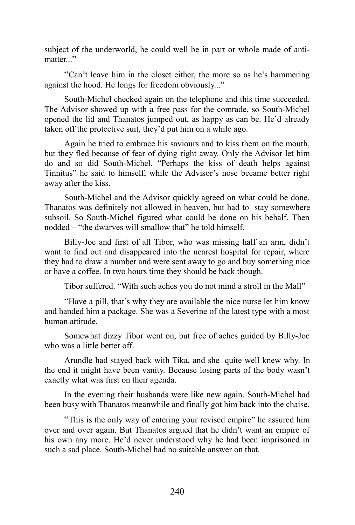subject of the underworld, he could well be in part or whole made of antimatter..."

"Can't leave him in the closet either, the more so as he's hammering against the hood. He longs for freedom obviously..."

South-Michel checked again on the telephone and this time succeeded. The Advisor showed up with a free pass for the comrade, so South-Michel opened the lid and Thanatos jumped out, as happy as can be. He'd already taken off the protective suit, they'd put him on a while ago.

Again he tried to embrace his saviours and to kiss them on the mouth, but they fled because of fear of dying right away. Only the Advisor let him do and so did South-Michel. "Perhaps the kiss of death helps against Tinnitus" he said to himself, while the Advisor's nose became better right away after the kiss.

South-Michel and the Advisor quickly agreed on what could be done. Thanatos was definitely not allowed in heaven, but had to stay somewhere subsoil. So South-Michel figured what could be done on his behalf. Then nodded – "the dwarves will smallow that" he told himself.

Billy-Joe and first of all Tibor, who was missing half an arm, didn't want to find out and disappeared into the nearest hospital for repair, where they had to draw a number and were sent away to go and buy something nice or have a coffee. In two hours time they should be back though.

Tibor suffered. "With such aches you do not mind a stroll in the Mall"

"Have a pill, that's why they are available the nice nurse let him know and handed him a package. She was a Severine of the latest type with a most human attitude.

Somewhat dizzy Tibor went on, but free of aches guided by Billy-Joe who was a little better off.

Arundle had stayed back with Tika, and she quite well knew why. In the end it might have been vanity. Because losing parts of the body wasn't exactly what was first on their agenda.

In the evening their husbands were like new again. South-Michel had been busy with Thanatos meanwhile and finally got him back into the chaise.

"This is the only way of entering your revised empire" he assured him over and over again. But Thanatos argued that he didn't want an empire of his own any more. He'd never understood why he had been imprisoned in such a sad place. South-Michel had no suitable answer on that.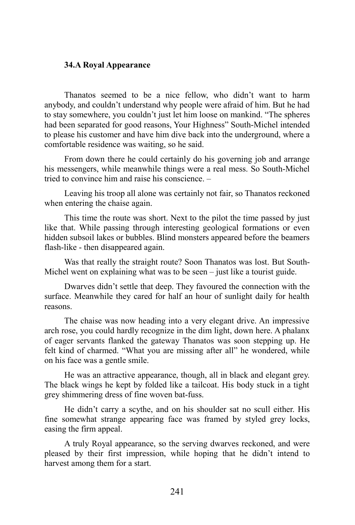### **34.A Royal Appearance**

Thanatos seemed to be a nice fellow, who didn't want to harm anybody, and couldn't understand why people were afraid of him. But he had to stay somewhere, you couldn't just let him loose on mankind. "The spheres had been separated for good reasons, Your Highness" South-Michel intended to please his customer and have him dive back into the underground, where a comfortable residence was waiting, so he said.

From down there he could certainly do his governing job and arrange his messengers, while meanwhile things were a real mess. So South-Michel tried to convince him and raise his conscience. –

Leaving his troop all alone was certainly not fair, so Thanatos reckoned when entering the chaise again.

This time the route was short. Next to the pilot the time passed by just like that. While passing through interesting geological formations or even hidden subsoil lakes or bubbles. Blind monsters appeared before the beamers flash-like - then disappeared again.

Was that really the straight route? Soon Thanatos was lost. But South-Michel went on explaining what was to be seen – just like a tourist guide.

Dwarves didn't settle that deep. They favoured the connection with the surface. Meanwhile they cared for half an hour of sunlight daily for health reasons.

The chaise was now heading into a very elegant drive. An impressive arch rose, you could hardly recognize in the dim light, down here. A phalanx of eager servants flanked the gateway Thanatos was soon stepping up. He felt kind of charmed. "What you are missing after all" he wondered, while on his face was a gentle smile.

He was an attractive appearance, though, all in black and elegant grey. The black wings he kept by folded like a tailcoat. His body stuck in a tight grey shimmering dress of fine woven bat-fuss.

He didn't carry a scythe, and on his shoulder sat no scull either. His fine somewhat strange appearing face was framed by styled grey locks, easing the firm appeal.

A truly Royal appearance, so the serving dwarves reckoned, and were pleased by their first impression, while hoping that he didn't intend to harvest among them for a start.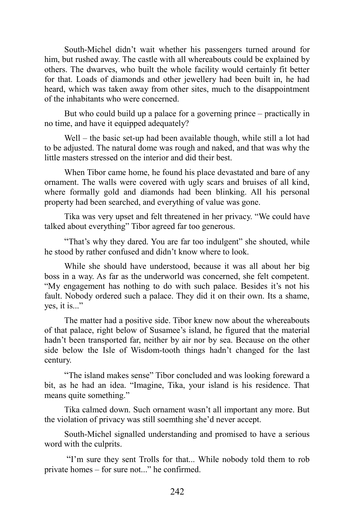South-Michel didn't wait whether his passengers turned around for him, but rushed away. The castle with all whereabouts could be explained by others. The dwarves, who built the whole facility would certainly fit better for that. Loads of diamonds and other jewellery had been built in, he had heard, which was taken away from other sites, much to the disappointment of the inhabitants who were concerned.

But who could build up a palace for a governing prince – practically in no time, and have it equipped adequately?

Well – the basic set-up had been available though, while still a lot had to be adjusted. The natural dome was rough and naked, and that was why the little masters stressed on the interior and did their best.

When Tibor came home, he found his place devastated and bare of any ornament. The walls were covered with ugly scars and bruises of all kind, where formally gold and diamonds had been blinking. All his personal property had been searched, and everything of value was gone.

Tika was very upset and felt threatened in her privacy. "We could have talked about everything" Tibor agreed far too generous.

"That's why they dared. You are far too indulgent" she shouted, while he stood by rather confused and didn't know where to look.

While she should have understood, because it was all about her big boss in a way. As far as the underworld was concerned, she felt competent. "My engagement has nothing to do with such palace. Besides it's not his fault. Nobody ordered such a palace. They did it on their own. Its a shame, yes, it is..."

The matter had a positive side. Tibor knew now about the whereabouts of that palace, right below of Susamee's island, he figured that the material hadn't been transported far, neither by air nor by sea. Because on the other side below the Isle of Wisdom-tooth things hadn't changed for the last century.

"The island makes sense" Tibor concluded and was looking foreward a bit, as he had an idea. "Imagine, Tika, your island is his residence. That means quite something."

Tika calmed down. Such ornament wasn't all important any more. But the violation of privacy was still soemthing she'd never accept.

South-Michel signalled understanding and promised to have a serious word with the culprits.

"I'm sure they sent Trolls for that... While nobody told them to rob private homes – for sure not..." he confirmed.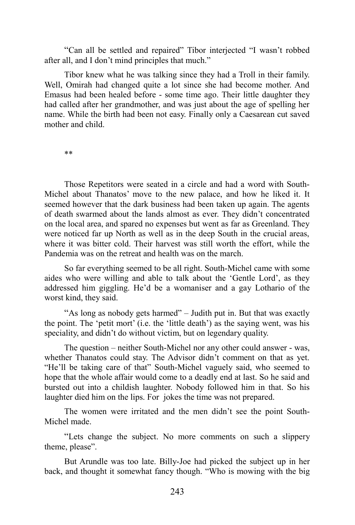"Can all be settled and repaired" Tibor interjected "I wasn't robbed after all, and I don't mind principles that much."

Tibor knew what he was talking since they had a Troll in their family. Well, Omirah had changed quite a lot since she had become mother. And Emasus had been healed before - some time ago. Their little daughter they had called after her grandmother, and was just about the age of spelling her name. While the birth had been not easy. Finally only a Caesarean cut saved mother and child.

\*\*

Those Repetitors were seated in a circle and had a word with South-Michel about Thanatos' move to the new palace, and how he liked it. It seemed however that the dark business had been taken up again. The agents of death swarmed about the lands almost as ever. They didn't concentrated on the local area, and spared no expenses but went as far as Greenland. They were noticed far up North as well as in the deep South in the crucial areas, where it was bitter cold. Their harvest was still worth the effort, while the Pandemia was on the retreat and health was on the march.

So far everything seemed to be all right. South-Michel came with some aides who were willing and able to talk about the 'Gentle Lord', as they addressed him giggling. He'd be a womaniser and a gay Lothario of the worst kind, they said.

"As long as nobody gets harmed" – Judith put in. But that was exactly the point. The 'petit mort' (i.e. the 'little death') as the saying went, was his speciality, and didn't do without victim, but on legendary quality.

The question – neither South-Michel nor any other could answer - was, whether Thanatos could stay. The Advisor didn't comment on that as yet. "He'll be taking care of that" South-Michel vaguely said, who seemed to hope that the whole affair would come to a deadly end at last. So he said and bursted out into a childish laughter. Nobody followed him in that. So his laughter died him on the lips. For jokes the time was not prepared.

The women were irritated and the men didn't see the point South-Michel made.

"Lets change the subject. No more comments on such a slippery theme, please".

But Arundle was too late. Billy-Joe had picked the subject up in her back, and thought it somewhat fancy though. "Who is mowing with the big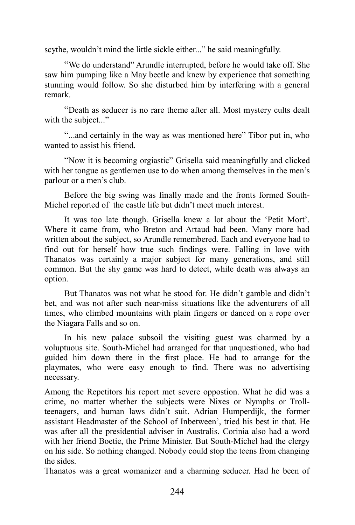scythe, wouldn't mind the little sickle either..." he said meaningfully.

"We do understand" Arundle interrupted, before he would take off. She saw him pumping like a May beetle and knew by experience that something stunning would follow. So she disturbed him by interfering with a general remark.

"Death as seducer is no rare theme after all. Most mystery cults dealt with the subject..."

"...and certainly in the way as was mentioned here" Tibor put in, who wanted to assist his friend.

"Now it is becoming orgiastic" Grisella said meaningfully and clicked with her tongue as gentlemen use to do when among themselves in the men's parlour or a men's club.

Before the big swing was finally made and the fronts formed South-Michel reported of the castle life but didn't meet much interest.

It was too late though. Grisella knew a lot about the 'Petit Mort'. Where it came from, who Breton and Artaud had been. Many more had written about the subject, so Arundle remembered. Each and everyone had to find out for herself how true such findings were. Falling in love with Thanatos was certainly a major subject for many generations, and still common. But the shy game was hard to detect, while death was always an option.

But Thanatos was not what he stood for. He didn't gamble and didn't bet, and was not after such near-miss situations like the adventurers of all times, who climbed mountains with plain fingers or danced on a rope over the Niagara Falls and so on.

In his new palace subsoil the visiting guest was charmed by a voluptuous site. South-Michel had arranged for that unquestioned, who had guided him down there in the first place. He had to arrange for the playmates, who were easy enough to find. There was no advertising necessary.

Among the Repetitors his report met severe oppostion. What he did was a crime, no matter whether the subjects were Nixes or Nymphs or Trollteenagers, and human laws didn't suit. Adrian Humperdijk, the former assistant Headmaster of the School of Inbetween', tried his best in that. He was after all the presidential adviser in Australis. Corinia also had a word with her friend Boetie, the Prime Minister. But South-Michel had the clergy on his side. So nothing changed. Nobody could stop the teens from changing the sides.

Thanatos was a great womanizer and a charming seducer. Had he been of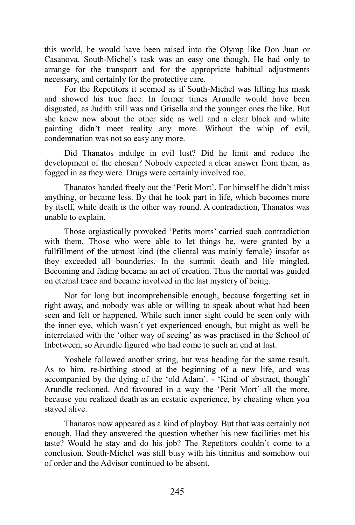this world, he would have been raised into the Olymp like Don Juan or Casanova. South-Michel's task was an easy one though. He had only to arrange for the transport and for the appropriate habitual adjustments necessary, and certainly for the protective care.

For the Repetitors it seemed as if South-Michel was lifting his mask and showed his true face. In former times Arundle would have been disgusted, as Judith still was and Grisella and the younger ones the like. But she knew now about the other side as well and a clear black and white painting didn't meet reality any more. Without the whip of evil, condemnation was not so easy any more.

Did Thanatos indulge in evil lust? Did he limit and reduce the development of the chosen? Nobody expected a clear answer from them, as fogged in as they were. Drugs were certainly involved too.

Thanatos handed freely out the 'Petit Mort'. For himself he didn't miss anything, or became less. By that he took part in life, which becomes more by itself, while death is the other way round. A contradiction, Thanatos was unable to explain.

Those orgiastically provoked 'Petits morts' carried such contradiction with them. Those who were able to let things be, were granted by a fullfillment of the utmost kind (the cliental was mainly female) insofar as they exceeded all bounderies. In the summit death and life mingled. Becoming and fading became an act of creation. Thus the mortal was guided on eternal trace and became involved in the last mystery of being.

Not for long but incomprehensible enough, because forgetting set in right away, and nobody was able or willing to speak about what had been seen and felt or happened. While such inner sight could be seen only with the inner eye, which wasn't yet experienced enough, but might as well be interrelated with the 'other way of seeing' as was practised in the School of Inbetween, so Arundle figured who had come to such an end at last.

Yoshele followed another string, but was heading for the same result. As to him, re-birthing stood at the beginning of a new life, and was accompanied by the dying of the 'old Adam'. - 'Kind of abstract, though' Arundle reckoned. And favoured in a way the 'Petit Mort' all the more, because you realized death as an ecstatic experience, by cheating when you stayed alive.

Thanatos now appeared as a kind of playboy. But that was certainly not enough. Had they answered the question whether his new facilities met his taste? Would he stay and do his job? The Repetitors couldn't come to a conclusion. South-Michel was still busy with his tinnitus and somehow out of order and the Advisor continued to be absent.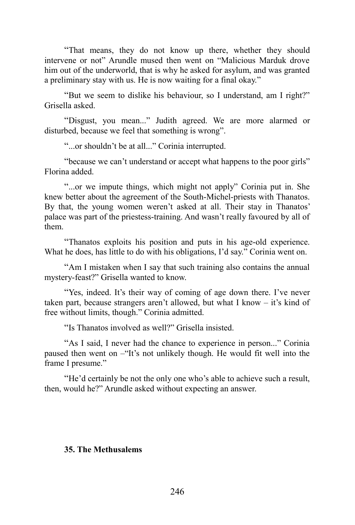"That means, they do not know up there, whether they should intervene or not" Arundle mused then went on "Malicious Marduk drove him out of the underworld, that is why he asked for asylum, and was granted a preliminary stay with us. He is now waiting for a final okay."

"But we seem to dislike his behaviour, so I understand, am I right?" Grisella asked.

"Disgust, you mean..." Judith agreed. We are more alarmed or disturbed, because we feel that something is wrong".

"...or shouldn't be at all..." Corinia interrupted.

"because we can't understand or accept what happens to the poor girls" Florina added.

"...or we impute things, which might not apply" Corinia put in. She knew better about the agreement of the South-Michel-priests with Thanatos. By that, the young women weren't asked at all. Their stay in Thanatos' palace was part of the priestess-training. And wasn't really favoured by all of them.

"Thanatos exploits his position and puts in his age-old experience. What he does, has little to do with his obligations, I'd say." Corinia went on.

"Am I mistaken when I say that such training also contains the annual mystery-feast?" Grisella wanted to know.

"Yes, indeed. It's their way of coming of age down there. I've never taken part, because strangers aren't allowed, but what I know – it's kind of free without limits, though." Corinia admitted.

"Is Thanatos involved as well?" Grisella insisted.

"As I said, I never had the chance to experience in person..." Corinia paused then went on –"It's not unlikely though. He would fit well into the frame I presume."

"He'd certainly be not the only one who's able to achieve such a result, then, would he?" Arundle asked without expecting an answer.

# **35. The Methusalems**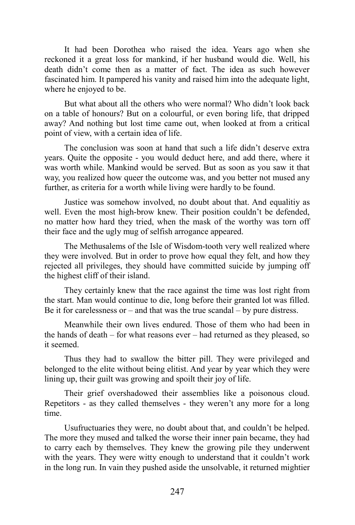It had been Dorothea who raised the idea. Years ago when she reckoned it a great loss for mankind, if her husband would die. Well, his death didn't come then as a matter of fact. The idea as such however fascinated him. It pampered his vanity and raised him into the adequate light, where he enjoyed to be.

But what about all the others who were normal? Who didn't look back on a table of honours? But on a colourful, or even boring life, that dripped away? And nothing but lost time came out, when looked at from a critical point of view, with a certain idea of life.

The conclusion was soon at hand that such a life didn't deserve extra years. Quite the opposite - you would deduct here, and add there, where it was worth while. Mankind would be served. But as soon as you saw it that way, you realized how queer the outcome was, and you better not mused any further, as criteria for a worth while living were hardly to be found.

Justice was somehow involved, no doubt about that. And equalitiy as well. Even the most high-brow knew. Their position couldn't be defended, no matter how hard they tried, when the mask of the worthy was torn off their face and the ugly mug of selfish arrogance appeared.

The Methusalems of the Isle of Wisdom-tooth very well realized where they were involved. But in order to prove how equal they felt, and how they rejected all privileges, they should have committed suicide by jumping off the highest cliff of their island.

They certainly knew that the race against the time was lost right from the start. Man would continue to die, long before their granted lot was filled. Be it for carelessness or – and that was the true scandal – by pure distress.

Meanwhile their own lives endured. Those of them who had been in the hands of death – for what reasons ever – had returned as they pleased, so it seemed.

Thus they had to swallow the bitter pill. They were privileged and belonged to the elite without being elitist. And year by year which they were lining up, their guilt was growing and spoilt their joy of life.

Their grief overshadowed their assemblies like a poisonous cloud. Repetitors - as they called themselves - they weren't any more for a long time.

Usufructuaries they were, no doubt about that, and couldn't be helped. The more they mused and talked the worse their inner pain became, they had to carry each by themselves. They knew the growing pile they underwent with the years. They were witty enough to understand that it couldn't work in the long run. In vain they pushed aside the unsolvable, it returned mightier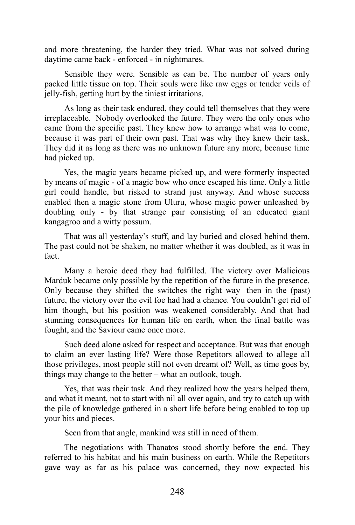and more threatening, the harder they tried. What was not solved during daytime came back - enforced - in nightmares.

Sensible they were. Sensible as can be. The number of years only packed little tissue on top. Their souls were like raw eggs or tender veils of jelly-fish, getting hurt by the tiniest irritations.

As long as their task endured, they could tell themselves that they were irreplaceable. Nobody overlooked the future. They were the only ones who came from the specific past. They knew how to arrange what was to come, because it was part of their own past. That was why they knew their task. They did it as long as there was no unknown future any more, because time had picked up.

Yes, the magic years became picked up, and were formerly inspected by means of magic - of a magic bow who once escaped his time. Only a little girl could handle, but risked to strand just anyway. And whose success enabled then a magic stone from Uluru, whose magic power unleashed by doubling only - by that strange pair consisting of an educated giant kangagroo and a witty possum.

That was all yesterday's stuff, and lay buried and closed behind them. The past could not be shaken, no matter whether it was doubled, as it was in fact.

Many a heroic deed they had fulfilled. The victory over Malicious Marduk became only possible by the repetition of the future in the presence. Only because they shifted the switches the right way then in the (past) future, the victory over the evil foe had had a chance. You couldn't get rid of him though, but his position was weakened considerably. And that had stunning consequences for human life on earth, when the final battle was fought, and the Saviour came once more.

Such deed alone asked for respect and acceptance. But was that enough to claim an ever lasting life? Were those Repetitors allowed to allege all those privileges, most people still not even dreamt of? Well, as time goes by, things may change to the better – what an outlook, tough.

Yes, that was their task. And they realized how the years helped them, and what it meant, not to start with nil all over again, and try to catch up with the pile of knowledge gathered in a short life before being enabled to top up your bits and pieces.

Seen from that angle, mankind was still in need of them.

The negotiations with Thanatos stood shortly before the end. They referred to his habitat and his main business on earth. While the Repetitors gave way as far as his palace was concerned, they now expected his